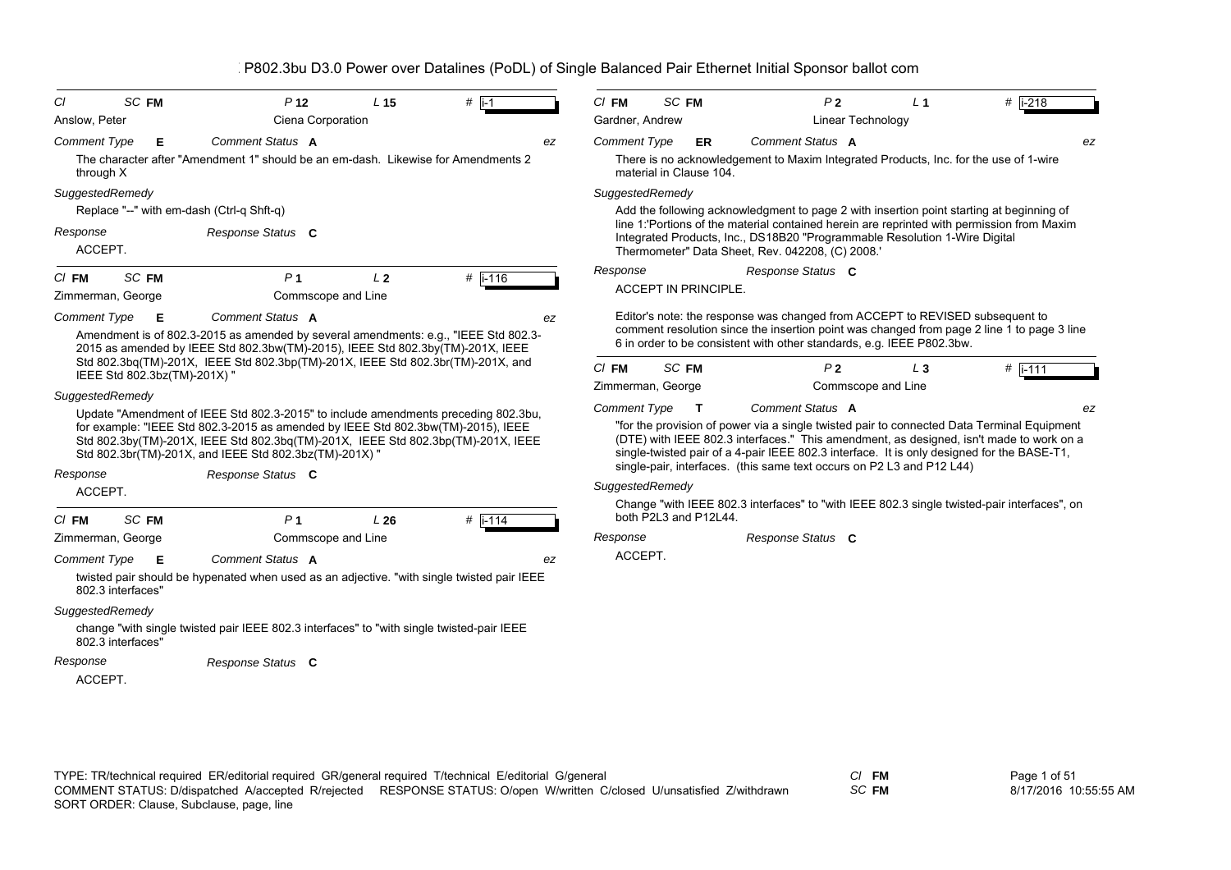| CI                  | SC FM                        | P <sub>12</sub>                                                                                                                                                                                                                | L <sub>15</sub> | $#$ i-1   | $CI$ FM             |       | SC FM                       |                                                                                                                                                       | P <sub>2</sub> | L <sub>1</sub>     | $#$ i-218                                                                                                                                                                                                                                                                           |
|---------------------|------------------------------|--------------------------------------------------------------------------------------------------------------------------------------------------------------------------------------------------------------------------------|-----------------|-----------|---------------------|-------|-----------------------------|-------------------------------------------------------------------------------------------------------------------------------------------------------|----------------|--------------------|-------------------------------------------------------------------------------------------------------------------------------------------------------------------------------------------------------------------------------------------------------------------------------------|
| Anslow, Peter       |                              | Ciena Corporation                                                                                                                                                                                                              |                 |           | Gardner, Andrew     |       |                             |                                                                                                                                                       |                | Linear Technology  |                                                                                                                                                                                                                                                                                     |
| <b>Comment Type</b> | Е                            | <b>Comment Status A</b>                                                                                                                                                                                                        |                 | ez        | <b>Comment Type</b> |       | <b>ER</b>                   | Comment Status A                                                                                                                                      |                |                    | ez                                                                                                                                                                                                                                                                                  |
| through X           |                              | The character after "Amendment 1" should be an em-dash. Likewise for Amendments 2                                                                                                                                              |                 |           |                     |       | material in Clause 104.     | There is no acknowledgement to Maxim Integrated Products, Inc. for the use of 1-wire                                                                  |                |                    |                                                                                                                                                                                                                                                                                     |
| SuggestedRemedy     |                              |                                                                                                                                                                                                                                |                 |           | SuggestedRemedy     |       |                             |                                                                                                                                                       |                |                    |                                                                                                                                                                                                                                                                                     |
|                     |                              | Replace "--" with em-dash (Ctrl-q Shft-q)                                                                                                                                                                                      |                 |           |                     |       |                             |                                                                                                                                                       |                |                    | Add the following acknowledgment to page 2 with insertion point starting at beginning of                                                                                                                                                                                            |
| Response<br>ACCEPT. |                              | Response Status C                                                                                                                                                                                                              |                 |           |                     |       |                             | Integrated Products, Inc., DS18B20 "Programmable Resolution 1-Wire Digital<br>Thermometer" Data Sheet, Rev. 042208, (C) 2008.'                        |                |                    | line 1:'Portions of the material contained herein are reprinted with permission from Maxim                                                                                                                                                                                          |
| $CI$ FM             | SC FM                        | P <sub>1</sub>                                                                                                                                                                                                                 | L <sub>2</sub>  | # i-116   | Response            |       |                             | Response Status C                                                                                                                                     |                |                    |                                                                                                                                                                                                                                                                                     |
|                     | Zimmerman, George            | Commscope and Line                                                                                                                                                                                                             |                 |           |                     |       | <b>ACCEPT IN PRINCIPLE.</b> |                                                                                                                                                       |                |                    |                                                                                                                                                                                                                                                                                     |
| <b>Comment Type</b> | E                            | <b>Comment Status A</b><br>Amendment is of 802.3-2015 as amended by several amendments: e.g., "IEEE Std 802.3-<br>2015 as amended by IEEE Std 802.3bw(TM)-2015), IEEE Std 802.3by(TM)-201X, IEEE                               |                 | ez        |                     |       |                             | Editor's note: the response was changed from ACCEPT to REVISED subsequent to<br>6 in order to be consistent with other standards, e.g. IEEE P802.3bw. |                |                    | comment resolution since the insertion point was changed from page 2 line 1 to page 3 line                                                                                                                                                                                          |
|                     | IEEE Std 802.3bz(TM)-201X) " | Std 802.3bq(TM)-201X, IEEE Std 802.3bp(TM)-201X, IEEE Std 802.3br(TM)-201X, and                                                                                                                                                |                 |           | $CI$ FM             | SC FM |                             |                                                                                                                                                       | P <sub>2</sub> | $L_3$              | $#$ i-111                                                                                                                                                                                                                                                                           |
|                     |                              |                                                                                                                                                                                                                                |                 |           | Zimmerman, George   |       |                             |                                                                                                                                                       |                | Commscope and Line |                                                                                                                                                                                                                                                                                     |
| SuggestedRemedy     |                              | Update "Amendment of IEEE Std 802.3-2015" to include amendments preceding 802.3bu,                                                                                                                                             |                 |           | <b>Comment Type</b> |       | $\mathbf{T}$                | Comment Status A                                                                                                                                      |                |                    | ez                                                                                                                                                                                                                                                                                  |
|                     |                              | for example: "IEEE Std 802.3-2015 as amended by IEEE Std 802.3bw(TM)-2015), IEEE<br>Std 802.3by(TM)-201X, IEEE Std 802.3bq(TM)-201X, IEEE Std 802.3bp(TM)-201X, IEEE<br>Std 802.3br(TM)-201X, and IEEE Std 802.3bz(TM)-201X) " |                 |           |                     |       |                             |                                                                                                                                                       |                |                    | "for the provision of power via a single twisted pair to connected Data Terminal Equipment<br>(DTE) with IEEE 802.3 interfaces." This amendment, as designed, isn't made to work on a<br>single-twisted pair of a 4-pair IEEE 802.3 interface. It is only designed for the BASE-T1, |
| Response            |                              | Response Status C                                                                                                                                                                                                              |                 |           |                     |       |                             | single-pair, interfaces. (this same text occurs on P2 L3 and P12 L44)                                                                                 |                |                    |                                                                                                                                                                                                                                                                                     |
| ACCEPT.             |                              |                                                                                                                                                                                                                                |                 |           | SuggestedRemedy     |       |                             |                                                                                                                                                       |                |                    |                                                                                                                                                                                                                                                                                     |
| $CI$ FM             | SC <sub>FM</sub>             | P <sub>1</sub>                                                                                                                                                                                                                 | L26             | $#$ i-114 |                     |       | both P2L3 and P12L44.       |                                                                                                                                                       |                |                    | Change "with IEEE 802.3 interfaces" to "with IEEE 802.3 single twisted-pair interfaces", on                                                                                                                                                                                         |
|                     | Zimmerman, George            | Commscope and Line                                                                                                                                                                                                             |                 |           | Response            |       |                             | Response Status C                                                                                                                                     |                |                    |                                                                                                                                                                                                                                                                                     |
| <b>Comment Type</b> | E                            | Comment Status A                                                                                                                                                                                                               |                 | ez        | ACCEPT.             |       |                             |                                                                                                                                                       |                |                    |                                                                                                                                                                                                                                                                                     |
|                     | 802.3 interfaces"            | twisted pair should be hypenated when used as an adjective. "with single twisted pair IEEE                                                                                                                                     |                 |           |                     |       |                             |                                                                                                                                                       |                |                    |                                                                                                                                                                                                                                                                                     |
| SuggestedRemedy     |                              |                                                                                                                                                                                                                                |                 |           |                     |       |                             |                                                                                                                                                       |                |                    |                                                                                                                                                                                                                                                                                     |
|                     | 802.3 interfaces"            | change "with single twisted pair IEEE 802.3 interfaces" to "with single twisted-pair IEEE                                                                                                                                      |                 |           |                     |       |                             |                                                                                                                                                       |                |                    |                                                                                                                                                                                                                                                                                     |
| Response            |                              | Response Status C                                                                                                                                                                                                              |                 |           |                     |       |                             |                                                                                                                                                       |                |                    |                                                                                                                                                                                                                                                                                     |
| ACCEPT.             |                              |                                                                                                                                                                                                                                |                 |           |                     |       |                             |                                                                                                                                                       |                |                    |                                                                                                                                                                                                                                                                                     |

*SC* **FM**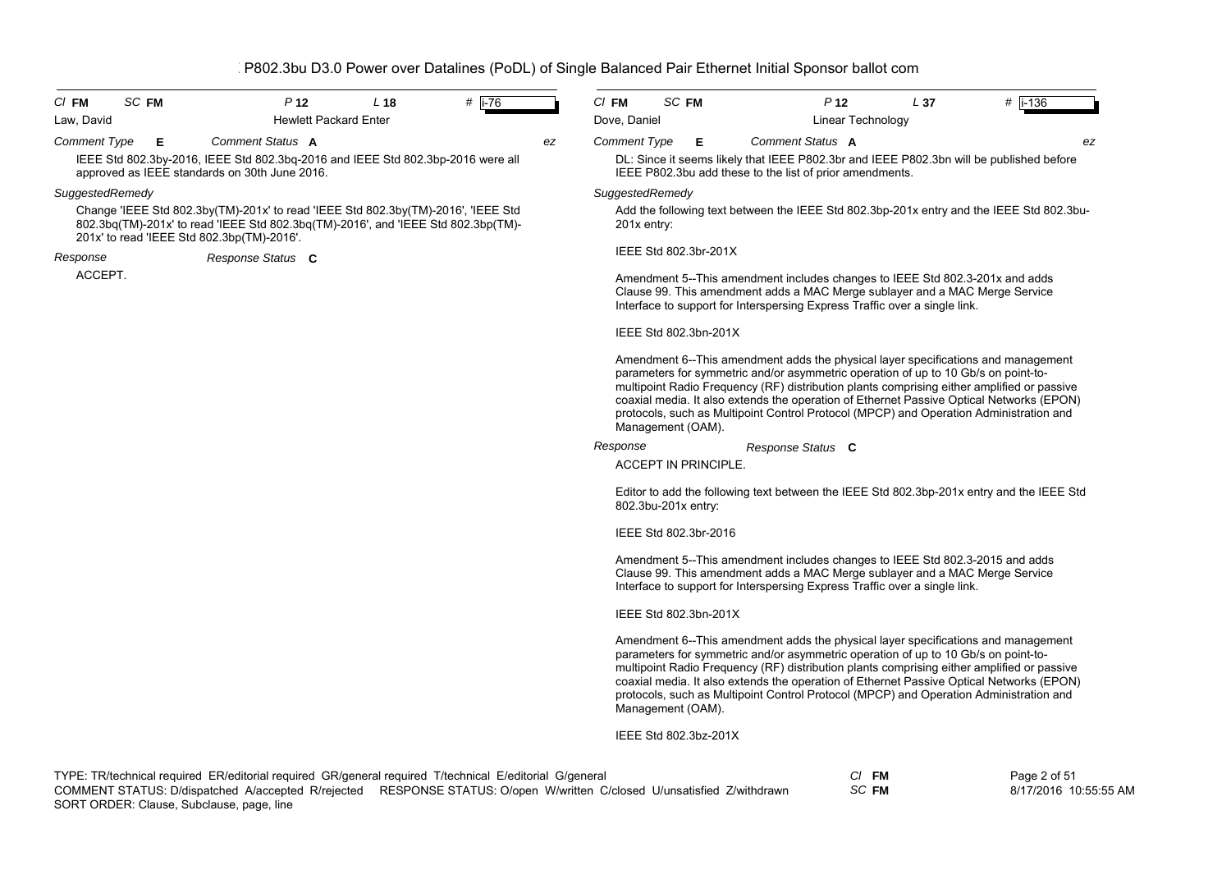| $CI$ FM<br>SC FM                              | P <sub>12</sub>                                                                                                                                                        | L <sub>18</sub> | #   i-76 |    | $Cl$ FM<br>SC FM            |                                                                                                                                                                                                                                           | P <sub>12</sub>          | L <sub>37</sub> | # $\overline{1} - 136$                                                                                                                                                                                                                                                                                                                                                |
|-----------------------------------------------|------------------------------------------------------------------------------------------------------------------------------------------------------------------------|-----------------|----------|----|-----------------------------|-------------------------------------------------------------------------------------------------------------------------------------------------------------------------------------------------------------------------------------------|--------------------------|-----------------|-----------------------------------------------------------------------------------------------------------------------------------------------------------------------------------------------------------------------------------------------------------------------------------------------------------------------------------------------------------------------|
| Law, David                                    | <b>Hewlett Packard Enter</b>                                                                                                                                           |                 |          |    | Dove, Daniel                |                                                                                                                                                                                                                                           | <b>Linear Technology</b> |                 |                                                                                                                                                                                                                                                                                                                                                                       |
| <b>Comment Type</b><br>Е                      | Comment Status A                                                                                                                                                       |                 |          | ez | <b>Comment Type</b><br>Е    | <b>Comment Status A</b>                                                                                                                                                                                                                   |                          |                 | ez                                                                                                                                                                                                                                                                                                                                                                    |
| approved as IEEE standards on 30th June 2016. | IEEE Std 802.3by-2016, IEEE Std 802.3bq-2016 and IEEE Std 802.3bp-2016 were all                                                                                        |                 |          |    |                             | IEEE P802.3bu add these to the list of prior amendments.                                                                                                                                                                                  |                          |                 | DL: Since it seems likely that IEEE P802.3br and IEEE P802.3bn will be published before                                                                                                                                                                                                                                                                               |
| SuggestedRemedy                               |                                                                                                                                                                        |                 |          |    | SuggestedRemedy             |                                                                                                                                                                                                                                           |                          |                 |                                                                                                                                                                                                                                                                                                                                                                       |
| 201x' to read 'IEEE Std 802.3bp(TM)-2016'.    | Change 'IEEE Std 802.3by(TM)-201x' to read 'IEEE Std 802.3by(TM)-2016', 'IEEE Std<br>802.3bg(TM)-201x' to read 'IEEE Std 802.3bg(TM)-2016', and 'IEEE Std 802.3bp(TM)- |                 |          |    | 201x entry:                 |                                                                                                                                                                                                                                           |                          |                 | Add the following text between the IEEE Std 802.3bp-201x entry and the IEEE Std 802.3bu-                                                                                                                                                                                                                                                                              |
| Response                                      | Response Status C                                                                                                                                                      |                 |          |    | IEEE Std 802.3br-201X       |                                                                                                                                                                                                                                           |                          |                 |                                                                                                                                                                                                                                                                                                                                                                       |
| ACCEPT.                                       |                                                                                                                                                                        |                 |          |    |                             | Amendment 5--This amendment includes changes to IEEE Std 802.3-201x and adds<br>Clause 99. This amendment adds a MAC Merge sublayer and a MAC Merge Service<br>Interface to support for Interspersing Express Traffic over a single link. |                          |                 |                                                                                                                                                                                                                                                                                                                                                                       |
|                                               |                                                                                                                                                                        |                 |          |    | IEEE Std 802.3bn-201X       |                                                                                                                                                                                                                                           |                          |                 |                                                                                                                                                                                                                                                                                                                                                                       |
|                                               |                                                                                                                                                                        |                 |          |    | Management (OAM).           | parameters for symmetric and/or asymmetric operation of up to 10 Gb/s on point-to-                                                                                                                                                        |                          |                 | Amendment 6--This amendment adds the physical layer specifications and management<br>multipoint Radio Frequency (RF) distribution plants comprising either amplified or passive<br>coaxial media. It also extends the operation of Ethernet Passive Optical Networks (EPON)<br>protocols, such as Multipoint Control Protocol (MPCP) and Operation Administration and |
|                                               |                                                                                                                                                                        |                 |          |    | Response                    | Response Status C                                                                                                                                                                                                                         |                          |                 |                                                                                                                                                                                                                                                                                                                                                                       |
|                                               |                                                                                                                                                                        |                 |          |    | <b>ACCEPT IN PRINCIPLE.</b> |                                                                                                                                                                                                                                           |                          |                 |                                                                                                                                                                                                                                                                                                                                                                       |
|                                               |                                                                                                                                                                        |                 |          |    | 802.3bu-201x entry:         |                                                                                                                                                                                                                                           |                          |                 | Editor to add the following text between the IEEE Std 802.3bp-201x entry and the IEEE Std                                                                                                                                                                                                                                                                             |
|                                               |                                                                                                                                                                        |                 |          |    | IEEE Std 802.3br-2016       |                                                                                                                                                                                                                                           |                          |                 |                                                                                                                                                                                                                                                                                                                                                                       |
|                                               |                                                                                                                                                                        |                 |          |    |                             | Amendment 5--This amendment includes changes to IEEE Std 802.3-2015 and adds<br>Clause 99. This amendment adds a MAC Merge sublayer and a MAC Merge Service<br>Interface to support for Interspersing Express Traffic over a single link. |                          |                 |                                                                                                                                                                                                                                                                                                                                                                       |
|                                               |                                                                                                                                                                        |                 |          |    | IEEE Std 802.3bn-201X       |                                                                                                                                                                                                                                           |                          |                 |                                                                                                                                                                                                                                                                                                                                                                       |
|                                               |                                                                                                                                                                        |                 |          |    |                             | parameters for symmetric and/or asymmetric operation of up to 10 Gb/s on point-to-                                                                                                                                                        |                          |                 | Amendment 6--This amendment adds the physical layer specifications and management<br>multipoint Radio Frequency (RF) distribution plants comprising either amplified or passive<br>coaxial media. It also extends the operation of Ethernet Passive Optical Networks (EPON)<br>protocols, such as Multipoint Control Protocol (MPCP) and Operation Administration and |

IEEE Std 802.3bz-201X

Management (OAM).

*SC* **FM**

Page 2 of 51 8/17/2016 10:55:55 AM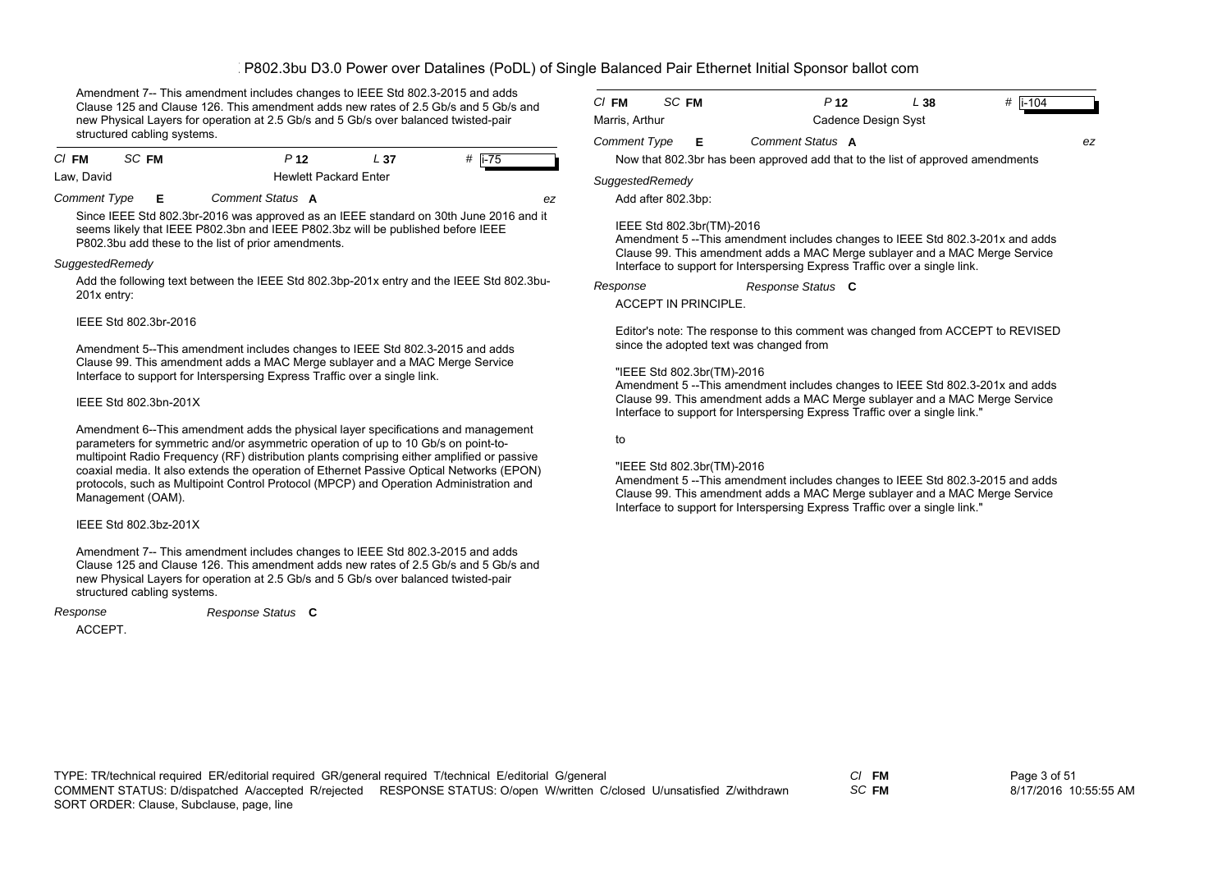Amendment 7-- This amendment includes changes to IEEE Std 802.3-2015 and adds Clause 125 and Clause 126. This amendment adds new rates of 2.5 Gb/s and 5 Gb/s and new Physical Layers for operation at 2.5 Gb/s and 5 Gb/s over balanced twisted-pair structured cabling systems.

| $CI$ FM    | SC FM | P <sub>12</sub>              | - 37 | # li-75 |
|------------|-------|------------------------------|------|---------|
| Law, David |       | <b>Hewlett Packard Enter</b> |      |         |

*Comment Type* **E** *Comment Status* **A**

*ez*

Since IEEE Std 802.3br-2016 was approved as an IEEE standard on 30th June 2016 and it seems likely that IEEE P802.3bn and IEEE P802.3bz will be published before IEEE P802.3bu add these to the list of prior amendments.

#### *SuggestedRemedy*

Add the following text between the IEEE Std 802.3bp-201x entry and the IEEE Std 802.3bu-201x entry:

# IEEE Std 802.3br-2016

Amendment 5--This amendment includes changes to IEEE Std 802.3-2015 and adds Clause 99. This amendment adds a MAC Merge sublayer and a MAC Merge Service Interface to support for Interspersing Express Traffic over a single link.

# IEEE Std 802.3bn-201X

Amendment 6--This amendment adds the physical layer specifications and management parameters for symmetric and/or asymmetric operation of up to 10 Gb/s on point-tomultipoint Radio Frequency (RF) distribution plants comprising either amplified or passive coaxial media. It also extends the operation of Ethernet Passive Optical Networks (EPON) protocols, such as Multipoint Control Protocol (MPCP) and Operation Administration and Management (OAM).

# IEEE Std 802.3bz-201X

Amendment 7-- This amendment includes changes to IEEE Std 802.3-2015 and adds Clause 125 and Clause 126. This amendment adds new rates of 2.5 Gb/s and 5 Gb/s and new Physical Layers for operation at 2.5 Gb/s and 5 Gb/s over balanced twisted-pair structured cabling systems.

*Response Status* **C**

*Response*

ACCEPT.

| $C/$ FM             | SC FM | P <sub>12</sub>     | L 38 | # li-104 |
|---------------------|-------|---------------------|------|----------|
| Marris, Arthur      |       | Cadence Design Syst |      |          |
| <b>Comment Type</b> | E.    | Comment Status A    |      | ez       |

Now that 802.3br has been approved add that to the list of approved amendments

# *SuggestedRemedy*

Add after 802.3bp:

# IEEE Std 802.3br(TM)-2016

Amendment 5 --This amendment includes changes to IEEE Std 802.3-201x and adds Clause 99. This amendment adds a MAC Merge sublayer and a MAC Merge Service Interface to support for Interspersing Express Traffic over a single link.

*Response Status* **C** *Response*

ACCEPT IN PRINCIPLE.

Editor's note: The response to this comment was changed from ACCEPT to REVISED since the adopted text was changed from

# "IEEE Std 802.3br(TM)-2016

Amendment 5 --This amendment includes changes to IEEE Std 802.3-201x and adds Clause 99. This amendment adds a MAC Merge sublayer and a MAC Merge Service Interface to support for Interspersing Express Traffic over a single link."

to

#### "IEEE Std 802.3br(TM)-2016

Amendment 5 --This amendment includes changes to IEEE Std 802.3-2015 and adds Clause 99. This amendment adds a MAC Merge sublayer and a MAC Merge Service Interface to support for Interspersing Express Traffic over a single link."

*SC* **FM**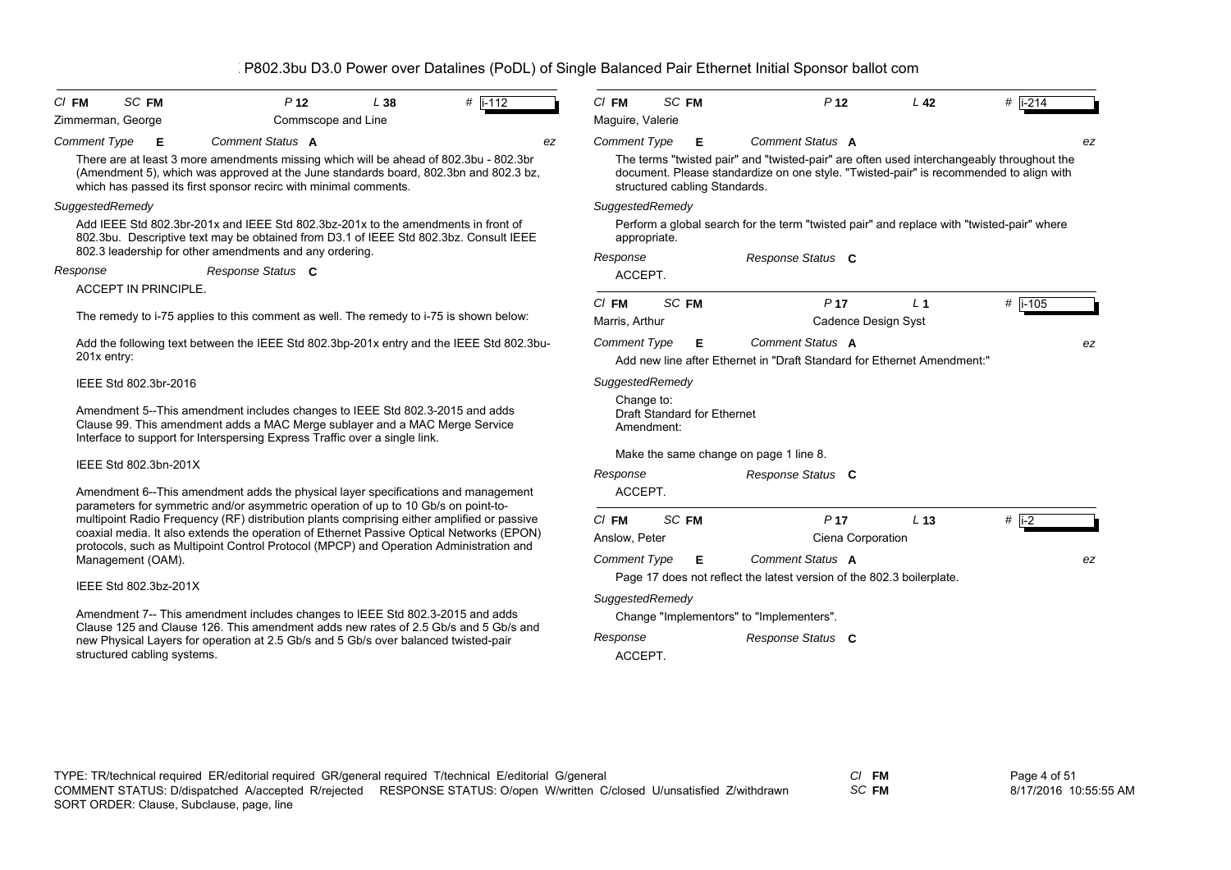| SC FM                                            | P <sub>12</sub>                      | L38                                                                           | # $\overline{1}$ -112                                                                                                                             | $Cl$ FM                                                                                                                                                                                                                                                                                                                                                                                                                                                                                                                                                                                                                                                                                                                                                                                                                                                                                                                                                                                                                                                                                                                                                                                                                                                                                                                                                                                                                                                                                                                      |                  | P <sub>12</sub>                                                                  | L <sub>42</sub>                                                                                                                                    | $#$ i-214                                                                                                                                                                                                                                                                                                                                                                                                                                                                        |
|--------------------------------------------------|--------------------------------------|-------------------------------------------------------------------------------|---------------------------------------------------------------------------------------------------------------------------------------------------|------------------------------------------------------------------------------------------------------------------------------------------------------------------------------------------------------------------------------------------------------------------------------------------------------------------------------------------------------------------------------------------------------------------------------------------------------------------------------------------------------------------------------------------------------------------------------------------------------------------------------------------------------------------------------------------------------------------------------------------------------------------------------------------------------------------------------------------------------------------------------------------------------------------------------------------------------------------------------------------------------------------------------------------------------------------------------------------------------------------------------------------------------------------------------------------------------------------------------------------------------------------------------------------------------------------------------------------------------------------------------------------------------------------------------------------------------------------------------------------------------------------------------|------------------|----------------------------------------------------------------------------------|----------------------------------------------------------------------------------------------------------------------------------------------------|----------------------------------------------------------------------------------------------------------------------------------------------------------------------------------------------------------------------------------------------------------------------------------------------------------------------------------------------------------------------------------------------------------------------------------------------------------------------------------|
| <b>Comment Type</b><br>Е                         | Comment Status A                     |                                                                               | ez                                                                                                                                                | <b>Comment Type</b>                                                                                                                                                                                                                                                                                                                                                                                                                                                                                                                                                                                                                                                                                                                                                                                                                                                                                                                                                                                                                                                                                                                                                                                                                                                                                                                                                                                                                                                                                                          | Е                | Comment Status A                                                                 |                                                                                                                                                    |                                                                                                                                                                                                                                                                                                                                                                                                                                                                                  |
|                                                  | Response Status C                    |                                                                               |                                                                                                                                                   | appropriate.<br>Response<br>ACCEPT.                                                                                                                                                                                                                                                                                                                                                                                                                                                                                                                                                                                                                                                                                                                                                                                                                                                                                                                                                                                                                                                                                                                                                                                                                                                                                                                                                                                                                                                                                          |                  | Response Status C                                                                |                                                                                                                                                    |                                                                                                                                                                                                                                                                                                                                                                                                                                                                                  |
| 201x entry:                                      |                                      |                                                                               |                                                                                                                                                   | $CI$ FM<br>Marris, Arthur<br><b>Comment Type</b>                                                                                                                                                                                                                                                                                                                                                                                                                                                                                                                                                                                                                                                                                                                                                                                                                                                                                                                                                                                                                                                                                                                                                                                                                                                                                                                                                                                                                                                                             | Е                | P <sub>17</sub><br>Comment Status A                                              | L <sub>1</sub>                                                                                                                                     | # $i-105$                                                                                                                                                                                                                                                                                                                                                                                                                                                                        |
| IEEE Std 802.3br-2016                            |                                      |                                                                               |                                                                                                                                                   | Change to:<br>Amendment:                                                                                                                                                                                                                                                                                                                                                                                                                                                                                                                                                                                                                                                                                                                                                                                                                                                                                                                                                                                                                                                                                                                                                                                                                                                                                                                                                                                                                                                                                                     |                  |                                                                                  |                                                                                                                                                    |                                                                                                                                                                                                                                                                                                                                                                                                                                                                                  |
|                                                  |                                      |                                                                               |                                                                                                                                                   | Response<br>ACCEPT.                                                                                                                                                                                                                                                                                                                                                                                                                                                                                                                                                                                                                                                                                                                                                                                                                                                                                                                                                                                                                                                                                                                                                                                                                                                                                                                                                                                                                                                                                                          |                  | Response Status C                                                                |                                                                                                                                                    |                                                                                                                                                                                                                                                                                                                                                                                                                                                                                  |
| Management (OAM).<br>structured cabling systems. |                                      |                                                                               |                                                                                                                                                   | $CI$ FM<br>Anslow, Peter<br><b>Comment Type</b><br>Response<br>ACCEPT.                                                                                                                                                                                                                                                                                                                                                                                                                                                                                                                                                                                                                                                                                                                                                                                                                                                                                                                                                                                                                                                                                                                                                                                                                                                                                                                                                                                                                                                       | Е                | P <sub>17</sub><br>Comment Status A<br>Response Status C                         | L <sub>13</sub>                                                                                                                                    | # $\overline{1-2}$                                                                                                                                                                                                                                                                                                                                                                                                                                                               |
|                                                  | Zimmerman, George<br>SuggestedRemedy | <b>ACCEPT IN PRINCIPLE.</b><br>IEEE Std 802.3bn-201X<br>IEEE Std 802.3bz-201X | Commscope and Line<br>which has passed its first sponsor recirc with minimal comments.<br>802.3 leadership for other amendments and any ordering. | There are at least 3 more amendments missing which will be ahead of 802.3bu - 802.3br<br>(Amendment 5), which was approved at the June standards board, 802.3bn and 802.3 bz,<br>Add IEEE Std 802.3br-201x and IEEE Std 802.3bz-201x to the amendments in front of<br>802.3bu. Descriptive text may be obtained from D3.1 of IEEE Std 802.3bz. Consult IEEE<br>The remedy to i-75 applies to this comment as well. The remedy to i-75 is shown below:<br>Add the following text between the IEEE Std 802.3bp-201x entry and the IEEE Std 802.3bu-<br>Amendment 5--This amendment includes changes to IEEE Std 802.3-2015 and adds<br>Clause 99. This amendment adds a MAC Merge sublayer and a MAC Merge Service<br>Interface to support for Interspersing Express Traffic over a single link.<br>Amendment 6--This amendment adds the physical layer specifications and management<br>parameters for symmetric and/or asymmetric operation of up to 10 Gb/s on point-to-<br>multipoint Radio Frequency (RF) distribution plants comprising either amplified or passive<br>coaxial media. It also extends the operation of Ethernet Passive Optical Networks (EPON)<br>protocols, such as Multipoint Control Protocol (MPCP) and Operation Administration and<br>Amendment 7-- This amendment includes changes to IEEE Std 802.3-2015 and adds<br>Clause 125 and Clause 126. This amendment adds new rates of 2.5 Gb/s and 5 Gb/s and<br>new Physical Layers for operation at 2.5 Gb/s and 5 Gb/s over balanced twisted-pair | Maguire, Valerie | SC FM<br>SuggestedRemedy<br>SC FM<br>SuggestedRemedy<br>SC FM<br>SuggestedRemedy | structured cabling Standards.<br>Draft Standard for Ethernet<br>Make the same change on page 1 line 8.<br>Change "Implementors" to "Implementers". | The terms "twisted pair" and "twisted-pair" are often used interchangeably throughout the<br>document. Please standardize on one style. "Twisted-pair" is recommended to align with<br>Perform a global search for the term "twisted pair" and replace with "twisted-pair" where<br>Cadence Design Syst<br>Add new line after Ethernet in "Draft Standard for Ethernet Amendment:"<br>Ciena Corporation<br>Page 17 does not reflect the latest version of the 802.3 boilerplate. |

*SC* **FM**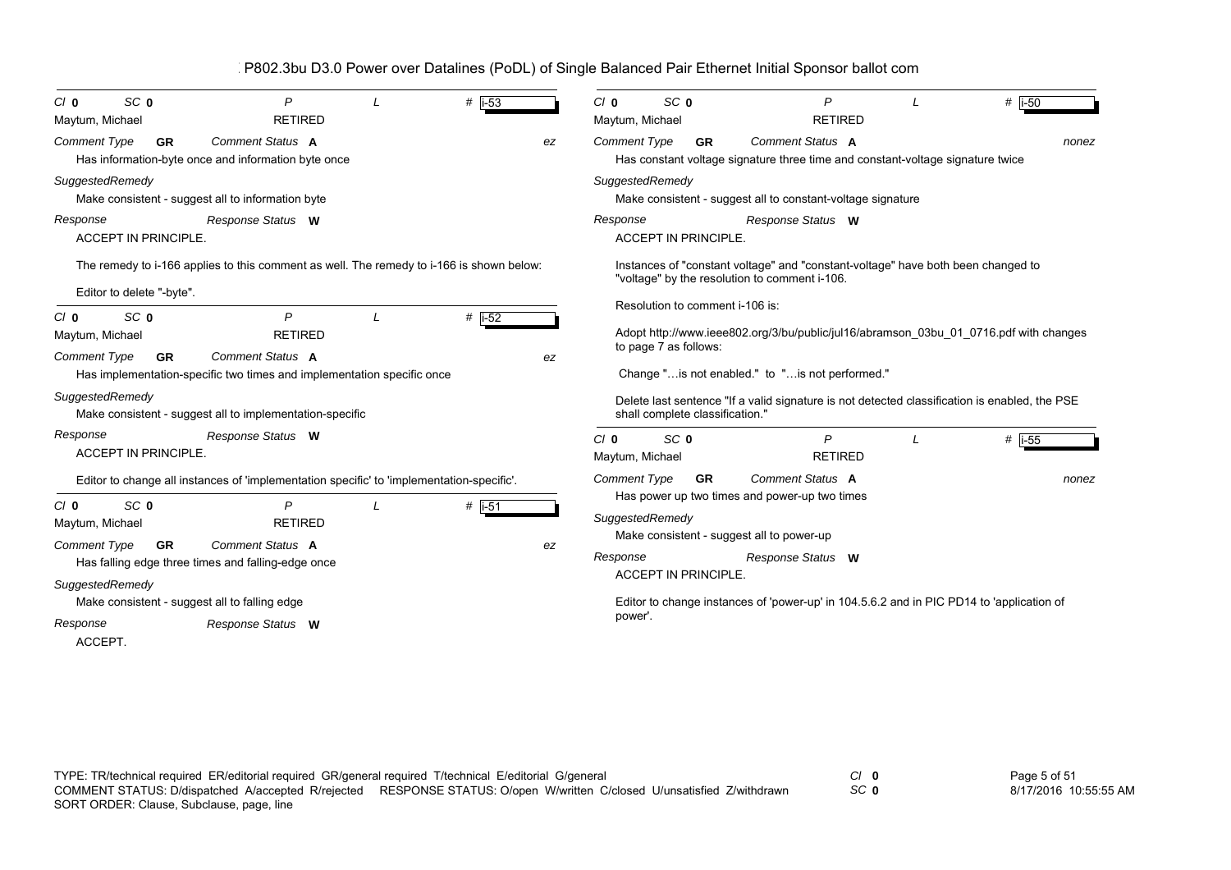| SC <sub>0</sub><br>$C/I$ 0<br>Maytum, Michael                    | P<br><b>RETIRED</b>                                                                        | $#$ i-53            |    | Cl <sub>0</sub><br>Maytum, Michael | SC <sub>0</sub>                                          | P<br><b>RETIRED</b>                                                                                                               | $#$  i-50           |
|------------------------------------------------------------------|--------------------------------------------------------------------------------------------|---------------------|----|------------------------------------|----------------------------------------------------------|-----------------------------------------------------------------------------------------------------------------------------------|---------------------|
| <b>Comment Type</b><br><b>GR</b>                                 | <b>Comment Status A</b><br>Has information-byte once and information byte once             |                     | ez | <b>Comment Type</b>                | <b>GR</b>                                                | <b>Comment Status A</b><br>Has constant voltage signature three time and constant-voltage signature twice                         | nonez               |
| SuggestedRemedy                                                  | Make consistent - suggest all to information byte                                          |                     |    | SuggestedRemedy                    |                                                          | Make consistent - suggest all to constant-voltage signature                                                                       |                     |
| Response<br><b>ACCEPT IN PRINCIPLE.</b>                          | Response Status W                                                                          |                     |    | Response                           | <b>ACCEPT IN PRINCIPLE.</b>                              | Response Status W                                                                                                                 |                     |
| Editor to delete "-byte".                                        | The remedy to i-166 applies to this comment as well. The remedy to i-166 is shown below:   |                     |    |                                    |                                                          | Instances of "constant voltage" and "constant-voltage" have both been changed to<br>"voltage" by the resolution to comment i-106. |                     |
| SC <sub>0</sub><br>Cl <sub>0</sub><br>Maytum, Michael            | P<br><b>RETIRED</b>                                                                        | $#$ i-52            |    |                                    | Resolution to comment i-106 is:<br>to page 7 as follows: | Adopt http://www.ieee802.org/3/bu/public/jul16/abramson 03bu 01 0716.pdf with changes                                             |                     |
| <b>Comment Type</b><br><b>GR</b>                                 | Comment Status A<br>Has implementation-specific two times and implementation specific once |                     | ez |                                    |                                                          | Change " is not enabled." to " is not performed."                                                                                 |                     |
| SuggestedRemedy                                                  | Make consistent - suggest all to implementation-specific                                   |                     |    |                                    | shall complete classification."                          | Delete last sentence "If a valid signature is not detected classification is enabled, the PSE                                     |                     |
| Response<br><b>ACCEPT IN PRINCIPLE.</b>                          | Response Status W                                                                          |                     |    | Cl <sub>0</sub><br>Maytum, Michael | SC <sub>0</sub>                                          | P<br><b>RETIRED</b>                                                                                                               | # $\overline{1-55}$ |
|                                                                  | Editor to change all instances of 'implementation specific' to 'implementation-specific'.  |                     |    | <b>Comment Type</b>                | <b>GR</b>                                                | <b>Comment Status A</b><br>Has power up two times and power-up two times                                                          | nonez               |
| SC <sub>0</sub><br>$C/I$ 0<br>Maytum, Michael                    | $\overline{P}$<br><b>RETIRED</b>                                                           | # $\overline{1-51}$ |    | SuggestedRemedy                    |                                                          | Make consistent - suggest all to power-up                                                                                         |                     |
| <b>Comment Type</b><br><b>GR</b>                                 | Comment Status A<br>Has falling edge three times and falling-edge once                     |                     | ez | Response                           | <b>ACCEPT IN PRINCIPLE.</b>                              | Response Status W                                                                                                                 |                     |
| SuggestedRemedy<br>Make consistent - suggest all to falling edge |                                                                                            |                     |    | power'.                            |                                                          | Editor to change instances of 'power-up' in 104.5.6.2 and in PIC PD14 to 'application of                                          |                     |
| Response<br>ACCEPT.                                              | Response Status W                                                                          |                     |    |                                    |                                                          |                                                                                                                                   |                     |
|                                                                  |                                                                                            |                     |    |                                    |                                                          |                                                                                                                                   |                     |

TYPE: TR/technical required ER/editorial required GR/general required T/technical E/editorial G/general *Cl* **0** SORT ORDER: Clause, Subclause, page, line COMMENT STATUS: D/dispatched A/accepted R/rejected RESPONSE STATUS: O/open W/written C/closed U/unsatisfied Z/withdrawn

*SC* **0**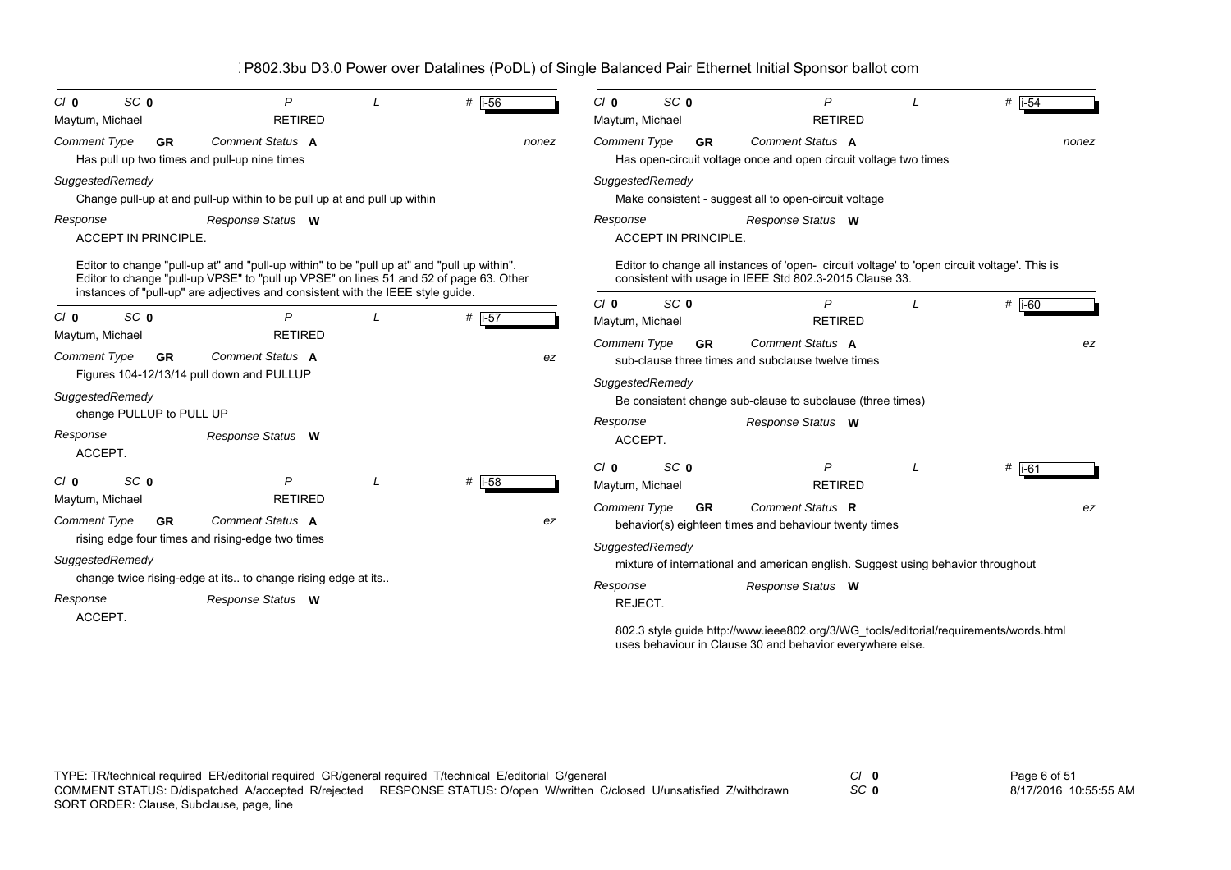| SC <sub>0</sub><br>$C/I$ 0<br>Maytum, Michael | P<br><b>RETIRED</b>                                                                                                                                                                                                                                                      |   | # $\overline{1-56}$ | $C/I$ 0<br>SC <sub>0</sub><br>Maytum, Michael | P<br><b>RETIRED</b>                                                                                                                                    | $#$  i-54 |
|-----------------------------------------------|--------------------------------------------------------------------------------------------------------------------------------------------------------------------------------------------------------------------------------------------------------------------------|---|---------------------|-----------------------------------------------|--------------------------------------------------------------------------------------------------------------------------------------------------------|-----------|
| Comment Type<br><b>GR</b>                     | Comment Status A<br>Has pull up two times and pull-up nine times                                                                                                                                                                                                         |   | nonez               | Comment Type<br><b>GR</b>                     | Comment Status A<br>Has open-circuit voltage once and open circuit voltage two times                                                                   | nonez     |
| SuggestedRemedy                               | Change pull-up at and pull-up within to be pull up at and pull up within                                                                                                                                                                                                 |   |                     | SuggestedRemedy                               | Make consistent - suggest all to open-circuit voltage                                                                                                  |           |
| Response<br><b>ACCEPT IN PRINCIPLE</b>        | Response Status W                                                                                                                                                                                                                                                        |   |                     | Response<br><b>ACCEPT IN PRINCIPLE.</b>       | Response Status W                                                                                                                                      |           |
|                                               | Editor to change "pull-up at" and "pull-up within" to be "pull up at" and "pull up within".<br>Editor to change "pull-up VPSE" to "pull up VPSE" on lines 51 and 52 of page 63. Other<br>instances of "pull-up" are adjectives and consistent with the IEEE style guide. |   |                     |                                               | Editor to change all instances of 'open-circuit voltage' to 'open circuit voltage'. This is<br>consistent with usage in IEEE Std 802.3-2015 Clause 33. |           |
| SC <sub>0</sub><br>$C/I$ 0<br>Maytum, Michael | P<br><b>RETIRED</b>                                                                                                                                                                                                                                                      |   | # $\overline{1-57}$ | SC <sub>0</sub><br>$C/I$ 0<br>Maytum, Michael | P<br><b>RETIRED</b>                                                                                                                                    | $#$ i-60  |
| <b>Comment Type</b><br><b>GR</b>              | <b>Comment Status A</b><br>Figures 104-12/13/14 pull down and PULLUP                                                                                                                                                                                                     |   | ez                  | Comment Type<br>GR<br>SuggestedRemedy         | <b>Comment Status A</b><br>sub-clause three times and subclause twelve times                                                                           | ez        |
| SuggestedRemedy<br>change PULLUP to PULL UP   |                                                                                                                                                                                                                                                                          |   |                     | Response                                      | Be consistent change sub-clause to subclause (three times)<br>Response Status W                                                                        |           |
| Response<br>ACCEPT.                           | Response Status W                                                                                                                                                                                                                                                        |   |                     | ACCEPT.                                       |                                                                                                                                                        |           |
| SC <sub>0</sub><br>$C/I$ 0                    | $\mathsf{P}$                                                                                                                                                                                                                                                             | L | # $\overline{1-58}$ | $C/I$ 0<br>SC <sub>0</sub><br>Maytum, Michael | P<br><b>RETIRED</b>                                                                                                                                    | $#$ i-61  |
| Maytum, Michael<br>Comment Type<br><b>GR</b>  | <b>RETIRED</b><br><b>Comment Status A</b><br>rising edge four times and rising-edge two times                                                                                                                                                                            |   | ez                  | <b>Comment Type</b><br><b>GR</b>              | Comment Status R<br>behavior(s) eighteen times and behaviour twenty times                                                                              | ez        |
| SuggestedRemedy                               |                                                                                                                                                                                                                                                                          |   |                     | SuggestedRemedy                               | mixture of international and american english. Suggest using behavior throughout                                                                       |           |
| Response                                      | change twice rising-edge at its to change rising edge at its<br>Response Status W                                                                                                                                                                                        |   |                     | Response<br>REJECT.                           | Response Status W                                                                                                                                      |           |
| ACCEPT.                                       |                                                                                                                                                                                                                                                                          |   |                     |                                               | 802.3 style guide http://www.ieee802.org/3/WG_tools/editorial/requirements/words.html<br>uses behaviour in Clause 30 and behavior everywhere else.     |           |

*SC* **0**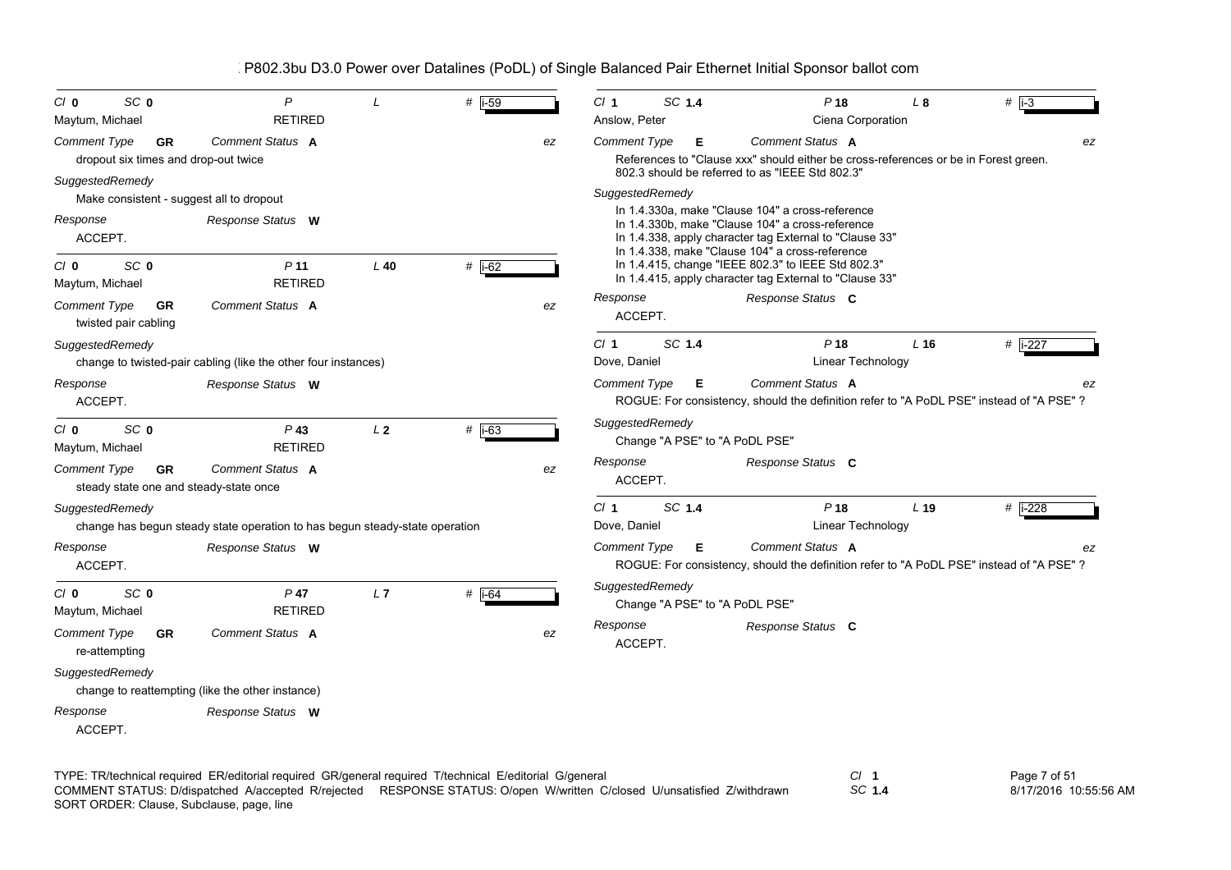| SC <sub>0</sub><br>Cl <sub>0</sub>                                  | P<br><b>RETIRED</b>                                                         |                | # $\overline{1-59}$ |    | SC 1.4<br>CI <sub>1</sub><br>Anslow, Peter        | P <sub>18</sub>                                                                                                                                                                                                    | L8              | $#$ $\overline{1}$ -3 |
|---------------------------------------------------------------------|-----------------------------------------------------------------------------|----------------|---------------------|----|---------------------------------------------------|--------------------------------------------------------------------------------------------------------------------------------------------------------------------------------------------------------------------|-----------------|-----------------------|
| Maytum, Michael                                                     |                                                                             |                |                     |    |                                                   | Ciena Corporation                                                                                                                                                                                                  |                 |                       |
| <b>Comment Type</b><br>GR<br>dropout six times and drop-out twice   | <b>Comment Status A</b>                                                     |                |                     | ez | <b>Comment Type</b><br>Е                          | Comment Status A<br>References to "Clause xxx" should either be cross-references or be in Forest green.<br>802.3 should be referred to as "IEEE Std 802.3"                                                         |                 | ez                    |
| SuggestedRemedy<br>Make consistent - suggest all to dropout         |                                                                             |                |                     |    | SuggestedRemedy                                   |                                                                                                                                                                                                                    |                 |                       |
| Response<br>ACCEPT.                                                 | Response Status W                                                           |                |                     |    |                                                   | In 1.4.330a, make "Clause 104" a cross-reference<br>In 1.4.330b, make "Clause 104" a cross-reference<br>In 1.4.338, apply character tag External to "Clause 33"<br>In 1.4.338, make "Clause 104" a cross-reference |                 |                       |
| SC <sub>0</sub><br>$C/I$ 0<br>Maytum, Michael                       | P <sub>11</sub><br><b>RETIRED</b>                                           | $L$ 40         | $#$ i-62            |    |                                                   | In 1.4.415, change "IEEE 802.3" to IEEE Std 802.3"<br>In 1.4.415, apply character tag External to "Clause 33"                                                                                                      |                 |                       |
| <b>Comment Type</b><br><b>GR</b><br>twisted pair cabling            | <b>Comment Status A</b>                                                     |                |                     | ez | Response<br>ACCEPT.                               | Response Status C                                                                                                                                                                                                  |                 |                       |
| SuggestedRemedy                                                     | change to twisted-pair cabling (like the other four instances)              |                |                     |    | SC 1.4<br>CI <sub>1</sub><br>Dove, Daniel         | P <sub>18</sub><br>Linear Technology                                                                                                                                                                               | $L$ 16          | # i-227               |
| Response<br>ACCEPT.                                                 | Response Status W                                                           |                |                     |    | <b>Comment Type</b><br>Е                          | Comment Status A<br>ROGUE: For consistency, should the definition refer to "A PoDL PSE" instead of "A PSE" ?                                                                                                       |                 | ez                    |
| SC <sub>0</sub><br>Cl <sub>0</sub><br>Maytum, Michael               | $P$ 43<br><b>RETIRED</b>                                                    | L <sub>2</sub> | $#$ i-63            |    | SuggestedRemedy<br>Change "A PSE" to "A PoDL PSE" |                                                                                                                                                                                                                    |                 |                       |
| <b>Comment Type</b><br>GR<br>steady state one and steady-state once | Comment Status A                                                            |                |                     | ez | Response<br>ACCEPT.                               | Response Status C                                                                                                                                                                                                  |                 |                       |
| SuggestedRemedy                                                     | change has begun steady state operation to has begun steady-state operation |                |                     |    | SC 1.4<br>CI <sub>1</sub><br>Dove, Daniel         | P <sub>18</sub><br>Linear Technology                                                                                                                                                                               | L <sub>19</sub> | $#$ i-228             |
| Response<br>ACCEPT.                                                 | Response Status W                                                           |                |                     |    | <b>Comment Type</b><br>Е                          | <b>Comment Status A</b><br>ROGUE: For consistency, should the definition refer to "A PoDL PSE" instead of "A PSE" ?                                                                                                |                 | ez                    |
| SC <sub>0</sub><br>$C/I$ 0<br>Maytum, Michael                       | $P$ 47<br><b>RETIRED</b>                                                    | L7             | # $\overline{1-64}$ |    | SuggestedRemedy<br>Change "A PSE" to "A PoDL PSE" |                                                                                                                                                                                                                    |                 |                       |
| <b>Comment Type</b><br><b>GR</b><br>re-attempting                   | <b>Comment Status A</b>                                                     |                |                     | ez | Response<br>ACCEPT.                               | Response Status C                                                                                                                                                                                                  |                 |                       |
| SuggestedRemedy                                                     | change to reattempting (like the other instance)                            |                |                     |    |                                                   |                                                                                                                                                                                                                    |                 |                       |
| Response<br>ACCEPT.                                                 | Response Status W                                                           |                |                     |    |                                                   |                                                                                                                                                                                                                    |                 |                       |

TYPE: TR/technical required ER/editorial required GR/general required T/technical E/editorial G/general *Cl* **1** SORT ORDER: Clause, Subclause, page, line COMMENT STATUS: D/dispatched A/accepted R/rejected RESPONSE STATUS: O/open W/written C/closed U/unsatisfied Z/withdrawn

*SC* **1.4**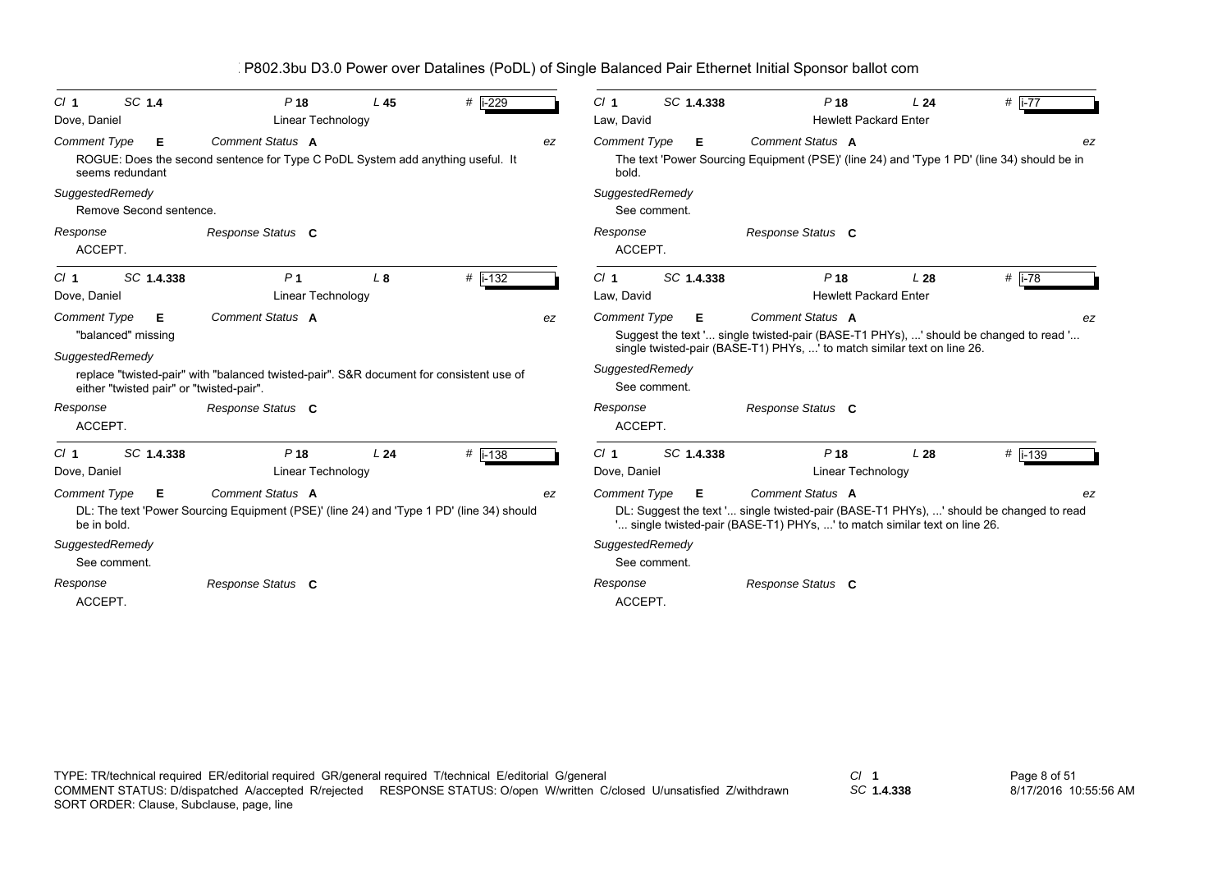| SC 1.4<br>Cl <sub>1</sub><br>Dove, Daniel                   | P <sub>18</sub><br>Linear Technology                                                               | L <sub>45</sub> | $\#$ i-229  |    | Cl <sub>1</sub><br>Law, David |              | SC 1.4.338 | P <sub>18</sub>                                                           | L24<br><b>Hewlett Packard Enter</b>             | # $\overline{1-77}$                                                                        |
|-------------------------------------------------------------|----------------------------------------------------------------------------------------------------|-----------------|-------------|----|-------------------------------|--------------|------------|---------------------------------------------------------------------------|-------------------------------------------------|--------------------------------------------------------------------------------------------|
| <b>Comment Type</b><br>Е<br>seems redundant                 | Comment Status A<br>ROGUE: Does the second sentence for Type C PoDL System add anything useful. It |                 |             | ez | <b>Comment Type</b><br>bold.  |              | Е          | Comment Status A                                                          |                                                 | The text 'Power Sourcing Equipment (PSE)' (line 24) and 'Type 1 PD' (line 34) should be in |
| SuggestedRemedy<br>Remove Second sentence.                  |                                                                                                    |                 |             |    | SuggestedRemedy               | See comment. |            |                                                                           |                                                 |                                                                                            |
| Response<br>ACCEPT.                                         | Response Status C                                                                                  |                 |             |    | Response<br>ACCEPT.           |              |            | Response Status C                                                         |                                                 |                                                                                            |
| SC 1.4.338<br>Cl <sub>1</sub><br>Dove, Daniel               | P <sub>1</sub><br>Linear Technology                                                                | L8              | # $i - 132$ |    | Cl <sub>1</sub><br>Law, David |              | SC 1.4.338 | P <sub>18</sub>                                                           | L <sub>28</sub><br><b>Hewlett Packard Enter</b> | # $\overline{1-78}$                                                                        |
| Comment Type<br>Е<br>"balanced" missing                     | Comment Status A                                                                                   |                 |             | ez | <b>Comment Type</b>           |              | Е.         | Comment Status A                                                          |                                                 | ez<br>Suggest the text ' single twisted-pair (BASE-T1 PHYs), ' should be changed to read ' |
| SuggestedRemedy<br>either "twisted pair" or "twisted-pair". | replace "twisted-pair" with "balanced twisted-pair". S&R document for consistent use of            |                 |             |    | SuggestedRemedy               | See comment. |            | single twisted-pair (BASE-T1) PHYs, ' to match similar text on line 26.   |                                                 |                                                                                            |
| Response<br>ACCEPT.                                         | Response Status C                                                                                  |                 |             |    | Response<br>ACCEPT.           |              |            | Response Status C                                                         |                                                 |                                                                                            |
| SC 1.4.338<br>Cl <sub>1</sub>                               | P <sub>18</sub>                                                                                    | L24             | $#$ i-138   |    | Cl <sub>1</sub>               |              | SC 1.4.338 | P <sub>18</sub>                                                           | L28                                             | $#$ i-139                                                                                  |
| Dove, Daniel                                                | Linear Technology                                                                                  |                 |             |    | Dove, Daniel                  |              |            |                                                                           | Linear Technology                               |                                                                                            |
| <b>Comment Type</b><br>Е                                    | Comment Status A                                                                                   |                 |             | ez | <b>Comment Type</b>           |              | E.         | Comment Status A                                                          |                                                 | ez                                                                                         |
| be in bold.                                                 | DL: The text 'Power Sourcing Equipment (PSE)' (line 24) and 'Type 1 PD' (line 34) should           |                 |             |    |                               |              |            | ' single twisted-pair (BASE-T1) PHYs, ' to match similar text on line 26. |                                                 | DL: Suggest the text ' single twisted-pair (BASE-T1 PHYs), ' should be changed to read     |
| SuggestedRemedy                                             |                                                                                                    |                 |             |    | SuggestedRemedy               |              |            |                                                                           |                                                 |                                                                                            |
| See comment.                                                |                                                                                                    |                 |             |    |                               | See comment. |            |                                                                           |                                                 |                                                                                            |
| Response<br>ACCEPT.                                         | Response Status C                                                                                  |                 |             |    | Response<br>ACCEPT.           |              |            | Response Status C                                                         |                                                 |                                                                                            |

*SC* **1.4.338**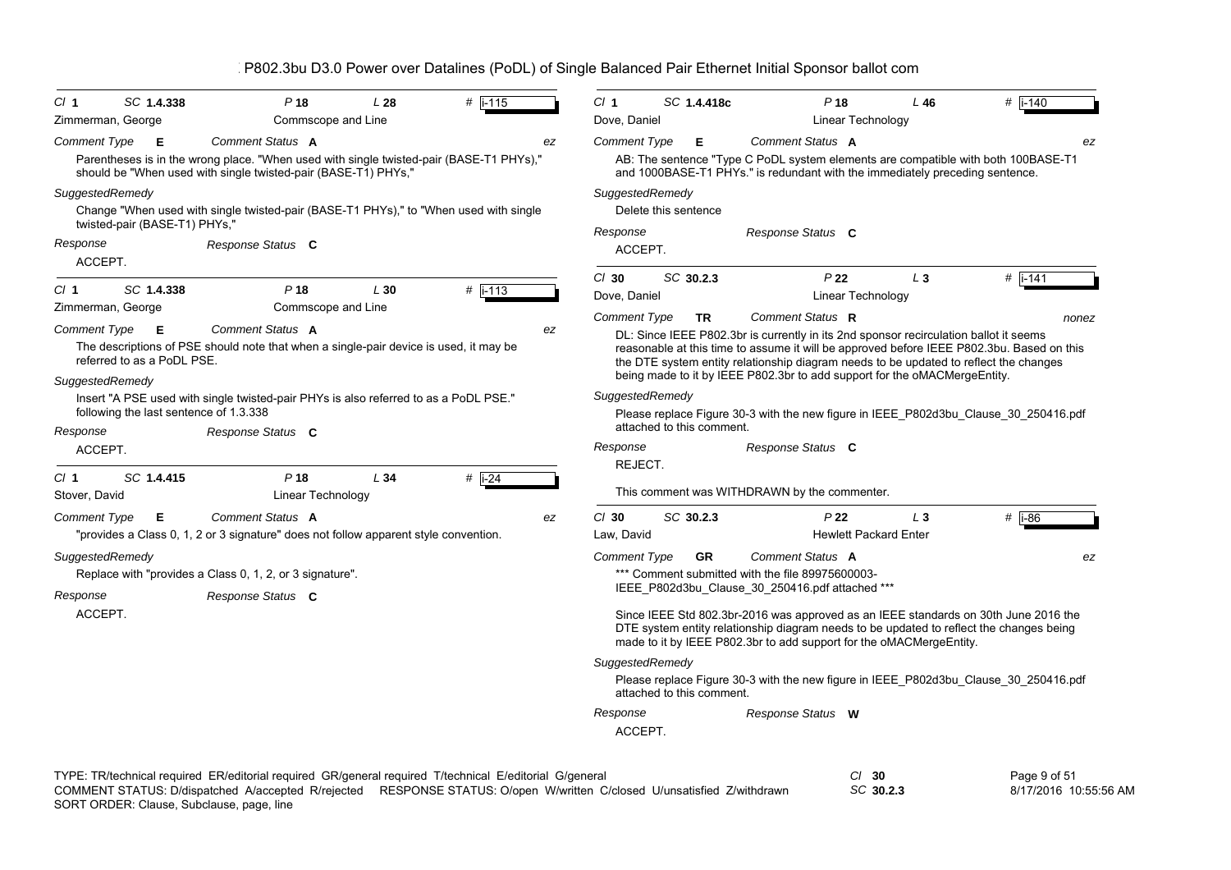| Cl <sub>1</sub>     | SC 1.4.338                             | $P$ 18                                                                                                                                                    | L28 | $#$  i-115  | Cl <sub>1</sub>           | SC 1.4.418c               | P <sub>18</sub>                                                                                                                                                                                                                                       | L46            | # $ i - 140$ |
|---------------------|----------------------------------------|-----------------------------------------------------------------------------------------------------------------------------------------------------------|-----|-------------|---------------------------|---------------------------|-------------------------------------------------------------------------------------------------------------------------------------------------------------------------------------------------------------------------------------------------------|----------------|--------------|
| Zimmerman, George   |                                        | Commscope and Line                                                                                                                                        |     |             | Dove, Daniel              |                           | Linear Technology                                                                                                                                                                                                                                     |                |              |
| Comment Type        | Е                                      | Comment Status A                                                                                                                                          |     |             | <b>Comment Type</b><br>ez | Е                         | Comment Status A                                                                                                                                                                                                                                      |                | ez           |
|                     |                                        | Parentheses is in the wrong place. "When used with single twisted-pair (BASE-T1 PHYs),"<br>should be "When used with single twisted-pair (BASE-T1) PHYs," |     |             |                           |                           | AB: The sentence "Type C PoDL system elements are compatible with both 100BASE-T1<br>and 1000BASE-T1 PHYs." is redundant with the immediately preceding sentence.                                                                                     |                |              |
| SuggestedRemedy     |                                        |                                                                                                                                                           |     |             |                           | SuggestedRemedy           |                                                                                                                                                                                                                                                       |                |              |
|                     |                                        | Change "When used with single twisted-pair (BASE-T1 PHYs)," to "When used with single                                                                     |     |             |                           | Delete this sentence      |                                                                                                                                                                                                                                                       |                |              |
|                     | twisted-pair (BASE-T1) PHYs,"          |                                                                                                                                                           |     |             | Response                  |                           | Response Status C                                                                                                                                                                                                                                     |                |              |
| Response<br>ACCEPT. |                                        | Response Status C                                                                                                                                         |     |             | ACCEPT.                   |                           |                                                                                                                                                                                                                                                       |                |              |
|                     |                                        |                                                                                                                                                           |     |             | $Cl$ 30                   | SC 30.2.3                 | P <sub>22</sub>                                                                                                                                                                                                                                       | $L_3$          | $#$ i-141    |
| Cl <sub>1</sub>     | SC 1.4.338                             | P <sub>18</sub>                                                                                                                                           | L30 | $#$   i-113 | Dove, Daniel              |                           | Linear Technology                                                                                                                                                                                                                                     |                |              |
| Zimmerman, George   |                                        | Commscope and Line                                                                                                                                        |     |             | <b>Comment Type</b>       | <b>TR</b>                 | Comment Status R                                                                                                                                                                                                                                      |                | nonez        |
| <b>Comment Type</b> | E                                      | Comment Status A                                                                                                                                          |     |             | ez                        |                           | DL: Since IEEE P802.3br is currently in its 2nd sponsor recirculation ballot it seems                                                                                                                                                                 |                |              |
|                     | referred to as a PoDL PSE.             | The descriptions of PSE should note that when a single-pair device is used, it may be                                                                     |     |             |                           |                           | reasonable at this time to assume it will be approved before IEEE P802.3bu. Based on this<br>the DTE system entity relationship diagram needs to be updated to reflect the changes                                                                    |                |              |
| SuggestedRemedy     |                                        |                                                                                                                                                           |     |             |                           |                           | being made to it by IEEE P802.3br to add support for the oMACMergeEntity.                                                                                                                                                                             |                |              |
|                     |                                        | Insert "A PSE used with single twisted-pair PHYs is also referred to as a PoDL PSE."                                                                      |     |             |                           | SuggestedRemedy           |                                                                                                                                                                                                                                                       |                |              |
|                     | following the last sentence of 1.3.338 |                                                                                                                                                           |     |             |                           |                           | Please replace Figure 30-3 with the new figure in IEEE P802d3bu Clause 30 250416.pdf                                                                                                                                                                  |                |              |
| Response            |                                        | Response Status C                                                                                                                                         |     |             |                           | attached to this comment. |                                                                                                                                                                                                                                                       |                |              |
| ACCEPT.             |                                        |                                                                                                                                                           |     |             | Response<br>REJECT.       |                           | Response Status C                                                                                                                                                                                                                                     |                |              |
| Cl <sub>1</sub>     | SC 1.4.415                             | $P$ 18                                                                                                                                                    | L34 | $#$ i-24    |                           |                           |                                                                                                                                                                                                                                                       |                |              |
| Stover, David       |                                        | Linear Technology                                                                                                                                         |     |             |                           |                           | This comment was WITHDRAWN by the commenter.                                                                                                                                                                                                          |                |              |
| <b>Comment Type</b> | Е                                      | Comment Status A                                                                                                                                          |     |             | $CI$ 30<br>ez             | SC 30.2.3                 | P <sub>22</sub>                                                                                                                                                                                                                                       | L <sub>3</sub> | $#$  i-86    |
|                     |                                        | "provides a Class 0, 1, 2 or 3 signature" does not follow apparent style convention.                                                                      |     |             | Law, David                |                           | <b>Hewlett Packard Enter</b>                                                                                                                                                                                                                          |                |              |
| SuggestedRemedy     |                                        |                                                                                                                                                           |     |             | <b>Comment Type</b>       | <b>GR</b>                 | Comment Status A                                                                                                                                                                                                                                      |                | ez           |
|                     |                                        | Replace with "provides a Class 0, 1, 2, or 3 signature".                                                                                                  |     |             |                           |                           | *** Comment submitted with the file 89975600003-                                                                                                                                                                                                      |                |              |
| Response            |                                        | Response Status C                                                                                                                                         |     |             |                           |                           | IEEE_P802d3bu_Clause_30_250416.pdf attached ***                                                                                                                                                                                                       |                |              |
| ACCEPT.             |                                        |                                                                                                                                                           |     |             |                           |                           | Since IEEE Std 802.3br-2016 was approved as an IEEE standards on 30th June 2016 the<br>DTE system entity relationship diagram needs to be updated to reflect the changes being<br>made to it by IEEE P802.3br to add support for the oMACMergeEntity. |                |              |
|                     |                                        |                                                                                                                                                           |     |             |                           | SuggestedRemedy           |                                                                                                                                                                                                                                                       |                |              |
|                     |                                        |                                                                                                                                                           |     |             |                           |                           | Please replace Figure 30-3 with the new figure in IEEE_P802d3bu_Clause_30_250416.pdf                                                                                                                                                                  |                |              |
|                     |                                        |                                                                                                                                                           |     |             |                           | attached to this comment. |                                                                                                                                                                                                                                                       |                |              |
|                     |                                        |                                                                                                                                                           |     |             | Response                  |                           | Response Status W                                                                                                                                                                                                                                     |                |              |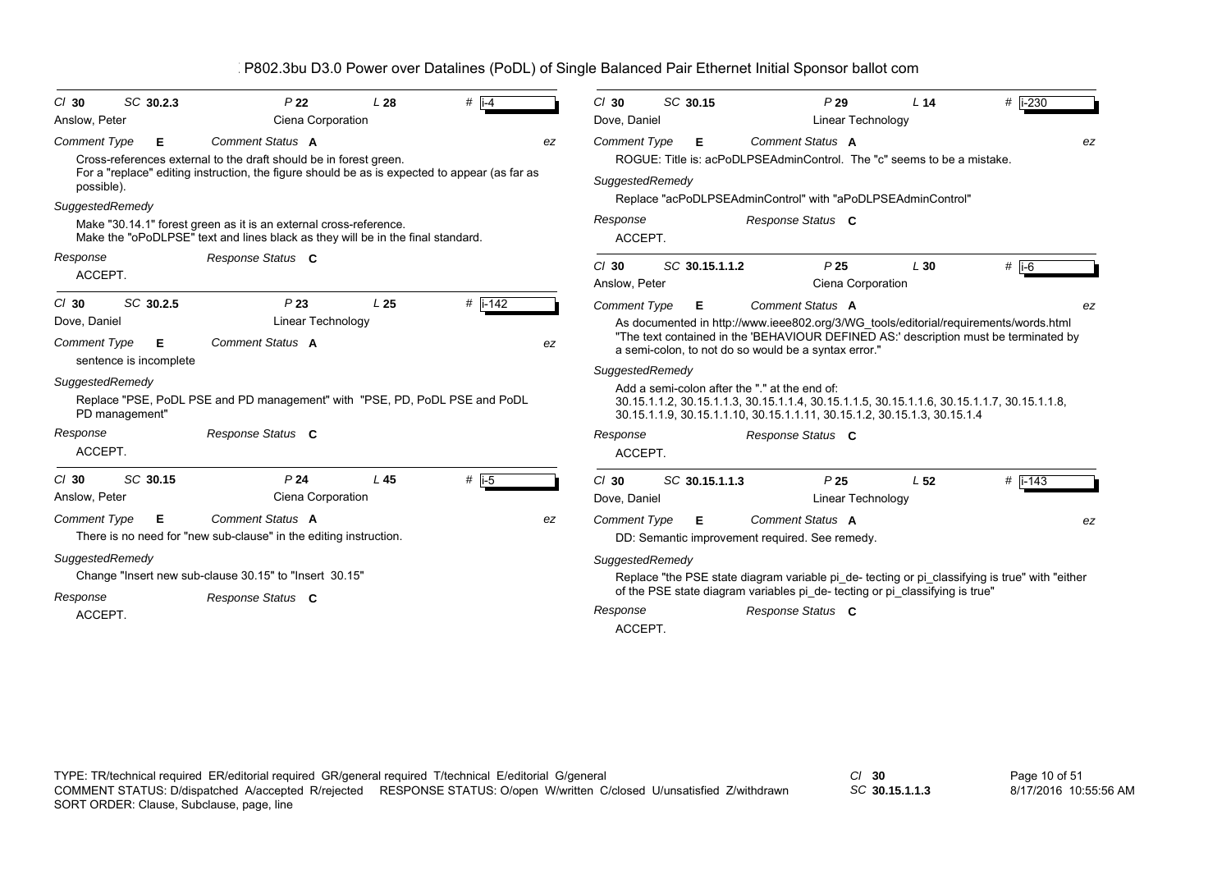| $CI$ 30             | SC 30.2.3                   | P <sub>22</sub>                                                                                                                                      | L28             | # $\overline{1}$ i-4 |    | $CI$ 30             | SC 30.15                                      |                                                                              | P29                                                                                        | L <sub>14</sub> | # $ i - 230$                                                                                  |    |
|---------------------|-----------------------------|------------------------------------------------------------------------------------------------------------------------------------------------------|-----------------|----------------------|----|---------------------|-----------------------------------------------|------------------------------------------------------------------------------|--------------------------------------------------------------------------------------------|-----------------|-----------------------------------------------------------------------------------------------|----|
| Anslow, Peter       |                             | Ciena Corporation                                                                                                                                    |                 |                      |    | Dove, Daniel        |                                               |                                                                              | Linear Technology                                                                          |                 |                                                                                               |    |
| <b>Comment Type</b> | Е                           | <b>Comment Status A</b><br>Cross-references external to the draft should be in forest green.                                                         |                 |                      | ez | <b>Comment Type</b> | Е                                             |                                                                              | Comment Status A<br>ROGUE: Title is: acPoDLPSEAdminControl. The "c" seems to be a mistake. |                 |                                                                                               | ez |
| possible).          |                             | For a "replace" editing instruction, the figure should be as is expected to appear (as far as                                                        |                 |                      |    | SuggestedRemedy     |                                               |                                                                              |                                                                                            |                 |                                                                                               |    |
| SuggestedRemedy     |                             |                                                                                                                                                      |                 |                      |    |                     |                                               |                                                                              | Replace "acPoDLPSEAdminControl" with "aPoDLPSEAdminControl"                                |                 |                                                                                               |    |
|                     |                             | Make "30.14.1" forest green as it is an external cross-reference.<br>Make the "oPoDLPSE" text and lines black as they will be in the final standard. |                 |                      |    | Response<br>ACCEPT. |                                               |                                                                              | Response Status C                                                                          |                 |                                                                                               |    |
| Response            |                             | Response Status C                                                                                                                                    |                 |                      |    | $CI$ 30             | SC 30.15.1.1.2                                |                                                                              | P <sub>25</sub>                                                                            | L30             | $#$ i-6                                                                                       |    |
| ACCEPT.             |                             |                                                                                                                                                      |                 |                      |    | Anslow, Peter       |                                               |                                                                              | Ciena Corporation                                                                          |                 |                                                                                               |    |
| $CI$ 30             | SC 30.2.5                   | P <sub>23</sub>                                                                                                                                      | L <sub>25</sub> | $#$ i-142            |    | <b>Comment Type</b> | Е                                             |                                                                              | Comment Status A                                                                           |                 |                                                                                               |    |
| Dove, Daniel        |                             | Linear Technology                                                                                                                                    |                 |                      |    |                     |                                               |                                                                              |                                                                                            |                 | As documented in http://www.ieee802.org/3/WG tools/editorial/requirements/words.html          |    |
| <b>Comment Type</b> | Е<br>sentence is incomplete | Comment Status A                                                                                                                                     |                 |                      | ez |                     |                                               |                                                                              | a semi-colon, to not do so would be a syntax error."                                       |                 | "The text contained in the 'BEHAVIOUR DEFINED AS:' description must be terminated by          |    |
| SuggestedRemedy     |                             |                                                                                                                                                      |                 |                      |    | SuggestedRemedy     |                                               |                                                                              |                                                                                            |                 |                                                                                               |    |
|                     | PD management"              | Replace "PSE, PoDL PSE and PD management" with "PSE, PD, PoDL PSE and PoDL                                                                           |                 |                      |    |                     | Add a semi-colon after the "." at the end of: |                                                                              | 30.15.1.1.9, 30.15.1.1.10, 30.15.1.1.11, 30.15.1.2, 30.15.1.3, 30.15.1.4                   |                 | 30.15.1.1.2, 30.15.1.1.3, 30.15.1.1.4, 30.15.1.1.5, 30.15.1.1.6, 30.15.1.1.7, 30.15.1.1.8,    |    |
| Response            |                             | Response Status C                                                                                                                                    |                 |                      |    | Response            |                                               |                                                                              | Response Status C                                                                          |                 |                                                                                               |    |
| ACCEPT.             |                             |                                                                                                                                                      |                 |                      |    | ACCEPT.             |                                               |                                                                              |                                                                                            |                 |                                                                                               |    |
| $CI$ 30             | SC 30.15                    | P <sub>24</sub>                                                                                                                                      | L45             | # $\overline{1-5}$   |    | $Cl$ 30             | SC 30.15.1.1.3                                |                                                                              | P <sub>25</sub>                                                                            | L <sub>52</sub> | # $ i - 143$                                                                                  |    |
| Anslow, Peter       |                             | Ciena Corporation                                                                                                                                    |                 |                      |    | Dove, Daniel        |                                               |                                                                              | Linear Technology                                                                          |                 |                                                                                               |    |
| <b>Comment Type</b> | Е                           | Comment Status A<br>There is no need for "new sub-clause" in the editing instruction.                                                                |                 |                      | ez | <b>Comment Type</b> | Е.                                            |                                                                              | Comment Status A<br>DD: Semantic improvement required. See remedy.                         |                 |                                                                                               | ez |
| SuggestedRemedy     |                             |                                                                                                                                                      |                 |                      |    | SuggestedRemedy     |                                               |                                                                              |                                                                                            |                 |                                                                                               |    |
|                     |                             | Change "Insert new sub-clause 30.15" to "Insert 30.15"                                                                                               |                 |                      |    |                     |                                               |                                                                              |                                                                                            |                 | Replace "the PSE state diagram variable pi de-tecting or pi classifying is true" with "either |    |
| Response            |                             | Response Status C                                                                                                                                    |                 |                      |    |                     |                                               | of the PSE state diagram variables pi_de- tecting or pi_classifying is true" |                                                                                            |                 |                                                                                               |    |
| ACCEPT.             |                             |                                                                                                                                                      |                 |                      |    | Response<br>ACCEPT. |                                               |                                                                              | Response Status C                                                                          |                 |                                                                                               |    |
|                     |                             |                                                                                                                                                      |                 |                      |    |                     |                                               |                                                                              |                                                                                            |                 |                                                                                               |    |

*SC* **30.15.1.1.3**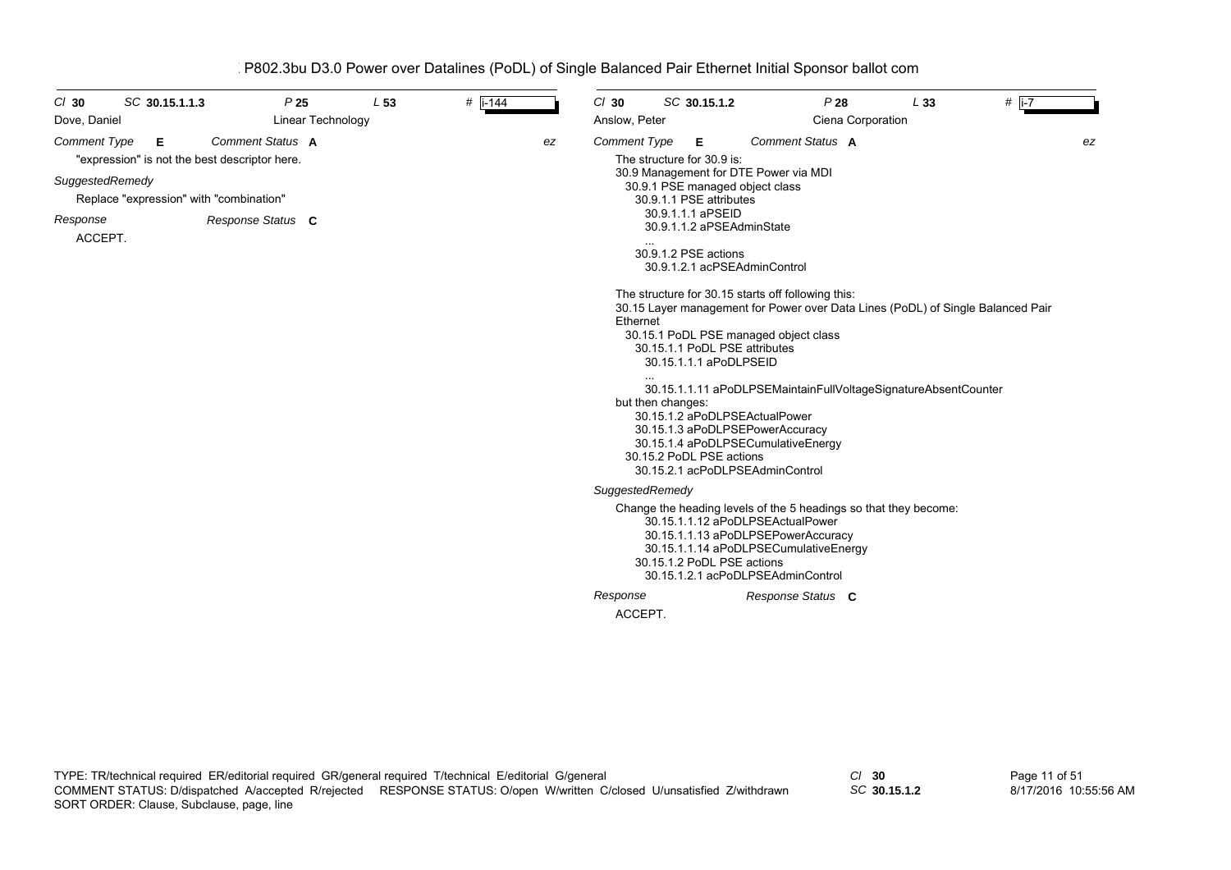| SC 30.15.1.1.3<br>$Cl$ 30<br>Dove, Daniel                                                                                                                      | P <sub>25</sub><br>Linear Technology  | L <sub>53</sub> | $#$ i-144 |    | $Cl$ 30<br>Anslow, Peter               |                   | SC 30.15.1.2                                                                                                                                                                                                                | P28<br>Ciena Corporation                                                                                                                                                                                                                                                                                                                                                                                                                                                                                                      | L33 | # $\overline{1-7}$ |
|----------------------------------------------------------------------------------------------------------------------------------------------------------------|---------------------------------------|-----------------|-----------|----|----------------------------------------|-------------------|-----------------------------------------------------------------------------------------------------------------------------------------------------------------------------------------------------------------------------|-------------------------------------------------------------------------------------------------------------------------------------------------------------------------------------------------------------------------------------------------------------------------------------------------------------------------------------------------------------------------------------------------------------------------------------------------------------------------------------------------------------------------------|-----|--------------------|
| <b>Comment Type</b><br>Е<br>"expression" is not the best descriptor here.<br>SuggestedRemedy<br>Replace "expression" with "combination"<br>Response<br>ACCEPT. | Comment Status A<br>Response Status C |                 |           | ez | Comment Type<br>Ethernet               | but then changes: | Е<br>The structure for 30.9 is:<br>30.9.1.1 PSE attributes<br>30.9.1.1.1 aPSEID<br>30.9.1.1.2 aPSEAdminState<br>30.9.1.2 PSE actions<br>30.15.1.1 PoDL PSE attributes<br>30.15.1.1.1 aPoDLPSEID<br>30.15.2 PoDL PSE actions | Comment Status A<br>30.9 Management for DTE Power via MDI<br>30.9.1 PSE managed object class<br>30.9.1.2.1 acPSEAdminControl<br>The structure for 30.15 starts off following this:<br>30.15 Layer management for Power over Data Lines (PoDL) of Single Balanced Pair<br>30.15.1 PoDL PSE managed object class<br>30.15.1.1.11 aPoDLPSEMaintainFullVoltageSignatureAbsentCounter<br>30.15.1.2 aPoDLPSEActualPower<br>30.15.1.3 aPoDLPSEPowerAccuracy<br>30.15.1.4 aPoDLPSECumulativeEnergy<br>30.15.2.1 acPoDLPSEAdminControl |     | ez                 |
|                                                                                                                                                                |                                       |                 |           |    | SuggestedRemedy<br>Response<br>ACCEPT. |                   | 30.15.1.2 PoDL PSE actions                                                                                                                                                                                                  | Change the heading levels of the 5 headings so that they become:<br>30.15.1.1.12 aPoDLPSEActualPower<br>30.15.1.1.13 aPoDLPSEPowerAccuracy<br>30.15.1.1.14 aPoDLPSECumulativeEnergy<br>30.15.1.2.1 acPoDLPSEAdminControl<br>Response Status C                                                                                                                                                                                                                                                                                 |     |                    |

*SC* **30.15.1.2**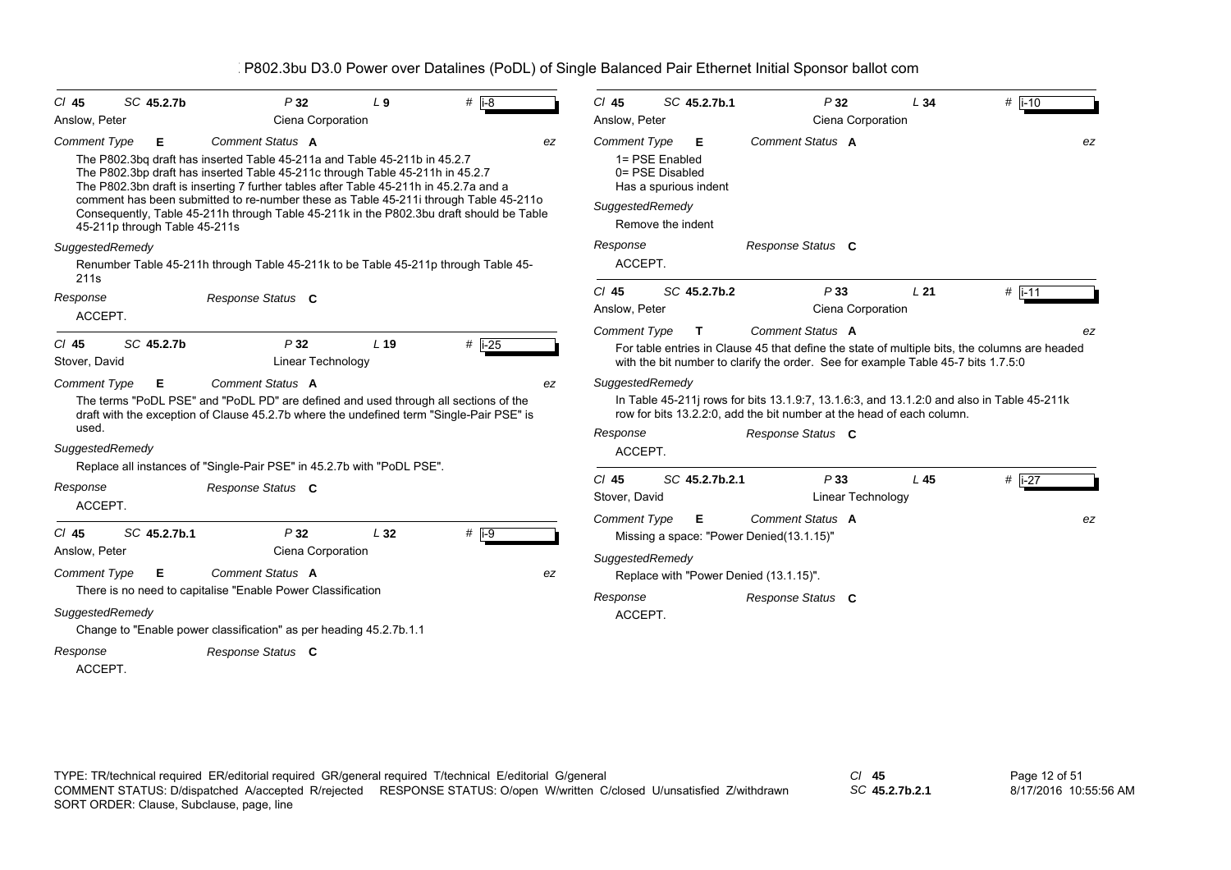| SC 45.2.7b<br>$CI$ 45                                                                                          | P32                                                                                                                                                                                                                                                                                                                                                                                                                                                        | L <sub>9</sub>  | $#$ i-8  | $Cl$ 45                               |                                                                                                    | SC 45.2.7b.1   | P32                                                                                                                                                                                                    | L34             | $#$ i-10 |    |
|----------------------------------------------------------------------------------------------------------------|------------------------------------------------------------------------------------------------------------------------------------------------------------------------------------------------------------------------------------------------------------------------------------------------------------------------------------------------------------------------------------------------------------------------------------------------------------|-----------------|----------|---------------------------------------|----------------------------------------------------------------------------------------------------|----------------|--------------------------------------------------------------------------------------------------------------------------------------------------------------------------------------------------------|-----------------|----------|----|
| Anslow, Peter                                                                                                  | Ciena Corporation                                                                                                                                                                                                                                                                                                                                                                                                                                          |                 |          | Anslow, Peter                         |                                                                                                    |                | Ciena Corporation                                                                                                                                                                                      |                 |          |    |
| <b>Comment Type</b><br>Е<br>45-211p through Table 45-211s                                                      | Comment Status A<br>The P802.3bg draft has inserted Table 45-211a and Table 45-211b in 45.2.7<br>The P802.3bp draft has inserted Table 45-211c through Table 45-211h in 45.2.7<br>The P802.3bn draft is inserting 7 further tables after Table 45-211h in 45.2.7a and a<br>comment has been submitted to re-number these as Table 45-211i through Table 45-211o<br>Consequently, Table 45-211h through Table 45-211k in the P802.3bu draft should be Table |                 |          | <b>Comment Type</b><br>ez             | 1= PSE Enabled<br>0= PSE Disabled<br>Has a spurious indent<br>SuggestedRemedy<br>Remove the indent | Е              | Comment Status A                                                                                                                                                                                       |                 |          | ez |
| SuggestedRemedy                                                                                                | Renumber Table 45-211h through Table 45-211k to be Table 45-211p through Table 45-                                                                                                                                                                                                                                                                                                                                                                         |                 |          | Response                              | ACCEPT.                                                                                            |                | Response Status C                                                                                                                                                                                      |                 |          |    |
| 211s<br>Response<br>ACCEPT.                                                                                    | Response Status C                                                                                                                                                                                                                                                                                                                                                                                                                                          |                 |          | $Cl$ 45<br>Anslow, Peter              |                                                                                                    | SC 45.2.7b.2   | P33<br>Ciena Corporation                                                                                                                                                                               | L <sub>21</sub> | $#$ i-11 |    |
| $Cl$ 45<br>SC 45.2.7b<br>Stover, David                                                                         | P32<br>Linear Technology                                                                                                                                                                                                                                                                                                                                                                                                                                   | L <sub>19</sub> | $#$ i-25 | <b>Comment Type</b>                   |                                                                                                    | $\mathbf{T}$   | Comment Status A<br>For table entries in Clause 45 that define the state of multiple bits, the columns are headed<br>with the bit number to clarify the order. See for example Table 45-7 bits 1.7.5:0 |                 |          | ez |
| <b>Comment Type</b><br>Е<br>used.<br>SuggestedRemedy                                                           | Comment Status A<br>The terms "PoDL PSE" and "PoDL PD" are defined and used through all sections of the<br>draft with the exception of Clause 45.2.7b where the undefined term "Single-Pair PSE" is                                                                                                                                                                                                                                                        |                 |          | ez<br>Response                        | SuggestedRemedy<br>ACCEPT.                                                                         |                | In Table 45-211 rows for bits 13.1.9:7, 13.1.6:3, and 13.1.2:0 and also in Table 45-211k<br>row for bits 13.2.2:0, add the bit number at the head of each column.<br>Response Status C                 |                 |          |    |
| Response<br>ACCEPT.                                                                                            | Replace all instances of "Single-Pair PSE" in 45.2.7b with "PoDL PSE".<br>Response Status C                                                                                                                                                                                                                                                                                                                                                                |                 |          | $Cl$ 45<br>Stover, David              |                                                                                                    | SC 45.2.7b.2.1 | P33<br>Linear Technology                                                                                                                                                                               | L45             | # $i-27$ |    |
| SC 45.2.7b.1<br>$Cl$ 45<br>Anslow, Peter<br><b>Comment Type</b><br>Е<br>SuggestedRemedy<br>Response<br>ACCEPT. | P32<br>Ciena Corporation<br>Comment Status A<br>There is no need to capitalise "Enable Power Classification<br>Change to "Enable power classification" as per heading 45.2.7b.1.1<br>Response Status C                                                                                                                                                                                                                                                     | L32             | $#$ i-9  | <b>Comment Type</b><br>ez<br>Response | SuggestedRemedy<br>ACCEPT.                                                                         | Е.             | Comment Status A<br>Missing a space: "Power Denied(13.1.15)"<br>Replace with "Power Denied (13.1.15)".<br>Response Status C                                                                            |                 |          | ez |

*SC* **45.2.7b.2.1**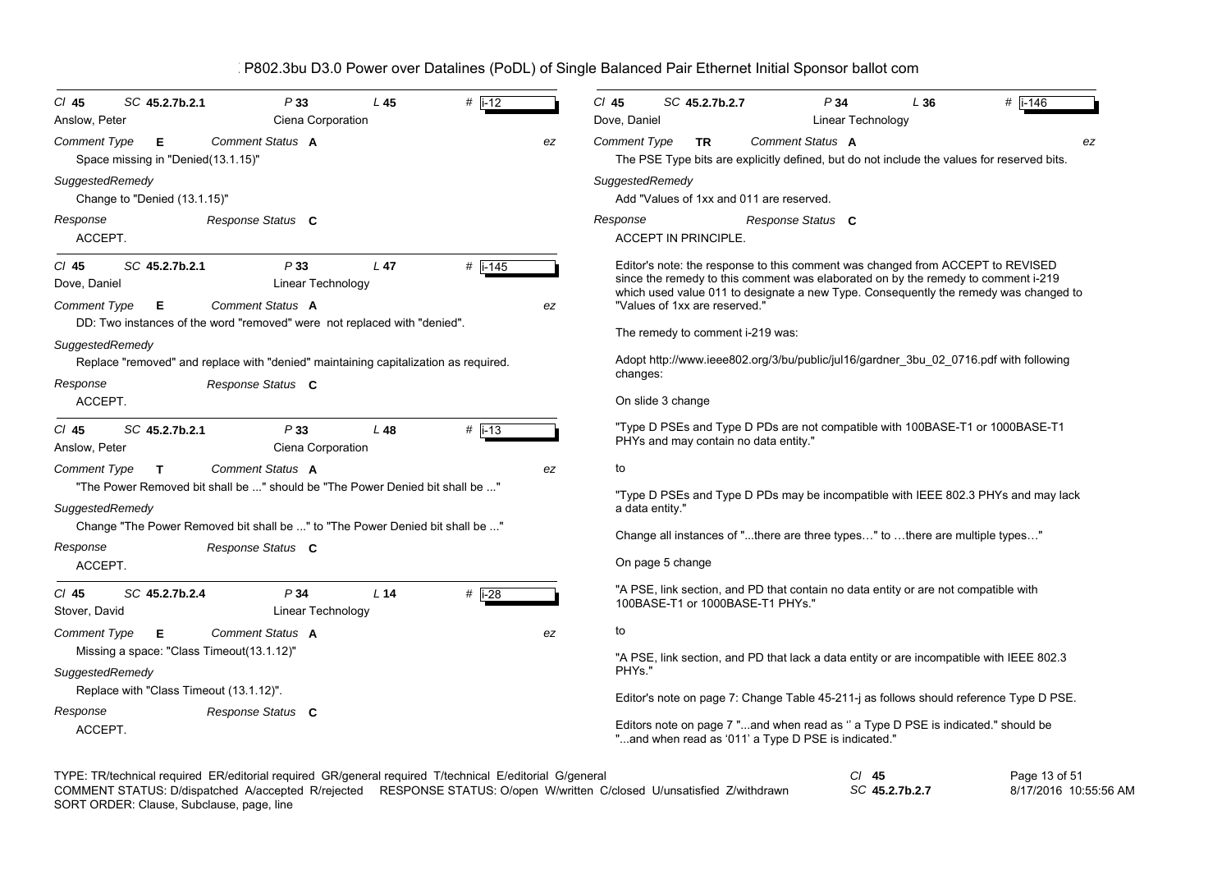| $CI$ 45<br>SC 45.2.7b.2.1<br>Anslow, Peter                                               | P33<br>Ciena Corporation                                                                                 | L45             | $#$ $i-12$ |                                                                                                                                                                                                                                                             | $Cl$ 45<br>$#$ i-146<br>SC 45.2.7b.2.7<br>P34<br>L36<br>Dove, Daniel<br>Linear Technology                                                                                                                                         |  |  |  |  |  |  |  |  |
|------------------------------------------------------------------------------------------|----------------------------------------------------------------------------------------------------------|-----------------|------------|-------------------------------------------------------------------------------------------------------------------------------------------------------------------------------------------------------------------------------------------------------------|-----------------------------------------------------------------------------------------------------------------------------------------------------------------------------------------------------------------------------------|--|--|--|--|--|--|--|--|
| Comment Type<br>Е<br>Space missing in "Denied(13.1.15)"                                  | Comment Status A                                                                                         |                 |            | ez                                                                                                                                                                                                                                                          | Comment Status A<br><b>Comment Type</b><br><b>TR</b><br>ez<br>The PSE Type bits are explicitly defined, but do not include the values for reserved bits.                                                                          |  |  |  |  |  |  |  |  |
| SuggestedRemedy<br>Change to "Denied (13.1.15)"                                          |                                                                                                          |                 |            |                                                                                                                                                                                                                                                             | SuggestedRemedy<br>Add "Values of 1xx and 011 are reserved.                                                                                                                                                                       |  |  |  |  |  |  |  |  |
| Response<br>ACCEPT.                                                                      | Response Status C                                                                                        |                 |            |                                                                                                                                                                                                                                                             | Response<br>Response Status C<br><b>ACCEPT IN PRINCIPLE.</b>                                                                                                                                                                      |  |  |  |  |  |  |  |  |
| SC 45.2.7b.2.1<br>$CI$ 45<br>Dove, Daniel                                                | P33<br>Linear Technology                                                                                 | $L$ 47          | $#$ i-145  | Editor's note: the response to this comment was changed from ACCEPT to REVISED<br>since the remedy to this comment was elaborated on by the remedy to comment i-219<br>which used value 011 to designate a new Type. Consequently the remedy was changed to |                                                                                                                                                                                                                                   |  |  |  |  |  |  |  |  |
| <b>Comment Type</b><br>Е<br>SuggestedRemedy                                              | Comment Status A<br>DD: Two instances of the word "removed" were not replaced with "denied".             |                 |            | ez                                                                                                                                                                                                                                                          | "Values of 1xx are reserved."<br>The remedy to comment i-219 was:                                                                                                                                                                 |  |  |  |  |  |  |  |  |
| Response                                                                                 | Replace "removed" and replace with "denied" maintaining capitalization as required.<br>Response Status C |                 |            |                                                                                                                                                                                                                                                             | Adopt http://www.ieee802.org/3/bu/public/jul16/gardner 3bu 02 0716.pdf with following<br>changes:<br>On slide 3 change                                                                                                            |  |  |  |  |  |  |  |  |
| ACCEPT.<br>SC 45.2.7b.2.1<br>$CI$ 45<br>Anslow, Peter                                    | P33<br>Ciena Corporation                                                                                 | L <sub>48</sub> | $#$ i-13   |                                                                                                                                                                                                                                                             | "Type D PSEs and Type D PDs are not compatible with 100BASE-T1 or 1000BASE-T1<br>PHYs and may contain no data entity."                                                                                                            |  |  |  |  |  |  |  |  |
| <b>Comment Type</b><br>$\mathbf{T}$<br>SuggestedRemedy                                   | Comment Status A<br>"The Power Removed bit shall be " should be "The Power Denied bit shall be "         |                 |            | ez                                                                                                                                                                                                                                                          | to<br>"Type D PSEs and Type D PDs may be incompatible with IEEE 802.3 PHYs and may lack<br>a data entity."                                                                                                                        |  |  |  |  |  |  |  |  |
| Response<br>ACCEPT.                                                                      | Change "The Power Removed bit shall be " to "The Power Denied bit shall be "<br>Response Status C        |                 |            |                                                                                                                                                                                                                                                             | Change all instances of "there are three types" to there are multiple types"<br>On page 5 change                                                                                                                                  |  |  |  |  |  |  |  |  |
| SC 45.2.7b.2.4<br>$CI$ 45<br>Stover, David                                               | P34<br>Linear Technology                                                                                 | L <sub>14</sub> | $#$ i-28   |                                                                                                                                                                                                                                                             | "A PSE, link section, and PD that contain no data entity or are not compatible with<br>100BASE-T1 or 1000BASE-T1 PHYs."                                                                                                           |  |  |  |  |  |  |  |  |
| <b>Comment Type</b><br>Е<br>Missing a space: "Class Timeout(13.1.12)"<br>SuggestedRemedy | <b>Comment Status A</b>                                                                                  |                 |            | ez                                                                                                                                                                                                                                                          | to<br>"A PSE, link section, and PD that lack a data entity or are incompatible with IEEE 802.3<br>PHYs."                                                                                                                          |  |  |  |  |  |  |  |  |
| Replace with "Class Timeout (13.1.12)".<br>Response<br>ACCEPT.                           | Response Status C                                                                                        |                 |            |                                                                                                                                                                                                                                                             | Editor's note on page 7: Change Table 45-211-j as follows should reference Type D PSE.<br>Editors note on page 7 "and when read as " a Type D PSE is indicated." should be<br>"and when read as '011' a Type D PSE is indicated." |  |  |  |  |  |  |  |  |

| TYPE: TR/technical required ER/editorial required GR/general required T/technical E/editorial G/general |                                                                                                                         |                | Page 13 of 51         |
|---------------------------------------------------------------------------------------------------------|-------------------------------------------------------------------------------------------------------------------------|----------------|-----------------------|
|                                                                                                         | COMMENT STATUS: D/dispatched A/accepted R/rejected RESPONSE STATUS: O/open W/written C/closed U/unsatisfied Z/withdrawn | SC 45.2.7b.2.7 | 8/17/2016 10:55:56 AM |
|                                                                                                         |                                                                                                                         |                |                       |

SORT ORDER: Clause, Subclause, page, line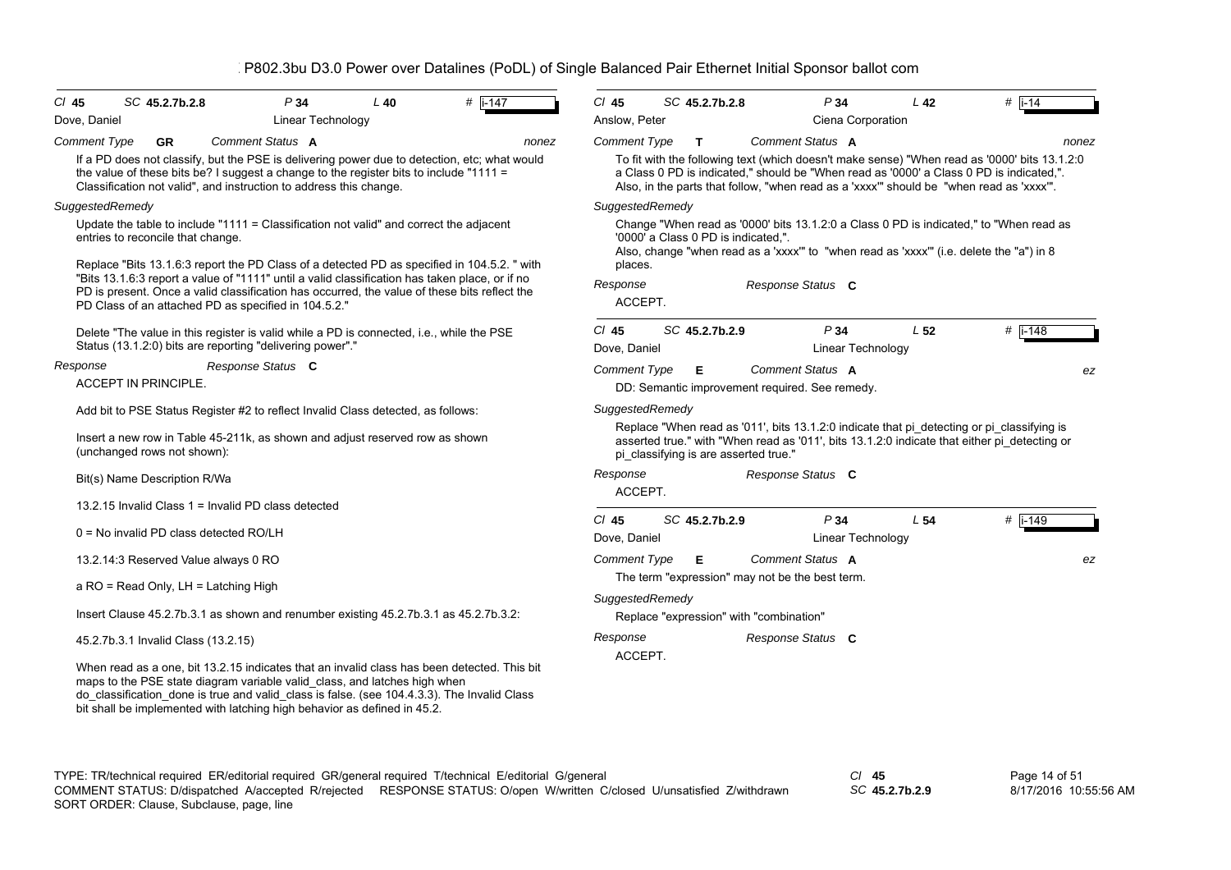| $CI$ 45<br>Dove, Daniel | SC 45.2.7b.2.8                                                                                                                                                                                                                                                                                                                                      | P34<br>Linear Technology | $L$ 40 | # $i-147$ | $Cl$ 45<br>Anslow. Peter                                                                                                                                                                                                                                                          | SC 45.2.7b.2.8                          |  | P34<br>Ciena Corporation                                                               | L <sub>42</sub> | $#$ i-14                                                                                                                                                                                   |  |  |
|-------------------------|-----------------------------------------------------------------------------------------------------------------------------------------------------------------------------------------------------------------------------------------------------------------------------------------------------------------------------------------------------|--------------------------|--------|-----------|-----------------------------------------------------------------------------------------------------------------------------------------------------------------------------------------------------------------------------------------------------------------------------------|-----------------------------------------|--|----------------------------------------------------------------------------------------|-----------------|--------------------------------------------------------------------------------------------------------------------------------------------------------------------------------------------|--|--|
| <b>Comment Type</b>     | <b>GR</b>                                                                                                                                                                                                                                                                                                                                           | Comment Status A         |        | nonez     | <b>Comment Type</b>                                                                                                                                                                                                                                                               | T.                                      |  | Comment Status A                                                                       |                 | nonez                                                                                                                                                                                      |  |  |
|                         | If a PD does not classify, but the PSE is delivering power due to detection, etc; what would<br>the value of these bits be? I suggest a change to the register bits to include "1111 =<br>Classification not valid", and instruction to address this change.                                                                                        |                          |        |           | To fit with the following text (which doesn't make sense) "When read as '0000' bits 13.1.2:0<br>a Class 0 PD is indicated," should be "When read as '0000' a Class 0 PD is indicated,".<br>Also, in the parts that follow, "when read as a 'xxxx" should be "when read as 'xxxx". |                                         |  |                                                                                        |                 |                                                                                                                                                                                            |  |  |
|                         | SuggestedRemedy                                                                                                                                                                                                                                                                                                                                     |                          |        |           | SuggestedRemedy                                                                                                                                                                                                                                                                   |                                         |  |                                                                                        |                 |                                                                                                                                                                                            |  |  |
|                         | Update the table to include "1111 = Classification not valid" and correct the adjacent<br>entries to reconcile that change.<br>Replace "Bits 13.1.6:3 report the PD Class of a detected PD as specified in 104.5.2. " with                                                                                                                          |                          |        |           | places.                                                                                                                                                                                                                                                                           | '0000' a Class 0 PD is indicated,".     |  | Also, change "when read as a 'xxxx" to "when read as 'xxxx" (i.e. delete the "a") in 8 |                 | Change "When read as '0000' bits 13.1.2:0 a Class 0 PD is indicated," to "When read as                                                                                                     |  |  |
|                         | "Bits 13.1.6:3 report a value of "1111" until a valid classification has taken place, or if no<br>PD is present. Once a valid classification has occurred, the value of these bits reflect the                                                                                                                                                      |                          |        |           | Response                                                                                                                                                                                                                                                                          |                                         |  | Response Status C                                                                      |                 |                                                                                                                                                                                            |  |  |
|                         | PD Class of an attached PD as specified in 104.5.2."                                                                                                                                                                                                                                                                                                |                          |        |           | ACCEPT.                                                                                                                                                                                                                                                                           |                                         |  |                                                                                        |                 |                                                                                                                                                                                            |  |  |
|                         | Delete "The value in this register is valid while a PD is connected, i.e., while the PSE<br>Status (13.1.2:0) bits are reporting "delivering power"."                                                                                                                                                                                               |                          |        |           | $CI$ 45<br>Dove, Daniel                                                                                                                                                                                                                                                           | SC 45.2.7b.2.9                          |  | P34<br><b>Linear Technology</b>                                                        | L <sub>52</sub> | # i-148                                                                                                                                                                                    |  |  |
| Response                |                                                                                                                                                                                                                                                                                                                                                     | Response Status C        |        |           | <b>Comment Type</b>                                                                                                                                                                                                                                                               | Е                                       |  | Comment Status A                                                                       |                 | ez                                                                                                                                                                                         |  |  |
|                         | <b>ACCEPT IN PRINCIPLE.</b>                                                                                                                                                                                                                                                                                                                         |                          |        |           |                                                                                                                                                                                                                                                                                   |                                         |  | DD: Semantic improvement required. See remedy.                                         |                 |                                                                                                                                                                                            |  |  |
|                         | Add bit to PSE Status Register #2 to reflect Invalid Class detected, as follows:                                                                                                                                                                                                                                                                    |                          |        |           | SuggestedRemedy                                                                                                                                                                                                                                                                   |                                         |  |                                                                                        |                 |                                                                                                                                                                                            |  |  |
|                         | Insert a new row in Table 45-211k, as shown and adjust reserved row as shown<br>(unchanged rows not shown):                                                                                                                                                                                                                                         |                          |        |           |                                                                                                                                                                                                                                                                                   | pi classifying is are asserted true."   |  |                                                                                        |                 | Replace "When read as '011', bits 13.1.2:0 indicate that pi detecting or pi classifying is<br>asserted true." with "When read as '011', bits 13.1.2:0 indicate that either pi_detecting or |  |  |
|                         | Bit(s) Name Description R/Wa                                                                                                                                                                                                                                                                                                                        |                          |        |           | Response<br>ACCEPT.                                                                                                                                                                                                                                                               |                                         |  | Response Status C                                                                      |                 |                                                                                                                                                                                            |  |  |
|                         | 13.2.15 Invalid Class 1 = Invalid PD class detected                                                                                                                                                                                                                                                                                                 |                          |        |           |                                                                                                                                                                                                                                                                                   |                                         |  |                                                                                        |                 |                                                                                                                                                                                            |  |  |
|                         | 0 = No invalid PD class detected RO/LH                                                                                                                                                                                                                                                                                                              |                          |        |           | $Cl$ 45<br>Dove, Daniel                                                                                                                                                                                                                                                           | SC 45.2.7b.2.9                          |  | P34<br>Linear Technology                                                               | L <sub>54</sub> | # i-149                                                                                                                                                                                    |  |  |
|                         | 13.2.14:3 Reserved Value always 0 RO                                                                                                                                                                                                                                                                                                                |                          |        |           | <b>Comment Type</b>                                                                                                                                                                                                                                                               | Е                                       |  | Comment Status A                                                                       |                 | ez                                                                                                                                                                                         |  |  |
|                         | a RO = Read Only, LH = Latching High                                                                                                                                                                                                                                                                                                                |                          |        |           |                                                                                                                                                                                                                                                                                   |                                         |  | The term "expression" may not be the best term.                                        |                 |                                                                                                                                                                                            |  |  |
|                         |                                                                                                                                                                                                                                                                                                                                                     |                          |        |           | SuggestedRemedy                                                                                                                                                                                                                                                                   |                                         |  |                                                                                        |                 |                                                                                                                                                                                            |  |  |
|                         | lnsert Clause 45.2.7b.3.1 as shown and renumber existing 45.2.7b.3.1 as 45.2.7b.3.2:                                                                                                                                                                                                                                                                |                          |        |           |                                                                                                                                                                                                                                                                                   | Replace "expression" with "combination" |  |                                                                                        |                 |                                                                                                                                                                                            |  |  |
|                         | 45.2.7b.3.1 Invalid Class (13.2.15)                                                                                                                                                                                                                                                                                                                 |                          |        |           | Response<br>ACCEPT.                                                                                                                                                                                                                                                               |                                         |  | Response Status C                                                                      |                 |                                                                                                                                                                                            |  |  |
|                         | When read as a one, bit 13.2.15 indicates that an invalid class has been detected. This bit<br>maps to the PSE state diagram variable valid_class, and latches high when<br>do_classification_done is true and valid_class is false. (see 104.4.3.3). The Invalid Class<br>bit shall be implemented with latching high behavior as defined in 45.2. |                          |        |           |                                                                                                                                                                                                                                                                                   |                                         |  |                                                                                        |                 |                                                                                                                                                                                            |  |  |
|                         |                                                                                                                                                                                                                                                                                                                                                     |                          |        |           |                                                                                                                                                                                                                                                                                   |                                         |  |                                                                                        |                 |                                                                                                                                                                                            |  |  |

TYPE: TR/technical required ER/editorial required GR/general required T/technical E/editorial G/general *Cl* **45** SORT ORDER: Clause, Subclause, page, line COMMENT STATUS: D/dispatched A/accepted R/rejected RESPONSE STATUS: O/open W/written C/closed U/unsatisfied Z/withdrawn

*SC* **45.2.7b.2.9**

Page 14 of 51 8/17/2016 10:55:56 AM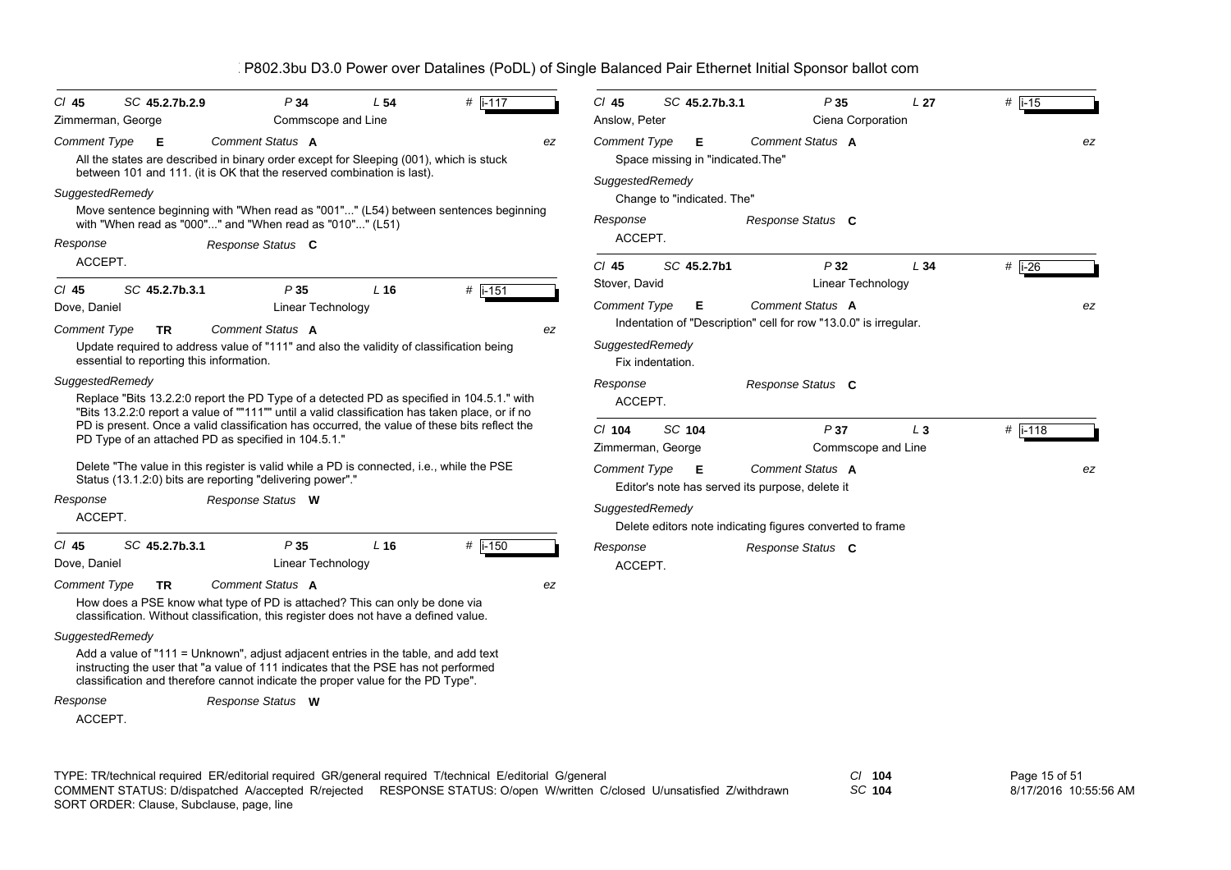| $CI$ 45             | SC 45.2.7b.2.9                           | P34                                                                                                                                                                                                                                                         | L <sub>54</sub>    | # i-117     |    | $Cl$ 45                                                                     | SC 45.2.7b.3.1                                       | P35                                                              | L <sub>27</sub> | $#$ i-15            |    |
|---------------------|------------------------------------------|-------------------------------------------------------------------------------------------------------------------------------------------------------------------------------------------------------------------------------------------------------------|--------------------|-------------|----|-----------------------------------------------------------------------------|------------------------------------------------------|------------------------------------------------------------------|-----------------|---------------------|----|
| Zimmerman, George   |                                          |                                                                                                                                                                                                                                                             | Commscope and Line |             |    | Anslow, Peter                                                               |                                                      | Ciena Corporation                                                |                 |                     |    |
| <b>Comment Type</b> | Е                                        | Comment Status A<br>All the states are described in binary order except for Sleeping (001), which is stuck<br>between 101 and 111. (it is OK that the reserved combination is last).                                                                        |                    |             | ez | <b>Comment Type</b><br>Space missing in "indicated. The"<br>SuggestedRemedy |                                                      | ez                                                               |                 |                     |    |
| SuggestedRemedy     |                                          |                                                                                                                                                                                                                                                             |                    |             |    |                                                                             | Change to "indicated. The"                           |                                                                  |                 |                     |    |
|                     |                                          | Move sentence beginning with "When read as "001"" (L54) between sentences beginning<br>with "When read as "000"" and "When read as "010"" (L51)                                                                                                             |                    |             |    | Response                                                                    |                                                      | Response Status C                                                |                 |                     |    |
| Response            |                                          | Response Status C                                                                                                                                                                                                                                           |                    |             |    | ACCEPT.                                                                     |                                                      |                                                                  |                 |                     |    |
| ACCEPT.             |                                          |                                                                                                                                                                                                                                                             |                    |             |    | $Cl$ 45                                                                     | SC 45.2.7b1                                          | P32                                                              | L34             | # $\overline{1-26}$ |    |
| $CI$ 45             | SC 45.2.7b.3.1                           | P35                                                                                                                                                                                                                                                         | L <sub>16</sub>    | $#$   i-151 |    | Stover, David                                                               |                                                      | Linear Technology                                                |                 |                     |    |
| Dove, Daniel        |                                          | Linear Technology                                                                                                                                                                                                                                           |                    |             |    | <b>Comment Type</b>                                                         | Е                                                    | Comment Status A                                                 |                 |                     | ez |
| <b>Comment Type</b> | <b>TR</b>                                | Comment Status A                                                                                                                                                                                                                                            |                    |             | ez |                                                                             |                                                      | Indentation of "Description" cell for row "13.0.0" is irregular. |                 |                     |    |
|                     | essential to reporting this information. | Update required to address value of "111" and also the validity of classification being                                                                                                                                                                     |                    |             |    | SuggestedRemedy                                                             | Fix indentation.                                     |                                                                  |                 |                     |    |
| SuggestedRemedy     |                                          |                                                                                                                                                                                                                                                             |                    |             |    | Response                                                                    |                                                      | Response Status C                                                |                 |                     |    |
|                     |                                          | Replace "Bits 13.2.2:0 report the PD Type of a detected PD as specified in 104.5.1." with                                                                                                                                                                   |                    |             |    | ACCEPT.                                                                     |                                                      |                                                                  |                 |                     |    |
|                     |                                          | "Bits 13.2.2:0 report a value of ""111"" until a valid classification has taken place, or if no<br>PD is present. Once a valid classification has occurred, the value of these bits reflect the                                                             |                    |             |    | $Cl$ 104                                                                    | <b>SC 104</b>                                        | P37                                                              | $L_3$           | $#$ i-118           |    |
|                     |                                          | PD Type of an attached PD as specified in 104.5.1."                                                                                                                                                                                                         |                    |             |    |                                                                             | Zimmerman, George                                    | Commscope and Line                                               |                 |                     |    |
|                     |                                          | Delete "The value in this register is valid while a PD is connected, i.e., while the PSE<br>Status (13.1.2:0) bits are reporting "delivering power"."                                                                                                       |                    |             |    | <b>Comment Type</b>                                                         | Е<br>Editor's note has served its purpose, delete it | Comment Status A                                                 |                 |                     | ez |
| Response            |                                          | Response Status W                                                                                                                                                                                                                                           |                    |             |    |                                                                             |                                                      |                                                                  |                 |                     |    |
| ACCEPT.             |                                          |                                                                                                                                                                                                                                                             |                    |             |    | SuggestedRemedy                                                             |                                                      | Delete editors note indicating figures converted to frame        |                 |                     |    |
| $CI$ 45             | SC 45.2.7b.3.1                           | P35                                                                                                                                                                                                                                                         | $L$ 16             | $#$ i-150   |    | Response                                                                    |                                                      | Response Status C                                                |                 |                     |    |
| Dove, Daniel        |                                          | Linear Technology                                                                                                                                                                                                                                           |                    |             |    | ACCEPT.                                                                     |                                                      |                                                                  |                 |                     |    |
| <b>Comment Type</b> | <b>TR</b>                                | Comment Status A                                                                                                                                                                                                                                            |                    |             | ez |                                                                             |                                                      |                                                                  |                 |                     |    |
|                     |                                          | How does a PSE know what type of PD is attached? This can only be done via<br>classification. Without classification, this register does not have a defined value.                                                                                          |                    |             |    |                                                                             |                                                      |                                                                  |                 |                     |    |
| SuggestedRemedy     |                                          |                                                                                                                                                                                                                                                             |                    |             |    |                                                                             |                                                      |                                                                  |                 |                     |    |
|                     |                                          | Add a value of "111 = Unknown", adjust adjacent entries in the table, and add text<br>instructing the user that "a value of 111 indicates that the PSE has not performed<br>classification and therefore cannot indicate the proper value for the PD Type". |                    |             |    |                                                                             |                                                      |                                                                  |                 |                     |    |
| Response            |                                          | Response Status W                                                                                                                                                                                                                                           |                    |             |    |                                                                             |                                                      |                                                                  |                 |                     |    |
| ACCEPT.             |                                          |                                                                                                                                                                                                                                                             |                    |             |    |                                                                             |                                                      |                                                                  |                 |                     |    |
|                     |                                          |                                                                                                                                                                                                                                                             |                    |             |    |                                                                             |                                                      |                                                                  |                 |                     |    |

TYPE: TR/technical required ER/editorial required GR/general required T/technical E/editorial G/general *Cl* **104** SORT ORDER: Clause, Subclause, page, line COMMENT STATUS: D/dispatched A/accepted R/rejected RESPONSE STATUS: O/open W/written C/closed U/unsatisfied Z/withdrawn

*SC* **104**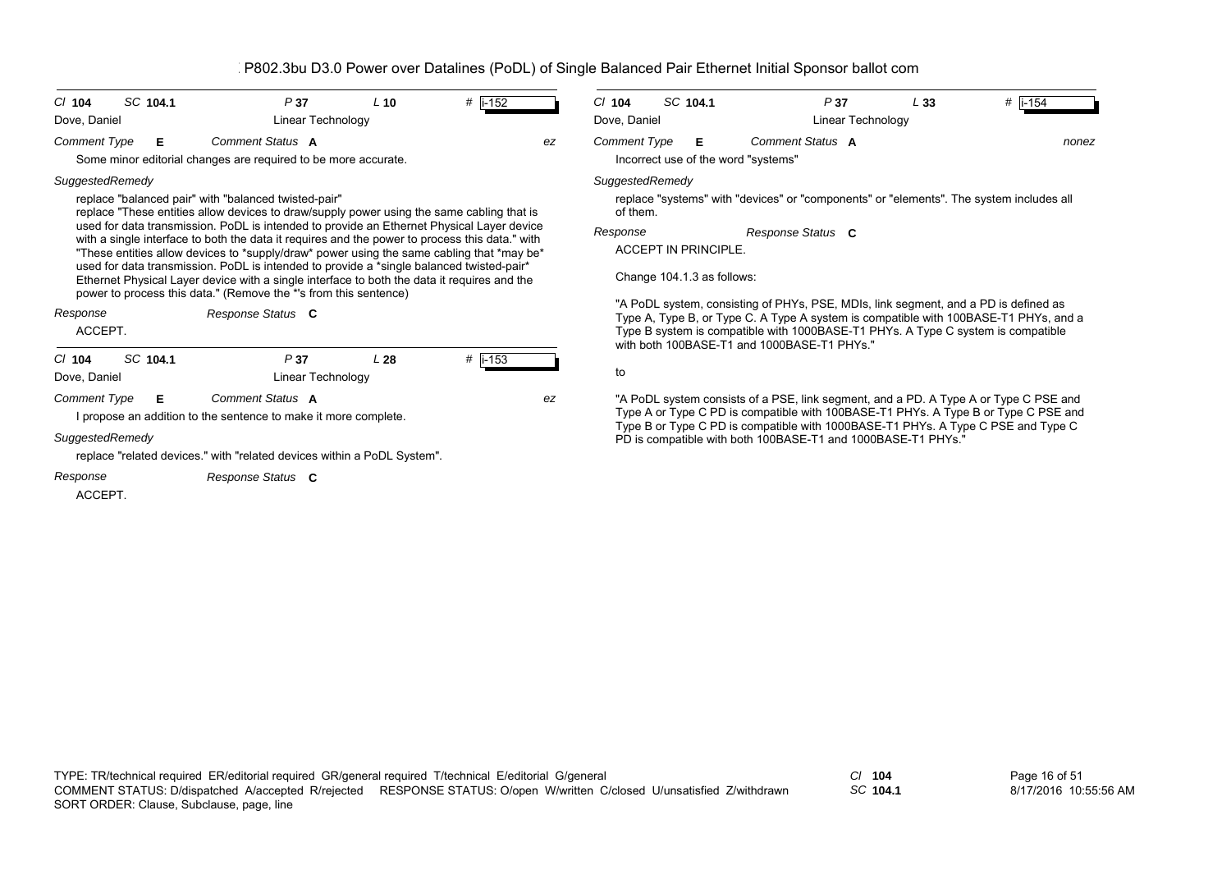| SC 104.1<br>$Cl$ 104                                                                                                                                                                                                                                                                                                                                                                                                                                                                                                                                                                                                                                                                                                                        | P37                                                                                 | $L$ 10                                                                                                                                                                                                                                                                                                                                                                                              | #   i-152    |    | $Cl$ 104                                                                                                                        | SC 104.1 | P37                                                                                                                                                                                                                                                            | L33 | # $ i - 154$ |  |  |
|---------------------------------------------------------------------------------------------------------------------------------------------------------------------------------------------------------------------------------------------------------------------------------------------------------------------------------------------------------------------------------------------------------------------------------------------------------------------------------------------------------------------------------------------------------------------------------------------------------------------------------------------------------------------------------------------------------------------------------------------|-------------------------------------------------------------------------------------|-----------------------------------------------------------------------------------------------------------------------------------------------------------------------------------------------------------------------------------------------------------------------------------------------------------------------------------------------------------------------------------------------------|--------------|----|---------------------------------------------------------------------------------------------------------------------------------|----------|----------------------------------------------------------------------------------------------------------------------------------------------------------------------------------------------------------------------------------------------------------------|-----|--------------|--|--|
| Dove, Daniel                                                                                                                                                                                                                                                                                                                                                                                                                                                                                                                                                                                                                                                                                                                                | Linear Technology                                                                   |                                                                                                                                                                                                                                                                                                                                                                                                     |              |    | Dove, Daniel<br>Linear Technology                                                                                               |          |                                                                                                                                                                                                                                                                |     |              |  |  |
| <b>Comment Type</b><br>Е                                                                                                                                                                                                                                                                                                                                                                                                                                                                                                                                                                                                                                                                                                                    | Comment Status A<br>Some minor editorial changes are required to be more accurate.  |                                                                                                                                                                                                                                                                                                                                                                                                     |              | ez | Comment Type<br>Incorrect use of the word "systems"                                                                             | Е        | Comment Status A                                                                                                                                                                                                                                               |     | nonez        |  |  |
| SuggestedRemedy<br>replace "balanced pair" with "balanced twisted-pair"<br>replace "These entities allow devices to draw/supply power using the same cabling that is<br>used for data transmission. PoDL is intended to provide an Ethernet Physical Layer device<br>with a single interface to both the data it requires and the power to process this data." with<br>"These entities allow devices to *supply/draw* power using the same cabling that *may be*<br>used for data transmission. PoDL is intended to provide a *single balanced twisted-pair*<br>Ethernet Physical Layer device with a single interface to both the data it requires and the<br>power to process this data." (Remove the *'s from this sentence)<br>Response |                                                                                     | SuggestedRemedy<br>replace "systems" with "devices" or "components" or "elements". The system includes all<br>of them.<br>Response<br>Response Status C<br><b>ACCEPT IN PRINCIPLE.</b><br>Change 104.1.3 as follows:<br>"A PoDL system, consisting of PHYs, PSE, MDIs, link segment, and a PD is defined as<br>Type A, Type B, or Type C. A Type A system is compatible with 100BASE-T1 PHYs, and a |              |    |                                                                                                                                 |          |                                                                                                                                                                                                                                                                |     |              |  |  |
| ACCEPT.                                                                                                                                                                                                                                                                                                                                                                                                                                                                                                                                                                                                                                                                                                                                     |                                                                                     |                                                                                                                                                                                                                                                                                                                                                                                                     |              |    | Type B system is compatible with 1000BASE-T1 PHYs. A Type C system is compatible<br>with both 100BASE-T1 and 1000BASE-T1 PHYs." |          |                                                                                                                                                                                                                                                                |     |              |  |  |
| SC 104.1<br>$Cl$ 104<br>Dove, Daniel                                                                                                                                                                                                                                                                                                                                                                                                                                                                                                                                                                                                                                                                                                        | P37<br>Linear Technology                                                            | L <sub>28</sub>                                                                                                                                                                                                                                                                                                                                                                                     | # $ i - 153$ |    | to                                                                                                                              |          |                                                                                                                                                                                                                                                                |     |              |  |  |
| <b>Comment Type</b><br>Е                                                                                                                                                                                                                                                                                                                                                                                                                                                                                                                                                                                                                                                                                                                    | Comment Status A<br>I propose an addition to the sentence to make it more complete. |                                                                                                                                                                                                                                                                                                                                                                                                     |              | ez |                                                                                                                                 |          | "A PoDL system consists of a PSE, link segment, and a PD. A Type A or Type C PSE and<br>Type A or Type C PD is compatible with 100BASE-T1 PHYs. A Type B or Type C PSE and<br>Type B or Type C PD is compatible with 1000BASE-T1 PHYs. A Type C PSE and Type C |     |              |  |  |
| SuggestedRemedy                                                                                                                                                                                                                                                                                                                                                                                                                                                                                                                                                                                                                                                                                                                             | replace "related devices." with "related devices within a PoDL System".             |                                                                                                                                                                                                                                                                                                                                                                                                     |              |    |                                                                                                                                 |          | PD is compatible with both 100BASE-T1 and 1000BASE-T1 PHYs."                                                                                                                                                                                                   |     |              |  |  |
| Response<br>ACCEPT.                                                                                                                                                                                                                                                                                                                                                                                                                                                                                                                                                                                                                                                                                                                         | Response Status C                                                                   |                                                                                                                                                                                                                                                                                                                                                                                                     |              |    |                                                                                                                                 |          |                                                                                                                                                                                                                                                                |     |              |  |  |

*SC* **104.1**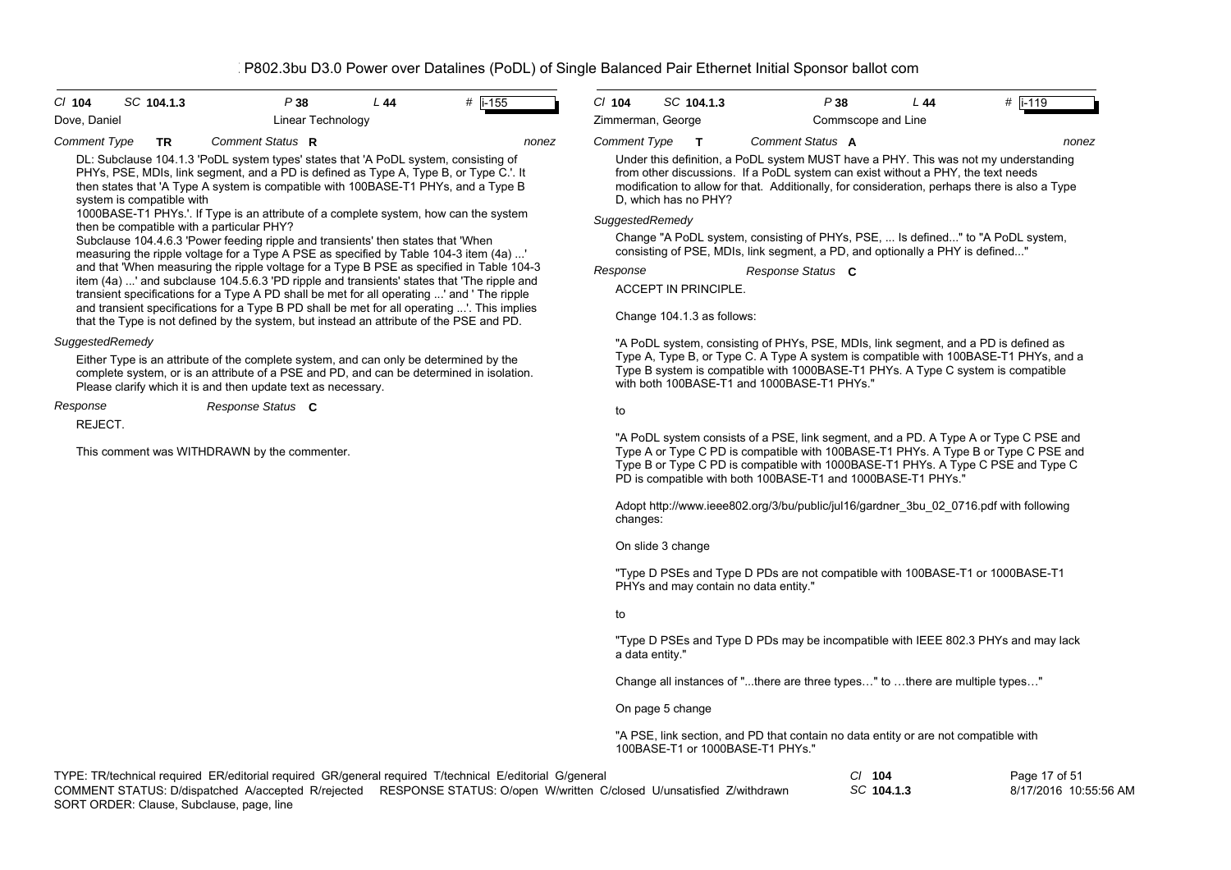| P38<br>#  i-155<br>$CI$ 104<br>SC 104.1.3<br>L44<br>Dove, Daniel                                                                                                                                                                                                                                                                                                                                                                                                                                                                                                                                                                                                                                                                                                                                                                                                                                                                                                                                                                                                                                                                                      | CI 104<br>Zimmerman, George                                                                                                                                                                                                                                                                                                                                                                                                                                                                                                                                                           | SC 104.1.3   |                                                                                                                                                                                                                        | P38                | L44 | #   i-119                                                                            |  |  |
|-------------------------------------------------------------------------------------------------------------------------------------------------------------------------------------------------------------------------------------------------------------------------------------------------------------------------------------------------------------------------------------------------------------------------------------------------------------------------------------------------------------------------------------------------------------------------------------------------------------------------------------------------------------------------------------------------------------------------------------------------------------------------------------------------------------------------------------------------------------------------------------------------------------------------------------------------------------------------------------------------------------------------------------------------------------------------------------------------------------------------------------------------------|---------------------------------------------------------------------------------------------------------------------------------------------------------------------------------------------------------------------------------------------------------------------------------------------------------------------------------------------------------------------------------------------------------------------------------------------------------------------------------------------------------------------------------------------------------------------------------------|--------------|------------------------------------------------------------------------------------------------------------------------------------------------------------------------------------------------------------------------|--------------------|-----|--------------------------------------------------------------------------------------|--|--|
| Linear Technology                                                                                                                                                                                                                                                                                                                                                                                                                                                                                                                                                                                                                                                                                                                                                                                                                                                                                                                                                                                                                                                                                                                                     | <b>Comment Type</b>                                                                                                                                                                                                                                                                                                                                                                                                                                                                                                                                                                   | $\mathbf{T}$ | Comment Status A                                                                                                                                                                                                       | Commscope and Line |     | nonez                                                                                |  |  |
| Comment Status R<br>Comment Type<br>TR<br>nonez<br>DL: Subclause 104.1.3 'PoDL system types' states that 'A PoDL system, consisting of<br>PHYs, PSE, MDIs, link segment, and a PD is defined as Type A, Type B, or Type C.'. It<br>then states that 'A Type A system is compatible with 100BASE-T1 PHYs, and a Type B<br>system is compatible with<br>1000BASE-T1 PHYs.'. If Type is an attribute of a complete system, how can the system<br>then be compatible with a particular PHY?<br>Subclause 104.4.6.3 'Power feeding ripple and transients' then states that 'When<br>measuring the ripple voltage for a Type A PSE as specified by Table 104-3 item (4a) '<br>and that 'When measuring the ripple voltage for a Type B PSE as specified in Table 104-3<br>item (4a) ' and subclause 104.5.6.3 'PD ripple and transients' states that 'The ripple and<br>transient specifications for a Type A PD shall be met for all operating ' and 'The ripple<br>and transient specifications for a Type B PD shall be met for all operating '. This implies<br>that the Type is not defined by the system, but instead an attribute of the PSE and PD. | Under this definition, a PoDL system MUST have a PHY. This was not my understanding<br>from other discussions. If a PoDL system can exist without a PHY, the text needs<br>modification to allow for that. Additionally, for consideration, perhaps there is also a Type<br>D, which has no PHY?<br>SuggestedRemedy<br>Change "A PoDL system, consisting of PHYs, PSE,  Is defined" to "A PoDL system,<br>consisting of PSE, MDIs, link segment, a PD, and optionally a PHY is defined"<br>Response<br>Response Status C<br><b>ACCEPT IN PRINCIPLE.</b><br>Change 104.1.3 as follows: |              |                                                                                                                                                                                                                        |                    |     |                                                                                      |  |  |
| SuggestedRemedy<br>Either Type is an attribute of the complete system, and can only be determined by the<br>complete system, or is an attribute of a PSE and PD, and can be determined in isolation.<br>Please clarify which it is and then update text as necessary.                                                                                                                                                                                                                                                                                                                                                                                                                                                                                                                                                                                                                                                                                                                                                                                                                                                                                 |                                                                                                                                                                                                                                                                                                                                                                                                                                                                                                                                                                                       |              | "A PoDL system, consisting of PHYs, PSE, MDIs, link segment, and a PD is defined as<br>Type B system is compatible with 1000BASE-T1 PHYs. A Type C system is compatible<br>with both 100BASE-T1 and 1000BASE-T1 PHYs." |                    |     | Type A, Type B, or Type C. A Type A system is compatible with 100BASE-T1 PHYs, and a |  |  |
| Response<br>Response Status C                                                                                                                                                                                                                                                                                                                                                                                                                                                                                                                                                                                                                                                                                                                                                                                                                                                                                                                                                                                                                                                                                                                         | to                                                                                                                                                                                                                                                                                                                                                                                                                                                                                                                                                                                    |              |                                                                                                                                                                                                                        |                    |     |                                                                                      |  |  |
| REJECT.<br>This comment was WITHDRAWN by the commenter.                                                                                                                                                                                                                                                                                                                                                                                                                                                                                                                                                                                                                                                                                                                                                                                                                                                                                                                                                                                                                                                                                               | "A PoDL system consists of a PSE, link segment, and a PD. A Type A or Type C PSE and<br>Type A or Type C PD is compatible with 100BASE-T1 PHYs. A Type B or Type C PSE and<br>Type B or Type C PD is compatible with 1000BASE-T1 PHYs. A Type C PSE and Type C<br>PD is compatible with both 100BASE-T1 and 1000BASE-T1 PHYs."                                                                                                                                                                                                                                                        |              |                                                                                                                                                                                                                        |                    |     |                                                                                      |  |  |
|                                                                                                                                                                                                                                                                                                                                                                                                                                                                                                                                                                                                                                                                                                                                                                                                                                                                                                                                                                                                                                                                                                                                                       | Adopt http://www.ieee802.org/3/bu/public/jul16/gardner 3bu 02 0716.pdf with following<br>changes:                                                                                                                                                                                                                                                                                                                                                                                                                                                                                     |              |                                                                                                                                                                                                                        |                    |     |                                                                                      |  |  |
|                                                                                                                                                                                                                                                                                                                                                                                                                                                                                                                                                                                                                                                                                                                                                                                                                                                                                                                                                                                                                                                                                                                                                       | On slide 3 change                                                                                                                                                                                                                                                                                                                                                                                                                                                                                                                                                                     |              |                                                                                                                                                                                                                        |                    |     |                                                                                      |  |  |
|                                                                                                                                                                                                                                                                                                                                                                                                                                                                                                                                                                                                                                                                                                                                                                                                                                                                                                                                                                                                                                                                                                                                                       |                                                                                                                                                                                                                                                                                                                                                                                                                                                                                                                                                                                       |              | "Type D PSEs and Type D PDs are not compatible with 100BASE-T1 or 1000BASE-T1<br>PHYs and may contain no data entity."                                                                                                 |                    |     |                                                                                      |  |  |
|                                                                                                                                                                                                                                                                                                                                                                                                                                                                                                                                                                                                                                                                                                                                                                                                                                                                                                                                                                                                                                                                                                                                                       | to                                                                                                                                                                                                                                                                                                                                                                                                                                                                                                                                                                                    |              |                                                                                                                                                                                                                        |                    |     |                                                                                      |  |  |
|                                                                                                                                                                                                                                                                                                                                                                                                                                                                                                                                                                                                                                                                                                                                                                                                                                                                                                                                                                                                                                                                                                                                                       | "Type D PSEs and Type D PDs may be incompatible with IEEE 802.3 PHYs and may lack<br>a data entity."                                                                                                                                                                                                                                                                                                                                                                                                                                                                                  |              |                                                                                                                                                                                                                        |                    |     |                                                                                      |  |  |
|                                                                                                                                                                                                                                                                                                                                                                                                                                                                                                                                                                                                                                                                                                                                                                                                                                                                                                                                                                                                                                                                                                                                                       |                                                                                                                                                                                                                                                                                                                                                                                                                                                                                                                                                                                       |              | Change all instances of "there are three types" to there are multiple types"                                                                                                                                           |                    |     |                                                                                      |  |  |
|                                                                                                                                                                                                                                                                                                                                                                                                                                                                                                                                                                                                                                                                                                                                                                                                                                                                                                                                                                                                                                                                                                                                                       | On page 5 change                                                                                                                                                                                                                                                                                                                                                                                                                                                                                                                                                                      |              |                                                                                                                                                                                                                        |                    |     |                                                                                      |  |  |
|                                                                                                                                                                                                                                                                                                                                                                                                                                                                                                                                                                                                                                                                                                                                                                                                                                                                                                                                                                                                                                                                                                                                                       | "A PSE, link section, and PD that contain no data entity or are not compatible with<br>100BASE-T1 or 1000BASE-T1 PHYs."                                                                                                                                                                                                                                                                                                                                                                                                                                                               |              |                                                                                                                                                                                                                        |                    |     |                                                                                      |  |  |
| TYPE: TR/technical required ER/editorial required GR/general required T/technical E/editorial G/general                                                                                                                                                                                                                                                                                                                                                                                                                                                                                                                                                                                                                                                                                                                                                                                                                                                                                                                                                                                                                                               |                                                                                                                                                                                                                                                                                                                                                                                                                                                                                                                                                                                       |              |                                                                                                                                                                                                                        | $CI$ 104           |     | Page 17 of 51                                                                        |  |  |

*SC* **104.1.3** 8/17/2016 10:55:56 AMSORT ORDER: Clause, Subclause, page, line COMMENT STATUS: D/dispatched A/accepted R/rejected RESPONSE STATUS: O/open W/written C/closed U/unsatisfied Z/withdrawn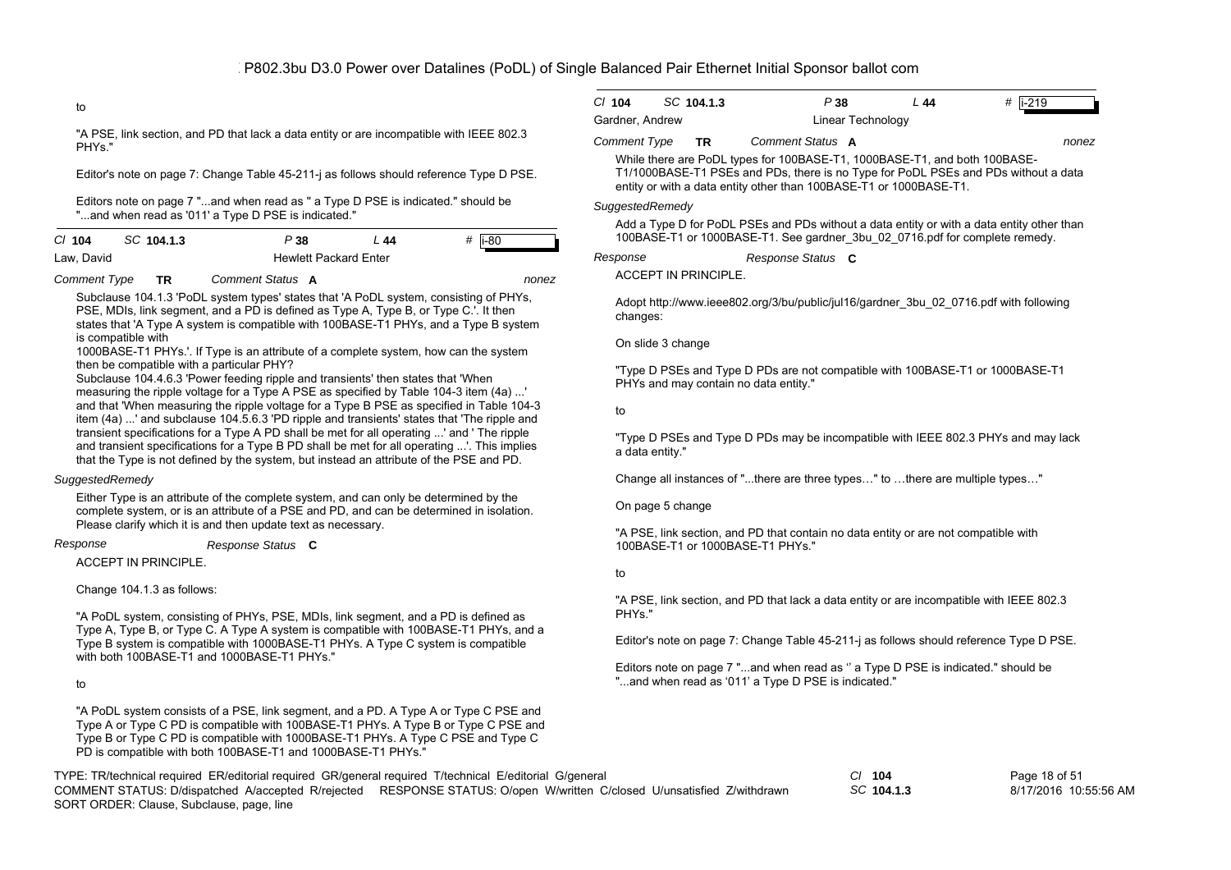*nonez*

## to

"A PSE, link section, and PD that lack a data entity or are incompatible with IEEE 802.3 PHYs."

Editor's note on page 7: Change Table 45-211-j as follows should reference Type D PSE.

Editors note on page 7 "...and when read as '' a Type D PSE is indicated." should be "...and when read as '011' a Type D PSE is indicated."

| $Cl$ 104   | SC 104.1.3 | P 38 | L 44                         | # li-80 |
|------------|------------|------|------------------------------|---------|
| Law, David |            |      | <b>Hewlett Packard Enter</b> |         |

*Comment Type* **TR** *Comment Status* **A**

Subclause 104.1.3 'PoDL system types' states that 'A PoDL system, consisting of PHYs, PSE, MDIs, link segment, and a PD is defined as Type A, Type B, or Type C.'. It then states that 'A Type A system is compatible with 100BASE-T1 PHYs, and a Type B system is compatible with

1000BASE-T1 PHYs.'. If Type is an attribute of a complete system, how can the system then be compatible with a particular PHY?

Subclause 104.4.6.3 'Power feeding ripple and transients' then states that 'When measuring the ripple voltage for a Type A PSE as specified by Table 104-3 item (4a) ...' and that 'When measuring the ripple voltage for a Type B PSE as specified in Table 104-3 item (4a) ...' and subclause 104.5.6.3 'PD ripple and transients' states that 'The ripple and transient specifications for a Type A PD shall be met for all operating ...' and ' The ripple and transient specifications for a Type B PD shall be met for all operating ...'. This implies that the Type is not defined by the system, but instead an attribute of the PSE and PD.

#### *SuggestedRemedy*

Either Type is an attribute of the complete system, and can only be determined by the complete system, or is an attribute of a PSE and PD, and can be determined in isolation. Please clarify which it is and then update text as necessary.

*Response Status* **C**

#### *Response*

ACCEPT IN PRINCIPLE.

Change 104.1.3 as follows:

"A PoDL system, consisting of PHYs, PSE, MDIs, link segment, and a PD is defined as Type A, Type B, or Type C. A Type A system is compatible with 100BASE-T1 PHYs, and a Type B system is compatible with 1000BASE-T1 PHYs. A Type C system is compatible with both 100BASE-T1 and 1000BASE-T1 PHYs."

# to

"A PoDL system consists of a PSE, link segment, and a PD. A Type A or Type C PSE and Type A or Type C PD is compatible with 100BASE-T1 PHYs. A Type B or Type C PSE and Type B or Type C PD is compatible with 1000BASE-T1 PHYs. A Type C PSE and Type C PD is compatible with both 100BASE-T1 and 1000BASE-T1 PHYs."

| $Cl$ 104            | SC 104.1.3 | P 38              | L 44 | # li-219 |
|---------------------|------------|-------------------|------|----------|
| Gardner, Andrew     |            | Linear Technology |      |          |
| <b>Comment Type</b> | TR         | Comment Status A  |      | nonez    |

While there are PoDL types for 100BASE-T1, 1000BASE-T1, and both 100BASE-T1/1000BASE-T1 PSEs and PDs, there is no Type for PoDL PSEs and PDs without a data entity or with a data entity other than 100BASE-T1 or 1000BASE-T1.

# *SuggestedRemedy*

Add a Type D for PoDL PSEs and PDs without a data entity or with a data entity other than 100BASE-T1 or 1000BASE-T1. See gardner\_3bu\_02\_0716.pdf for complete remedy.

*Response Status* **C** *Response*

ACCEPT IN PRINCIPLE.

Adopt http://www.ieee802.org/3/bu/public/jul16/gardner\_3bu\_02\_0716.pdf with following changes:

### On slide 3 change

"Type D PSEs and Type D PDs are not compatible with 100BASE-T1 or 1000BASE-T1 PHYs and may contain no data entity."

to

"Type D PSEs and Type D PDs may be incompatible with IEEE 802.3 PHYs and may lack a data entity."

Change all instances of "...there are three types…" to …there are multiple types…"

On page 5 change

"A PSE, link section, and PD that contain no data entity or are not compatible with 100BASE-T1 or 1000BASE-T1 PHYs."

to

"A PSE, link section, and PD that lack a data entity or are incompatible with IEEE 802.3 PHYs."

Editor's note on page 7: Change Table 45-211-j as follows should reference Type D PSE.

Editors note on page 7 "...and when read as '' a Type D PSE is indicated." should be "...and when read as '011' a Type D PSE is indicated."

TYPE: TR/technical required ER/editorial required GR/general required T/technical E/editorial G/general *Cl* **104** SORT ORDER: Clause, Subclause, page, line COMMENT STATUS: D/dispatched A/accepted R/rejected RESPONSE STATUS: O/open W/written C/closed U/unsatisfied Z/withdrawn

*SC* **104.1.3**

Page 18 of 51 8/17/2016 10:55:56 AM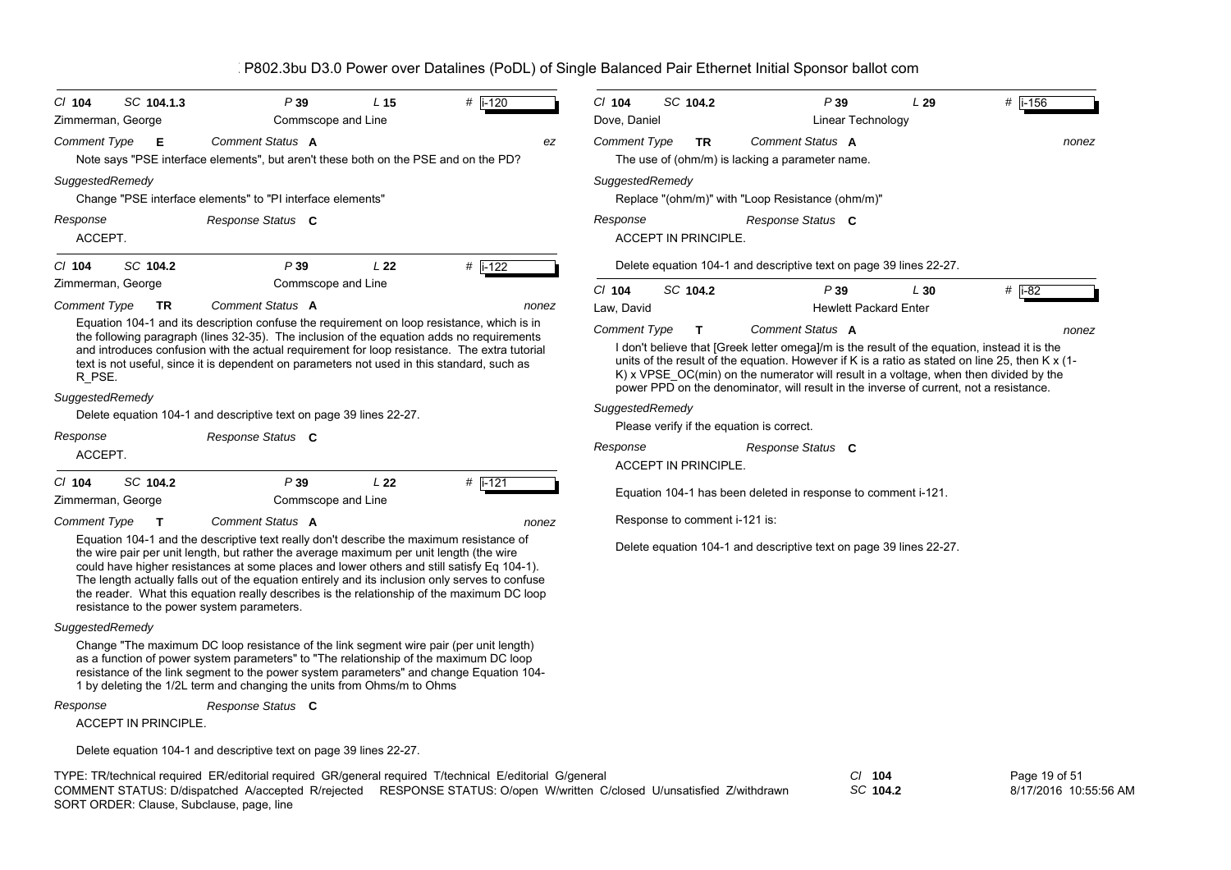| $CI$ 104                      | SC 104.1.3                                                                                                                                                                                                                                                                              | P39                                                                                                                                                                                                                                                                                                                                                                                                                                                                                                                             | L <sub>15</sub>                                                                                                                                                                                                                                                                                                                                                                         | $#$ i-120 |       | $CI$ 104<br>Dove, Daniel | SC 104.2                      |  | P39                                                                 | L29 | $#$ i-156           |
|-------------------------------|-----------------------------------------------------------------------------------------------------------------------------------------------------------------------------------------------------------------------------------------------------------------------------------------|---------------------------------------------------------------------------------------------------------------------------------------------------------------------------------------------------------------------------------------------------------------------------------------------------------------------------------------------------------------------------------------------------------------------------------------------------------------------------------------------------------------------------------|-----------------------------------------------------------------------------------------------------------------------------------------------------------------------------------------------------------------------------------------------------------------------------------------------------------------------------------------------------------------------------------------|-----------|-------|--------------------------|-------------------------------|--|---------------------------------------------------------------------|-----|---------------------|
| Zimmerman, George             |                                                                                                                                                                                                                                                                                         | Commscope and Line                                                                                                                                                                                                                                                                                                                                                                                                                                                                                                              |                                                                                                                                                                                                                                                                                                                                                                                         |           |       |                          |                               |  | Linear Technology                                                   |     |                     |
| <b>Comment Type</b>           | -E                                                                                                                                                                                                                                                                                      | Comment Status A<br>Note says "PSE interface elements", but aren't these both on the PSE and on the PD?                                                                                                                                                                                                                                                                                                                                                                                                                         |                                                                                                                                                                                                                                                                                                                                                                                         |           | ez    | <b>Comment Type</b>      | <b>TR</b>                     |  | Comment Status A<br>The use of (ohm/m) is lacking a parameter name. |     | nonez               |
| SuggestedRemedy               |                                                                                                                                                                                                                                                                                         | Change "PSE interface elements" to "PI interface elements"                                                                                                                                                                                                                                                                                                                                                                                                                                                                      |                                                                                                                                                                                                                                                                                                                                                                                         |           |       | SuggestedRemedy          |                               |  | Replace "(ohm/m)" with "Loop Resistance (ohm/m)"                    |     |                     |
| Response<br>ACCEPT.           |                                                                                                                                                                                                                                                                                         | Response Status C                                                                                                                                                                                                                                                                                                                                                                                                                                                                                                               |                                                                                                                                                                                                                                                                                                                                                                                         |           |       | Response                 | <b>ACCEPT IN PRINCIPLE.</b>   |  | Response Status C                                                   |     |                     |
| $CI$ 104                      | SC 104.2                                                                                                                                                                                                                                                                                | P39                                                                                                                                                                                                                                                                                                                                                                                                                                                                                                                             | L22                                                                                                                                                                                                                                                                                                                                                                                     | $#$ i-122 |       |                          |                               |  | Delete equation 104-1 and descriptive text on page 39 lines 22-27.  |     |                     |
| Zimmerman, George             |                                                                                                                                                                                                                                                                                         | Commscope and Line                                                                                                                                                                                                                                                                                                                                                                                                                                                                                                              |                                                                                                                                                                                                                                                                                                                                                                                         |           |       | $Cl$ 104                 | SC 104.2                      |  | P39                                                                 | L30 | # $\overline{1-82}$ |
| <b>Comment Type</b>           | <b>TR</b>                                                                                                                                                                                                                                                                               | Comment Status A                                                                                                                                                                                                                                                                                                                                                                                                                                                                                                                |                                                                                                                                                                                                                                                                                                                                                                                         |           | nonez | Law. David               |                               |  | <b>Hewlett Packard Enter</b>                                        |     |                     |
|                               |                                                                                                                                                                                                                                                                                         | Equation 104-1 and its description confuse the requirement on loop resistance, which is in                                                                                                                                                                                                                                                                                                                                                                                                                                      |                                                                                                                                                                                                                                                                                                                                                                                         |           |       | <b>Comment Type</b>      | т                             |  | Comment Status A                                                    |     | nonez               |
| R PSE.                        | the following paragraph (lines 32-35). The inclusion of the equation adds no requirements<br>and introduces confusion with the actual requirement for loop resistance. The extra tutorial<br>text is not useful, since it is dependent on parameters not used in this standard, such as |                                                                                                                                                                                                                                                                                                                                                                                                                                                                                                                                 | I don't believe that [Greek letter omega]/m is the result of the equation, instead it is the<br>units of the result of the equation. However if K is a ratio as stated on line 25, then K x (1-<br>$K$ ) x VPSE $OC(min)$ on the numerator will result in a voltage, when then divided by the<br>power PPD on the denominator, will result in the inverse of current, not a resistance. |           |       |                          |                               |  |                                                                     |     |                     |
| SuggestedRemedy               |                                                                                                                                                                                                                                                                                         |                                                                                                                                                                                                                                                                                                                                                                                                                                                                                                                                 |                                                                                                                                                                                                                                                                                                                                                                                         |           |       |                          |                               |  |                                                                     |     |                     |
|                               |                                                                                                                                                                                                                                                                                         | Delete equation 104-1 and descriptive text on page 39 lines 22-27.                                                                                                                                                                                                                                                                                                                                                                                                                                                              |                                                                                                                                                                                                                                                                                                                                                                                         |           |       | SuggestedRemedy          |                               |  |                                                                     |     |                     |
| Response                      |                                                                                                                                                                                                                                                                                         | Response Status C                                                                                                                                                                                                                                                                                                                                                                                                                                                                                                               |                                                                                                                                                                                                                                                                                                                                                                                         |           |       |                          |                               |  | Please verify if the equation is correct.                           |     |                     |
| ACCEPT.                       |                                                                                                                                                                                                                                                                                         |                                                                                                                                                                                                                                                                                                                                                                                                                                                                                                                                 |                                                                                                                                                                                                                                                                                                                                                                                         |           |       | Response                 |                               |  | Response Status C                                                   |     |                     |
|                               |                                                                                                                                                                                                                                                                                         |                                                                                                                                                                                                                                                                                                                                                                                                                                                                                                                                 |                                                                                                                                                                                                                                                                                                                                                                                         |           |       |                          | <b>ACCEPT IN PRINCIPLE.</b>   |  |                                                                     |     |                     |
| $CI$ 104<br>Zimmerman, George | SC 104.2                                                                                                                                                                                                                                                                                | P39<br>Commscope and Line                                                                                                                                                                                                                                                                                                                                                                                                                                                                                                       | L22                                                                                                                                                                                                                                                                                                                                                                                     | #  i-121  |       |                          |                               |  | Equation 104-1 has been deleted in response to comment i-121.       |     |                     |
| <b>Comment Type</b>           | $\mathbf{T}$                                                                                                                                                                                                                                                                            | Comment Status A                                                                                                                                                                                                                                                                                                                                                                                                                                                                                                                |                                                                                                                                                                                                                                                                                                                                                                                         |           | nonez |                          | Response to comment i-121 is: |  |                                                                     |     |                     |
|                               |                                                                                                                                                                                                                                                                                         | Equation 104-1 and the descriptive text really don't describe the maximum resistance of<br>the wire pair per unit length, but rather the average maximum per unit length (the wire<br>could have higher resistances at some places and lower others and still satisfy Eq 104-1).<br>The length actually falls out of the equation entirely and its inclusion only serves to confuse<br>the reader. What this equation really describes is the relationship of the maximum DC loop<br>resistance to the power system parameters. |                                                                                                                                                                                                                                                                                                                                                                                         |           |       |                          |                               |  | Delete equation 104-1 and descriptive text on page 39 lines 22-27.  |     |                     |
| SuggestedRemedy               |                                                                                                                                                                                                                                                                                         |                                                                                                                                                                                                                                                                                                                                                                                                                                                                                                                                 |                                                                                                                                                                                                                                                                                                                                                                                         |           |       |                          |                               |  |                                                                     |     |                     |
|                               |                                                                                                                                                                                                                                                                                         | Change "The maximum DC loop resistance of the link segment wire pair (per unit length)<br>as a function of power system parameters" to "The relationship of the maximum DC loop<br>resistance of the link segment to the power system parameters" and change Equation 104-<br>1 by deleting the 1/2L term and changing the units from Ohms/m to Ohms                                                                                                                                                                            |                                                                                                                                                                                                                                                                                                                                                                                         |           |       |                          |                               |  |                                                                     |     |                     |
| Response                      |                                                                                                                                                                                                                                                                                         | Response Status C                                                                                                                                                                                                                                                                                                                                                                                                                                                                                                               |                                                                                                                                                                                                                                                                                                                                                                                         |           |       |                          |                               |  |                                                                     |     |                     |
|                               | <b>ACCEPT IN PRINCIPLE.</b>                                                                                                                                                                                                                                                             |                                                                                                                                                                                                                                                                                                                                                                                                                                                                                                                                 |                                                                                                                                                                                                                                                                                                                                                                                         |           |       |                          |                               |  |                                                                     |     |                     |
|                               |                                                                                                                                                                                                                                                                                         | Delete equation 104-1 and descriptive text on page 39 lines 22-27.                                                                                                                                                                                                                                                                                                                                                                                                                                                              |                                                                                                                                                                                                                                                                                                                                                                                         |           |       |                          |                               |  |                                                                     |     |                     |

TYPE: TR/technical required ER/editorial required GR/general required T/technical E/editorial G/general *Cl* **104** SORT ORDER: Clause, Subclause, page, line COMMENT STATUS: D/dispatched A/accepted R/rejected RESPONSE STATUS: O/open W/written C/closed U/unsatisfied Z/withdrawn

*SC* **104.2**

Page 19 of 51 8/17/2016 10:55:56 AM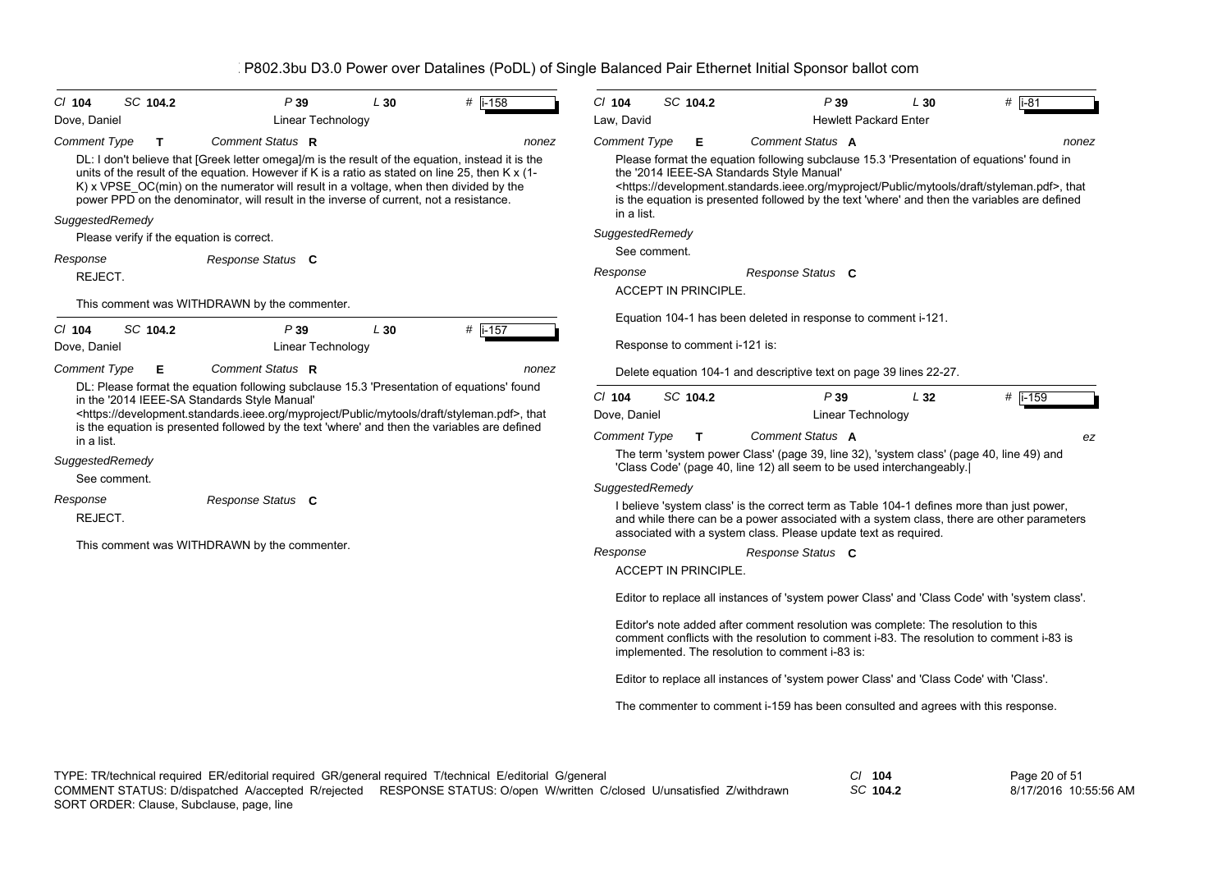| SC 104.2<br>$CI$ 104                 | P39                                                                                                                                                                                                                                                                                                                                                                                                        | L30                      | #<br>$i-158$                                                                                            | $CI$ 104                                        | SC 104.2                      | P39                                                                                                                                                                                                                              |                              | L30      | # $\overline{1-81}$                                                                                                                                                                                                            |
|--------------------------------------|------------------------------------------------------------------------------------------------------------------------------------------------------------------------------------------------------------------------------------------------------------------------------------------------------------------------------------------------------------------------------------------------------------|--------------------------|---------------------------------------------------------------------------------------------------------|-------------------------------------------------|-------------------------------|----------------------------------------------------------------------------------------------------------------------------------------------------------------------------------------------------------------------------------|------------------------------|----------|--------------------------------------------------------------------------------------------------------------------------------------------------------------------------------------------------------------------------------|
| Dove, Daniel                         |                                                                                                                                                                                                                                                                                                                                                                                                            | Linear Technology        |                                                                                                         | Law, David                                      |                               |                                                                                                                                                                                                                                  | <b>Hewlett Packard Enter</b> |          |                                                                                                                                                                                                                                |
| <b>Comment Type</b><br>T             | Comment Status R<br>DL: I don't believe that [Greek letter omega]/m is the result of the equation, instead it is the<br>units of the result of the equation. However if K is a ratio as stated on line 25, then K x (1-<br>K) x VPSE OC(min) on the numerator will result in a voltage, when then divided by the<br>power PPD on the denominator, will result in the inverse of current, not a resistance. |                          | nonez                                                                                                   | <b>Comment Type</b><br>in a list.               | Е                             | Comment Status A<br>Please format the equation following subclause 15.3 'Presentation of equations' found in<br>the '2014 IEEE-SA Standards Style Manual'                                                                        |                              |          | nonez<br><https: development.standards.ieee.org="" draft="" myproject="" mytools="" public="" styleman.pdf="">, that<br/>is the equation is presented followed by the text 'where' and then the variables are defined</https:> |
| SuggestedRemedy                      | Please verify if the equation is correct.                                                                                                                                                                                                                                                                                                                                                                  |                          |                                                                                                         | SuggestedRemedy                                 |                               |                                                                                                                                                                                                                                  |                              |          |                                                                                                                                                                                                                                |
| Response                             | Response Status C                                                                                                                                                                                                                                                                                                                                                                                          |                          |                                                                                                         |                                                 | See comment.                  |                                                                                                                                                                                                                                  |                              |          |                                                                                                                                                                                                                                |
| REJECT.                              |                                                                                                                                                                                                                                                                                                                                                                                                            |                          |                                                                                                         | Response                                        |                               | Response Status C                                                                                                                                                                                                                |                              |          |                                                                                                                                                                                                                                |
|                                      |                                                                                                                                                                                                                                                                                                                                                                                                            |                          |                                                                                                         |                                                 | <b>ACCEPT IN PRINCIPLE.</b>   |                                                                                                                                                                                                                                  |                              |          |                                                                                                                                                                                                                                |
|                                      | This comment was WITHDRAWN by the commenter.                                                                                                                                                                                                                                                                                                                                                               |                          |                                                                                                         |                                                 |                               | Equation 104-1 has been deleted in response to comment i-121.                                                                                                                                                                    |                              |          |                                                                                                                                                                                                                                |
| SC 104.2<br>$CI$ 104<br>Dove, Daniel | P39                                                                                                                                                                                                                                                                                                                                                                                                        | L30<br>Linear Technology | #   i-157                                                                                               |                                                 | Response to comment i-121 is: |                                                                                                                                                                                                                                  |                              |          |                                                                                                                                                                                                                                |
| <b>Comment Type</b><br>Е             | Comment Status R                                                                                                                                                                                                                                                                                                                                                                                           |                          | nonez                                                                                                   |                                                 |                               | Delete equation 104-1 and descriptive text on page 39 lines 22-27.                                                                                                                                                               |                              |          |                                                                                                                                                                                                                                |
| in a list.<br>SuggestedRemedy        | DL: Please format the equation following subclause 15.3 'Presentation of equations' found<br>in the '2014 IEEE-SA Standards Style Manual'<br><https: development.standards.ieee.org="" draft="" myproject="" mytools="" public="" styleman.pdf="">, that<br/>is the equation is presented followed by the text 'where' and then the variables are defined</https:>                                         |                          |                                                                                                         | $CI$ 104<br>Dove, Daniel<br><b>Comment Type</b> | SC 104.2<br>Т                 | P39<br>Comment Status A<br>The term 'system power Class' (page 39, line 32), 'system class' (page 40, line 49) and<br>'Class Code' (page 40, line 12) all seem to be used interchangeably.                                       | Linear Technology            | $L_{32}$ | $#$ i-159<br>ez                                                                                                                                                                                                                |
| See comment.                         |                                                                                                                                                                                                                                                                                                                                                                                                            |                          |                                                                                                         | SuggestedRemedy                                 |                               |                                                                                                                                                                                                                                  |                              |          |                                                                                                                                                                                                                                |
| Response<br>REJECT.                  | Response Status C                                                                                                                                                                                                                                                                                                                                                                                          |                          |                                                                                                         |                                                 |                               | I believe 'system class' is the correct term as Table 104-1 defines more than just power,<br>associated with a system class. Please update text as required.                                                                     |                              |          | and while there can be a power associated with a system class, there are other parameters                                                                                                                                      |
|                                      | This comment was WITHDRAWN by the commenter.                                                                                                                                                                                                                                                                                                                                                               |                          |                                                                                                         | Response                                        |                               | Response Status C                                                                                                                                                                                                                |                              |          |                                                                                                                                                                                                                                |
|                                      |                                                                                                                                                                                                                                                                                                                                                                                                            |                          |                                                                                                         |                                                 | <b>ACCEPT IN PRINCIPLE.</b>   |                                                                                                                                                                                                                                  |                              |          |                                                                                                                                                                                                                                |
|                                      |                                                                                                                                                                                                                                                                                                                                                                                                            |                          |                                                                                                         |                                                 |                               |                                                                                                                                                                                                                                  |                              |          | Editor to replace all instances of 'system power Class' and 'Class Code' with 'system class'.                                                                                                                                  |
|                                      |                                                                                                                                                                                                                                                                                                                                                                                                            |                          |                                                                                                         |                                                 |                               | Editor's note added after comment resolution was complete: The resolution to this<br>comment conflicts with the resolution to comment i-83. The resolution to comment i-83 is<br>implemented. The resolution to comment i-83 is: |                              |          |                                                                                                                                                                                                                                |
|                                      |                                                                                                                                                                                                                                                                                                                                                                                                            |                          |                                                                                                         |                                                 |                               | Editor to replace all instances of 'system power Class' and 'Class Code' with 'Class'.                                                                                                                                           |                              |          |                                                                                                                                                                                                                                |
|                                      |                                                                                                                                                                                                                                                                                                                                                                                                            |                          |                                                                                                         |                                                 |                               | The commenter to comment i-159 has been consulted and agrees with this response.                                                                                                                                                 |                              |          |                                                                                                                                                                                                                                |
|                                      |                                                                                                                                                                                                                                                                                                                                                                                                            |                          |                                                                                                         |                                                 |                               |                                                                                                                                                                                                                                  |                              |          |                                                                                                                                                                                                                                |
|                                      |                                                                                                                                                                                                                                                                                                                                                                                                            |                          | TYPE: TR/technical required ER/editorial required GR/general required T/technical E/editorial G/general |                                                 |                               |                                                                                                                                                                                                                                  | $CI$ 104                     |          | Page 20 of 51                                                                                                                                                                                                                  |

SORT ORDER: Clause, Subclause, page, line COMMENT STATUS: D/dispatched A/accepted R/rejected RESPONSE STATUS: O/open W/written C/closed U/unsatisfied Z/withdrawn *SC* **104.2**

8/17/2016 10:55:56 AM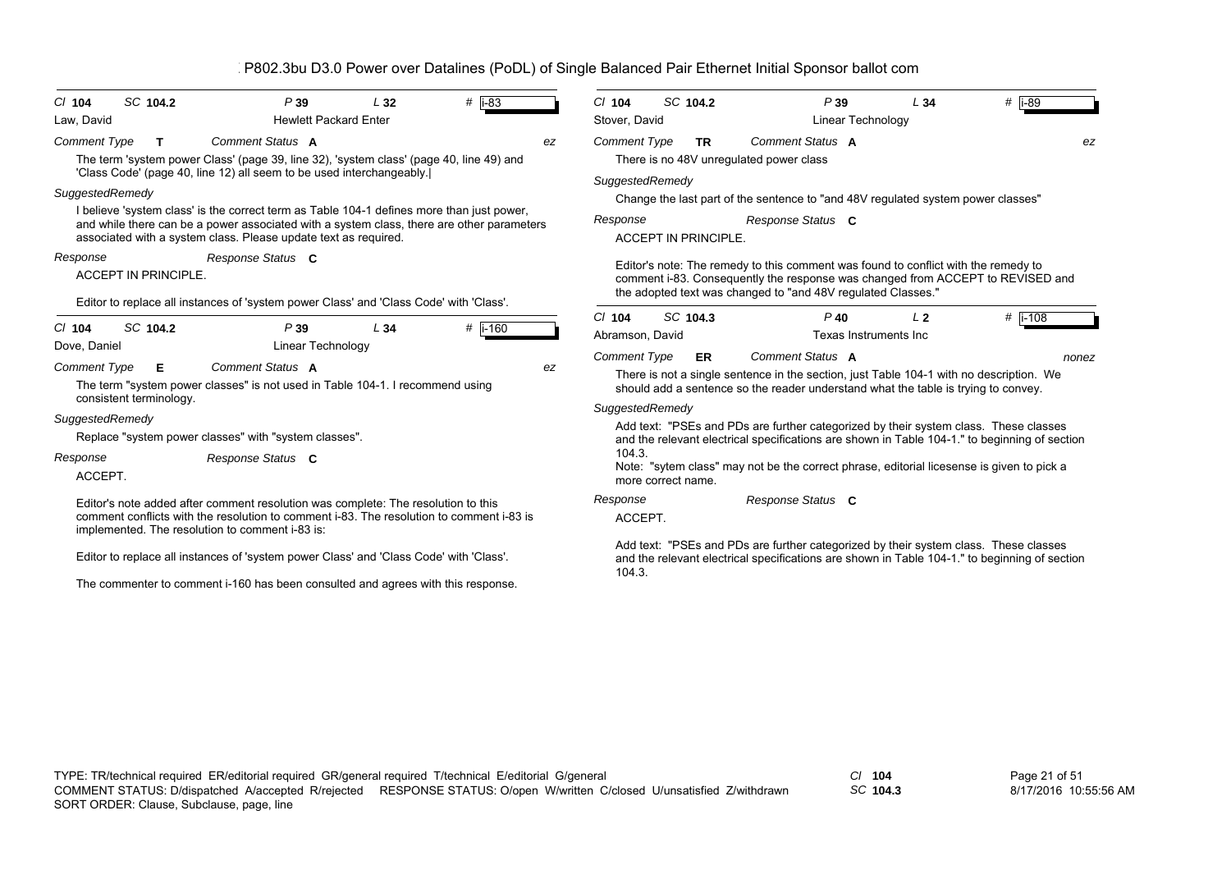| $Cl$ 104                    | SC 104.2                    | P39                                                                                                                                                                                                                                                       | L32 | # $ i-83 $ |    | $Cl$ 104                                                                                            | SC 104.2                    |                                                                                                                                                    | P39                             | L34            | # i-89                                                                                                                                                                                                                                                                             |  |
|-----------------------------|-----------------------------|-----------------------------------------------------------------------------------------------------------------------------------------------------------------------------------------------------------------------------------------------------------|-----|------------|----|-----------------------------------------------------------------------------------------------------|-----------------------------|----------------------------------------------------------------------------------------------------------------------------------------------------|---------------------------------|----------------|------------------------------------------------------------------------------------------------------------------------------------------------------------------------------------------------------------------------------------------------------------------------------------|--|
| Law, David                  |                             | <b>Hewlett Packard Enter</b>                                                                                                                                                                                                                              |     |            |    | Stover, David                                                                                       |                             |                                                                                                                                                    | Linear Technology               |                |                                                                                                                                                                                                                                                                                    |  |
| <b>Comment Type</b>         | $\mathbf{T}$                | Comment Status A<br>The term 'system power Class' (page 39, line 32), 'system class' (page 40, line 49) and<br>'Class Code' (page 40, line 12) all seem to be used interchangeably.                                                                       |     |            | ez | <b>Comment Type</b>                                                                                 | <b>TR</b>                   | Comment Status A<br>There is no 48V unregulated power class                                                                                        |                                 |                | ez                                                                                                                                                                                                                                                                                 |  |
| SuggestedRemedy             |                             |                                                                                                                                                                                                                                                           |     |            |    | SuggestedRemedy<br>Change the last part of the sentence to "and 48V regulated system power classes" |                             |                                                                                                                                                    |                                 |                |                                                                                                                                                                                                                                                                                    |  |
|                             |                             | I believe 'system class' is the correct term as Table 104-1 defines more than just power,<br>and while there can be a power associated with a system class, there are other parameters<br>associated with a system class. Please update text as required. |     |            |    | Response                                                                                            | <b>ACCEPT IN PRINCIPLE.</b> | Response Status C                                                                                                                                  |                                 |                |                                                                                                                                                                                                                                                                                    |  |
| Response                    | <b>ACCEPT IN PRINCIPLE.</b> | Response Status C<br>Editor to replace all instances of 'system power Class' and 'Class Code' with 'Class'.                                                                                                                                               |     |            |    |                                                                                                     |                             | Editor's note: The remedy to this comment was found to conflict with the remedy to<br>the adopted text was changed to "and 48V regulated Classes." |                                 |                | comment i-83. Consequently the response was changed from ACCEPT to REVISED and                                                                                                                                                                                                     |  |
| $Cl$ 104<br>Dove, Daniel    | SC 104.2                    | P39<br>Linear Technology                                                                                                                                                                                                                                  | L34 | $#$ i-160  |    | $Cl$ 104<br>Abramson, David                                                                         | SC 104.3                    |                                                                                                                                                    | $P$ 40<br>Texas Instruments Inc | L <sub>2</sub> | # i-108                                                                                                                                                                                                                                                                            |  |
| <b>Comment Type</b>         | Е                           | Comment Status A<br>The term "system power classes" is not used in Table 104-1. I recommend using                                                                                                                                                         |     |            | ez | <b>Comment Type</b>                                                                                 | ER.                         | Comment Status A<br>should add a sentence so the reader understand what the table is trying to convey.                                             |                                 |                | nonez<br>There is not a single sentence in the section, just Table 104-1 with no description. We                                                                                                                                                                                   |  |
| SuggestedRemedy<br>Response | consistent terminology.     | Replace "system power classes" with "system classes".<br>Response Status C                                                                                                                                                                                |     |            |    | SuggestedRemedy<br>104.3.                                                                           |                             |                                                                                                                                                    |                                 |                | Add text: "PSEs and PDs are further categorized by their system class. These classes<br>and the relevant electrical specifications are shown in Table 104-1." to beginning of section<br>Note: "sytem class" may not be the correct phrase, editorial licesense is given to pick a |  |
| ACCEPT.                     |                             |                                                                                                                                                                                                                                                           |     |            |    |                                                                                                     | more correct name.          |                                                                                                                                                    |                                 |                |                                                                                                                                                                                                                                                                                    |  |
|                             |                             | Editor's note added after comment resolution was complete: The resolution to this<br>comment conflicts with the resolution to comment i-83. The resolution to comment i-83 is<br>implemented. The resolution to comment i-83 is:                          |     |            |    | Response<br>ACCEPT.                                                                                 |                             | Response Status C                                                                                                                                  |                                 |                |                                                                                                                                                                                                                                                                                    |  |
|                             |                             | Editor to replace all instances of 'system power Class' and 'Class Code' with 'Class'.                                                                                                                                                                    |     |            |    | 104.3.                                                                                              |                             |                                                                                                                                                    |                                 |                | Add text: "PSEs and PDs are further categorized by their system class. These classes<br>and the relevant electrical specifications are shown in Table 104-1." to beginning of section                                                                                              |  |

The commenter to comment i-160 has been consulted and agrees with this response.

*SC* **104.3**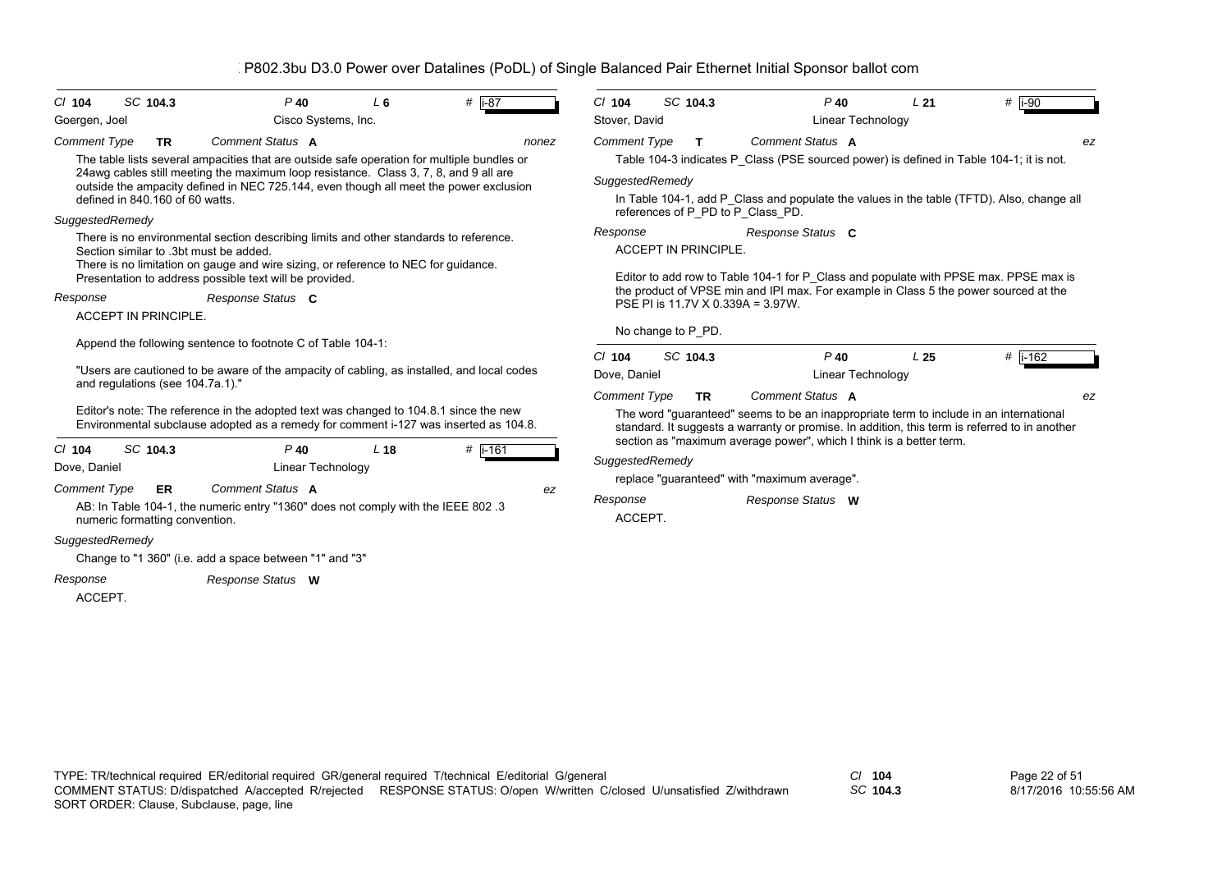| $Cl$ 104                 | SC 104.3                        |           |                                                             | $P$ 40                      | L <sub>6</sub>                                                                     | # $ i-87$                                                                                                                                                                                                                                                                    |       | $Cl$ 104                                | SC 104.3 |           |                                              | $P$ 40            | L <sub>21</sub>                                                     | # i-90                                                                                                                                                                                  |    |
|--------------------------|---------------------------------|-----------|-------------------------------------------------------------|-----------------------------|------------------------------------------------------------------------------------|------------------------------------------------------------------------------------------------------------------------------------------------------------------------------------------------------------------------------------------------------------------------------|-------|-----------------------------------------|----------|-----------|----------------------------------------------|-------------------|---------------------------------------------------------------------|-----------------------------------------------------------------------------------------------------------------------------------------------------------------------------------------|----|
| Goergen, Joel            |                                 |           |                                                             | Cisco Systems, Inc.         |                                                                                    |                                                                                                                                                                                                                                                                              |       | Stover, David                           |          |           |                                              | Linear Technology |                                                                     |                                                                                                                                                                                         |    |
| <b>Comment Type</b>      |                                 | <b>TR</b> | Comment Status A                                            |                             |                                                                                    |                                                                                                                                                                                                                                                                              | nonez | <b>Comment Type</b>                     |          | T.        | Comment Status A                             |                   |                                                                     |                                                                                                                                                                                         | ez |
|                          | defined in 840.160 of 60 watts. |           |                                                             |                             |                                                                                    | The table lists several ampacities that are outside safe operation for multiple bundles or<br>24 awg cables still meeting the maximum loop resistance. Class 3, 7, 8, and 9 all are<br>outside the ampacity defined in NEC 725.144, even though all meet the power exclusion |       | SuggestedRemedy                         |          |           |                                              |                   |                                                                     | Table 104-3 indicates P_Class (PSE sourced power) is defined in Table 104-1; it is not.<br>In Table 104-1, add P_Class and populate the values in the table (TFTD). Also, change all    |    |
| SuggestedRemedy          |                                 |           |                                                             |                             |                                                                                    |                                                                                                                                                                                                                                                                              |       |                                         |          |           | references of P PD to P Class PD.            |                   |                                                                     |                                                                                                                                                                                         |    |
|                          |                                 |           | Section similar to .3bt must be added.                      |                             | There is no limitation on gauge and wire sizing, or reference to NEC for guidance. | There is no environmental section describing limits and other standards to reference.                                                                                                                                                                                        |       | Response<br><b>ACCEPT IN PRINCIPLE.</b> |          |           | Response Status C                            |                   |                                                                     |                                                                                                                                                                                         |    |
|                          |                                 |           | Presentation to address possible text will be provided.     |                             |                                                                                    |                                                                                                                                                                                                                                                                              |       |                                         |          |           |                                              |                   |                                                                     | Editor to add row to Table 104-1 for P_Class and populate with PPSE max. PPSE max is                                                                                                    |    |
| Response                 | <b>ACCEPT IN PRINCIPLE.</b>     |           | Response Status C                                           |                             |                                                                                    |                                                                                                                                                                                                                                                                              |       |                                         |          |           | PSE PI is 11.7V X 0.339A = 3.97W.            |                   |                                                                     | the product of VPSE min and IPI max. For example in Class 5 the power sourced at the                                                                                                    |    |
|                          |                                 |           |                                                             |                             |                                                                                    |                                                                                                                                                                                                                                                                              |       | No change to P PD.                      |          |           |                                              |                   |                                                                     |                                                                                                                                                                                         |    |
|                          |                                 |           | Append the following sentence to footnote C of Table 104-1: |                             |                                                                                    |                                                                                                                                                                                                                                                                              |       | $Cl$ 104                                | SC 104.3 |           |                                              | $P$ 40            | L <sub>25</sub>                                                     | # i-162                                                                                                                                                                                 |    |
|                          |                                 |           |                                                             |                             |                                                                                    | "Users are cautioned to be aware of the ampacity of cabling, as installed, and local codes                                                                                                                                                                                   |       | Dove, Daniel                            |          |           |                                              | Linear Technology |                                                                     |                                                                                                                                                                                         |    |
|                          |                                 |           | and regulations (see 104.7a.1)."                            |                             |                                                                                    | Editor's note: The reference in the adopted text was changed to 104.8.1 since the new<br>Environmental subclause adopted as a remedy for comment i-127 was inserted as 104.8.                                                                                                |       | <b>Comment Type</b>                     |          | <b>TR</b> | Comment Status A                             |                   |                                                                     | The word "guaranteed" seems to be an inappropriate term to include in an international<br>standard. It suggests a warranty or promise. In addition, this term is referred to in another | ez |
| $Cl$ 104<br>Dove, Daniel | SC 104.3                        |           |                                                             | $P$ 40<br>Linear Technology | L <sub>18</sub>                                                                    | # $\sqrt{1-161}$                                                                                                                                                                                                                                                             |       | SuggestedRemedy                         |          |           |                                              |                   | section as "maximum average power", which I think is a better term. |                                                                                                                                                                                         |    |
| <b>Comment Type</b>      |                                 | <b>ER</b> | Comment Status A                                            |                             |                                                                                    |                                                                                                                                                                                                                                                                              | ez    |                                         |          |           | replace "guaranteed" with "maximum average". |                   |                                                                     |                                                                                                                                                                                         |    |
|                          | numeric formatting convention.  |           |                                                             |                             |                                                                                    | AB: In Table 104-1, the numeric entry "1360" does not comply with the IEEE 802 .3                                                                                                                                                                                            |       | Response<br>ACCEPT.                     |          |           | Response Status W                            |                   |                                                                     |                                                                                                                                                                                         |    |
| SuggestedRemedy          |                                 |           | Change to "1 360" (i.e. add a space between "1" and "3"     |                             |                                                                                    |                                                                                                                                                                                                                                                                              |       |                                         |          |           |                                              |                   |                                                                     |                                                                                                                                                                                         |    |
| Response<br>ACCEPT.      |                                 |           | Response Status W                                           |                             |                                                                                    |                                                                                                                                                                                                                                                                              |       |                                         |          |           |                                              |                   |                                                                     |                                                                                                                                                                                         |    |
|                          |                                 |           |                                                             |                             |                                                                                    |                                                                                                                                                                                                                                                                              |       |                                         |          |           |                                              |                   |                                                                     |                                                                                                                                                                                         |    |

*SC* **104.3**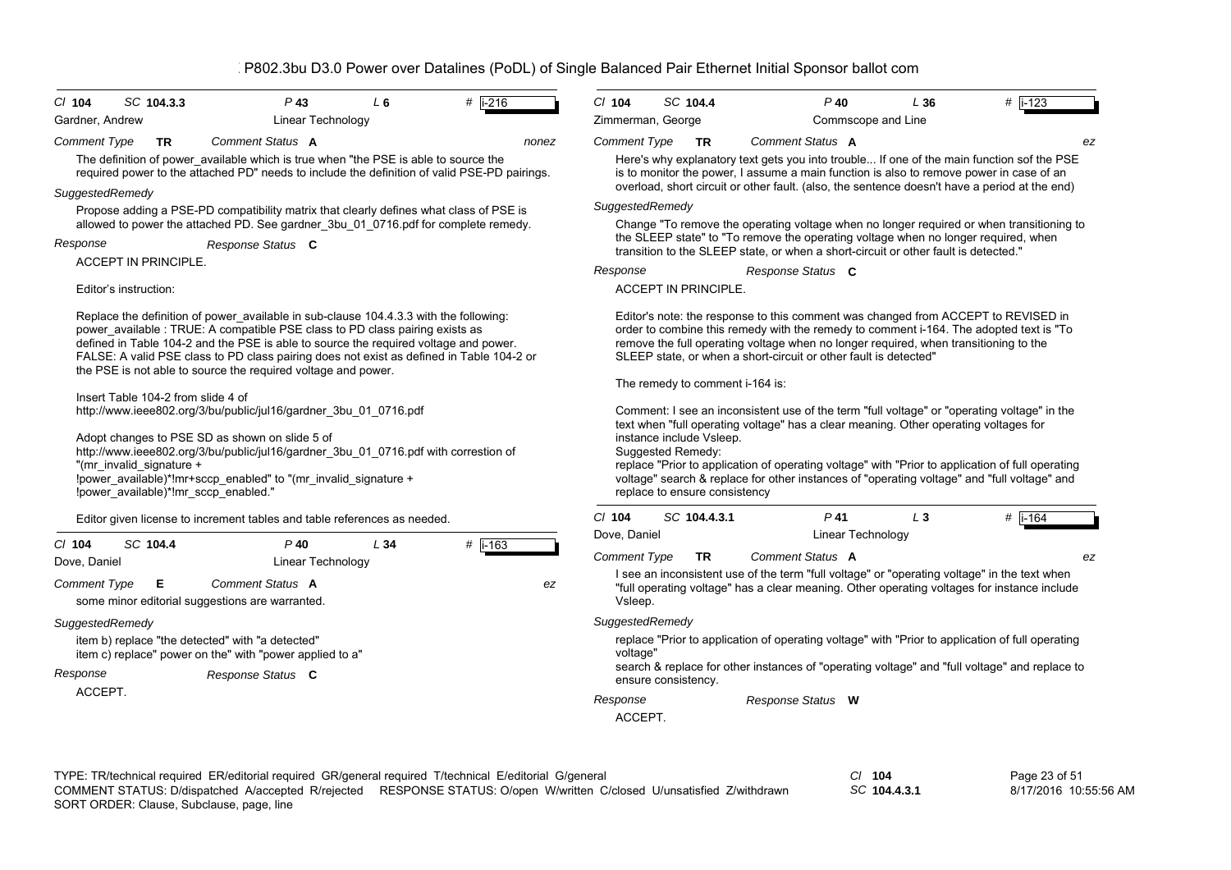| $CI$ 104            | SC 104.3.3                                                                                                                                                                                                                                                                                                                                                                             | $P$ 43                                                                                                                                                                                                                                                                                                                                                                                                                     | $L_6$ | $#$ i-216 | $CI$ 104                                                                                                                                                                                                      | SC 104.4                                                                                                                                                                                                                                                                                                                                                                                                                                                                 | $P$ 40                                                                                                                                                                                                                                                                                                                                  | L36   | $\#$ i-123 |  |  |  |
|---------------------|----------------------------------------------------------------------------------------------------------------------------------------------------------------------------------------------------------------------------------------------------------------------------------------------------------------------------------------------------------------------------------------|----------------------------------------------------------------------------------------------------------------------------------------------------------------------------------------------------------------------------------------------------------------------------------------------------------------------------------------------------------------------------------------------------------------------------|-------|-----------|---------------------------------------------------------------------------------------------------------------------------------------------------------------------------------------------------------------|--------------------------------------------------------------------------------------------------------------------------------------------------------------------------------------------------------------------------------------------------------------------------------------------------------------------------------------------------------------------------------------------------------------------------------------------------------------------------|-----------------------------------------------------------------------------------------------------------------------------------------------------------------------------------------------------------------------------------------------------------------------------------------------------------------------------------------|-------|------------|--|--|--|
| Gardner, Andrew     |                                                                                                                                                                                                                                                                                                                                                                                        | Linear Technology                                                                                                                                                                                                                                                                                                                                                                                                          |       |           |                                                                                                                                                                                                               | Zimmerman, George                                                                                                                                                                                                                                                                                                                                                                                                                                                        | Commscope and Line                                                                                                                                                                                                                                                                                                                      |       |            |  |  |  |
| <b>Comment Type</b> | <b>TR</b>                                                                                                                                                                                                                                                                                                                                                                              | Comment Status A<br>The definition of power_available which is true when "the PSE is able to source the<br>required power to the attached PD" needs to include the definition of valid PSE-PD pairings.                                                                                                                                                                                                                    |       | nonez     | <b>Comment Type</b>                                                                                                                                                                                           | <b>TR</b>                                                                                                                                                                                                                                                                                                                                                                                                                                                                | Comment Status A<br>Here's why explanatory text gets you into trouble If one of the main function sof the PSE<br>is to monitor the power, I assume a main function is also to remove power in case of an<br>overload, short circuit or other fault. (also, the sentence doesn't have a period at the end)                               |       | ez         |  |  |  |
| SuggestedRemedy     |                                                                                                                                                                                                                                                                                                                                                                                        | Propose adding a PSE-PD compatibility matrix that clearly defines what class of PSE is                                                                                                                                                                                                                                                                                                                                     |       |           | SuggestedRemedy                                                                                                                                                                                               |                                                                                                                                                                                                                                                                                                                                                                                                                                                                          |                                                                                                                                                                                                                                                                                                                                         |       |            |  |  |  |
|                     |                                                                                                                                                                                                                                                                                                                                                                                        | allowed to power the attached PD. See gardner_3bu_01_0716.pdf for complete remedy.                                                                                                                                                                                                                                                                                                                                         |       |           |                                                                                                                                                                                                               |                                                                                                                                                                                                                                                                                                                                                                                                                                                                          | Change "To remove the operating voltage when no longer required or when transitioning to                                                                                                                                                                                                                                                |       |            |  |  |  |
| Response            | ACCEPT IN PRINCIPLE.                                                                                                                                                                                                                                                                                                                                                                   | Response Status C                                                                                                                                                                                                                                                                                                                                                                                                          |       |           |                                                                                                                                                                                                               |                                                                                                                                                                                                                                                                                                                                                                                                                                                                          | the SLEEP state" to "To remove the operating voltage when no longer required, when<br>transition to the SLEEP state, or when a short-circuit or other fault is detected."                                                                                                                                                               |       |            |  |  |  |
|                     |                                                                                                                                                                                                                                                                                                                                                                                        |                                                                                                                                                                                                                                                                                                                                                                                                                            |       |           | Response                                                                                                                                                                                                      |                                                                                                                                                                                                                                                                                                                                                                                                                                                                          | Response Status C                                                                                                                                                                                                                                                                                                                       |       |            |  |  |  |
|                     | Editor's instruction:                                                                                                                                                                                                                                                                                                                                                                  |                                                                                                                                                                                                                                                                                                                                                                                                                            |       |           |                                                                                                                                                                                                               | <b>ACCEPT IN PRINCIPLE.</b>                                                                                                                                                                                                                                                                                                                                                                                                                                              |                                                                                                                                                                                                                                                                                                                                         |       |            |  |  |  |
|                     |                                                                                                                                                                                                                                                                                                                                                                                        | Replace the definition of power available in sub-clause 104.4.3.3 with the following:<br>power_available : TRUE: A compatible PSE class to PD class pairing exists as<br>defined in Table 104-2 and the PSE is able to source the required voltage and power.<br>FALSE: A valid PSE class to PD class pairing does not exist as defined in Table 104-2 or<br>the PSE is not able to source the required voltage and power. |       |           |                                                                                                                                                                                                               |                                                                                                                                                                                                                                                                                                                                                                                                                                                                          | Editor's note: the response to this comment was changed from ACCEPT to REVISED in<br>order to combine this remedy with the remedy to comment i-164. The adopted text is "To<br>remove the full operating voltage when no longer required, when transitioning to the<br>SLEEP state, or when a short-circuit or other fault is detected" |       |            |  |  |  |
|                     |                                                                                                                                                                                                                                                                                                                                                                                        |                                                                                                                                                                                                                                                                                                                                                                                                                            |       |           |                                                                                                                                                                                                               | The remedy to comment i-164 is:                                                                                                                                                                                                                                                                                                                                                                                                                                          |                                                                                                                                                                                                                                                                                                                                         |       |            |  |  |  |
|                     | Insert Table 104-2 from slide 4 of<br>http://www.ieee802.org/3/bu/public/jul16/gardner_3bu_01_0716.pdf<br>Adopt changes to PSE SD as shown on slide 5 of<br>http://www.ieee802.org/3/bu/public/jul16/gardner_3bu_01_0716.pdf with correstion of<br>"(mr invalid signature +<br>!power_available)*!mr+sccp_enabled" to "(mr_invalid_signature +<br>!power_available)*!mr_sccp_enabled." |                                                                                                                                                                                                                                                                                                                                                                                                                            |       |           |                                                                                                                                                                                                               | Comment: I see an inconsistent use of the term "full voltage" or "operating voltage" in the<br>text when "full operating voltage" has a clear meaning. Other operating voltages for<br>instance include Vsleep.<br>Suggested Remedy:<br>replace "Prior to application of operating voltage" with "Prior to application of full operating<br>voltage" search & replace for other instances of "operating voltage" and "full voltage" and<br>replace to ensure consistency |                                                                                                                                                                                                                                                                                                                                         |       |            |  |  |  |
|                     |                                                                                                                                                                                                                                                                                                                                                                                        | Editor given license to increment tables and table references as needed.                                                                                                                                                                                                                                                                                                                                                   |       |           | $CI$ 104                                                                                                                                                                                                      | SC 104.4.3.1                                                                                                                                                                                                                                                                                                                                                                                                                                                             | $P$ 41                                                                                                                                                                                                                                                                                                                                  | $L_3$ | $#$ i-164  |  |  |  |
| $Cl$ 104            | SC 104.4                                                                                                                                                                                                                                                                                                                                                                               | $P$ 40                                                                                                                                                                                                                                                                                                                                                                                                                     | L34   | $#$ i-163 | Dove, Daniel                                                                                                                                                                                                  |                                                                                                                                                                                                                                                                                                                                                                                                                                                                          | Linear Technology                                                                                                                                                                                                                                                                                                                       |       |            |  |  |  |
| Dove, Daniel        |                                                                                                                                                                                                                                                                                                                                                                                        | Linear Technology                                                                                                                                                                                                                                                                                                                                                                                                          |       |           | <b>Comment Type</b>                                                                                                                                                                                           | <b>TR</b>                                                                                                                                                                                                                                                                                                                                                                                                                                                                | Comment Status A                                                                                                                                                                                                                                                                                                                        |       | ez         |  |  |  |
| <b>Comment Type</b> | Е                                                                                                                                                                                                                                                                                                                                                                                      | Comment Status A<br>some minor editorial suggestions are warranted.                                                                                                                                                                                                                                                                                                                                                        |       | ez        | Vsleep.                                                                                                                                                                                                       |                                                                                                                                                                                                                                                                                                                                                                                                                                                                          | I see an inconsistent use of the term "full voltage" or "operating voltage" in the text when<br>"full operating voltage" has a clear meaning. Other operating voltages for instance include                                                                                                                                             |       |            |  |  |  |
| SuggestedRemedy     |                                                                                                                                                                                                                                                                                                                                                                                        |                                                                                                                                                                                                                                                                                                                                                                                                                            |       |           | SuggestedRemedy                                                                                                                                                                                               |                                                                                                                                                                                                                                                                                                                                                                                                                                                                          |                                                                                                                                                                                                                                                                                                                                         |       |            |  |  |  |
|                     |                                                                                                                                                                                                                                                                                                                                                                                        | item b) replace "the detected" with "a detected"<br>item c) replace" power on the" with "power applied to a"                                                                                                                                                                                                                                                                                                               |       |           | replace "Prior to application of operating voltage" with "Prior to application of full operating<br>voltage"<br>search & replace for other instances of "operating voltage" and "full voltage" and replace to |                                                                                                                                                                                                                                                                                                                                                                                                                                                                          |                                                                                                                                                                                                                                                                                                                                         |       |            |  |  |  |
| Response            |                                                                                                                                                                                                                                                                                                                                                                                        | Response Status C                                                                                                                                                                                                                                                                                                                                                                                                          |       |           |                                                                                                                                                                                                               | ensure consistency.                                                                                                                                                                                                                                                                                                                                                                                                                                                      |                                                                                                                                                                                                                                                                                                                                         |       |            |  |  |  |
| ACCEPT.             |                                                                                                                                                                                                                                                                                                                                                                                        |                                                                                                                                                                                                                                                                                                                                                                                                                            |       |           | Response                                                                                                                                                                                                      |                                                                                                                                                                                                                                                                                                                                                                                                                                                                          | Response Status W                                                                                                                                                                                                                                                                                                                       |       |            |  |  |  |
|                     |                                                                                                                                                                                                                                                                                                                                                                                        |                                                                                                                                                                                                                                                                                                                                                                                                                            |       |           | ACCEPT.                                                                                                                                                                                                       |                                                                                                                                                                                                                                                                                                                                                                                                                                                                          |                                                                                                                                                                                                                                                                                                                                         |       |            |  |  |  |
|                     |                                                                                                                                                                                                                                                                                                                                                                                        |                                                                                                                                                                                                                                                                                                                                                                                                                            |       |           |                                                                                                                                                                                                               |                                                                                                                                                                                                                                                                                                                                                                                                                                                                          |                                                                                                                                                                                                                                                                                                                                         |       |            |  |  |  |

TYPE: TR/technical required ER/editorial required GR/general required T/technical E/editorial G/general *Cl* **104** SORT ORDER: Clause, Subclause, page, line COMMENT STATUS: D/dispatched A/accepted R/rejected RESPONSE STATUS: O/open W/written C/closed U/unsatisfied Z/withdrawn

*SC* **104.4.3.1**

Page 23 of 51 8/17/2016 10:55:56 AM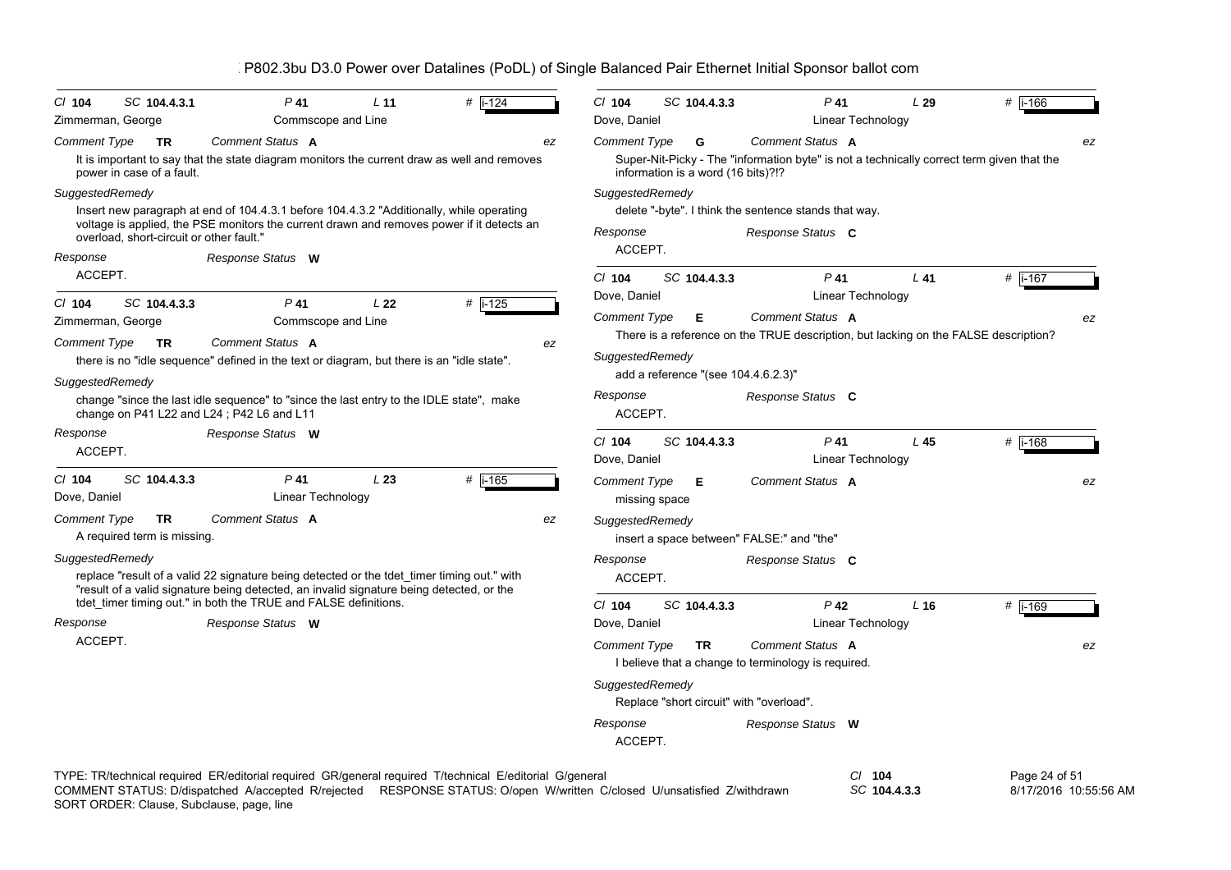| $Cl$ 104<br>Zimmerman, George                 | SC 104.4.3.1                             | $P$ 41<br>Commscope and Line                                                                                                                                                                                                                              | L <sub>11</sub> | $#$ i-124 |    | $CI$ 104<br>Dove, Daniel                               | SC 104.4.3.3                            | $P$ 41                                                                                                                                         | Linear Technology        | L29    | # $i - 166$                            |    |
|-----------------------------------------------|------------------------------------------|-----------------------------------------------------------------------------------------------------------------------------------------------------------------------------------------------------------------------------------------------------------|-----------------|-----------|----|--------------------------------------------------------|-----------------------------------------|------------------------------------------------------------------------------------------------------------------------------------------------|--------------------------|--------|----------------------------------------|----|
| Comment Type                                  | TR<br>power in case of a fault.          | Comment Status A<br>It is important to say that the state diagram monitors the current draw as well and removes                                                                                                                                           |                 |           | ez | <b>Comment Type</b>                                    | G<br>information is a word (16 bits)?!? | Comment Status A<br>Super-Nit-Picky - The "information byte" is not a technically correct term given that the                                  |                          |        |                                        | ez |
| SuggestedRemedy                               | overload, short-circuit or other fault." | Insert new paragraph at end of 104.4.3.1 before 104.4.3.2 "Additionally, while operating<br>voltage is applied, the PSE monitors the current drawn and removes power if it detects an                                                                     |                 |           |    | SuggestedRemedy<br>Response                            |                                         | delete "-byte". I think the sentence stands that way.<br>Response Status C                                                                     |                          |        |                                        |    |
| Response<br>ACCEPT.                           |                                          | Response Status W                                                                                                                                                                                                                                         |                 |           |    | ACCEPT.<br>$Cl$ 104                                    | SC 104.4.3.3                            | $P$ 41                                                                                                                                         |                          | $L$ 41 | # $i-167$                              |    |
| $CI$ 104<br>Zimmerman, George<br>Comment Type | SC 104.4.3.3<br><b>TR</b>                | $P$ 41<br>Commscope and Line<br>Comment Status A<br>there is no "idle sequence" defined in the text or diagram, but there is an "idle state".                                                                                                             | L22             | # $i-125$ | ez | Dove, Daniel<br><b>Comment Type</b><br>SuggestedRemedy | Е                                       | Comment Status A<br>There is a reference on the TRUE description, but lacking on the FALSE description?<br>add a reference "(see 104.4.6.2.3)" | Linear Technology        |        |                                        | ez |
| SuggestedRemedy                               |                                          | change "since the last idle sequence" to "since the last entry to the IDLE state", make<br>change on P41 L22 and L24; P42 L6 and L11                                                                                                                      |                 |           |    | Response<br>ACCEPT.                                    |                                         | Response Status C                                                                                                                              |                          |        |                                        |    |
| Response<br>ACCEPT.                           |                                          | Response Status W                                                                                                                                                                                                                                         |                 |           |    | $Cl$ 104<br>Dove, Daniel                               | SC 104.4.3.3                            | $P$ 41                                                                                                                                         | Linear Technology        | L 45   | # i-168                                |    |
| $CI$ 104<br>Dove, Daniel                      | SC 104.4.3.3                             | $P$ 41<br>Linear Technology                                                                                                                                                                                                                               | L23             | # i-165   |    | <b>Comment Type</b><br>missing space                   | Е                                       | Comment Status A                                                                                                                               |                          |        |                                        | ez |
| Comment Type                                  | TR<br>A required term is missing.        | Comment Status A                                                                                                                                                                                                                                          |                 |           | ez | SuggestedRemedy                                        |                                         | insert a space between" FALSE:" and "the"                                                                                                      |                          |        |                                        |    |
| SuggestedRemedy                               |                                          | replace "result of a valid 22 signature being detected or the tdet timer timing out." with<br>"result of a valid signature being detected, an invalid signature being detected, or the<br>tdet_timer timing out." in both the TRUE and FALSE definitions. |                 |           |    | Response<br>ACCEPT.                                    |                                         | Response Status C                                                                                                                              |                          |        |                                        |    |
| Response                                      |                                          | Response Status W                                                                                                                                                                                                                                         |                 |           |    | $Cl$ 104<br>Dove, Daniel                               | SC 104.4.3.3                            | $P$ 42                                                                                                                                         | Linear Technology        | $L$ 16 | # i-169                                |    |
| ACCEPT.                                       |                                          |                                                                                                                                                                                                                                                           |                 |           |    | <b>Comment Type</b>                                    | <b>TR</b>                               | Comment Status A<br>I believe that a change to terminology is required.                                                                        |                          |        |                                        | ez |
|                                               |                                          |                                                                                                                                                                                                                                                           |                 |           |    | SuggestedRemedy                                        |                                         | Replace "short circuit" with "overload".                                                                                                       |                          |        |                                        |    |
|                                               |                                          |                                                                                                                                                                                                                                                           |                 |           |    | Response<br>ACCEPT.                                    |                                         | Response Status W                                                                                                                              |                          |        |                                        |    |
|                                               |                                          | TYPE: TR/technical required ER/editorial required GR/general required T/technical E/editorial G/general<br>COMMENT STATUS: D/dispatched A/accepted R/rejected RESPONSE STATUS: O/open W/written C/closed U/unsatisfied Z/withdrawn                        |                 |           |    |                                                        |                                         |                                                                                                                                                | $CI$ 104<br>SC 104.4.3.3 |        | Page 24 of 51<br>8/17/2016 10:55:56 AM |    |

SORT ORDER: Clause, Subclause, page, line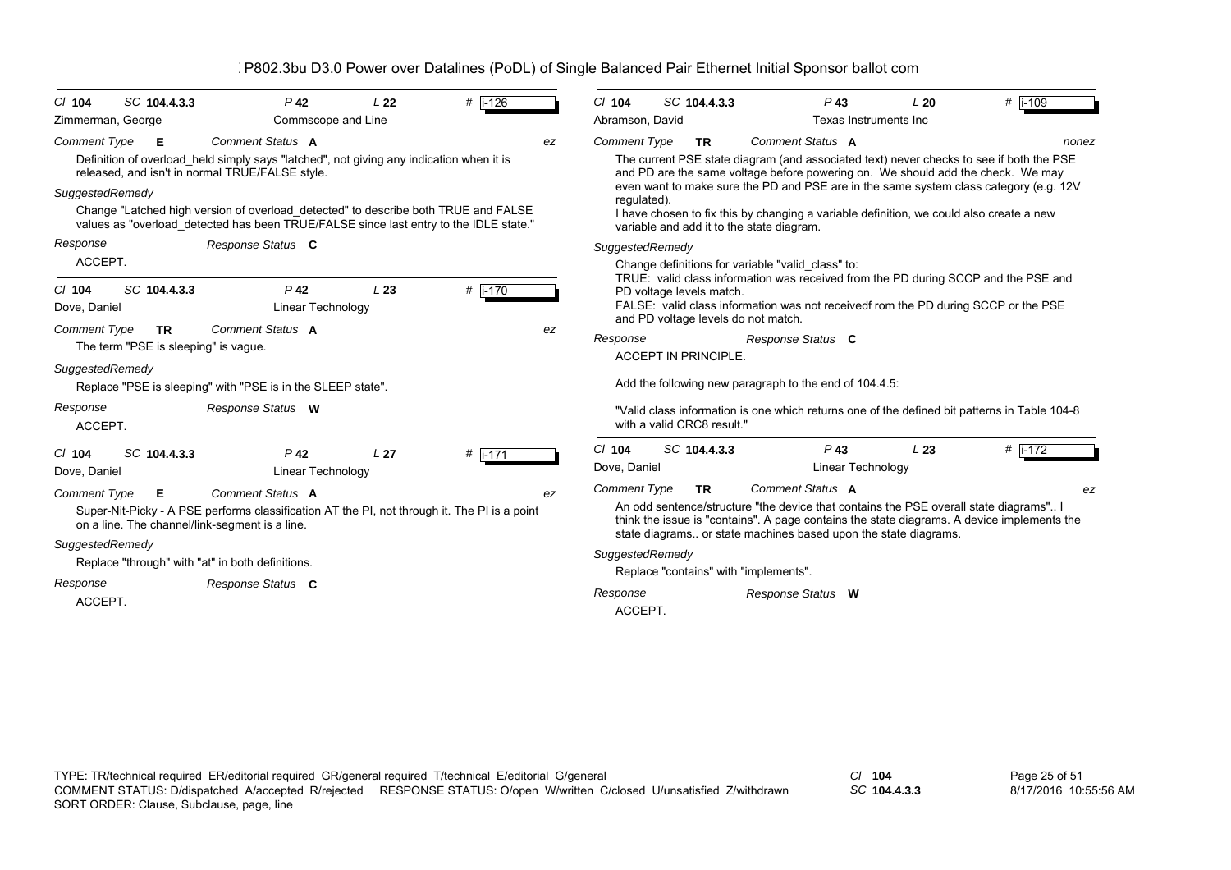| SC 104.4.3.3<br>$Cl$ 104                       | $P$ 42                                                                                                                                                                      | L <sub>22</sub> | #  i-126 | $Cl$ 104            | SC 104.4.3.3                | $P$ 43                                                                                                                                                                                                                                                              | L20                   | # i-109 |
|------------------------------------------------|-----------------------------------------------------------------------------------------------------------------------------------------------------------------------------|-----------------|----------|---------------------|-----------------------------|---------------------------------------------------------------------------------------------------------------------------------------------------------------------------------------------------------------------------------------------------------------------|-----------------------|---------|
| Zimmerman, George                              | Commscope and Line                                                                                                                                                          |                 |          | Abramson, David     |                             |                                                                                                                                                                                                                                                                     | Texas Instruments Inc |         |
| <b>Comment Type</b><br>E                       | Comment Status A                                                                                                                                                            |                 | ez       | <b>Comment Type</b> | <b>TR</b>                   | Comment Status A                                                                                                                                                                                                                                                    |                       | nonez   |
|                                                | Definition of overload held simply says "latched", not giving any indication when it is<br>released, and isn't in normal TRUE/FALSE style.                                  |                 |          |                     |                             | The current PSE state diagram (and associated text) never checks to see if both the PSE<br>and PD are the same voltage before powering on. We should add the check. We may<br>even want to make sure the PD and PSE are in the same system class category (e.g. 12V |                       |         |
| SuggestedRemedy                                | Change "Latched high version of overload detected" to describe both TRUE and FALSE<br>values as "overload detected has been TRUE/FALSE since last entry to the IDLE state." |                 |          | regulated).         |                             | I have chosen to fix this by changing a variable definition, we could also create a new<br>variable and add it to the state diagram.                                                                                                                                |                       |         |
| Response                                       | Response Status C                                                                                                                                                           |                 |          | SuggestedRemedy     |                             |                                                                                                                                                                                                                                                                     |                       |         |
| ACCEPT.                                        |                                                                                                                                                                             |                 |          |                     |                             | Change definitions for variable "valid class" to:                                                                                                                                                                                                                   |                       |         |
| SC 104.4.3.3<br>$Cl$ 104                       | $P$ 42                                                                                                                                                                      | L23             | # i-170  |                     | PD voltage levels match.    | TRUE: valid class information was received from the PD during SCCP and the PSE and                                                                                                                                                                                  |                       |         |
| Dove, Daniel                                   | Linear Technology                                                                                                                                                           |                 |          |                     |                             | FALSE: valid class information was not receivedf rom the PD during SCCP or the PSE                                                                                                                                                                                  |                       |         |
| <b>Comment Type</b><br>TR.                     | Comment Status A                                                                                                                                                            |                 | ez       | Response            |                             | and PD voltage levels do not match.<br>Response Status C                                                                                                                                                                                                            |                       |         |
| The term "PSE is sleeping" is vague.           |                                                                                                                                                                             |                 |          |                     | <b>ACCEPT IN PRINCIPLE.</b> |                                                                                                                                                                                                                                                                     |                       |         |
| SuggestedRemedy                                |                                                                                                                                                                             |                 |          |                     |                             | Add the following new paragraph to the end of 104.4.5:                                                                                                                                                                                                              |                       |         |
|                                                | Replace "PSE is sleeping" with "PSE is in the SLEEP state".                                                                                                                 |                 |          |                     |                             |                                                                                                                                                                                                                                                                     |                       |         |
| Response<br>ACCEPT.                            | Response Status W                                                                                                                                                           |                 |          |                     | with a valid CRC8 result."  | "Valid class information is one which returns one of the defined bit patterns in Table 104-8                                                                                                                                                                        |                       |         |
| SC 104.4.3.3<br>$Cl$ 104                       | $P$ 42                                                                                                                                                                      | L <sub>27</sub> | # i-171  | $Cl$ 104            | SC 104.4.3.3                | $P$ 43                                                                                                                                                                                                                                                              | L23                   | # i-172 |
| Dove, Daniel                                   | Linear Technology                                                                                                                                                           |                 |          | Dove, Daniel        |                             | Linear Technology                                                                                                                                                                                                                                                   |                       |         |
| <b>Comment Type</b><br>Е                       | Comment Status A                                                                                                                                                            |                 | ez       | <b>Comment Type</b> | <b>TR</b>                   | Comment Status A                                                                                                                                                                                                                                                    |                       | ez      |
| on a line. The channel/link-segment is a line. | Super-Nit-Picky - A PSE performs classification AT the PI, not through it. The PI is a point                                                                                |                 |          |                     |                             | An odd sentence/structure "the device that contains the PSE overall state diagrams" I<br>think the issue is "contains". A page contains the state diagrams. A device implements the<br>state diagrams or state machines based upon the state diagrams.              |                       |         |
| SuggestedRemedy                                |                                                                                                                                                                             |                 |          | SuggestedRemedy     |                             |                                                                                                                                                                                                                                                                     |                       |         |
|                                                | Replace "through" with "at" in both definitions.                                                                                                                            |                 |          |                     |                             | Replace "contains" with "implements".                                                                                                                                                                                                                               |                       |         |
| Response                                       | Response Status C                                                                                                                                                           |                 |          | Response            |                             | Response Status W                                                                                                                                                                                                                                                   |                       |         |
| ACCEPT.                                        |                                                                                                                                                                             |                 |          | ACCEPT.             |                             |                                                                                                                                                                                                                                                                     |                       |         |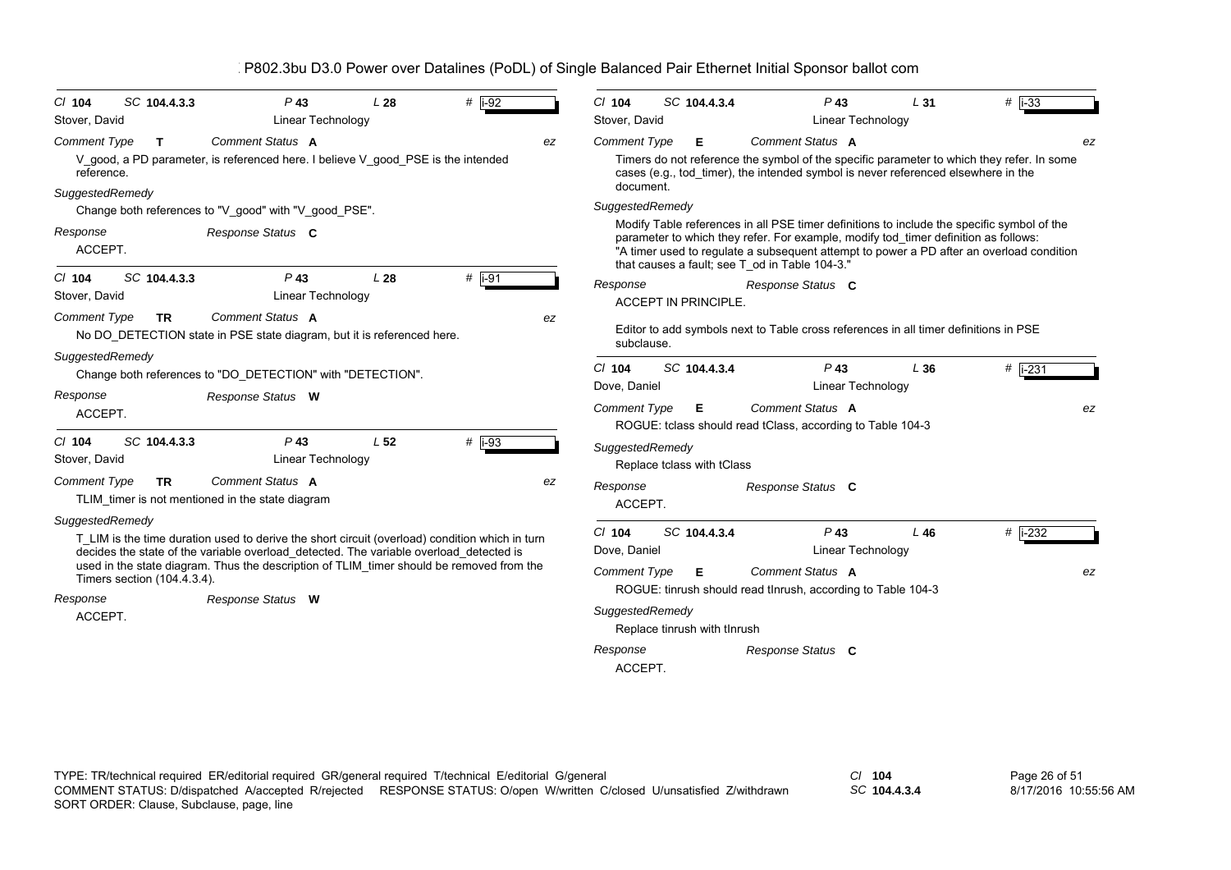| SC 104.4.3.3<br>$Cl$ 104                                              | $P$ 43                                                                                                                                                                                                                                                                                                    | L28             | # $i-92$ |    | $CI$ 104                                                                                  |                              | SC 104.4.3.4      |                                                                                                       | $P$ 43                      | L <sub>31</sub>                                                                      | $#$ i-33                                                                                                                                                                               |    |
|-----------------------------------------------------------------------|-----------------------------------------------------------------------------------------------------------------------------------------------------------------------------------------------------------------------------------------------------------------------------------------------------------|-----------------|----------|----|-------------------------------------------------------------------------------------------|------------------------------|-------------------|-------------------------------------------------------------------------------------------------------|-----------------------------|--------------------------------------------------------------------------------------|----------------------------------------------------------------------------------------------------------------------------------------------------------------------------------------|----|
| Stover, David                                                         | Linear Technology                                                                                                                                                                                                                                                                                         |                 |          |    | Stover, David                                                                             |                              |                   |                                                                                                       | Linear Technology           |                                                                                      |                                                                                                                                                                                        |    |
| <b>Comment Type</b><br>T.<br>reference.<br>SuggestedRemedy            | Comment Status A<br>V good, a PD parameter, is referenced here. I believe V good PSE is the intended                                                                                                                                                                                                      |                 |          | ez | <b>Comment Type</b><br>document.                                                          |                              | Е                 | Comment Status A                                                                                      |                             | cases (e.g., tod timer), the intended symbol is never referenced elsewhere in the    | Timers do not reference the symbol of the specific parameter to which they refer. In some                                                                                              | ez |
|                                                                       | Change both references to "V_good" with "V_good_PSE".                                                                                                                                                                                                                                                     |                 |          |    | SuggestedRemedy                                                                           |                              |                   |                                                                                                       |                             |                                                                                      |                                                                                                                                                                                        |    |
| Response<br>ACCEPT.                                                   | Response Status C                                                                                                                                                                                                                                                                                         |                 |          |    |                                                                                           |                              |                   | that causes a fault; see T od in Table 104-3."                                                        |                             | parameter to which they refer. For example, modify tod_timer definition as follows:  | Modify Table references in all PSE timer definitions to include the specific symbol of the<br>"A timer used to regulate a subsequent attempt to power a PD after an overload condition |    |
| SC 104.4.3.3<br>$Cl$ 104<br>Stover, David                             | $P$ 43<br>Linear Technology                                                                                                                                                                                                                                                                               | L28             | $#$ i-91 |    | Response                                                                                  | <b>ACCEPT IN PRINCIPLE.</b>  |                   | Response Status C                                                                                     |                             |                                                                                      |                                                                                                                                                                                        |    |
| Comment Type<br>TR.                                                   | Comment Status A<br>No DO_DETECTION state in PSE state diagram, but it is referenced here.                                                                                                                                                                                                                |                 |          | ez | subclause.                                                                                |                              |                   |                                                                                                       |                             | Editor to add symbols next to Table cross references in all timer definitions in PSE |                                                                                                                                                                                        |    |
| SuggestedRemedy                                                       | Change both references to "DO_DETECTION" with "DETECTION".                                                                                                                                                                                                                                                |                 |          |    | $Cl$ 104<br>Dove, Daniel                                                                  |                              | SC 104.4.3.4      |                                                                                                       | $P$ 43<br>Linear Technology | L36                                                                                  | $#$  i-231                                                                                                                                                                             |    |
| Response<br>ACCEPT.                                                   | Response Status W                                                                                                                                                                                                                                                                                         |                 |          |    | <b>Comment Type</b>                                                                       |                              | Е                 | <b>Comment Status A</b><br>ROGUE: tclass should read tClass, according to Table 104-3                 |                             |                                                                                      |                                                                                                                                                                                        | ez |
| C/ 104<br>SC 104.4.3.3<br>Stover, David                               | $P$ 43<br>Linear Technology                                                                                                                                                                                                                                                                               | L <sub>52</sub> | # i-93   |    | SuggestedRemedy                                                                           | Replace tclass with tClass   |                   |                                                                                                       |                             |                                                                                      |                                                                                                                                                                                        |    |
| Comment Type<br><b>TR</b>                                             | Comment Status A<br>TLIM_timer is not mentioned in the state diagram                                                                                                                                                                                                                                      |                 |          | ez | Response<br>ACCEPT.                                                                       |                              |                   | Response Status C                                                                                     |                             |                                                                                      |                                                                                                                                                                                        |    |
| SuggestedRemedy<br>Timers section (104.4.3.4).<br>Response<br>ACCEPT. | T LIM is the time duration used to derive the short circuit (overload) condition which in turn<br>decides the state of the variable overload_detected. The variable overload_detected is<br>used in the state diagram. Thus the description of TLIM timer should be removed from the<br>Response Status W |                 |          |    | $Cl$ 104<br>Dove, Daniel<br><b>Comment Type</b><br>SuggestedRemedy<br>Response<br>ACCEPT. | Replace tinrush with tInrush | SC 104.4.3.4<br>Е | Comment Status A<br>ROGUE: tinrush should read tinrush, according to Table 104-3<br>Response Status C | $P$ 43<br>Linear Technology | L46                                                                                  | $#$ i-232                                                                                                                                                                              | ez |

TYPE: TR/technical required ER/editorial required GR/general required T/technical E/editorial G/general *Cl* **104** SORT ORDER: Clause, Subclause, page, line COMMENT STATUS: D/dispatched A/accepted R/rejected RESPONSE STATUS: O/open W/written C/closed U/unsatisfied Z/withdrawn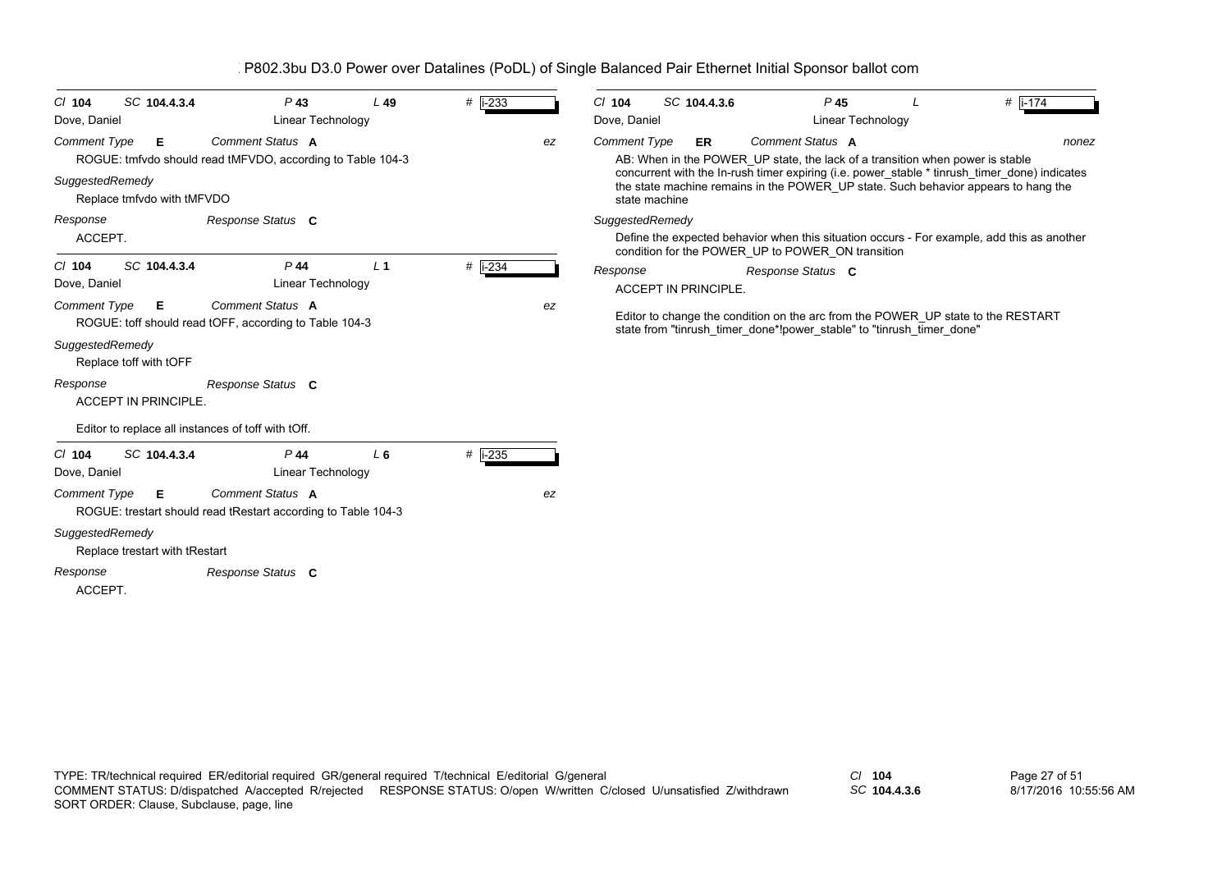| SC 104.4.3.4<br>$Cl$ 104<br>Dove, Daniel                                                                                                             | $P$ 43<br>Linear Technology                                                                         | $L$ 49         | $#$ i-233        |    | $CI$ 104<br>Dove, Daniel                                | SC 104.4.3.6                |                                                                                                   | P <sub>45</sub><br>Linear Technology | # $ i - 174$                                                                                                                                                                                                                                                                               |
|------------------------------------------------------------------------------------------------------------------------------------------------------|-----------------------------------------------------------------------------------------------------|----------------|------------------|----|---------------------------------------------------------|-----------------------------|---------------------------------------------------------------------------------------------------|--------------------------------------|--------------------------------------------------------------------------------------------------------------------------------------------------------------------------------------------------------------------------------------------------------------------------------------------|
| <b>Comment Type</b><br>Е<br>SuggestedRemedy<br>Replace tmfvdo with tMFVDO<br>Response<br>ACCEPT.                                                     | Comment Status A<br>ROGUE: tmfvdo should read tMFVDO, according to Table 104-3<br>Response Status C |                |                  | ez | <b>Comment Type</b><br>state machine<br>SuggestedRemedy | ER.                         | Comment Status A<br>AB: When in the POWER UP state, the lack of a transition when power is stable |                                      | nonez<br>concurrent with the In-rush timer expiring (i.e. power_stable * tinrush_timer_done) indicates<br>the state machine remains in the POWER_UP state. Such behavior appears to hang the<br>Define the expected behavior when this situation occurs - For example, add this as another |
| SC 104.4.3.4<br>$CI$ 104<br>Dove, Daniel                                                                                                             | P 44<br>Linear Technology                                                                           | L <sub>1</sub> | # $\sqrt{1-234}$ |    | Response                                                | <b>ACCEPT IN PRINCIPLE.</b> | condition for the POWER UP to POWER ON transition<br>Response Status C                            |                                      |                                                                                                                                                                                                                                                                                            |
| Comment Status A<br><b>Comment Type</b><br>E.<br>ROGUE: toff should read tOFF, according to Table 104-3<br>SuggestedRemedy<br>Replace toff with tOFF |                                                                                                     |                |                  | ez |                                                         |                             | state from "tinrush timer done*!power stable" to "tinrush timer done"                             |                                      | Editor to change the condition on the arc from the POWER UP state to the RESTART                                                                                                                                                                                                           |
| Response<br><b>ACCEPT IN PRINCIPLE.</b>                                                                                                              | Response Status C                                                                                   |                |                  |    |                                                         |                             |                                                                                                   |                                      |                                                                                                                                                                                                                                                                                            |
| Editor to replace all instances of toff with tOff.                                                                                                   |                                                                                                     |                |                  |    |                                                         |                             |                                                                                                   |                                      |                                                                                                                                                                                                                                                                                            |
| SC 104.4.3.4<br>$CI$ 104<br>Dove, Daniel                                                                                                             | P 44<br>Linear Technology                                                                           | L <sub>6</sub> | # i-235          |    |                                                         |                             |                                                                                                   |                                      |                                                                                                                                                                                                                                                                                            |
| <b>Comment Type</b><br>E.                                                                                                                            | Comment Status A<br>ROGUE: trestart should read tRestart according to Table 104-3                   |                |                  | ez |                                                         |                             |                                                                                                   |                                      |                                                                                                                                                                                                                                                                                            |
| SuggestedRemedy<br>Replace trestart with tRestart                                                                                                    |                                                                                                     |                |                  |    |                                                         |                             |                                                                                                   |                                      |                                                                                                                                                                                                                                                                                            |
| Response<br>ACCEPT.                                                                                                                                  | Response Status C                                                                                   |                |                  |    |                                                         |                             |                                                                                                   |                                      |                                                                                                                                                                                                                                                                                            |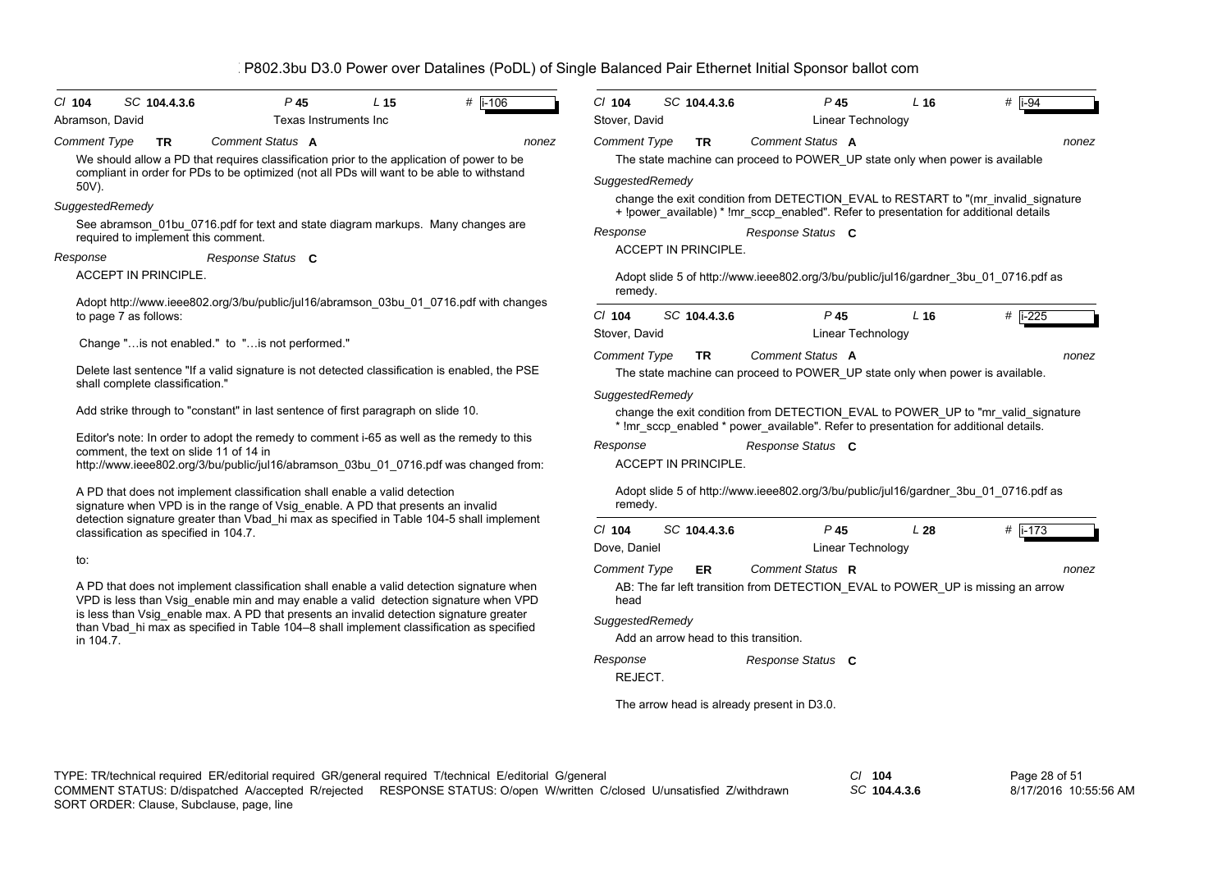| Abramson, David<br>Texas Instruments Inc                                                                                                                                                                                                                                                                                                                                                     | Stover, David<br><b>Linear Technology</b>                                                                                                                                                                                                                                                                                                       |
|----------------------------------------------------------------------------------------------------------------------------------------------------------------------------------------------------------------------------------------------------------------------------------------------------------------------------------------------------------------------------------------------|-------------------------------------------------------------------------------------------------------------------------------------------------------------------------------------------------------------------------------------------------------------------------------------------------------------------------------------------------|
| <b>Comment Type</b><br>Comment Status A<br><b>TR</b><br>nonez<br>We should allow a PD that requires classification prior to the application of power to be<br>compliant in order for PDs to be optimized (not all PDs will want to be able to withstand<br>50V).<br>SuggestedRemedy                                                                                                          | <b>Comment Type</b><br>Comment Status A<br><b>TR</b><br>nonez<br>The state machine can proceed to POWER_UP state only when power is available<br>SuggestedRemedy<br>change the exit condition from DETECTION_EVAL to RESTART to "(mr_invalid_signature<br>+ !power_available) * !mr_sccp_enabled". Refer to presentation for additional details |
| See abramson 01bu 0716 pdf for text and state diagram markups. Many changes are<br>required to implement this comment.                                                                                                                                                                                                                                                                       | Response<br>Response Status C<br><b>ACCEPT IN PRINCIPLE.</b>                                                                                                                                                                                                                                                                                    |
| Response<br>Response Status C<br>ACCEPT IN PRINCIPLE.                                                                                                                                                                                                                                                                                                                                        | Adopt slide 5 of http://www.ieee802.org/3/bu/public/jul16/gardner 3bu 01 0716.pdf as<br>remedy.                                                                                                                                                                                                                                                 |
| Adopt http://www.ieee802.org/3/bu/public/jul16/abramson_03bu_01_0716.pdf with changes<br>to page 7 as follows:                                                                                                                                                                                                                                                                               | SC 104.4.3.6<br># i-225<br>$CI$ 104<br>P 45<br>L <sub>16</sub><br>Stover, David<br>Linear Technology                                                                                                                                                                                                                                            |
| Change " is not enabled." to " is not performed."<br>Delete last sentence "If a valid signature is not detected classification is enabled, the PSE<br>shall complete classification."                                                                                                                                                                                                        | Comment Status A<br><b>Comment Type</b><br><b>TR</b><br>nonez<br>The state machine can proceed to POWER_UP state only when power is available.                                                                                                                                                                                                  |
| Add strike through to "constant" in last sentence of first paragraph on slide 10.<br>Editor's note: In order to adopt the remedy to comment i-65 as well as the remedy to this<br>comment, the text on slide 11 of 14 in<br>http://www.ieee802.org/3/bu/public/jul16/abramson 03bu 01 0716.pdf was changed from:                                                                             | SuggestedRemedy<br>change the exit condition from DETECTION_EVAL to POWER_UP to "mr_valid_signature<br>* !mr_sccp_enabled * power_available". Refer to presentation for additional details.<br>Response<br>Response Status C<br>ACCEPT IN PRINCIPLE.                                                                                            |
| A PD that does not implement classification shall enable a valid detection<br>signature when VPD is in the range of Vsig_enable. A PD that presents an invalid                                                                                                                                                                                                                               | Adopt slide 5 of http://www.ieee802.org/3/bu/public/jul16/gardner_3bu_01_0716.pdf as<br>remedy.                                                                                                                                                                                                                                                 |
| detection signature greater than Vbad_hi max as specified in Table 104-5 shall implement<br>classification as specified in 104.7.                                                                                                                                                                                                                                                            | $Cl$ 104<br>SC 104.4.3.6<br>$P$ 45<br># $i - 173$<br>L28<br>Dove, Daniel<br>Linear Technology                                                                                                                                                                                                                                                   |
| to:<br>A PD that does not implement classification shall enable a valid detection signature when<br>VPD is less than Vsig_enable min and may enable a valid detection signature when VPD<br>is less than Vsig_enable max. A PD that presents an invalid detection signature greater<br>than Vbad hi max as specified in Table 104-8 shall implement classification as specified<br>in 104.7. | Comment Status R<br><b>Comment Type</b><br><b>ER</b><br>nonez<br>AB: The far left transition from DETECTION_EVAL to POWER_UP is missing an arrow<br>head<br>SuggestedRemedy<br>Add an arrow head to this transition.                                                                                                                            |
|                                                                                                                                                                                                                                                                                                                                                                                              | Response<br>Response Status C<br>REJECT.                                                                                                                                                                                                                                                                                                        |
|                                                                                                                                                                                                                                                                                                                                                                                              | The arrow head is already present in D3.0.                                                                                                                                                                                                                                                                                                      |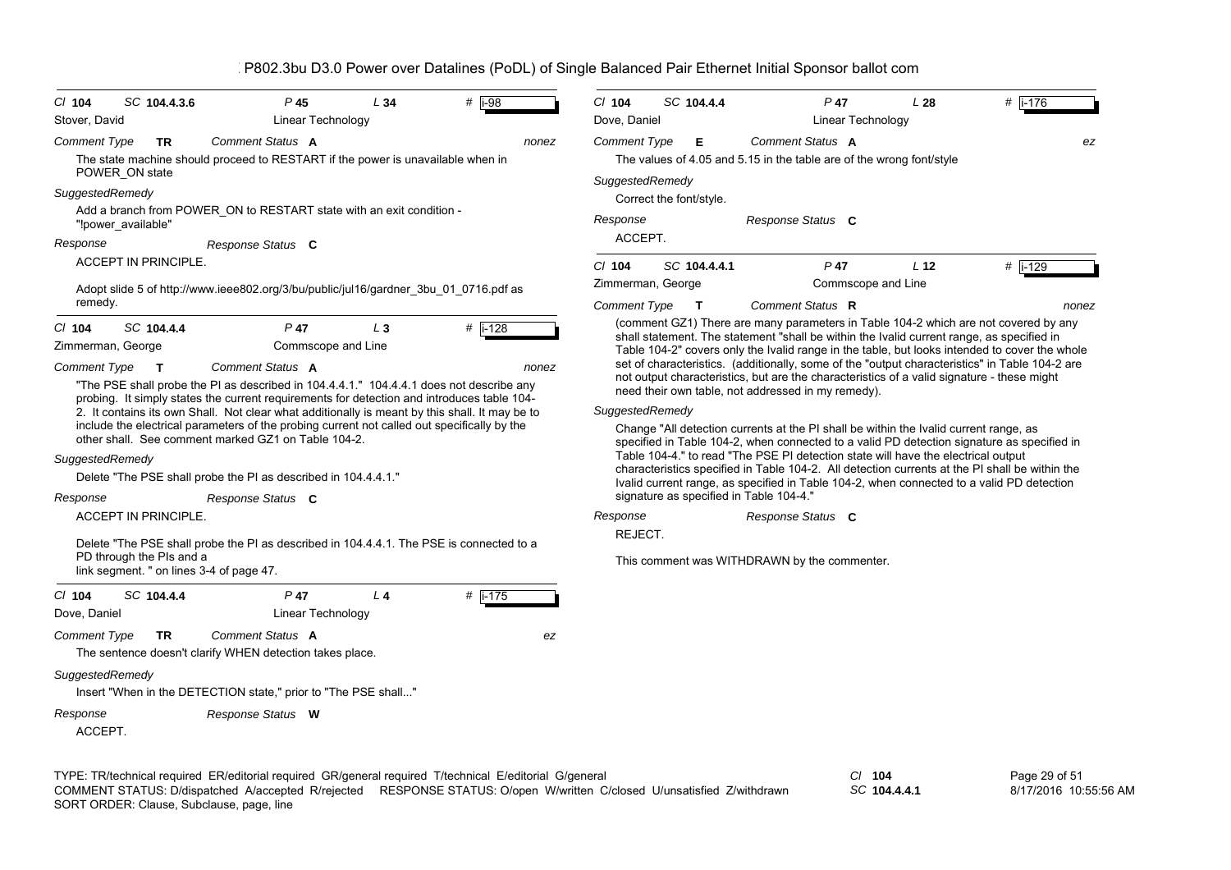| $CI$ 104<br>Stover, David                            | SC 104.4.3.6                | P <sub>45</sub><br>Linear Technology                                                                                                                                                                                                                                                                                                               | L34            | # $\overline{1-98}$ | $Cl$ 104<br>Dove, Daniel               | SC 104.4.4                              | P 47<br>Linear Technology                                                                                                                                                                                                                                                                                                                                                                                                                                                                                                               | L28             | $#$ i-176 |
|------------------------------------------------------|-----------------------------|----------------------------------------------------------------------------------------------------------------------------------------------------------------------------------------------------------------------------------------------------------------------------------------------------------------------------------------------------|----------------|---------------------|----------------------------------------|-----------------------------------------|-----------------------------------------------------------------------------------------------------------------------------------------------------------------------------------------------------------------------------------------------------------------------------------------------------------------------------------------------------------------------------------------------------------------------------------------------------------------------------------------------------------------------------------------|-----------------|-----------|
| <b>Comment Type</b><br>SuggestedRemedy               | TR<br>POWER ON state        | Comment Status A<br>The state machine should proceed to RESTART if the power is unavailable when in                                                                                                                                                                                                                                                |                | nonez               | <b>Comment Type</b><br>SuggestedRemedy | Е<br>Correct the font/style.            | Comment Status A<br>The values of 4.05 and 5.15 in the table are of the wrong font/style                                                                                                                                                                                                                                                                                                                                                                                                                                                |                 | ez        |
|                                                      | "!power_available"          | Add a branch from POWER_ON to RESTART state with an exit condition -                                                                                                                                                                                                                                                                               |                |                     | Response                               |                                         | Response Status C                                                                                                                                                                                                                                                                                                                                                                                                                                                                                                                       |                 |           |
| Response                                             | <b>ACCEPT IN PRINCIPLE.</b> | Response Status C                                                                                                                                                                                                                                                                                                                                  |                |                     | ACCEPT.<br>$Cl$ 104                    | SC 104.4.4.1                            | $P$ 47                                                                                                                                                                                                                                                                                                                                                                                                                                                                                                                                  | L <sub>12</sub> | $#$ i-129 |
|                                                      |                             | Adopt slide 5 of http://www.ieee802.org/3/bu/public/jul16/gardner 3bu 01 0716.pdf as                                                                                                                                                                                                                                                               |                |                     |                                        | Zimmerman, George                       | Commscope and Line                                                                                                                                                                                                                                                                                                                                                                                                                                                                                                                      |                 |           |
| remedy.                                              |                             |                                                                                                                                                                                                                                                                                                                                                    |                |                     | <b>Comment Type</b>                    | $\mathbf{T}$                            | Comment Status R                                                                                                                                                                                                                                                                                                                                                                                                                                                                                                                        |                 | nonez     |
| $Cl$ 104<br>Zimmerman, George<br><b>Comment Type</b> | SC 104.4.4<br>$\mathbf{T}$  | $P$ 47<br>Commscope and Line<br>Comment Status A<br>"The PSE shall probe the PI as described in 104.4.4.1." 104.4.4.1 does not describe any                                                                                                                                                                                                        | $L_3$          | #  i-128<br>nonez   |                                        |                                         | (comment GZ1) There are many parameters in Table 104-2 which are not covered by any<br>shall statement. The statement "shall be within the Ivalid current range, as specified in<br>Table 104-2" covers only the Ivalid range in the table, but looks intended to cover the whole<br>set of characteristics. (additionally, some of the "output characteristics" in Table 104-2 are<br>not output characteristics, but are the characteristics of a valid signature - these might<br>need their own table, not addressed in my remedy). |                 |           |
|                                                      |                             | probing. It simply states the current requirements for detection and introduces table 104-<br>2. It contains its own Shall. Not clear what additionally is meant by this shall. It may be to<br>include the electrical parameters of the probing current not called out specifically by the<br>other shall. See comment marked GZ1 on Table 104-2. |                |                     | SuggestedRemedy                        |                                         | Change "All detection currents at the PI shall be within the Ivalid current range, as<br>specified in Table 104-2, when connected to a valid PD detection signature as specified in                                                                                                                                                                                                                                                                                                                                                     |                 |           |
| SuggestedRemedy                                      |                             | Delete "The PSE shall probe the PI as described in 104.4.4.1."                                                                                                                                                                                                                                                                                     |                |                     |                                        |                                         | Table 104-4." to read "The PSE PI detection state will have the electrical output<br>characteristics specified in Table 104-2. All detection currents at the PI shall be within the<br>Ivalid current range, as specified in Table 104-2, when connected to a valid PD detection                                                                                                                                                                                                                                                        |                 |           |
| Response                                             |                             | Response Status C                                                                                                                                                                                                                                                                                                                                  |                |                     |                                        | signature as specified in Table 104-4." |                                                                                                                                                                                                                                                                                                                                                                                                                                                                                                                                         |                 |           |
|                                                      | <b>ACCEPT IN PRINCIPLE.</b> |                                                                                                                                                                                                                                                                                                                                                    |                |                     | Response<br>REJECT.                    |                                         | Response Status C                                                                                                                                                                                                                                                                                                                                                                                                                                                                                                                       |                 |           |
|                                                      | PD through the PIs and a    | Delete "The PSE shall probe the PI as described in 104.4.4.1. The PSE is connected to a<br>link segment. " on lines 3-4 of page 47.                                                                                                                                                                                                                |                |                     |                                        |                                         | This comment was WITHDRAWN by the commenter.                                                                                                                                                                                                                                                                                                                                                                                                                                                                                            |                 |           |
| $Cl$ 104<br>Dove, Daniel                             | SC 104.4.4                  | $P$ 47<br>Linear Technology                                                                                                                                                                                                                                                                                                                        | L <sub>4</sub> | $#$ i-175           |                                        |                                         |                                                                                                                                                                                                                                                                                                                                                                                                                                                                                                                                         |                 |           |
| <b>Comment Type</b>                                  | <b>TR</b>                   | Comment Status A<br>The sentence doesn't clarify WHEN detection takes place.                                                                                                                                                                                                                                                                       |                | ez                  |                                        |                                         |                                                                                                                                                                                                                                                                                                                                                                                                                                                                                                                                         |                 |           |
| SuggestedRemedy                                      |                             | Insert "When in the DETECTION state," prior to "The PSE shall"                                                                                                                                                                                                                                                                                     |                |                     |                                        |                                         |                                                                                                                                                                                                                                                                                                                                                                                                                                                                                                                                         |                 |           |
| Response<br>ACCEPT.                                  |                             | Response Status W                                                                                                                                                                                                                                                                                                                                  |                |                     |                                        |                                         |                                                                                                                                                                                                                                                                                                                                                                                                                                                                                                                                         |                 |           |

TYPE: TR/technical required ER/editorial required GR/general required T/technical E/editorial G/general *Cl* **104** SORT ORDER: Clause, Subclause, page, line COMMENT STATUS: D/dispatched A/accepted R/rejected RESPONSE STATUS: O/open W/written C/closed U/unsatisfied Z/withdrawn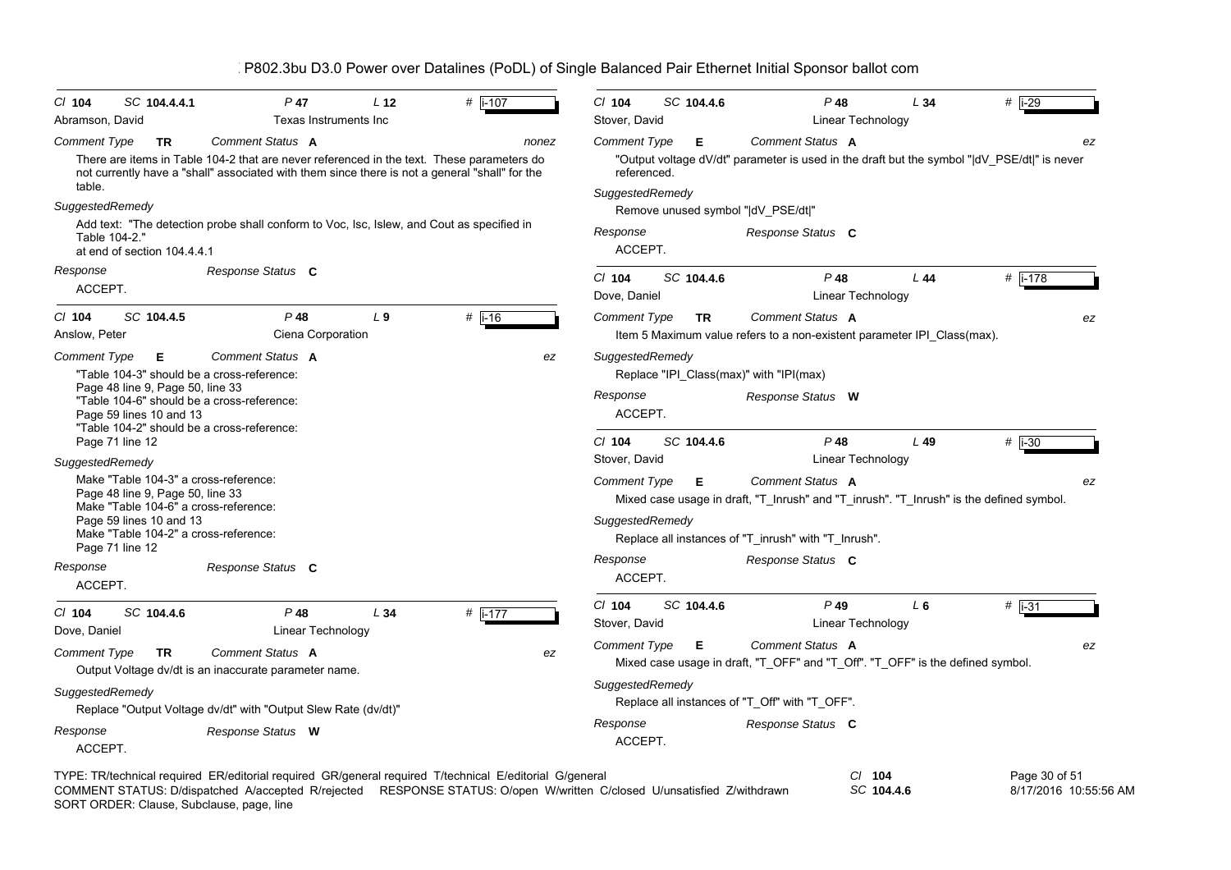| SC 104.4.4.1<br>$CI$ 104<br>Abramson, David                                                                                                                                                                                  | $P$ 47<br>Texas Instruments Inc                                                                                                                                                             | L <sub>12</sub> | # $\sqrt{1-107}$ | CI 104<br>Stover, David                | SC 104.4.6 | $P$ 48<br>Linear Technology                                                                                                                                         | L34    | $#$ i-29      |
|------------------------------------------------------------------------------------------------------------------------------------------------------------------------------------------------------------------------------|---------------------------------------------------------------------------------------------------------------------------------------------------------------------------------------------|-----------------|------------------|----------------------------------------|------------|---------------------------------------------------------------------------------------------------------------------------------------------------------------------|--------|---------------|
| <b>Comment Type</b><br><b>TR</b>                                                                                                                                                                                             | Comment Status A                                                                                                                                                                            |                 | nonez            | Comment Type                           | E.         | Comment Status A                                                                                                                                                    |        | ez            |
|                                                                                                                                                                                                                              | There are items in Table 104-2 that are never referenced in the text. These parameters do<br>not currently have a "shall" associated with them since there is not a general "shall" for the |                 |                  | referenced.                            |            | "Output voltage dV/dt" parameter is used in the draft but the symbol " dV_PSE/dt " is never                                                                         |        |               |
| table.                                                                                                                                                                                                                       |                                                                                                                                                                                             |                 |                  | SuggestedRemedy                        |            |                                                                                                                                                                     |        |               |
| SuggestedRemedy                                                                                                                                                                                                              |                                                                                                                                                                                             |                 |                  |                                        |            | Remove unused symbol " dV_PSE/dt "                                                                                                                                  |        |               |
| Table 104-2."<br>at end of section 104.4.4.1                                                                                                                                                                                 | Add text: "The detection probe shall conform to Voc, Isc, Islew, and Cout as specified in                                                                                                   |                 |                  | Response<br>ACCEPT.                    |            | Response Status C                                                                                                                                                   |        |               |
| Response                                                                                                                                                                                                                     | Response Status C                                                                                                                                                                           |                 |                  | CI 104                                 | SC 104.4.6 | $P$ 48                                                                                                                                                              | L44    | #   i-178     |
| ACCEPT.                                                                                                                                                                                                                      |                                                                                                                                                                                             |                 |                  | Dove, Daniel                           |            | Linear Technology                                                                                                                                                   |        |               |
| $CI$ 104<br>SC 104.4.5<br>Anslow, Peter                                                                                                                                                                                      | $P$ 48<br>Ciena Corporation                                                                                                                                                                 | L <sub>9</sub>  | $#$ i-16         | <b>Comment Type</b>                    | <b>TR</b>  | Comment Status A<br>Item 5 Maximum value refers to a non-existent parameter IPI Class (max).                                                                        |        | ez            |
| <b>Comment Type</b><br>E.<br>Page 48 line 9, Page 50, line 33<br>Page 59 lines 10 and 13                                                                                                                                     | Comment Status A<br>"Table 104-3" should be a cross-reference:<br>"Table 104-6" should be a cross-reference:                                                                                |                 | ez               | SuggestedRemedy<br>Response<br>ACCEPT. |            | Replace "IPI Class(max)" with "IPI(max)<br>Response Status W                                                                                                        |        |               |
| Page 71 line 12                                                                                                                                                                                                              | "Table 104-2" should be a cross-reference:                                                                                                                                                  |                 |                  | $Cl$ 104<br>Stover, David              | SC 104.4.6 | $P$ 48<br>Linear Technology                                                                                                                                         | $L$ 49 | $#$ i-30      |
| SuggestedRemedy<br>Make "Table 104-3" a cross-reference:<br>Page 48 line 9, Page 50, line 33<br>Make "Table 104-6" a cross-reference:<br>Page 59 lines 10 and 13<br>Make "Table 104-2" a cross-reference:<br>Page 71 line 12 |                                                                                                                                                                                             |                 |                  | Comment Type<br>SuggestedRemedy        | Е          | Comment Status A<br>Mixed case usage in draft, "T_Inrush" and "T_inrush". "T_Inrush" is the defined symbol.<br>Replace all instances of "T inrush" with "T Inrush". |        | ez            |
| Response<br>ACCEPT.                                                                                                                                                                                                          | Response Status C                                                                                                                                                                           |                 |                  | Response<br>ACCEPT.                    |            | Response Status C                                                                                                                                                   |        |               |
| $Cl$ 104<br>SC 104.4.6<br>Dove, Daniel                                                                                                                                                                                       | $P$ 48<br>Linear Technology                                                                                                                                                                 | L34             | # $i-177$        | $CI$ 104<br>Stover, David              | SC 104.4.6 | $P$ 49<br>Linear Technology                                                                                                                                         | $L_6$  | $#$ i-31      |
| <b>Comment Type</b><br><b>TR</b>                                                                                                                                                                                             | Comment Status A<br>Output Voltage dv/dt is an inaccurate parameter name.                                                                                                                   |                 | ez               | <b>Comment Type</b>                    | E          | Comment Status A<br>Mixed case usage in draft, "T_OFF" and "T_Off". "T_OFF" is the defined symbol.                                                                  |        | ez            |
| SuggestedRemedy                                                                                                                                                                                                              | Replace "Output Voltage dv/dt" with "Output Slew Rate (dv/dt)"                                                                                                                              |                 |                  | SuggestedRemedy                        |            | Replace all instances of "T_Off" with "T_OFF".                                                                                                                      |        |               |
| Response<br>ACCEPT.                                                                                                                                                                                                          | Response Status W                                                                                                                                                                           |                 |                  | Response<br>ACCEPT.                    |            | Response Status C                                                                                                                                                   |        |               |
|                                                                                                                                                                                                                              | TYPE: TR/technical required ER/editorial required GR/general required T/technical E/editorial G/general                                                                                     |                 |                  |                                        |            | $Cl$ 104                                                                                                                                                            |        | Page 30 of 51 |

*SC* **104.4.6** 8/17/2016 10:55:56 AMSORT ORDER: Clause, Subclause, page, line COMMENT STATUS: D/dispatched A/accepted R/rejected RESPONSE STATUS: O/open W/written C/closed U/unsatisfied Z/withdrawn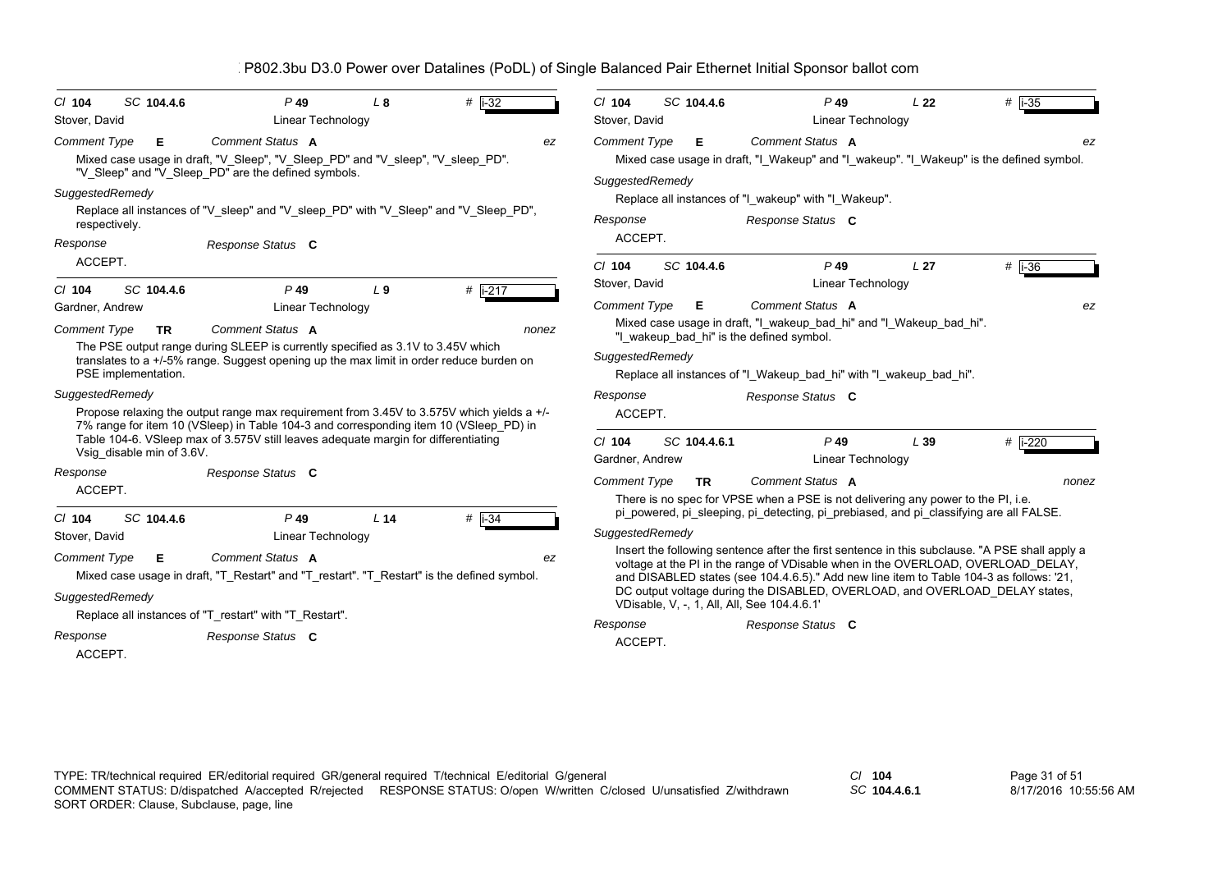| $Cl$ 104<br>Stover, David                    | SC 104.4.6                | $P$ 49<br>Linear Technology                                                                                                                                                                                                                                              | L8              | $#$ i-32 |       | $Cl$ 104<br>Stover, David              | SC 104.4.6   | $P$ 49                                                                                                                                                                                                                                                                                                                                                                                                      | L <sub>22</sub><br>Linear Technology | $#$ i-35         |
|----------------------------------------------|---------------------------|--------------------------------------------------------------------------------------------------------------------------------------------------------------------------------------------------------------------------------------------------------------------------|-----------------|----------|-------|----------------------------------------|--------------|-------------------------------------------------------------------------------------------------------------------------------------------------------------------------------------------------------------------------------------------------------------------------------------------------------------------------------------------------------------------------------------------------------------|--------------------------------------|------------------|
| <b>Comment Type</b>                          | Е                         | Comment Status A<br>Mixed case usage in draft, "V_Sleep", "V_Sleep_PD" and "V_sleep", "V_sleep_PD".<br>"V_Sleep" and "V_Sleep_PD" are the defined symbols.                                                                                                               |                 |          | ez    | <b>Comment Type</b><br>SuggestedRemedy | Е            | Comment Status A<br>Mixed case usage in draft, "I Wakeup" and "I wakeup". "I Wakeup" is the defined symbol.                                                                                                                                                                                                                                                                                                 |                                      | ez               |
| SuggestedRemedy<br>respectively.<br>Response |                           | Replace all instances of "V_sleep" and "V_sleep_PD" with "V_Sleep" and "V_Sleep_PD",<br>Response Status C                                                                                                                                                                |                 |          |       | Response<br>ACCEPT.                    |              | Replace all instances of "I_wakeup" with "I_Wakeup".<br>Response Status C                                                                                                                                                                                                                                                                                                                                   |                                      |                  |
| ACCEPT.<br>$Cl$ 104                          | SC 104.4.6                | $P$ 49                                                                                                                                                                                                                                                                   | L <sub>9</sub>  | # i-217  |       | $Cl$ 104<br>Stover, David              | SC 104.4.6   | $P$ 49                                                                                                                                                                                                                                                                                                                                                                                                      | L <sub>27</sub><br>Linear Technology | $#$ i-36         |
| Gardner, Andrew                              |                           | Linear Technology                                                                                                                                                                                                                                                        |                 |          |       | <b>Comment Type</b>                    | Е            | Comment Status A                                                                                                                                                                                                                                                                                                                                                                                            |                                      | ez               |
| <b>Comment Type</b><br>PSE implementation.   | TR.                       | Comment Status A<br>The PSE output range during SLEEP is currently specified as 3.1V to 3.45V which<br>translates to a +/-5% range. Suggest opening up the max limit in order reduce burden on                                                                           |                 |          | nonez | SuggestedRemedy                        |              | Mixed case usage in draft, "I wakeup bad hi" and "I Wakeup bad hi".<br>"I wakeup bad hi" is the defined symbol.<br>Replace all instances of "I_Wakeup_bad_hi" with "I_wakeup_bad_hi".                                                                                                                                                                                                                       |                                      |                  |
| SuggestedRemedy                              |                           | Propose relaxing the output range max requirement from 3.45V to 3.575V which yields a +/-<br>7% range for item 10 (VSleep) in Table 104-3 and corresponding item 10 (VSleep_PD) in<br>Table 104-6. VSleep max of 3.575V still leaves adequate margin for differentiating |                 |          |       | Response<br>ACCEPT.<br>$Cl$ 104        | SC 104.4.6.1 | Response Status C<br>$P$ 49                                                                                                                                                                                                                                                                                                                                                                                 | L39                                  | # $\sqrt{1-220}$ |
|                                              | Vsig disable min of 3.6V. |                                                                                                                                                                                                                                                                          |                 |          |       | Gardner, Andrew                        |              |                                                                                                                                                                                                                                                                                                                                                                                                             | Linear Technology                    |                  |
| Response<br>ACCEPT.                          |                           | Response Status C                                                                                                                                                                                                                                                        |                 |          |       | <b>Comment Type</b>                    | TR           | Comment Status A<br>There is no spec for VPSE when a PSE is not delivering any power to the PI, i.e.                                                                                                                                                                                                                                                                                                        |                                      | nonez            |
| $Cl$ 104<br>Stover, David                    | SC 104.4.6                | $P$ 49<br>Linear Technology                                                                                                                                                                                                                                              | L <sub>14</sub> | $#$ i-34 |       | SuggestedRemedy                        |              | pi powered, pi sleeping, pi detecting, pi prebiased, and pi classifying are all FALSE.                                                                                                                                                                                                                                                                                                                      |                                      |                  |
| <b>Comment Type</b><br>SuggestedRemedy       | Е                         | Comment Status A<br>Mixed case usage in draft, "T Restart" and "T restart". "T Restart" is the defined symbol.                                                                                                                                                           |                 |          | ez    |                                        |              | Insert the following sentence after the first sentence in this subclause. "A PSE shall apply a<br>voltage at the PI in the range of VDisable when in the OVERLOAD, OVERLOAD_DELAY,<br>and DISABLED states (see 104.4.6.5)." Add new line item to Table 104-3 as follows: '21,<br>DC output voltage during the DISABLED, OVERLOAD, and OVERLOAD_DELAY states,<br>VDisable, V, -, 1, All, All, See 104.4.6.1' |                                      |                  |
| Response<br>ACCEPT.                          |                           | Replace all instances of "T restart" with "T Restart".<br>Response Status C                                                                                                                                                                                              |                 |          |       | Response<br>ACCEPT.                    |              | Response Status C                                                                                                                                                                                                                                                                                                                                                                                           |                                      |                  |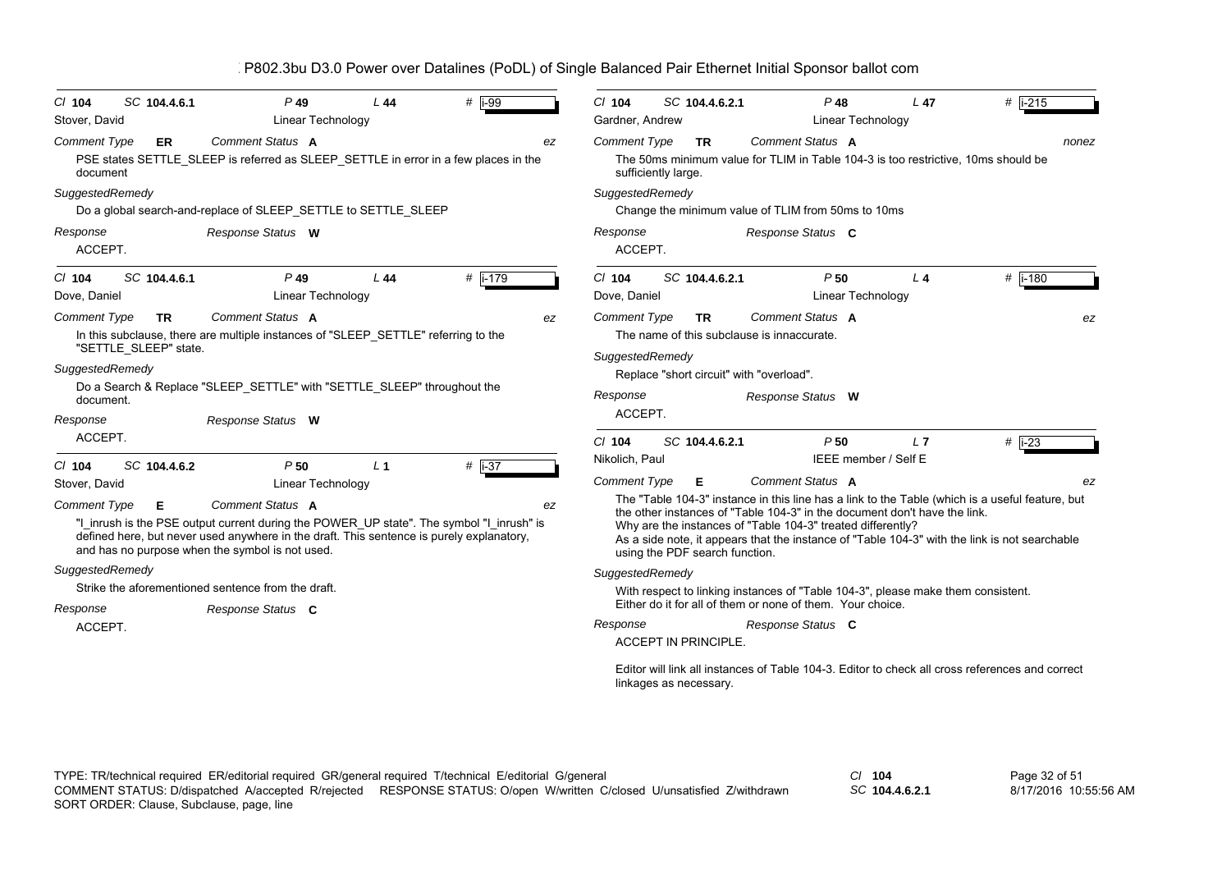| P802.3bu D3.0 Power over Datalines (PoDL) of Single Balanced Pair Ethernet Initial Sponsor ballot com |  |
|-------------------------------------------------------------------------------------------------------|--|
|-------------------------------------------------------------------------------------------------------|--|

| SC 104.4.6.1<br>$CI$ 104<br>Stover, David                                    | $P$ 49<br>Linear Technology                                                                                                                                                                                                                                 | L44            | # $\overline{1}$ -99 | CI 104<br>Gardner, Andrew                         | SC 104.4.6.2.1                   |                                                                                                                                                | $P$ 48<br>L <sub>47</sub><br>Linear Technology | $#$ i-215                                                                                                                                                                                        |
|------------------------------------------------------------------------------|-------------------------------------------------------------------------------------------------------------------------------------------------------------------------------------------------------------------------------------------------------------|----------------|----------------------|---------------------------------------------------|----------------------------------|------------------------------------------------------------------------------------------------------------------------------------------------|------------------------------------------------|--------------------------------------------------------------------------------------------------------------------------------------------------------------------------------------------------|
| <b>Comment Type</b><br>ER<br>document<br>SuggestedRemedy                     | <b>Comment Status A</b><br>PSE states SETTLE_SLEEP is referred as SLEEP_SETTLE in error in a few places in the<br>Do a global search-and-replace of SLEEP_SETTLE to SETTLE_SLEEP                                                                            |                | ez                   | <b>Comment Type</b><br>SuggestedRemedy            | <b>TR</b><br>sufficiently large. | Comment Status A<br>Change the minimum value of TLIM from 50ms to 10ms                                                                         |                                                | nonez<br>The 50ms minimum value for TLIM in Table 104-3 is too restrictive, 10ms should be                                                                                                       |
| Response<br>ACCEPT.                                                          | Response Status W                                                                                                                                                                                                                                           |                |                      | Response<br>ACCEPT.                               |                                  | Response Status C                                                                                                                              |                                                |                                                                                                                                                                                                  |
| SC 104.4.6.1<br>$CI$ 104<br>Dove, Daniel                                     | $P$ 49<br>Linear Technology                                                                                                                                                                                                                                 | L44            | # $\sqrt{1-179}$     | $Cl$ 104<br>Dove, Daniel                          | SC 104.4.6.2.1                   |                                                                                                                                                | P50<br>$L$ 4<br>Linear Technology              | $#$ i-180                                                                                                                                                                                        |
| <b>Comment Type</b><br><b>TR</b><br>"SETTLE_SLEEP" state.<br>SuggestedRemedy | Comment Status A<br>In this subclause, there are multiple instances of "SLEEP SETTLE" referring to the                                                                                                                                                      |                | ez                   | <b>Comment Type</b><br>SuggestedRemedy            | TR.                              | Comment Status A<br>The name of this subclause is innaccurate.<br>Replace "short circuit" with "overload".                                     |                                                | ez                                                                                                                                                                                               |
| document.                                                                    | Do a Search & Replace "SLEEP_SETTLE" with "SETTLE_SLEEP" throughout the                                                                                                                                                                                     |                |                      | Response                                          |                                  | Response Status W                                                                                                                              |                                                |                                                                                                                                                                                                  |
| Response<br>ACCEPT.                                                          | Response Status W                                                                                                                                                                                                                                           |                |                      | ACCEPT.                                           |                                  |                                                                                                                                                |                                                |                                                                                                                                                                                                  |
| SC 104.4.6.2<br>$Cl$ 104<br>Stover, David                                    | P50<br>Linear Technology                                                                                                                                                                                                                                    | L <sub>1</sub> | $#$ i-37             | $Cl$ 104<br>Nikolich, Paul<br><b>Comment Type</b> | SC 104.4.6.2.1<br>Е              | Comment Status A                                                                                                                               | P50<br>L <sub>7</sub><br>IEEE member / Self E  | $#$ i-23<br>ez                                                                                                                                                                                   |
| <b>Comment Type</b><br>Е                                                     | Comment Status A<br>"I_inrush is the PSE output current during the POWER_UP state". The symbol "I_inrush" is<br>defined here, but never used anywhere in the draft. This sentence is purely explanatory,<br>and has no purpose when the symbol is not used. |                | ez                   |                                                   | using the PDF search function.   | the other instances of "Table 104-3" in the document don't have the link.<br>Why are the instances of "Table 104-3" treated differently?       |                                                | The "Table 104-3" instance in this line has a link to the Table (which is a useful feature, but<br>As a side note, it appears that the instance of "Table 104-3" with the link is not searchable |
| SuggestedRemedy                                                              |                                                                                                                                                                                                                                                             |                |                      | SuggestedRemedy                                   |                                  |                                                                                                                                                |                                                |                                                                                                                                                                                                  |
|                                                                              | Strike the aforementioned sentence from the draft.                                                                                                                                                                                                          |                |                      |                                                   |                                  | With respect to linking instances of "Table 104-3", please make them consistent.<br>Either do it for all of them or none of them. Your choice. |                                                |                                                                                                                                                                                                  |
| Response                                                                     | Response Status C                                                                                                                                                                                                                                           |                |                      | Response                                          |                                  | Response Status C                                                                                                                              |                                                |                                                                                                                                                                                                  |
| ACCEPT.                                                                      |                                                                                                                                                                                                                                                             |                |                      |                                                   | <b>ACCEPT IN PRINCIPLE.</b>      |                                                                                                                                                |                                                |                                                                                                                                                                                                  |
|                                                                              |                                                                                                                                                                                                                                                             |                |                      |                                                   | linkages as necessary.           |                                                                                                                                                |                                                | Editor will link all instances of Table 104-3. Editor to check all cross references and correct                                                                                                  |

*SC* **104.4.6.2.1**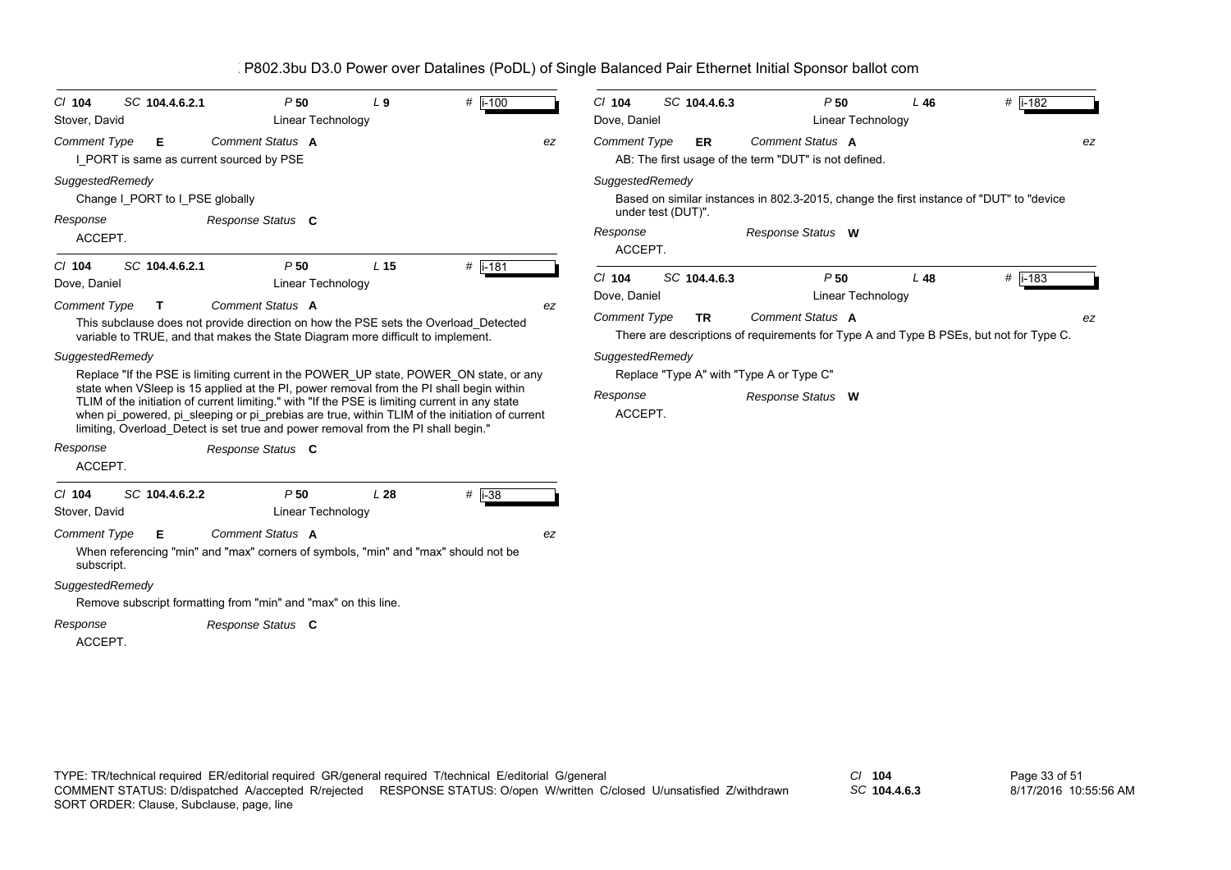| $CI$ 104<br>Stover, David              | SC 104.4.6.2.1                                | P50<br>Linear Technology                                                                                                                                                                                                                                                                                                                                                                                                                                                 | $L_9$           | $#$ i-100 |    | $Cl$ 104<br>Dove, Daniel                                     | SC 104.4.6.3 | P50<br>Linear Technology                                                                                     | L46 | # $i-182$ |
|----------------------------------------|-----------------------------------------------|--------------------------------------------------------------------------------------------------------------------------------------------------------------------------------------------------------------------------------------------------------------------------------------------------------------------------------------------------------------------------------------------------------------------------------------------------------------------------|-----------------|-----------|----|--------------------------------------------------------------|--------------|--------------------------------------------------------------------------------------------------------------|-----|-----------|
| <b>Comment Type</b>                    | Е<br>I PORT is same as current sourced by PSE | Comment Status A                                                                                                                                                                                                                                                                                                                                                                                                                                                         |                 |           | ez | <b>Comment Type</b>                                          | <b>ER</b>    | Comment Status A<br>AB: The first usage of the term "DUT" is not defined.                                    |     | ez        |
| SuggestedRemedy<br>Response<br>ACCEPT. | Change I PORT to I PSE globally               | Response Status C                                                                                                                                                                                                                                                                                                                                                                                                                                                        |                 |           |    | SuggestedRemedy<br>under test (DUT)".<br>Response<br>ACCEPT. |              | Based on similar instances in 802.3-2015, change the first instance of "DUT" to "device<br>Response Status W |     |           |
| $CI$ 104<br>Dove, Daniel               | SC 104.4.6.2.1                                | P50<br>Linear Technology                                                                                                                                                                                                                                                                                                                                                                                                                                                 | L <sub>15</sub> | # i-181   |    | C/ 104<br>Dove, Daniel                                       | SC 104.4.6.3 | P50<br>Linear Technology                                                                                     | L48 | $#$ i-183 |
| <b>Comment Type</b>                    | $\mathbf{T}$                                  | Comment Status A<br>This subclause does not provide direction on how the PSE sets the Overload_Detected<br>variable to TRUE, and that makes the State Diagram more difficult to implement.                                                                                                                                                                                                                                                                               |                 |           | ez | <b>Comment Type</b>                                          | TR           | Comment Status A<br>There are descriptions of requirements for Type A and Type B PSEs, but not for Type C.   |     | ez        |
| SuggestedRemedy                        |                                               | Replace "If the PSE is limiting current in the POWER UP state, POWER ON state, or any<br>state when VSIeep is 15 applied at the PI, power removal from the PI shall begin within<br>TLIM of the initiation of current limiting." with "If the PSE is limiting current in any state<br>when pi powered, pi sleeping or pi prebias are true, within TLIM of the initiation of current<br>limiting, Overload_Detect is set true and power removal from the PI shall begin." |                 |           |    | SuggestedRemedy<br>Response<br>ACCEPT.                       |              | Replace "Type A" with "Type A or Type C"<br>Response Status W                                                |     |           |
| Response<br>ACCEPT.                    |                                               | Response Status C                                                                                                                                                                                                                                                                                                                                                                                                                                                        |                 |           |    |                                                              |              |                                                                                                              |     |           |
| $CI$ 104<br>Stover, David              | SC 104.4.6.2.2                                | P50<br>Linear Technology                                                                                                                                                                                                                                                                                                                                                                                                                                                 | L28             | $#$ i-38  |    |                                                              |              |                                                                                                              |     |           |
| <b>Comment Type</b><br>subscript.      | Е.                                            | <b>Comment Status A</b><br>When referencing "min" and "max" corners of symbols, "min" and "max" should not be                                                                                                                                                                                                                                                                                                                                                            |                 |           | ez |                                                              |              |                                                                                                              |     |           |
| SuggestedRemedy                        |                                               | Remove subscript formatting from "min" and "max" on this line.                                                                                                                                                                                                                                                                                                                                                                                                           |                 |           |    |                                                              |              |                                                                                                              |     |           |
| Response<br>ACCEPT.                    |                                               | Response Status C                                                                                                                                                                                                                                                                                                                                                                                                                                                        |                 |           |    |                                                              |              |                                                                                                              |     |           |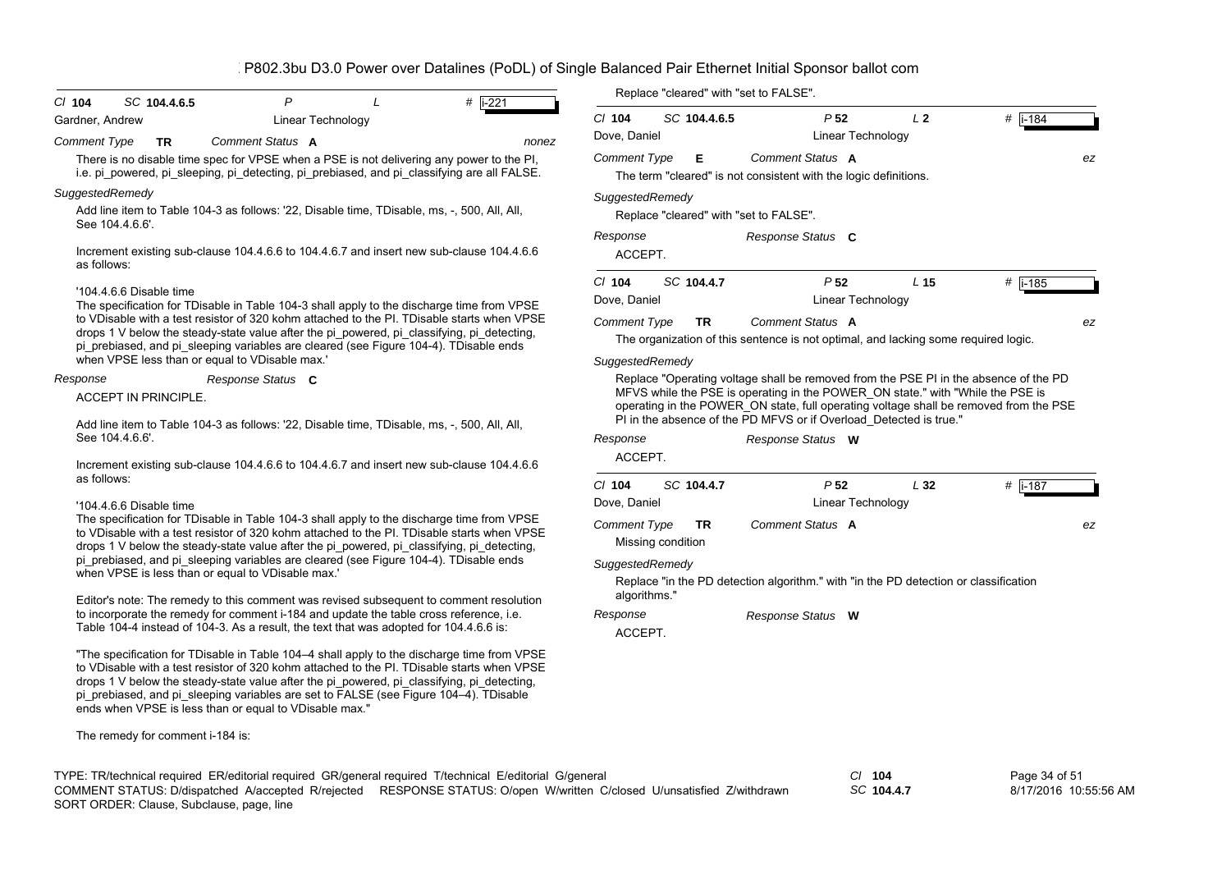| $CI$ 104                                                                                                                                                                                                                              | SC 104.4.6.5                                                                               | P                                                                                                                                                                                                                                                                                                                                                                                                                                         |  | # i-221                                                            |                                 |                                                                                | Replace "cleared" with "set to FALSE".                                                                                                                                        |                          |                                                                                      |           |    |
|---------------------------------------------------------------------------------------------------------------------------------------------------------------------------------------------------------------------------------------|--------------------------------------------------------------------------------------------|-------------------------------------------------------------------------------------------------------------------------------------------------------------------------------------------------------------------------------------------------------------------------------------------------------------------------------------------------------------------------------------------------------------------------------------------|--|--------------------------------------------------------------------|---------------------------------|--------------------------------------------------------------------------------|-------------------------------------------------------------------------------------------------------------------------------------------------------------------------------|--------------------------|--------------------------------------------------------------------------------------|-----------|----|
| Gardner, Andrew                                                                                                                                                                                                                       |                                                                                            | Linear Technology                                                                                                                                                                                                                                                                                                                                                                                                                         |  |                                                                    | $Cl$ 104                        | SC 104.4.6.5                                                                   |                                                                                                                                                                               | P <sub>52</sub>          | L <sub>2</sub>                                                                       | # i-184   |    |
| <b>Comment Type</b>                                                                                                                                                                                                                   | <b>TR</b>                                                                                  | <b>Comment Status A</b>                                                                                                                                                                                                                                                                                                                                                                                                                   |  | nonez                                                              | Dove, Daniel                    |                                                                                |                                                                                                                                                                               | <b>Linear Technology</b> |                                                                                      |           |    |
|                                                                                                                                                                                                                                       |                                                                                            | There is no disable time spec for VPSE when a PSE is not delivering any power to the PI,<br>i.e. pi powered, pi sleeping, pi detecting, pi prebiased, and pi classifying are all FALSE.                                                                                                                                                                                                                                                   |  |                                                                    | <b>Comment Type</b>             | Е                                                                              | Comment Status A<br>The term "cleared" is not consistent with the logic definitions.                                                                                          |                          |                                                                                      |           | ez |
| SuggestedRemedy                                                                                                                                                                                                                       |                                                                                            | Add line item to Table 104-3 as follows: '22, Disable time, TDisable, ms, -, 500, All, All,                                                                                                                                                                                                                                                                                                                                               |  |                                                                    | SuggestedRemedy                 |                                                                                |                                                                                                                                                                               |                          |                                                                                      |           |    |
| See 104.4.6.6'.                                                                                                                                                                                                                       |                                                                                            |                                                                                                                                                                                                                                                                                                                                                                                                                                           |  |                                                                    |                                 |                                                                                | Replace "cleared" with "set to FALSE".                                                                                                                                        |                          |                                                                                      |           |    |
| as follows:                                                                                                                                                                                                                           |                                                                                            | Increment existing sub-clause 104.4.6.6 to 104.4.6.7 and insert new sub-clause 104.4.6.6                                                                                                                                                                                                                                                                                                                                                  |  |                                                                    | Response<br>ACCEPT.             |                                                                                | Response Status C                                                                                                                                                             |                          |                                                                                      |           |    |
|                                                                                                                                                                                                                                       |                                                                                            |                                                                                                                                                                                                                                                                                                                                                                                                                                           |  |                                                                    | $Cl$ 104                        | SC 104.4.7                                                                     |                                                                                                                                                                               | P <sub>52</sub>          | L <sub>15</sub>                                                                      | $#$ i-185 |    |
| '104.4.6.6 Disable time<br>The specification for TDisable in Table 104-3 shall apply to the discharge time from VPSE                                                                                                                  |                                                                                            |                                                                                                                                                                                                                                                                                                                                                                                                                                           |  | Dove, Daniel                                                       |                                 |                                                                                | Linear Technology                                                                                                                                                             |                          |                                                                                      |           |    |
|                                                                                                                                                                                                                                       | to VDisable with a test resistor of 320 kohm attached to the PI. TDisable starts when VPSE |                                                                                                                                                                                                                                                                                                                                                                                                                                           |  |                                                                    | <b>Comment Type</b>             | TR.                                                                            | Comment Status A                                                                                                                                                              |                          |                                                                                      |           | ez |
| drops 1 V below the steady-state value after the pi_powered, pi_classifying, pi_detecting,<br>pi prebiased, and pi sleeping variables are cleared (see Figure 104-4). TDisable ends<br>when VPSE less than or equal to VDisable max.' |                                                                                            |                                                                                                                                                                                                                                                                                                                                                                                                                                           |  |                                                                    |                                 |                                                                                |                                                                                                                                                                               |                          | The organization of this sentence is not optimal, and lacking some required logic.   |           |    |
|                                                                                                                                                                                                                                       |                                                                                            |                                                                                                                                                                                                                                                                                                                                                                                                                                           |  | SuggestedRemedy                                                    |                                 |                                                                                |                                                                                                                                                                               |                          |                                                                                      |           |    |
| Response Status C<br>Response<br><b>ACCEPT IN PRINCIPLE.</b><br>Add line item to Table 104-3 as follows: '22, Disable time, TDisable, ms, -, 500, All, All,                                                                           |                                                                                            |                                                                                                                                                                                                                                                                                                                                                                                                                                           |  | PI in the absence of the PD MFVS or if Overload Detected is true." |                                 | MFVS while the PSE is operating in the POWER_ON state." with "While the PSE is | Replace "Operating voltage shall be removed from the PSE PI in the absence of the PD<br>operating in the POWER ON state, full operating voltage shall be removed from the PSE |                          |                                                                                      |           |    |
| See 104.4.6.6'.                                                                                                                                                                                                                       |                                                                                            |                                                                                                                                                                                                                                                                                                                                                                                                                                           |  |                                                                    | Response                        |                                                                                | Response Status W                                                                                                                                                             |                          |                                                                                      |           |    |
|                                                                                                                                                                                                                                       |                                                                                            | Increment existing sub-clause 104.4.6.6 to 104.4.6.7 and insert new sub-clause 104.4.6.6                                                                                                                                                                                                                                                                                                                                                  |  |                                                                    | ACCEPT.                         |                                                                                |                                                                                                                                                                               |                          |                                                                                      |           |    |
| as follows:                                                                                                                                                                                                                           |                                                                                            |                                                                                                                                                                                                                                                                                                                                                                                                                                           |  |                                                                    | $Cl$ 104                        | SC 104.4.7                                                                     |                                                                                                                                                                               | P <sub>52</sub>          | L32                                                                                  | # $i-187$ |    |
|                                                                                                                                                                                                                                       | '104.4.6.6 Disable time                                                                    |                                                                                                                                                                                                                                                                                                                                                                                                                                           |  |                                                                    | Dove, Daniel                    |                                                                                |                                                                                                                                                                               | Linear Technology        |                                                                                      |           |    |
|                                                                                                                                                                                                                                       |                                                                                            | The specification for TDisable in Table 104-3 shall apply to the discharge time from VPSE<br>to VDisable with a test resistor of 320 kohm attached to the PI. TDisable starts when VPSE<br>drops 1 V below the steady-state value after the pi_powered, pi_classifying, pi_detecting,                                                                                                                                                     |  |                                                                    | <b>Comment Type</b>             | <b>TR</b><br>Missing condition                                                 | Comment Status A                                                                                                                                                              |                          |                                                                                      |           | ez |
|                                                                                                                                                                                                                                       |                                                                                            | pi_prebiased, and pi_sleeping variables are cleared (see Figure 104-4). TDisable ends<br>when VPSE is less than or equal to VDisable max.'                                                                                                                                                                                                                                                                                                |  |                                                                    | SuggestedRemedy<br>algorithms." |                                                                                |                                                                                                                                                                               |                          | Replace "in the PD detection algorithm." with "in the PD detection or classification |           |    |
|                                                                                                                                                                                                                                       |                                                                                            | Editor's note: The remedy to this comment was revised subsequent to comment resolution<br>to incorporate the remedy for comment i-184 and update the table cross reference, i.e.                                                                                                                                                                                                                                                          |  |                                                                    | Response                        |                                                                                | Response Status W                                                                                                                                                             |                          |                                                                                      |           |    |
|                                                                                                                                                                                                                                       |                                                                                            | Table 104-4 instead of 104-3. As a result, the text that was adopted for 104.4.6.6 is:                                                                                                                                                                                                                                                                                                                                                    |  |                                                                    | ACCEPT.                         |                                                                                |                                                                                                                                                                               |                          |                                                                                      |           |    |
|                                                                                                                                                                                                                                       |                                                                                            | "The specification for TDisable in Table 104-4 shall apply to the discharge time from VPSE<br>to VDisable with a test resistor of 320 kohm attached to the PI. TDisable starts when VPSE<br>drops 1 V below the steady-state value after the pi_powered, pi_classifying, pi_detecting,<br>pi_prebiased, and pi_sleeping variables are set to FALSE (see Figure 104-4). TDisable<br>ends when VPSE is less than or equal to VDisable max." |  |                                                                    |                                 |                                                                                |                                                                                                                                                                               |                          |                                                                                      |           |    |

The remedy for comment i-184 is:

TYPE: TR/technical required ER/editorial required GR/general required T/technical E/editorial G/general *Cl* **104** SORT ORDER: Clause, Subclause, page, line COMMENT STATUS: D/dispatched A/accepted R/rejected RESPONSE STATUS: O/open W/written C/closed U/unsatisfied Z/withdrawn

*SC* **104.4.7**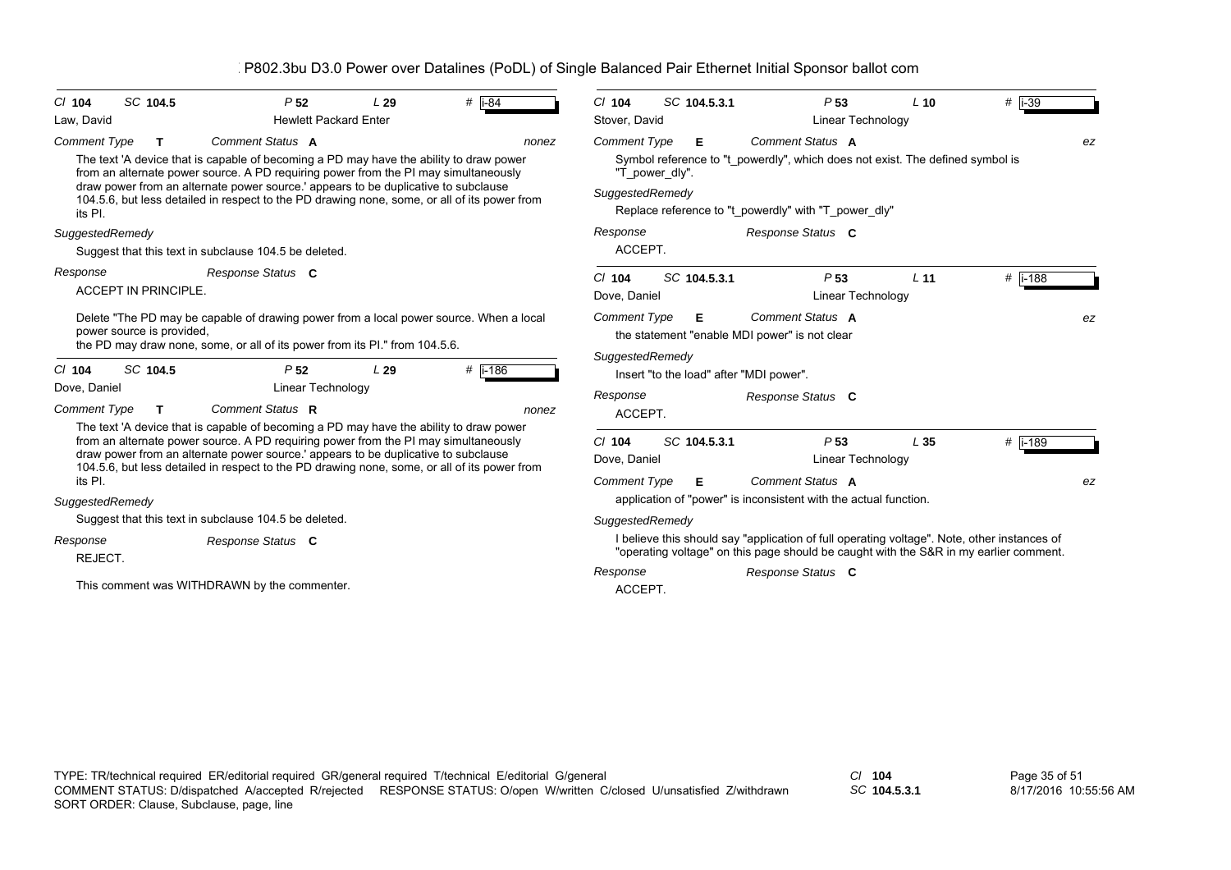| SC 104.5<br>$#$  i-84<br>C/ 104<br>P <sub>52</sub><br>L29<br>Law, David<br><b>Hewlett Packard Enter</b>                                                                                                                                                                                                                                                                                                                                 | SC 104.5.3.1<br>$#$  i-39<br>$Cl$ 104<br>P <sub>53</sub><br>$L$ 10<br>Stover, David<br>Linear Technology                                                                                                                         |
|-----------------------------------------------------------------------------------------------------------------------------------------------------------------------------------------------------------------------------------------------------------------------------------------------------------------------------------------------------------------------------------------------------------------------------------------|----------------------------------------------------------------------------------------------------------------------------------------------------------------------------------------------------------------------------------|
| <b>Comment Type</b><br>Comment Status A<br>т<br>nonez<br>The text 'A device that is capable of becoming a PD may have the ability to draw power<br>from an alternate power source. A PD requiring power from the PI may simultaneously<br>draw power from an alternate power source.' appears to be duplicative to subclause<br>104.5.6, but less detailed in respect to the PD drawing none, some, or all of its power from<br>its PI. | Comment Status A<br><b>Comment Type</b><br>Е<br>ez<br>Symbol reference to "t powerdly", which does not exist. The defined symbol is<br>"T_power_dly".<br>SuggestedRemedy<br>Replace reference to "t powerdly" with "T power dly" |
| SuggestedRemedy<br>Suggest that this text in subclause 104.5 be deleted.                                                                                                                                                                                                                                                                                                                                                                | Response<br>Response Status C<br>ACCEPT.                                                                                                                                                                                         |
| Response<br>Response Status C<br><b>ACCEPT IN PRINCIPLE.</b>                                                                                                                                                                                                                                                                                                                                                                            | # $ i - 188$<br>SC 104.5.3.1<br>P <sub>53</sub><br>L <sub>11</sub><br>$Cl$ 104<br>Dove, Daniel<br>Linear Technology                                                                                                              |
| Delete "The PD may be capable of drawing power from a local power source. When a local<br>power source is provided.<br>the PD may draw none, some, or all of its power from its PI." from 104.5.6.                                                                                                                                                                                                                                      | Comment Status A<br><b>Comment Type</b><br>Е<br>ez<br>the statement "enable MDI power" is not clear<br>SuggestedRemedy                                                                                                           |
| SC 104.5<br>#  i-186<br>C/ 104<br>P <sub>52</sub><br>L29                                                                                                                                                                                                                                                                                                                                                                                | Insert "to the load" after "MDI power".                                                                                                                                                                                          |
| Dove, Daniel<br>Linear Technology<br>Comment Status R<br>Comment Type<br>$\mathbf T$<br>nonez                                                                                                                                                                                                                                                                                                                                           | Response<br>Response Status C<br>ACCEPT.                                                                                                                                                                                         |
| The text 'A device that is capable of becoming a PD may have the ability to draw power<br>from an alternate power source. A PD requiring power from the PI may simultaneously<br>draw power from an alternate power source.' appears to be duplicative to subclause<br>104.5.6, but less detailed in respect to the PD drawing none, some, or all of its power from<br>its PI.                                                          | $Cl$ 104<br>SC 104.5.3.1<br>P <sub>53</sub><br>L <sub>35</sub><br>$#$ i-189<br>Dove, Daniel<br>Linear Technology<br>Comment Status A<br><b>Comment Type</b><br>Е<br>ez                                                           |
| SuggestedRemedy                                                                                                                                                                                                                                                                                                                                                                                                                         | application of "power" is inconsistent with the actual function.                                                                                                                                                                 |
| Suggest that this text in subclause 104.5 be deleted.                                                                                                                                                                                                                                                                                                                                                                                   | SuggestedRemedy                                                                                                                                                                                                                  |
| Response<br>Response Status C<br>REJECT.                                                                                                                                                                                                                                                                                                                                                                                                | I believe this should say "application of full operating voltage". Note, other instances of<br>"operating voltage" on this page should be caught with the S&R in my earlier comment.                                             |
| This comment was WITHDRAWN by the commenter.                                                                                                                                                                                                                                                                                                                                                                                            | Response Status C<br>Response<br>ACCEPT.                                                                                                                                                                                         |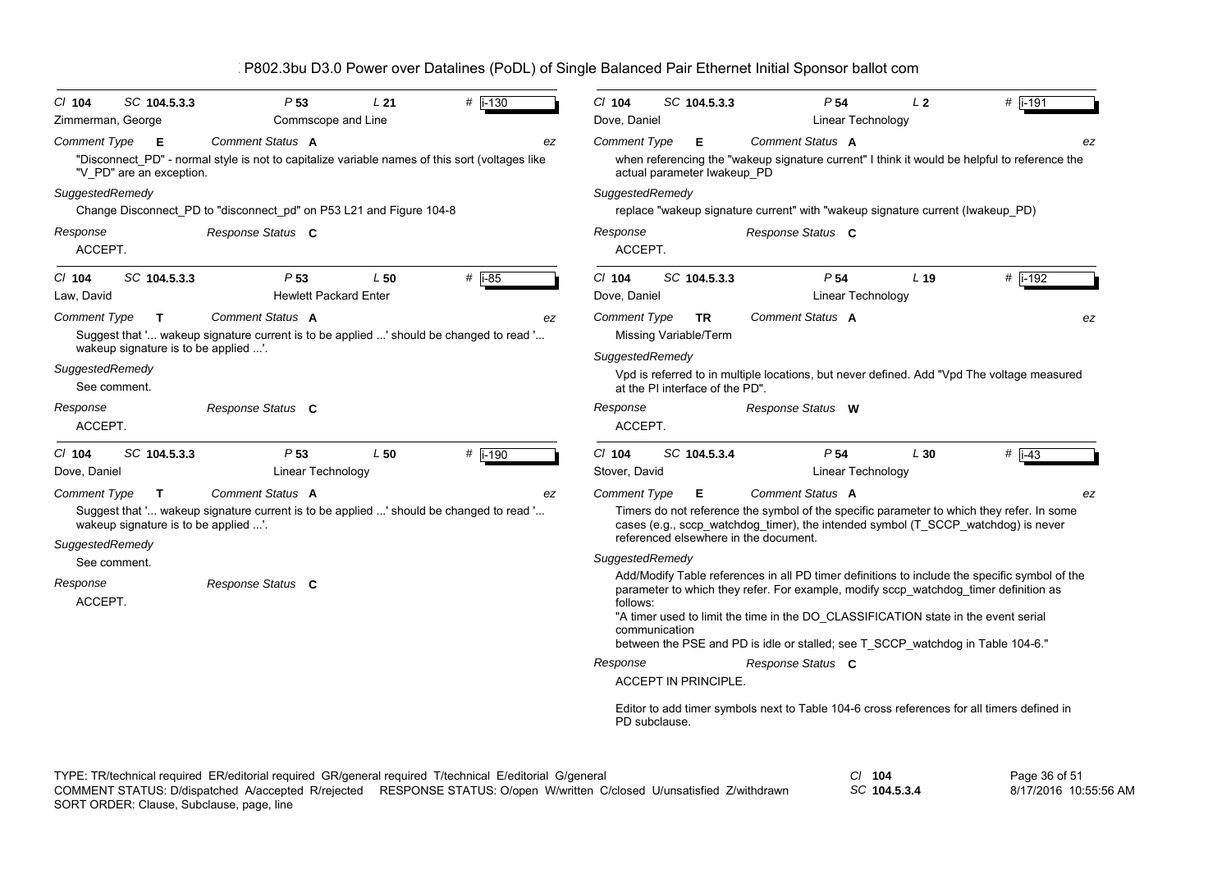|                                                                             | P802.3bu D3.0 Power over Datalines (PoDL) of Single Balanced Pair Ethernet Initial Sponsor ballot com              |          |                                                                                                                                                                                                                                                                                                                                                                                             |                                                                                                                                                                                                    |                 |           |  |
|-----------------------------------------------------------------------------|--------------------------------------------------------------------------------------------------------------------|----------|---------------------------------------------------------------------------------------------------------------------------------------------------------------------------------------------------------------------------------------------------------------------------------------------------------------------------------------------------------------------------------------------|----------------------------------------------------------------------------------------------------------------------------------------------------------------------------------------------------|-----------------|-----------|--|
| $CI$ 104<br>SC 104.5.3.3<br>Zimmerman, George                               | P <sub>53</sub><br>L21<br>Commscope and Line                                                                       | #  i-130 | $CI$ 104<br>SC 104.5.3.3<br>Dove, Daniel                                                                                                                                                                                                                                                                                                                                                    | P <sub>54</sub><br>Linear Technology                                                                                                                                                               | L <sub>2</sub>  | #  i-191  |  |
| Comment Type<br>Е<br>"V_PD" are an exception.                               | Comment Status A<br>"Disconnect_PD" - normal style is not to capitalize variable names of this sort (voltages like | ez       | <b>Comment Type</b><br>Е<br>actual parameter Iwakeup PD                                                                                                                                                                                                                                                                                                                                     | Comment Status A<br>when referencing the "wakeup signature current" I think it would be helpful to reference the                                                                                   |                 | ez        |  |
| SuggestedRemedy                                                             |                                                                                                                    |          | SuggestedRemedy                                                                                                                                                                                                                                                                                                                                                                             |                                                                                                                                                                                                    |                 |           |  |
| Response<br>ACCEPT.                                                         | Change Disconnect_PD to "disconnect_pd" on P53 L21 and Figure 104-8<br>Response Status C                           |          | Response<br>ACCEPT.                                                                                                                                                                                                                                                                                                                                                                         | replace "wakeup signature current" with "wakeup signature current (Iwakeup_PD)<br>Response Status C                                                                                                |                 |           |  |
| SC 104.5.3.3<br>$Cl$ 104<br>Law, David                                      | P <sub>53</sub><br>L50<br><b>Hewlett Packard Enter</b>                                                             | # $i-85$ | $Cl$ 104<br>SC 104.5.3.3<br>Dove, Daniel                                                                                                                                                                                                                                                                                                                                                    | P <sub>54</sub><br>Linear Technology                                                                                                                                                               | L <sub>19</sub> | $#$ i-192 |  |
| <b>Comment Type</b><br>$\mathbf{T}$<br>wakeup signature is to be applied '. | <b>Comment Status A</b><br>Suggest that ' wakeup signature current is to be applied ' should be changed to read '  | ez       | <b>Comment Type</b><br><b>TR</b><br>Missing Variable/Term<br>SuggestedRemedy                                                                                                                                                                                                                                                                                                                | Comment Status A                                                                                                                                                                                   |                 | ez        |  |
| SuggestedRemedy<br>See comment.                                             |                                                                                                                    |          | at the PI interface of the PD".                                                                                                                                                                                                                                                                                                                                                             | Vpd is referred to in multiple locations, but never defined. Add "Vpd The voltage measured                                                                                                         |                 |           |  |
| Response<br>ACCEPT.                                                         | Response Status C                                                                                                  |          | Response<br>ACCEPT.                                                                                                                                                                                                                                                                                                                                                                         | Response Status W                                                                                                                                                                                  |                 |           |  |
| SC 104.5.3.3<br>$CI$ 104<br>Dove, Daniel                                    | P <sub>53</sub><br>L50<br>Linear Technology                                                                        | # i-190  | $CI$ 104<br>SC 104.5.3.4<br>Stover, David                                                                                                                                                                                                                                                                                                                                                   | P <sub>54</sub><br><b>Linear Technology</b>                                                                                                                                                        | L30             | $#$ i-43  |  |
| <b>Comment Type</b><br>T.<br>wakeup signature is to be applied '.           | <b>Comment Status A</b><br>Suggest that ' wakeup signature current is to be applied ' should be changed to read '  | ez       | <b>Comment Type</b><br>Е                                                                                                                                                                                                                                                                                                                                                                    | Comment Status A<br>Timers do not reference the symbol of the specific parameter to which they refer. In some<br>cases (e.g., sccp_watchdog_timer), the intended symbol (T_SCCP_watchdog) is never |                 | ez        |  |
| SuggestedRemedy<br>See comment.                                             |                                                                                                                    |          | referenced elsewhere in the document.<br>SuggestedRemedy                                                                                                                                                                                                                                                                                                                                    |                                                                                                                                                                                                    |                 |           |  |
| Response<br>ACCEPT.                                                         | Response Status C                                                                                                  |          | Add/Modify Table references in all PD timer definitions to include the specific symbol of the<br>parameter to which they refer. For example, modify sccp watchdog timer definition as<br>follows:<br>"A timer used to limit the time in the DO_CLASSIFICATION state in the event serial<br>communication<br>between the PSE and PD is idle or stalled; see T_SCCP_watchdog in Table 104-6." |                                                                                                                                                                                                    |                 |           |  |
|                                                                             |                                                                                                                    |          | Response                                                                                                                                                                                                                                                                                                                                                                                    | Response Status C                                                                                                                                                                                  |                 |           |  |
|                                                                             |                                                                                                                    |          | <b>ACCEPT IN PRINCIPLE.</b>                                                                                                                                                                                                                                                                                                                                                                 |                                                                                                                                                                                                    |                 |           |  |
|                                                                             |                                                                                                                    |          | PD subclause.                                                                                                                                                                                                                                                                                                                                                                               | Editor to add timer symbols next to Table 104-6 cross references for all timers defined in                                                                                                         |                 |           |  |

Page 36 of 51 8/17/2016 10:55:56 AM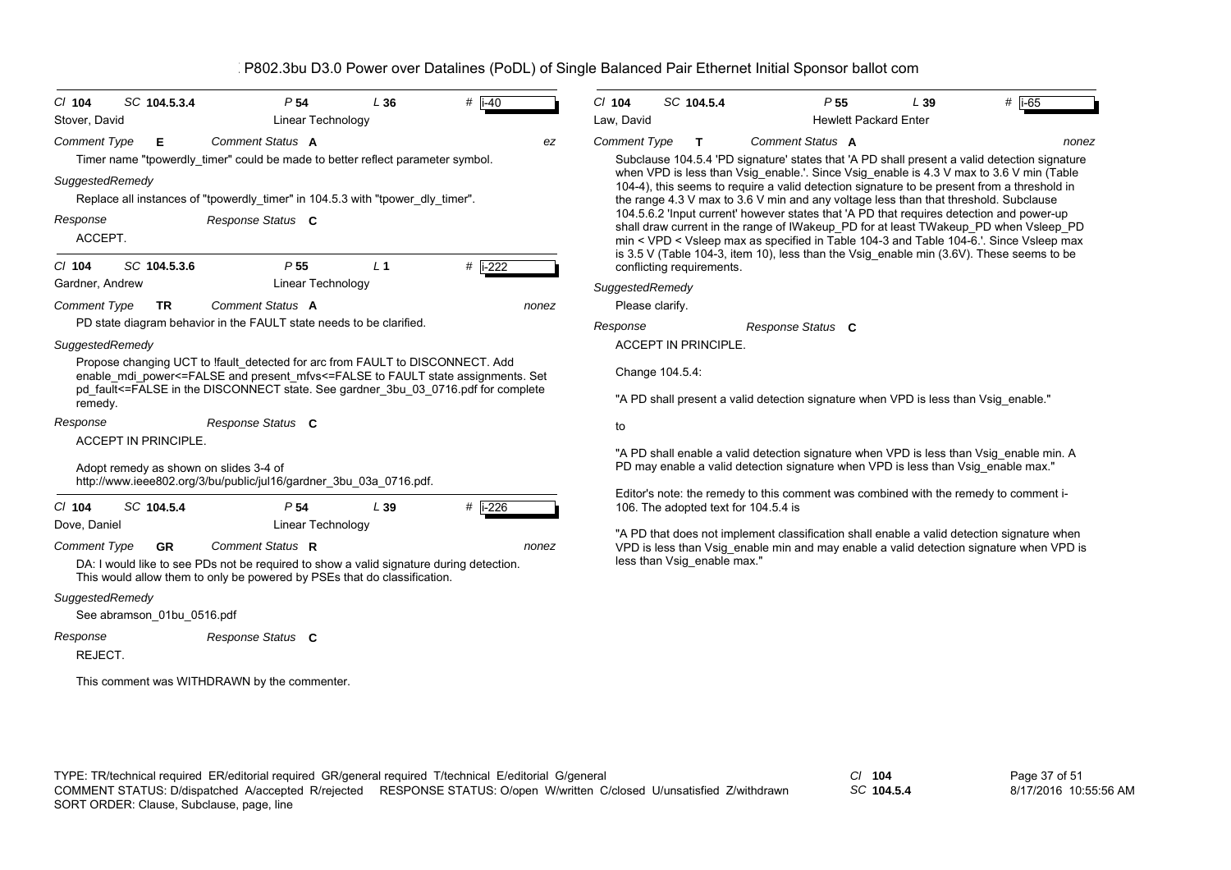| $CI$ 104<br>Stover, David              | SC 104.5.3.4                           | P <sub>54</sub><br>Linear Technology                                                                                                                                | L36            | # $\overline{1}$ -40 | C/ 104<br>Law, David        | SC 104.5.4                                                                                                                      |
|----------------------------------------|----------------------------------------|---------------------------------------------------------------------------------------------------------------------------------------------------------------------|----------------|----------------------|-----------------------------|---------------------------------------------------------------------------------------------------------------------------------|
|                                        |                                        |                                                                                                                                                                     |                |                      |                             |                                                                                                                                 |
| <b>Comment Type</b>                    | Е                                      | Comment Status A                                                                                                                                                    |                | ez                   | <b>Comment Type</b>         | т<br>Co                                                                                                                         |
| SuggestedRemedy                        |                                        | Timer name "tpowerdly timer" could be made to better reflect parameter symbol.<br>Replace all instances of "tpowerdly timer" in 104.5.3 with "tpower dly timer".    |                |                      |                             | Subclause 104.5.4 'PD signa<br>when VPD is less than Vsig<br>104-4), this seems to require<br>the range 4.3 V max to 3.6 V      |
| Response<br>ACCEPT.                    |                                        | Response Status C                                                                                                                                                   |                |                      |                             | 104.5.6.2 'Input current' howe<br>shall draw current in the rang<br>min < VPD < Vsleep max as<br>is 3.5 V (Table 104-3, item 10 |
| $Cl$ 104                               | SC 104.5.3.6                           | P <sub>55</sub>                                                                                                                                                     | L <sub>1</sub> | # i-222              | conflicting requirements.   |                                                                                                                                 |
| Gardner, Andrew                        |                                        | Linear Technology                                                                                                                                                   |                |                      | SuggestedRemedy             |                                                                                                                                 |
| <b>Comment Type</b>                    | <b>TR</b>                              | Comment Status A                                                                                                                                                    |                | nonez                | Please clarify.             |                                                                                                                                 |
|                                        |                                        | PD state diagram behavior in the FAULT state needs to be clarified.                                                                                                 |                |                      | Response                    | Res                                                                                                                             |
| SuggestedRemedy                        |                                        |                                                                                                                                                                     |                |                      | <b>ACCEPT IN PRINCIPLE.</b> |                                                                                                                                 |
|                                        |                                        |                                                                                                                                                                     |                |                      |                             |                                                                                                                                 |
|                                        |                                        | Propose changing UCT to Ifault detected for arc from FAULT to DISCONNECT. Add<br>enable_mdi_power<=FALSE and present_mfvs<=FALSE to FAULT state assignments. Set    |                |                      | Change 104.5.4:             |                                                                                                                                 |
| remedy.                                |                                        | pd_fault<=FALSE in the DISCONNECT state. See gardner_3bu_03_0716.pdf for complete                                                                                   |                |                      |                             | "A PD shall present a valid de                                                                                                  |
| Response                               |                                        |                                                                                                                                                                     |                |                      |                             |                                                                                                                                 |
|                                        | ACCEPT IN PRINCIPLE.                   | Response Status C                                                                                                                                                   |                |                      | to                          |                                                                                                                                 |
|                                        | Adopt remedy as shown on slides 3-4 of |                                                                                                                                                                     |                |                      |                             | "A PD shall enable a valid de<br>PD may enable a valid detect                                                                   |
|                                        |                                        | http://www.ieee802.org/3/bu/public/jul16/gardner_3bu_03a_0716.pdf.                                                                                                  |                |                      |                             | Editor's note: the remedy to the                                                                                                |
| $Cl$ 104                               | SC 104.5.4                             | P <sub>54</sub>                                                                                                                                                     | L39            | $#$ i-226            |                             | 106. The adopted text for 104                                                                                                   |
| Dove, Daniel                           |                                        | Linear Technology                                                                                                                                                   |                |                      |                             | "A PD that does not impleme                                                                                                     |
|                                        | <b>GR</b>                              | Comment Status R                                                                                                                                                    |                | nonez                |                             |                                                                                                                                 |
|                                        |                                        | DA: I would like to see PDs not be required to show a valid signature during detection.<br>This would allow them to only be powered by PSEs that do classification. |                |                      |                             | less than Vsig enable max."                                                                                                     |
|                                        |                                        |                                                                                                                                                                     |                |                      |                             |                                                                                                                                 |
| <b>Comment Type</b><br>SuggestedRemedy | See abramson 01bu 0516.pdf             |                                                                                                                                                                     |                |                      |                             | VPD is less than Vsig_enable                                                                                                    |
| Response                               |                                        | Response Status C                                                                                                                                                   |                |                      |                             |                                                                                                                                 |

This comment was WITHDRAWN by the commenter.

| Law. David                   | <b>Hewlett Packard Enter</b>                                                                                                                                                                                                                                                                                                                                                                                                                                                                                                                                                                                                                                                                                                                                  |       |
|------------------------------|---------------------------------------------------------------------------------------------------------------------------------------------------------------------------------------------------------------------------------------------------------------------------------------------------------------------------------------------------------------------------------------------------------------------------------------------------------------------------------------------------------------------------------------------------------------------------------------------------------------------------------------------------------------------------------------------------------------------------------------------------------------|-------|
| Comment Type<br>$\mathbf{T}$ | Comment Status A                                                                                                                                                                                                                                                                                                                                                                                                                                                                                                                                                                                                                                                                                                                                              | nonez |
| conflicting requirements.    | Subclause 104.5.4 'PD signature' states that 'A PD shall present a valid detection signature<br>when VPD is less than Vsig_enable.'. Since Vsig_enable is 4.3 V max to 3.6 V min (Table<br>104-4), this seems to require a valid detection signature to be present from a threshold in<br>the range 4.3 V max to 3.6 V min and any voltage less than that threshold. Subclause<br>104.5.6.2 'Input current' however states that 'A PD that requires detection and power-up<br>shall draw current in the range of IWakeup_PD for at least TWakeup_PD when Vsleep_PD<br>min < VPD < Vsleep max as specified in Table 104-3 and Table 104-6.'. Since Vsleep max<br>is $3.5$ V (Table 104-3, item 10), less than the Vsig enable min $(3.6V)$ . These seems to be |       |
| SuggestedRemedy              |                                                                                                                                                                                                                                                                                                                                                                                                                                                                                                                                                                                                                                                                                                                                                               |       |
| Please clarify.              |                                                                                                                                                                                                                                                                                                                                                                                                                                                                                                                                                                                                                                                                                                                                                               |       |
| Response                     | Response Status C                                                                                                                                                                                                                                                                                                                                                                                                                                                                                                                                                                                                                                                                                                                                             |       |
| <b>ACCEPT IN PRINCIPLE.</b>  |                                                                                                                                                                                                                                                                                                                                                                                                                                                                                                                                                                                                                                                                                                                                                               |       |
| Change 104.5.4:              |                                                                                                                                                                                                                                                                                                                                                                                                                                                                                                                                                                                                                                                                                                                                                               |       |
|                              | "A PD shall present a valid detection signature when VPD is less than Vsig enable."                                                                                                                                                                                                                                                                                                                                                                                                                                                                                                                                                                                                                                                                           |       |
| to                           |                                                                                                                                                                                                                                                                                                                                                                                                                                                                                                                                                                                                                                                                                                                                                               |       |
|                              | "A PD shall enable a valid detection signature when VPD is less than Vsig enable min. A<br>PD may enable a valid detection signature when VPD is less than Vsig enable max."                                                                                                                                                                                                                                                                                                                                                                                                                                                                                                                                                                                  |       |
|                              | Editor's note: the remedy to this comment was combined with the remedy to comment i-                                                                                                                                                                                                                                                                                                                                                                                                                                                                                                                                                                                                                                                                          |       |

*SC* **104.5.4** *P* 55 *L* 39

106. The adopted text for 104.5.4 is  $\Lambda$  PD that does not implement classification shall enable a valid detection signature when VPD is less than Vsig\_enable min and may enable a valid detection signature when VPD is

TYPE: TR/technical required ER/editorial required GR/general required T/technical E/editorial G/general *Cl* **104** SORT ORDER: Clause, Subclause, page, line COMMENT STATUS: D/dispatched A/accepted R/rejected RESPONSE STATUS: O/open W/written C/closed U/unsatisfied Z/withdrawn

*SC* **104.5.4**

Page 37 of 51 8/17/2016 10:55:56 AM

 $#$  i-65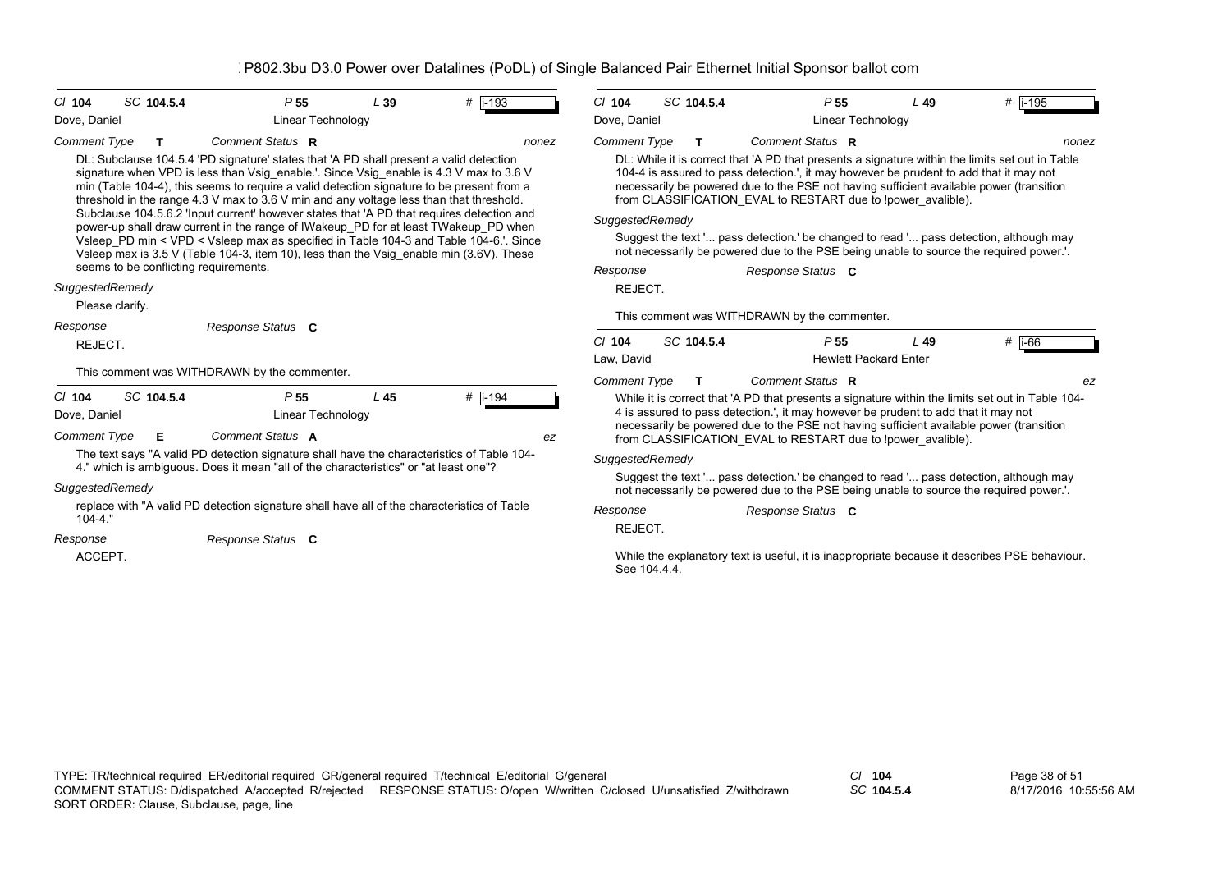| SC 104.5.4<br>$CI$ 104                                                                                                                                                                                                                                                  | P <sub>55</sub>                                                                                                                                                                                                                                                                                                                                                          | L39 | $#$ i-193   | $Cl$ 104                                                                                                                                                                                                                                                                          | SC 104.5.4                                                                                                                                                                                                                                                                                                                                           | P <sub>55</sub>                                                                                                                                                                 |                              | $L$ 49 | #  i-195 |
|-------------------------------------------------------------------------------------------------------------------------------------------------------------------------------------------------------------------------------------------------------------------------|--------------------------------------------------------------------------------------------------------------------------------------------------------------------------------------------------------------------------------------------------------------------------------------------------------------------------------------------------------------------------|-----|-------------|-----------------------------------------------------------------------------------------------------------------------------------------------------------------------------------------------------------------------------------------------------------------------------------|------------------------------------------------------------------------------------------------------------------------------------------------------------------------------------------------------------------------------------------------------------------------------------------------------------------------------------------------------|---------------------------------------------------------------------------------------------------------------------------------------------------------------------------------|------------------------------|--------|----------|
| Dove, Daniel                                                                                                                                                                                                                                                            | Linear Technology                                                                                                                                                                                                                                                                                                                                                        |     |             | Dove, Daniel                                                                                                                                                                                                                                                                      |                                                                                                                                                                                                                                                                                                                                                      |                                                                                                                                                                                 | Linear Technology            |        |          |
| <b>Comment Type</b><br>т                                                                                                                                                                                                                                                | Comment Status R                                                                                                                                                                                                                                                                                                                                                         |     | nonez       | <b>Comment Type</b>                                                                                                                                                                                                                                                               | T                                                                                                                                                                                                                                                                                                                                                    | Comment Status R                                                                                                                                                                |                              |        | nonez    |
|                                                                                                                                                                                                                                                                         | DL: Subclause 104.5.4 'PD signature' states that 'A PD shall present a valid detection<br>signature when VPD is less than Vsig enable.'. Since Vsig enable is 4.3 V max to 3.6 V<br>min (Table 104-4), this seems to require a valid detection signature to be present from a<br>threshold in the range 4.3 V max to 3.6 V min and any voltage less than that threshold. |     |             |                                                                                                                                                                                                                                                                                   | DL: While it is correct that 'A PD that presents a signature within the limits set out in Table<br>104-4 is assured to pass detection.', it may however be prudent to add that it may not<br>necessarily be powered due to the PSE not having sufficient available power (transition<br>from CLASSIFICATION EVAL to RESTART due to !power avalible). |                                                                                                                                                                                 |                              |        |          |
|                                                                                                                                                                                                                                                                         | Subclause 104.5.6.2 'Input current' however states that 'A PD that requires detection and                                                                                                                                                                                                                                                                                |     |             | SuggestedRemedy                                                                                                                                                                                                                                                                   |                                                                                                                                                                                                                                                                                                                                                      |                                                                                                                                                                                 |                              |        |          |
| power-up shall draw current in the range of IWakeup PD for at least TWakeup PD when<br>Vsleep_PD min < VPD < Vsleep max as specified in Table 104-3 and Table 104-6.'. Since<br>Vsleep max is 3.5 V (Table 104-3, item 10), less than the Vsig_enable min (3.6V). These |                                                                                                                                                                                                                                                                                                                                                                          |     |             |                                                                                                                                                                                                                                                                                   |                                                                                                                                                                                                                                                                                                                                                      | Suggest the text ' pass detection.' be changed to read ' pass detection, although may<br>not necessarily be powered due to the PSE being unable to source the required power.'. |                              |        |          |
| seems to be conflicting requirements.                                                                                                                                                                                                                                   |                                                                                                                                                                                                                                                                                                                                                                          |     |             | Response                                                                                                                                                                                                                                                                          |                                                                                                                                                                                                                                                                                                                                                      | Response Status C                                                                                                                                                               |                              |        |          |
| SuggestedRemedy                                                                                                                                                                                                                                                         |                                                                                                                                                                                                                                                                                                                                                                          |     |             | REJECT.                                                                                                                                                                                                                                                                           |                                                                                                                                                                                                                                                                                                                                                      |                                                                                                                                                                                 |                              |        |          |
| Please clarify.                                                                                                                                                                                                                                                         |                                                                                                                                                                                                                                                                                                                                                                          |     |             |                                                                                                                                                                                                                                                                                   |                                                                                                                                                                                                                                                                                                                                                      | This comment was WITHDRAWN by the commenter.                                                                                                                                    |                              |        |          |
| Response Status C<br>Response                                                                                                                                                                                                                                           |                                                                                                                                                                                                                                                                                                                                                                          |     |             |                                                                                                                                                                                                                                                                                   |                                                                                                                                                                                                                                                                                                                                                      |                                                                                                                                                                                 |                              |        |          |
| REJECT.                                                                                                                                                                                                                                                                 |                                                                                                                                                                                                                                                                                                                                                                          |     |             | $CI$ 104                                                                                                                                                                                                                                                                          | SC 104.5.4                                                                                                                                                                                                                                                                                                                                           | P <sub>55</sub>                                                                                                                                                                 |                              | $L$ 49 | $#$ i-66 |
|                                                                                                                                                                                                                                                                         | This comment was WITHDRAWN by the commenter.                                                                                                                                                                                                                                                                                                                             |     |             | Law, David                                                                                                                                                                                                                                                                        |                                                                                                                                                                                                                                                                                                                                                      |                                                                                                                                                                                 | <b>Hewlett Packard Enter</b> |        |          |
|                                                                                                                                                                                                                                                                         |                                                                                                                                                                                                                                                                                                                                                                          |     |             | <b>Comment Type</b>                                                                                                                                                                                                                                                               | T                                                                                                                                                                                                                                                                                                                                                    | Comment Status R                                                                                                                                                                |                              |        | ez       |
| SC 104.5.4<br>$CI$ 104<br>Dove, Daniel                                                                                                                                                                                                                                  | P <sub>55</sub><br>Linear Technology                                                                                                                                                                                                                                                                                                                                     | L45 | # $i - 194$ | While it is correct that 'A PD that presents a signature within the limits set out in Table 104-<br>4 is assured to pass detection.', it may however be prudent to add that it may not<br>necessarily be powered due to the PSE not having sufficient available power (transition |                                                                                                                                                                                                                                                                                                                                                      |                                                                                                                                                                                 |                              |        |          |
| <b>Comment Type</b><br>Е                                                                                                                                                                                                                                                | Comment Status A                                                                                                                                                                                                                                                                                                                                                         |     | ez          |                                                                                                                                                                                                                                                                                   |                                                                                                                                                                                                                                                                                                                                                      | from CLASSIFICATION EVAL to RESTART due to !power avalible).                                                                                                                    |                              |        |          |
|                                                                                                                                                                                                                                                                         | The text says "A valid PD detection signature shall have the characteristics of Table 104-                                                                                                                                                                                                                                                                               |     |             | SuggestedRemedy                                                                                                                                                                                                                                                                   |                                                                                                                                                                                                                                                                                                                                                      |                                                                                                                                                                                 |                              |        |          |
| SuggestedRemedy                                                                                                                                                                                                                                                         | 4." which is ambiguous. Does it mean "all of the characteristics" or "at least one"?                                                                                                                                                                                                                                                                                     |     |             | Suggest the text ' pass detection.' be changed to read ' pass detection, although may<br>not necessarily be powered due to the PSE being unable to source the required power.'.                                                                                                   |                                                                                                                                                                                                                                                                                                                                                      |                                                                                                                                                                                 |                              |        |          |
|                                                                                                                                                                                                                                                                         | replace with "A valid PD detection signature shall have all of the characteristics of Table                                                                                                                                                                                                                                                                              |     |             | Response                                                                                                                                                                                                                                                                          |                                                                                                                                                                                                                                                                                                                                                      | Response Status C                                                                                                                                                               |                              |        |          |
| $104 - 4.$ "                                                                                                                                                                                                                                                            |                                                                                                                                                                                                                                                                                                                                                                          |     |             | REJECT.                                                                                                                                                                                                                                                                           |                                                                                                                                                                                                                                                                                                                                                      |                                                                                                                                                                                 |                              |        |          |
| Response<br>ACCEPT.                                                                                                                                                                                                                                                     | Response Status C                                                                                                                                                                                                                                                                                                                                                        |     |             |                                                                                                                                                                                                                                                                                   |                                                                                                                                                                                                                                                                                                                                                      | While the explanatory text is useful, it is inappropriate because it describes PSE behaviour.                                                                                   |                              |        |          |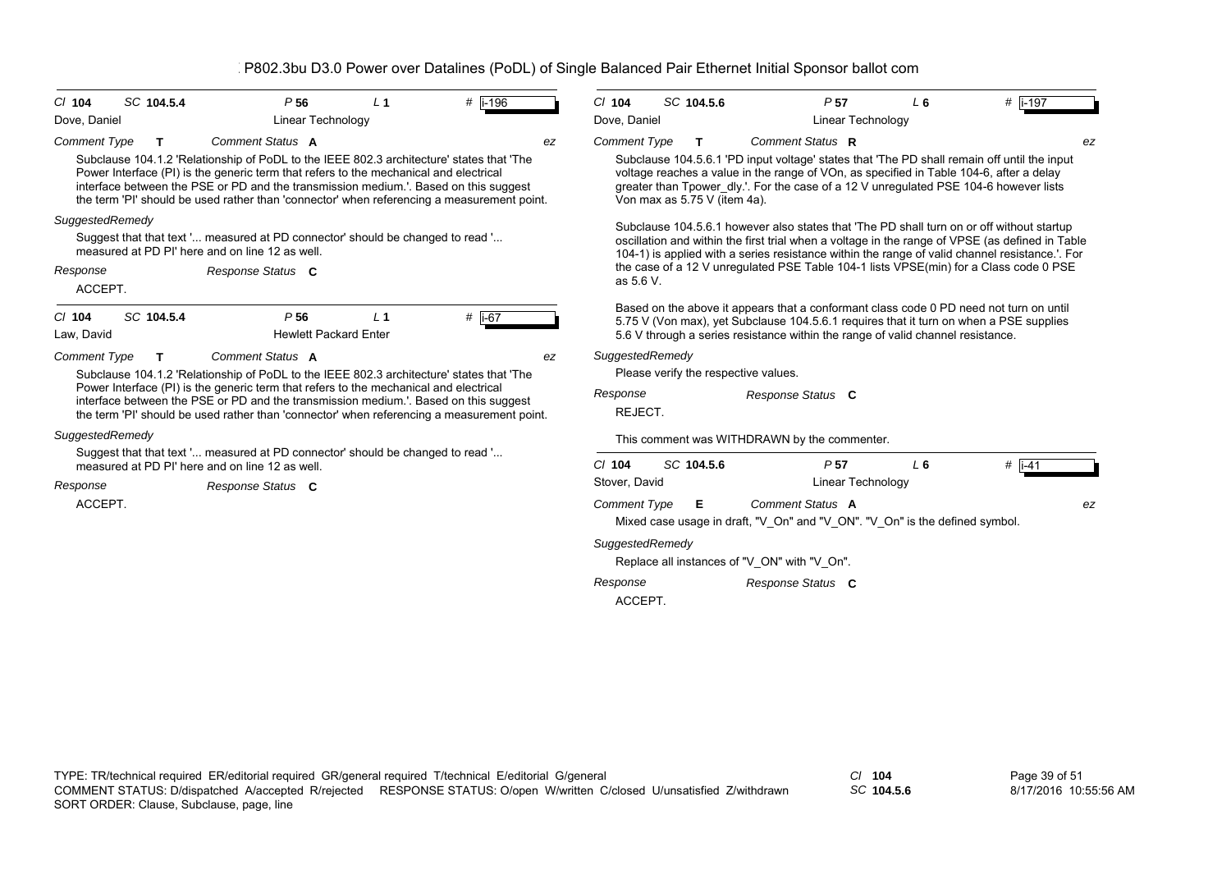| CI 104                                                                                                                                                                                                                                                                      | SC 104.5.4 | P <sub>56</sub>                                                                                                                                                               | L <sub>1</sub> | #  i-196 | $Cl$ 104                  | SC 104.5.6                   |    | P <sub>57</sub>                                                                                                                                                                                 | $L_6$          | #  i-197 |
|-----------------------------------------------------------------------------------------------------------------------------------------------------------------------------------------------------------------------------------------------------------------------------|------------|-------------------------------------------------------------------------------------------------------------------------------------------------------------------------------|----------------|----------|---------------------------|------------------------------|----|-------------------------------------------------------------------------------------------------------------------------------------------------------------------------------------------------|----------------|----------|
| Dove, Daniel                                                                                                                                                                                                                                                                |            | Linear Technology                                                                                                                                                             |                |          | Dove, Daniel              |                              |    | <b>Linear Technology</b>                                                                                                                                                                        |                |          |
| <b>Comment Type</b>                                                                                                                                                                                                                                                         | т          | Comment Status A<br>Subclause 104.1.2 'Relationship of PoDL to the IEEE 802.3 architecture' states that 'The                                                                  |                |          | <b>Comment Type</b><br>ez |                              | T. | Comment Status R<br>Subclause 104.5.6.1 'PD input voltage' states that 'The PD shall remain off until the input                                                                                 |                | ez       |
| Power Interface (PI) is the generic term that refers to the mechanical and electrical<br>interface between the PSE or PD and the transmission medium.'. Based on this suggest<br>the term 'PI' should be used rather than 'connector' when referencing a measurement point. |            |                                                                                                                                                                               |                |          |                           | Von max as 5.75 V (item 4a). |    | voltage reaches a value in the range of VOn, as specified in Table 104-6, after a delay<br>greater than Tpower dly.'. For the case of a 12 V unregulated PSE 104-6 however lists                |                |          |
| SuggestedRemedy                                                                                                                                                                                                                                                             |            |                                                                                                                                                                               |                |          |                           |                              |    | Subclause 104.5.6.1 however also states that 'The PD shall turn on or off without startup                                                                                                       |                |          |
|                                                                                                                                                                                                                                                                             |            | Suggest that that text ' measured at PD connector' should be changed to read '<br>measured at PD PI' here and on line 12 as well.                                             |                |          |                           |                              |    | oscillation and within the first trial when a voltage in the range of VPSE (as defined in Table<br>104-1) is applied with a series resistance within the range of valid channel resistance. For |                |          |
| Response<br>ACCEPT.                                                                                                                                                                                                                                                         |            | Response Status C                                                                                                                                                             |                |          | as 5.6 V.                 |                              |    | the case of a 12 V unregulated PSE Table 104-1 lists VPSE(min) for a Class code 0 PSE                                                                                                           |                |          |
| CI 104                                                                                                                                                                                                                                                                      | SC 104.5.4 | P <sub>56</sub>                                                                                                                                                               | L <sub>1</sub> | # i-67   |                           |                              |    | Based on the above it appears that a conformant class code 0 PD need not turn on until<br>5.75 V (Von max), yet Subclause 104.5.6.1 requires that it turn on when a PSE supplies                |                |          |
| Law, David                                                                                                                                                                                                                                                                  |            | <b>Hewlett Packard Enter</b>                                                                                                                                                  |                |          |                           |                              |    | 5.6 V through a series resistance within the range of valid channel resistance.                                                                                                                 |                |          |
| <b>Comment Type</b>                                                                                                                                                                                                                                                         | т          | Comment Status A                                                                                                                                                              |                |          | ez                        | SuggestedRemedy              |    |                                                                                                                                                                                                 |                |          |
|                                                                                                                                                                                                                                                                             |            | Subclause 104.1.2 'Relationship of PoDL to the IEEE 802.3 architecture' states that 'The                                                                                      |                |          |                           |                              |    | Please verify the respective values.                                                                                                                                                            |                |          |
|                                                                                                                                                                                                                                                                             |            | Power Interface (PI) is the generic term that refers to the mechanical and electrical<br>interface between the PSE or PD and the transmission medium.'. Based on this suggest |                |          | Response                  |                              |    | Response Status C                                                                                                                                                                               |                |          |
|                                                                                                                                                                                                                                                                             |            | the term 'PI' should be used rather than 'connector' when referencing a measurement point.                                                                                    |                |          | REJECT.                   |                              |    |                                                                                                                                                                                                 |                |          |
| SuggestedRemedy                                                                                                                                                                                                                                                             |            |                                                                                                                                                                               |                |          |                           |                              |    | This comment was WITHDRAWN by the commenter.                                                                                                                                                    |                |          |
|                                                                                                                                                                                                                                                                             |            | Suggest that that text ' measured at PD connector' should be changed to read '<br>measured at PD PI' here and on line 12 as well.                                             |                |          | $Cl$ 104                  | SC 104.5.6                   |    | P <sub>57</sub>                                                                                                                                                                                 | L <sub>6</sub> | $#$ i-41 |
| Response                                                                                                                                                                                                                                                                    |            | Response Status C                                                                                                                                                             |                |          | Stover, David             |                              |    | Linear Technology                                                                                                                                                                               |                |          |
| ACCEPT.                                                                                                                                                                                                                                                                     |            |                                                                                                                                                                               |                |          | <b>Comment Type</b>       |                              | Е  | Comment Status A                                                                                                                                                                                |                | ez       |
|                                                                                                                                                                                                                                                                             |            |                                                                                                                                                                               |                |          |                           |                              |    | Mixed case usage in draft, "V_On" and "V_ON". "V_On" is the defined symbol.                                                                                                                     |                |          |
|                                                                                                                                                                                                                                                                             |            |                                                                                                                                                                               |                |          |                           | SuggestedRemedy              |    |                                                                                                                                                                                                 |                |          |
|                                                                                                                                                                                                                                                                             |            |                                                                                                                                                                               |                |          |                           |                              |    | Replace all instances of "V_ON" with "V_On".                                                                                                                                                    |                |          |
|                                                                                                                                                                                                                                                                             |            |                                                                                                                                                                               |                |          | Response                  |                              |    | Response Status C                                                                                                                                                                               |                |          |
|                                                                                                                                                                                                                                                                             |            |                                                                                                                                                                               |                |          | ACCEPT.                   |                              |    |                                                                                                                                                                                                 |                |          |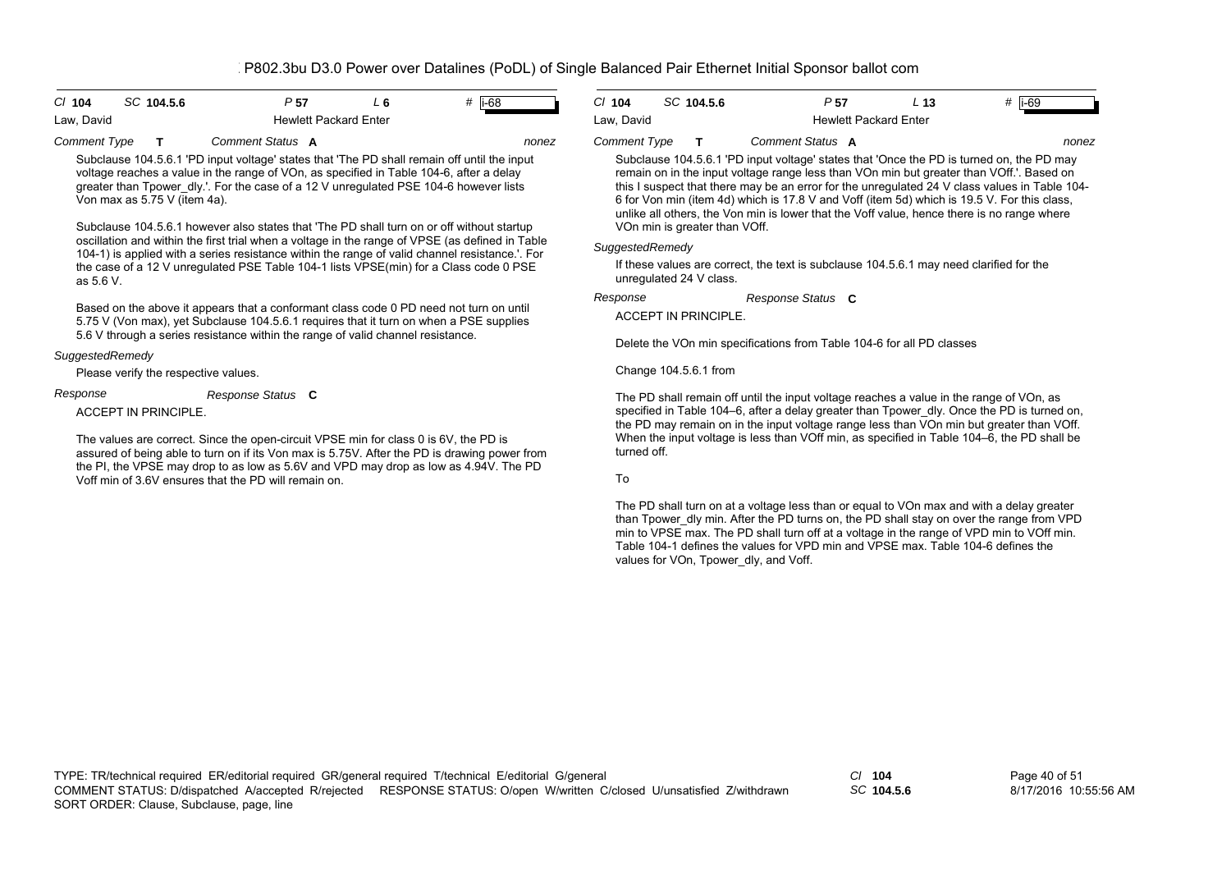*nonez*

| C/104      | SC 104.5.6 | P 57 |                              | # li-68 |  |  |  |
|------------|------------|------|------------------------------|---------|--|--|--|
| Law. David |            |      | <b>Hewlett Packard Enter</b> |         |  |  |  |

*Comment Type* **T** *Comment Status* **A**

Subclause 104.5.6.1 'PD input voltage' states that 'The PD shall remain off until the input voltage reaches a value in the range of VOn, as specified in Table 104-6, after a delay greater than Tpower dly.'. For the case of a 12 V unregulated PSE 104-6 however lists Von max as 5.75 V (item 4a).

Subclause 104.5.6.1 however also states that 'The PD shall turn on or off without startup oscillation and within the first trial when a voltage in the range of VPSE (as defined in Table 104-1) is applied with a series resistance within the range of valid channel resistance.'. For the case of a 12 V unregulated PSE Table 104-1 lists VPSE(min) for a Class code 0 PSE as 5.6 V.

Based on the above it appears that a conformant class code 0 PD need not turn on until 5.75 V (Von max), yet Subclause 104.5.6.1 requires that it turn on when a PSE supplies 5.6 V through a series resistance within the range of valid channel resistance.

# *SuggestedRemedy*

Please verify the respective values.

*Response*

ACCEPT IN PRINCIPLE. *Response Status* **C**

The values are correct. Since the open-circuit VPSE min for class 0 is 6V, the PD is assured of being able to turn on if its Von max is 5.75V. After the PD is drawing power from the PI, the VPSE may drop to as low as 5.6V and VPD may drop as low as 4.94V. The PD Voff min of 3.6V ensures that the PD will remain on.

| $CI$ 104     | SC 104.5.6 | P 57                         | L 13 | #<br>li-69 |
|--------------|------------|------------------------------|------|------------|
| Law. David   |            | <b>Hewlett Packard Enter</b> |      |            |
| Comment Type |            | Comment Status A             |      | nonez      |

*Comment Type* **T** *Comment Status* **A**

Subclause 104.5.6.1 'PD input voltage' states that 'Once the PD is turned on, the PD may remain on in the input voltage range less than VOn min but greater than VOff.'. Based on this I suspect that there may be an error for the unregulated 24 V class values in Table 104- 6 for Von min (item 4d) which is 17.8 V and Voff (item 5d) which is 19.5 V. For this class, unlike all others, the Von min is lower that the Voff value, hence there is no range where VOn min is greater than VOff.

*SuggestedRemedy*

If these values are correct, the text is subclause 104.5.6.1 may need clarified for the unregulated 24 V class.

*Response Status* **C** *Response*

ACCEPT IN PRINCIPI F

Delete the VOn min specifications from Table 104-6 for all PD classes

Change 104.5.6.1 from

The PD shall remain off until the input voltage reaches a value in the range of VOn, as specified in Table 104–6, after a delay greater than Tpower, dly. Once the PD is turned on, the PD may remain on in the input voltage range less than VOn min but greater than VOff. When the input voltage is less than VOff min, as specified in Table 104–6, the PD shall be turned off.

To

The PD shall turn on at a voltage less than or equal to VOn max and with a delay greater than Tpower, dly min. After the PD turns on, the PD shall stay on over the range from VPD min to VPSE max. The PD shall turn off at a voltage in the range of VPD min to VOff min. Table 104-1 defines the values for VPD min and VPSE max. Table 104-6 defines the values for VOn, Tpower\_dly, and Voff.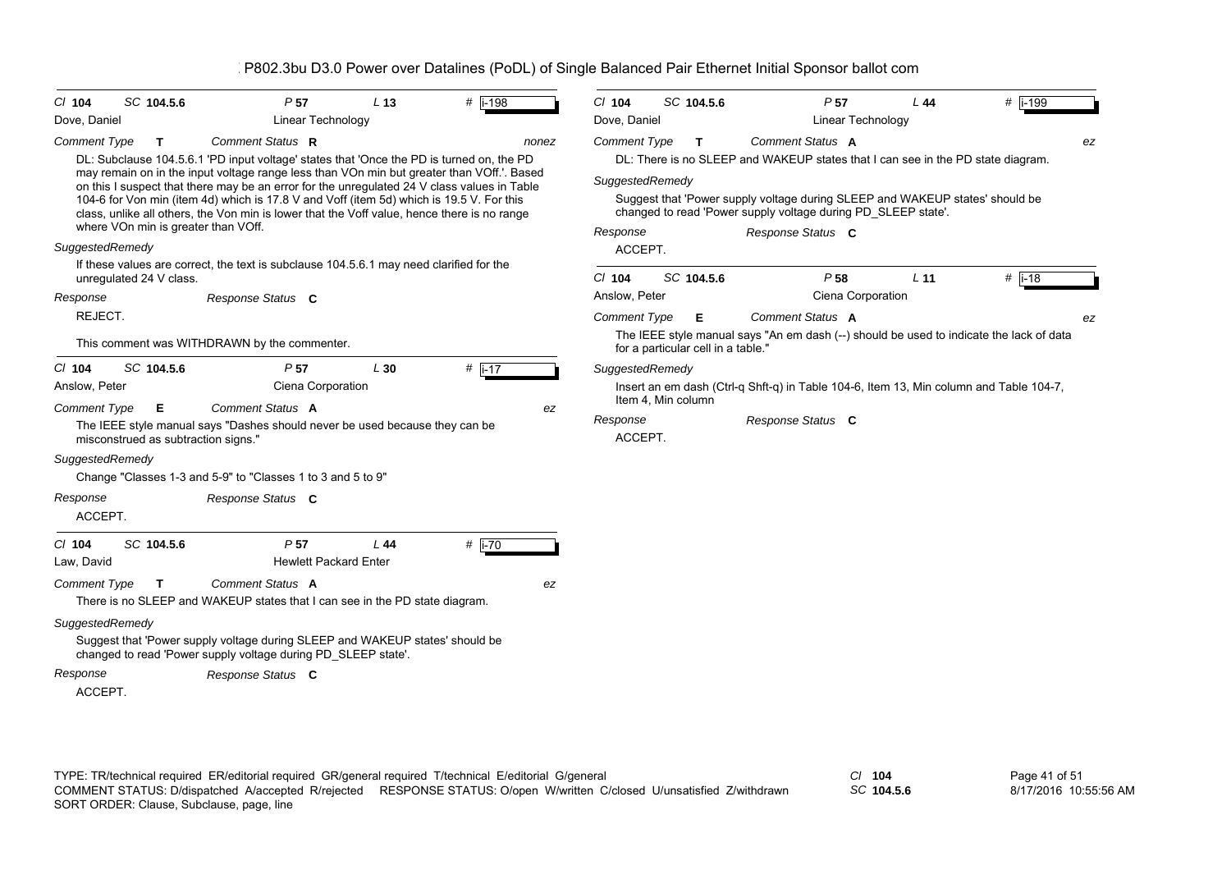| $CI$ 104            | SC 104.5.6                          | P <sub>57</sub>                                                                                                                                                                          | L <sub>13</sub> | # i-198  | $Cl$ 104                                                      | SC 104.5.6                         |  | P <sub>57</sub>                                                                         | L44             | $#$ i-199 |  |
|---------------------|-------------------------------------|------------------------------------------------------------------------------------------------------------------------------------------------------------------------------------------|-----------------|----------|---------------------------------------------------------------|------------------------------------|--|-----------------------------------------------------------------------------------------|-----------------|-----------|--|
| Dove, Daniel        |                                     | Linear Technology                                                                                                                                                                        |                 |          | Dove, Daniel                                                  |                                    |  | Linear Technology                                                                       |                 |           |  |
| <b>Comment Type</b> | T.                                  | Comment Status R                                                                                                                                                                         |                 | nonez    | Comment Type                                                  | $\mathbf{T}$                       |  | <b>Comment Status A</b>                                                                 |                 | ez        |  |
|                     |                                     | DL: Subclause 104.5.6.1 'PD input voltage' states that 'Once the PD is turned on, the PD                                                                                                 |                 |          |                                                               |                                    |  | DL: There is no SLEEP and WAKEUP states that I can see in the PD state diagram.         |                 |           |  |
|                     |                                     | may remain on in the input voltage range less than VOn min but greater than VOff.'. Based<br>on this I suspect that there may be an error for the unregulated 24 V class values in Table |                 |          |                                                               | SuggestedRemedy                    |  |                                                                                         |                 |           |  |
|                     |                                     | 104-6 for Von min (item 4d) which is 17.8 V and Voff (item 5d) which is 19.5 V. For this                                                                                                 |                 |          |                                                               |                                    |  | Suggest that 'Power supply voltage during SLEEP and WAKEUP states' should be            |                 |           |  |
|                     | where VOn min is greater than VOff. | class, unlike all others, the Von min is lower that the Voff value, hence there is no range                                                                                              |                 |          | changed to read 'Power supply voltage during PD_SLEEP state'. |                                    |  |                                                                                         |                 |           |  |
| SuggestedRemedy     |                                     |                                                                                                                                                                                          |                 |          | Response<br>ACCEPT.                                           |                                    |  | Response Status C                                                                       |                 |           |  |
|                     |                                     | If these values are correct, the text is subclause 104.5.6.1 may need clarified for the                                                                                                  |                 |          |                                                               |                                    |  |                                                                                         |                 |           |  |
|                     | unregulated 24 V class.             |                                                                                                                                                                                          |                 |          | $Cl$ 104                                                      | SC 104.5.6                         |  | P <sub>58</sub>                                                                         | L <sub>11</sub> | $#$ i-18  |  |
| Response            |                                     | Response Status C                                                                                                                                                                        |                 |          | Anslow, Peter                                                 |                                    |  | Ciena Corporation                                                                       |                 |           |  |
| REJECT.             |                                     |                                                                                                                                                                                          |                 |          | <b>Comment Type</b>                                           | Е                                  |  | <b>Comment Status A</b>                                                                 |                 | ez        |  |
|                     |                                     | This comment was WITHDRAWN by the commenter.                                                                                                                                             |                 |          |                                                               | for a particular cell in a table." |  | The IEEE style manual says "An em dash (--) should be used to indicate the lack of data |                 |           |  |
| $Cl$ 104            | SC 104.5.6                          | P <sub>57</sub>                                                                                                                                                                          | L30             | $#$ i-17 |                                                               | SuggestedRemedy                    |  |                                                                                         |                 |           |  |
| Anslow, Peter       |                                     | Ciena Corporation                                                                                                                                                                        |                 |          |                                                               |                                    |  | Insert an em dash (Ctrl-q Shft-q) in Table 104-6, Item 13, Min column and Table 104-7,  |                 |           |  |
| <b>Comment Type</b> | Е                                   | Comment Status A                                                                                                                                                                         |                 | ez       |                                                               | Item 4, Min column                 |  |                                                                                         |                 |           |  |
|                     | misconstrued as subtraction signs." | The IEEE style manual says "Dashes should never be used because they can be                                                                                                              |                 |          | Response<br>ACCEPT.                                           |                                    |  | Response Status C                                                                       |                 |           |  |
| SuggestedRemedy     |                                     |                                                                                                                                                                                          |                 |          |                                                               |                                    |  |                                                                                         |                 |           |  |
|                     |                                     | Change "Classes 1-3 and 5-9" to "Classes 1 to 3 and 5 to 9"                                                                                                                              |                 |          |                                                               |                                    |  |                                                                                         |                 |           |  |
| Response            |                                     | Response Status C                                                                                                                                                                        |                 |          |                                                               |                                    |  |                                                                                         |                 |           |  |
| ACCEPT.             |                                     |                                                                                                                                                                                          |                 |          |                                                               |                                    |  |                                                                                         |                 |           |  |
| $Cl$ 104            | SC 104.5.6                          | P <sub>57</sub>                                                                                                                                                                          | L44             | # i-70   |                                                               |                                    |  |                                                                                         |                 |           |  |
| Law, David          |                                     | <b>Hewlett Packard Enter</b>                                                                                                                                                             |                 |          |                                                               |                                    |  |                                                                                         |                 |           |  |
| Comment Type        | $\mathbf{T}$                        | Comment Status A                                                                                                                                                                         |                 | ez       |                                                               |                                    |  |                                                                                         |                 |           |  |
|                     |                                     | There is no SLEEP and WAKEUP states that I can see in the PD state diagram.                                                                                                              |                 |          |                                                               |                                    |  |                                                                                         |                 |           |  |
| SuggestedRemedy     |                                     |                                                                                                                                                                                          |                 |          |                                                               |                                    |  |                                                                                         |                 |           |  |
|                     |                                     | Suggest that 'Power supply voltage during SLEEP and WAKEUP states' should be<br>changed to read 'Power supply voltage during PD_SLEEP state'.                                            |                 |          |                                                               |                                    |  |                                                                                         |                 |           |  |
| Response            |                                     | Response Status C                                                                                                                                                                        |                 |          |                                                               |                                    |  |                                                                                         |                 |           |  |
| ACCEPT.             |                                     |                                                                                                                                                                                          |                 |          |                                                               |                                    |  |                                                                                         |                 |           |  |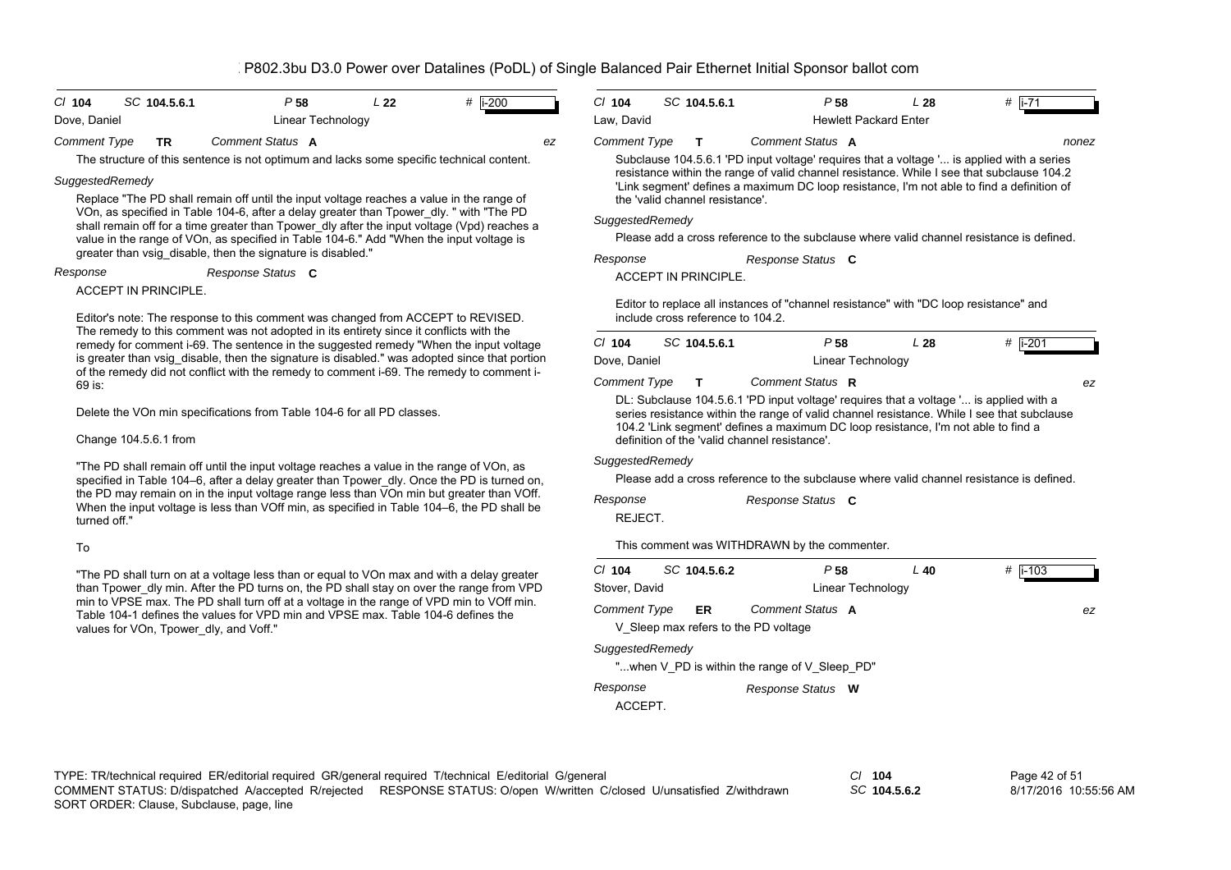| $P$ 58<br>SC 104.5.6.1<br>L22<br># $ i - 200 $<br>$CI$ 104                                                                                                                             | $Cl$ 104<br>SC 104.5.6.1<br>P <sub>58</sub><br># $ i - 71$<br>L28                                                                                                                                                                |  |  |  |  |
|----------------------------------------------------------------------------------------------------------------------------------------------------------------------------------------|----------------------------------------------------------------------------------------------------------------------------------------------------------------------------------------------------------------------------------|--|--|--|--|
| <b>Linear Technology</b><br>Dove, Daniel                                                                                                                                               | Law, David<br><b>Hewlett Packard Enter</b>                                                                                                                                                                                       |  |  |  |  |
| Comment Status A<br><b>Comment Type</b><br><b>TR</b><br>ez                                                                                                                             | <b>Comment Type</b><br>Comment Status A<br>T.<br>nonez                                                                                                                                                                           |  |  |  |  |
| The structure of this sentence is not optimum and lacks some specific technical content.                                                                                               | Subclause 104.5.6.1 'PD input voltage' requires that a voltage ' is applied with a series                                                                                                                                        |  |  |  |  |
| SuggestedRemedy                                                                                                                                                                        | resistance within the range of valid channel resistance. While I see that subclause 104.2<br>'Link segment' defines a maximum DC loop resistance, I'm not able to find a definition of                                           |  |  |  |  |
| Replace "The PD shall remain off until the input voltage reaches a value in the range of                                                                                               | the 'valid channel resistance'.                                                                                                                                                                                                  |  |  |  |  |
| VOn, as specified in Table 104-6, after a delay greater than Tpower_dly. " with "The PD<br>shall remain off for a time greater than Tpower dly after the input voltage (Vpd) reaches a | SuggestedRemedy                                                                                                                                                                                                                  |  |  |  |  |
| value in the range of VOn, as specified in Table 104-6." Add "When the input voltage is                                                                                                | Please add a cross reference to the subclause where valid channel resistance is defined.                                                                                                                                         |  |  |  |  |
| greater than vsig_disable, then the signature is disabled."                                                                                                                            | Response<br>Response Status C                                                                                                                                                                                                    |  |  |  |  |
| Response<br>Response Status C                                                                                                                                                          | <b>ACCEPT IN PRINCIPLE.</b>                                                                                                                                                                                                      |  |  |  |  |
| <b>ACCEPT IN PRINCIPLE.</b>                                                                                                                                                            | Editor to replace all instances of "channel resistance" with "DC loop resistance" and                                                                                                                                            |  |  |  |  |
| Editor's note: The response to this comment was changed from ACCEPT to REVISED.                                                                                                        | include cross reference to 104.2.                                                                                                                                                                                                |  |  |  |  |
| The remedy to this comment was not adopted in its entirety since it conflicts with the<br>remedy for comment i-69. The sentence in the suggested remedy "When the input voltage        | SC 104.5.6.1<br>P <sub>58</sub><br># i-201<br>$Cl$ 104<br>L28                                                                                                                                                                    |  |  |  |  |
| is greater than vsig disable, then the signature is disabled." was adopted since that portion                                                                                          | Dove, Daniel<br>Linear Technology                                                                                                                                                                                                |  |  |  |  |
| of the remedy did not conflict with the remedy to comment i-69. The remedy to comment i-<br>69 is:                                                                                     | <b>Comment Type</b><br>Comment Status R<br>T.<br>ez                                                                                                                                                                              |  |  |  |  |
|                                                                                                                                                                                        | DL: Subclause 104.5.6.1 'PD input voltage' requires that a voltage ' is applied with a                                                                                                                                           |  |  |  |  |
| Delete the VOn min specifications from Table 104-6 for all PD classes.                                                                                                                 | series resistance within the range of valid channel resistance. While I see that subclause<br>104.2 'Link segment' defines a maximum DC loop resistance, I'm not able to find a<br>definition of the 'valid channel resistance'. |  |  |  |  |
| Change 104.5.6.1 from                                                                                                                                                                  |                                                                                                                                                                                                                                  |  |  |  |  |
|                                                                                                                                                                                        | SuggestedRemedy                                                                                                                                                                                                                  |  |  |  |  |
| "The PD shall remain off until the input voltage reaches a value in the range of VOn, as<br>specified in Table 104–6, after a delay greater than Tpower dly. Once the PD is turned on, | Please add a cross reference to the subclause where valid channel resistance is defined.                                                                                                                                         |  |  |  |  |
| the PD may remain on in the input voltage range less than VOn min but greater than VOff.                                                                                               | Response<br>Response Status C                                                                                                                                                                                                    |  |  |  |  |
| When the input voltage is less than VOff min, as specified in Table 104–6, the PD shall be<br>turned off."                                                                             | REJECT.                                                                                                                                                                                                                          |  |  |  |  |
|                                                                                                                                                                                        |                                                                                                                                                                                                                                  |  |  |  |  |
| To                                                                                                                                                                                     | This comment was WITHDRAWN by the commenter.                                                                                                                                                                                     |  |  |  |  |
| "The PD shall turn on at a voltage less than or equal to VOn max and with a delay greater                                                                                              | SC 104.5.6.2<br>$\#$   i-103<br>$Cl$ 104<br>P <sub>58</sub><br>$L$ 40                                                                                                                                                            |  |  |  |  |
| than Tpower_dly min. After the PD turns on, the PD shall stay on over the range from VPD<br>min to VPSE max. The PD shall turn off at a voltage in the range of VPD min to VOff min.   | Stover, David<br>Linear Technology                                                                                                                                                                                               |  |  |  |  |
| Table 104-1 defines the values for VPD min and VPSE max. Table 104-6 defines the                                                                                                       | Comment Status A<br><b>Comment Type</b><br><b>ER</b><br>ez                                                                                                                                                                       |  |  |  |  |
| values for VOn, Tpower dly, and Voff."                                                                                                                                                 | V Sleep max refers to the PD voltage                                                                                                                                                                                             |  |  |  |  |

*SuggestedRemedy*

"...when V\_PD is within the range of V\_Sleep\_PD"

| Response | Response Status W |  |
|----------|-------------------|--|
|          |                   |  |

ACCEPT.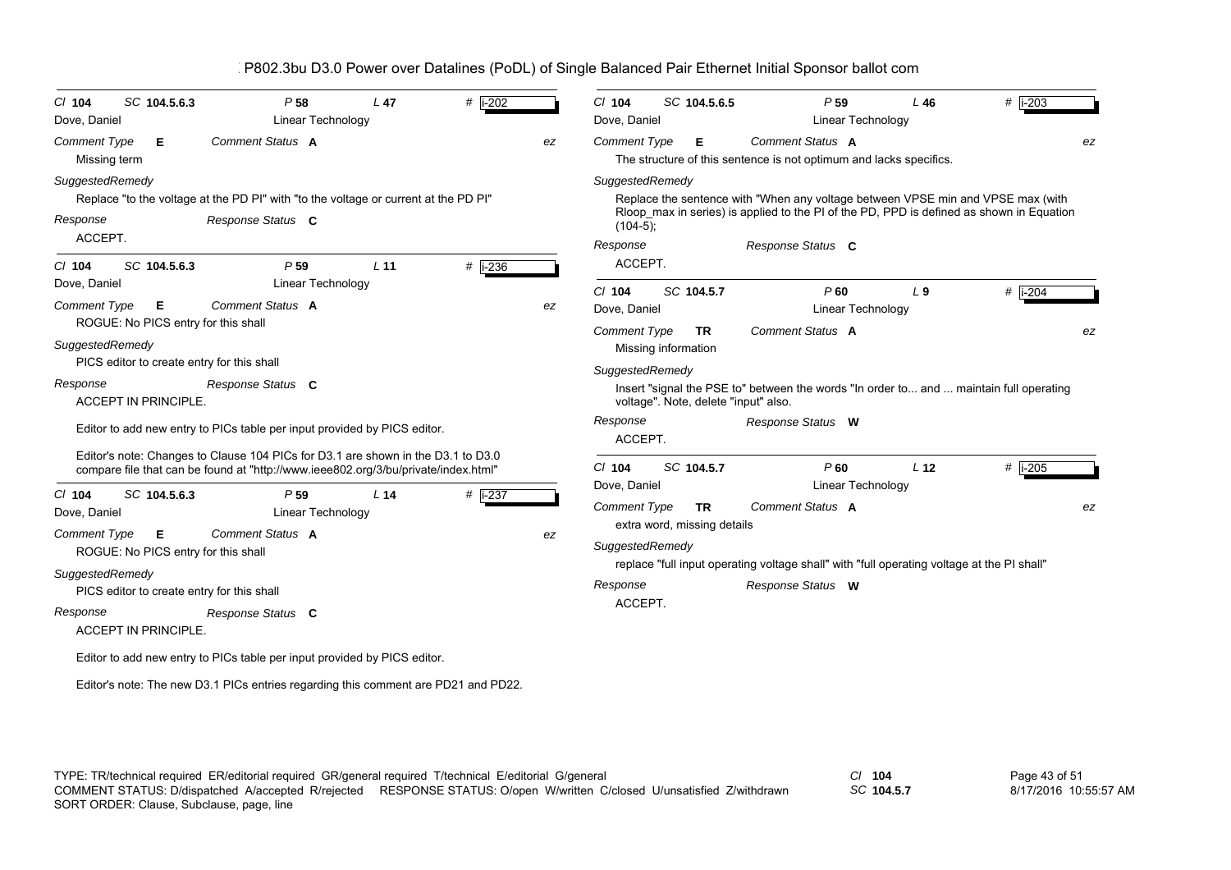| SC 104.5.6.3<br>C/ 104<br>Dove, Daniel                                                                                           | P <sub>58</sub><br>Linear Technology                                                                                                                                   | L <sub>47</sub> | #   i-202 |    | $Cl$ 104<br>Dove, Daniel                               |                     | SC 104.5.6.5                             | P <sub>59</sub><br>Linear Technology                                                                                                                                                             | L46             | #  i-203    |
|----------------------------------------------------------------------------------------------------------------------------------|------------------------------------------------------------------------------------------------------------------------------------------------------------------------|-----------------|-----------|----|--------------------------------------------------------|---------------------|------------------------------------------|--------------------------------------------------------------------------------------------------------------------------------------------------------------------------------------------------|-----------------|-------------|
| <b>Comment Type</b><br>Е<br>Missing term                                                                                         | Comment Status A                                                                                                                                                       |                 |           | ez | Comment Type                                           |                     | Е                                        | Comment Status A<br>The structure of this sentence is not optimum and lacks specifics.                                                                                                           |                 | ez          |
| SuggestedRemedy<br>Response<br>ACCEPT.                                                                                           | Replace "to the voltage at the PD PI" with "to the voltage or current at the PD PI"<br>Response Status C                                                               |                 |           |    | SuggestedRemedy<br>$(104-5);$<br>Response              |                     |                                          | Replace the sentence with "When any voltage between VPSE min and VPSE max (with<br>Rloop_max in series) is applied to the PI of the PD, PPD is defined as shown in Equation<br>Response Status C |                 |             |
| SC 104.5.6.3<br>$Cl$ 104<br>Dove, Daniel                                                                                         | P 59<br>Linear Technology                                                                                                                                              | L <sub>11</sub> | # i-236   |    | ACCEPT.<br>$CI$ 104                                    |                     | SC 104.5.7                               | P60                                                                                                                                                                                              | $L_{9}$         | # $i - 204$ |
| <b>Comment Type</b><br>Е<br>ROGUE: No PICS entry for this shall<br>SuggestedRemedy<br>PICS editor to create entry for this shall | Comment Status A                                                                                                                                                       |                 |           | ez | Dove, Daniel<br><b>Comment Type</b><br>SuggestedRemedy | Missing information | <b>TR</b>                                | Linear Technology<br>Comment Status A                                                                                                                                                            |                 | ez          |
| Response<br>ACCEPT IN PRINCIPLE.                                                                                                 | Response Status C<br>Editor to add new entry to PICs table per input provided by PICS editor.                                                                          |                 |           |    | Response<br>ACCEPT.                                    |                     | voltage". Note, delete "input" also.     | Insert "signal the PSE to" between the words "In order to and  maintain full operating<br>Response Status W                                                                                      |                 |             |
|                                                                                                                                  | Editor's note: Changes to Clause 104 PICs for D3.1 are shown in the D3.1 to D3.0<br>compare file that can be found at "http://www.ieee802.org/3/bu/private/index.html" |                 |           |    | $Cl$ 104                                               |                     | SC 104.5.7                               | P60                                                                                                                                                                                              | L <sub>12</sub> | # $i-205$   |
| $Cl$ 104<br>SC 104.5.6.3<br>Dove, Daniel<br><b>Comment Type</b><br>Е<br>ROGUE: No PICS entry for this shall                      | P <sub>59</sub><br>Linear Technology<br>Comment Status A                                                                                                               | L <sub>14</sub> | # i-237   | ez | Dove, Daniel<br>Comment Type<br>SuggestedRemedy        |                     | <b>TR</b><br>extra word, missing details | Linear Technology<br>Comment Status A                                                                                                                                                            |                 | ez          |
| SuggestedRemedy<br>PICS editor to create entry for this shall<br>Response<br><b>ACCEPT IN PRINCIPLE.</b>                         | Response Status C                                                                                                                                                      |                 |           |    | Response<br>ACCEPT.                                    |                     |                                          | replace "full input operating voltage shall" with "full operating voltage at the PI shall"<br>Response Status W                                                                                  |                 |             |
|                                                                                                                                  | Editor to add new entry to PICs table per input provided by PICS editor.                                                                                               |                 |           |    |                                                        |                     |                                          |                                                                                                                                                                                                  |                 |             |
|                                                                                                                                  | Editor's note: The new D3.1 PICs entries regarding this comment are PD21 and PD22.                                                                                     |                 |           |    |                                                        |                     |                                          |                                                                                                                                                                                                  |                 |             |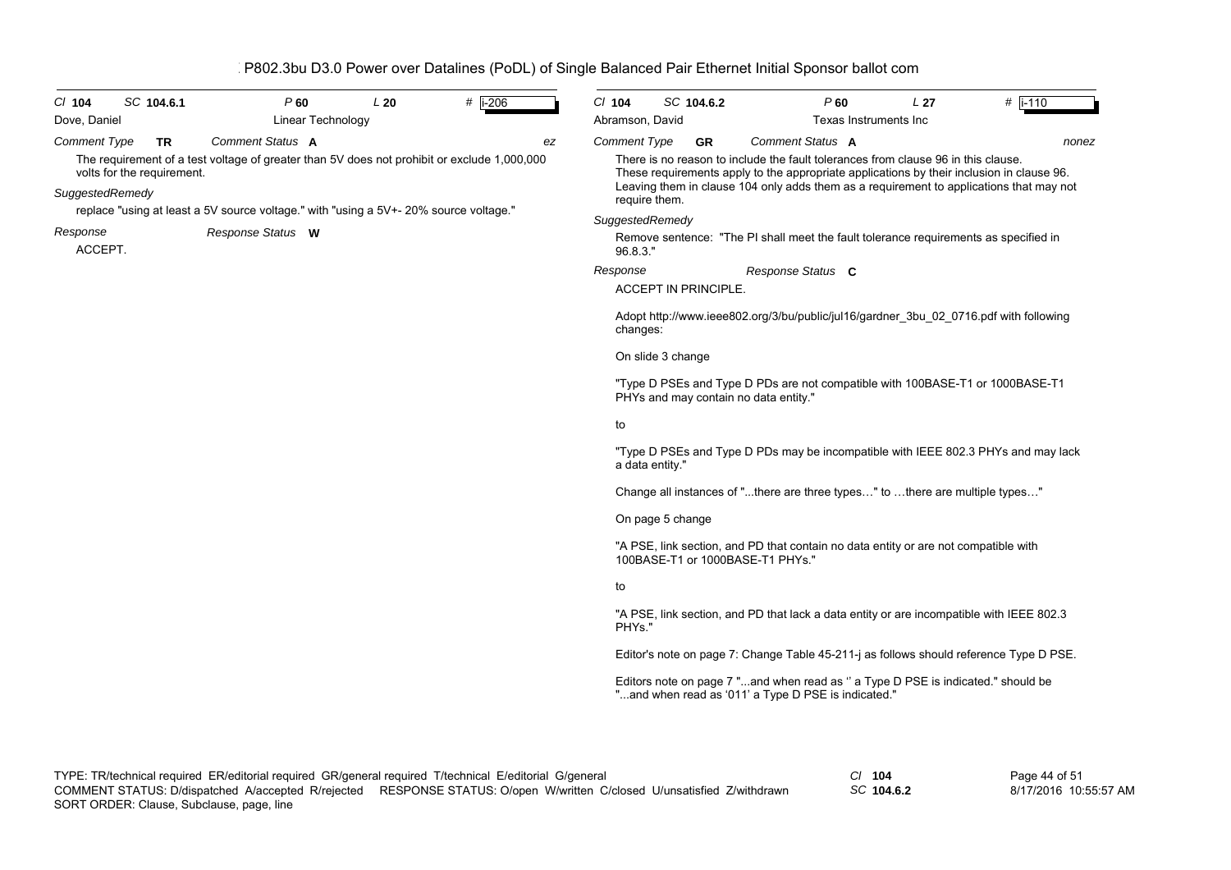| $CI$ 104<br>Dove, Daniel                                                                                                                                                                                                              |  | SC 104.6.1 | P60               | Linear Technology | L20 | # $\overline{$ i-206 |    | $CI$ 104<br>Abramson, David                                                                                                                                                                                                                                                                | SC 104.6.2                            |                                                                                                                                         | $P$ 60<br>Texas Instruments Inc | L <sub>27</sub>                                                               | $#$ i-110                                                                                |  |  |  |  |
|---------------------------------------------------------------------------------------------------------------------------------------------------------------------------------------------------------------------------------------|--|------------|-------------------|-------------------|-----|----------------------|----|--------------------------------------------------------------------------------------------------------------------------------------------------------------------------------------------------------------------------------------------------------------------------------------------|---------------------------------------|-----------------------------------------------------------------------------------------------------------------------------------------|---------------------------------|-------------------------------------------------------------------------------|------------------------------------------------------------------------------------------|--|--|--|--|
| <b>Comment Type</b>                                                                                                                                                                                                                   |  | <b>TR</b>  | Comment Status A  |                   |     |                      | ez | Comment Type                                                                                                                                                                                                                                                                               | <b>GR</b>                             | <b>Comment Status A</b>                                                                                                                 |                                 |                                                                               | nonez                                                                                    |  |  |  |  |
| The requirement of a test voltage of greater than 5V does not prohibit or exclude 1,000,000<br>volts for the requirement.<br>SuggestedRemedy<br>replace "using at least a 5V source voltage." with "using a 5V+- 20% source voltage." |  |            |                   |                   |     |                      |    | There is no reason to include the fault tolerances from clause 96 in this clause.<br>These requirements apply to the appropriate applications by their inclusion in clause 96.<br>Leaving them in clause 104 only adds them as a requirement to applications that may not<br>require them. |                                       |                                                                                                                                         |                                 |                                                                               |                                                                                          |  |  |  |  |
| Response                                                                                                                                                                                                                              |  |            | Response Status W |                   |     |                      |    | SuggestedRemedy                                                                                                                                                                                                                                                                            |                                       |                                                                                                                                         |                                 |                                                                               |                                                                                          |  |  |  |  |
| ACCEPT.                                                                                                                                                                                                                               |  |            |                   |                   |     |                      |    | 96.8.3."                                                                                                                                                                                                                                                                                   |                                       |                                                                                                                                         |                                 |                                                                               | Remove sentence: "The PI shall meet the fault tolerance requirements as specified in     |  |  |  |  |
|                                                                                                                                                                                                                                       |  |            |                   |                   |     |                      |    | Response                                                                                                                                                                                                                                                                                   | <b>ACCEPT IN PRINCIPLE.</b>           | Response Status C                                                                                                                       |                                 |                                                                               |                                                                                          |  |  |  |  |
|                                                                                                                                                                                                                                       |  |            |                   |                   |     |                      |    | changes:                                                                                                                                                                                                                                                                                   |                                       |                                                                                                                                         |                                 |                                                                               | Adopt http://www.ieee802.org/3/bu/public/jul16/gardner 3bu 02 0716.pdf with following    |  |  |  |  |
|                                                                                                                                                                                                                                       |  |            |                   |                   |     |                      |    |                                                                                                                                                                                                                                                                                            | On slide 3 change                     |                                                                                                                                         |                                 |                                                                               |                                                                                          |  |  |  |  |
|                                                                                                                                                                                                                                       |  |            |                   |                   |     |                      |    |                                                                                                                                                                                                                                                                                            | PHYs and may contain no data entity." |                                                                                                                                         |                                 | "Type D PSEs and Type D PDs are not compatible with 100BASE-T1 or 1000BASE-T1 |                                                                                          |  |  |  |  |
|                                                                                                                                                                                                                                       |  |            |                   |                   |     |                      |    | to                                                                                                                                                                                                                                                                                         |                                       |                                                                                                                                         |                                 |                                                                               |                                                                                          |  |  |  |  |
|                                                                                                                                                                                                                                       |  |            |                   |                   |     |                      |    | a data entity."                                                                                                                                                                                                                                                                            |                                       |                                                                                                                                         |                                 |                                                                               | "Type D PSEs and Type D PDs may be incompatible with IEEE 802.3 PHYs and may lack        |  |  |  |  |
|                                                                                                                                                                                                                                       |  |            |                   |                   |     |                      |    |                                                                                                                                                                                                                                                                                            |                                       | Change all instances of "there are three types" to there are multiple types"                                                            |                                 |                                                                               |                                                                                          |  |  |  |  |
|                                                                                                                                                                                                                                       |  |            |                   |                   |     |                      |    |                                                                                                                                                                                                                                                                                            | On page 5 change                      |                                                                                                                                         |                                 |                                                                               |                                                                                          |  |  |  |  |
|                                                                                                                                                                                                                                       |  |            |                   |                   |     |                      |    |                                                                                                                                                                                                                                                                                            |                                       | "A PSE, link section, and PD that contain no data entity or are not compatible with<br>100BASE-T1 or 1000BASE-T1 PHYs."                 |                                 |                                                                               |                                                                                          |  |  |  |  |
|                                                                                                                                                                                                                                       |  |            |                   |                   |     |                      |    | to                                                                                                                                                                                                                                                                                         |                                       |                                                                                                                                         |                                 |                                                                               |                                                                                          |  |  |  |  |
|                                                                                                                                                                                                                                       |  |            |                   |                   |     |                      |    | PHYs."                                                                                                                                                                                                                                                                                     |                                       |                                                                                                                                         |                                 |                                                                               | "A PSE, link section, and PD that lack a data entity or are incompatible with IEEE 802.3 |  |  |  |  |
|                                                                                                                                                                                                                                       |  |            |                   |                   |     |                      |    |                                                                                                                                                                                                                                                                                            |                                       |                                                                                                                                         |                                 |                                                                               | Editor's note on page 7: Change Table 45-211-j as follows should reference Type D PSE.   |  |  |  |  |
|                                                                                                                                                                                                                                       |  |            |                   |                   |     |                      |    |                                                                                                                                                                                                                                                                                            |                                       | Editors note on page 7 "and when read as " a Type D PSE is indicated." should be<br>"and when read as '011' a Type D PSE is indicated." |                                 |                                                                               |                                                                                          |  |  |  |  |

*SC* **104.6.2**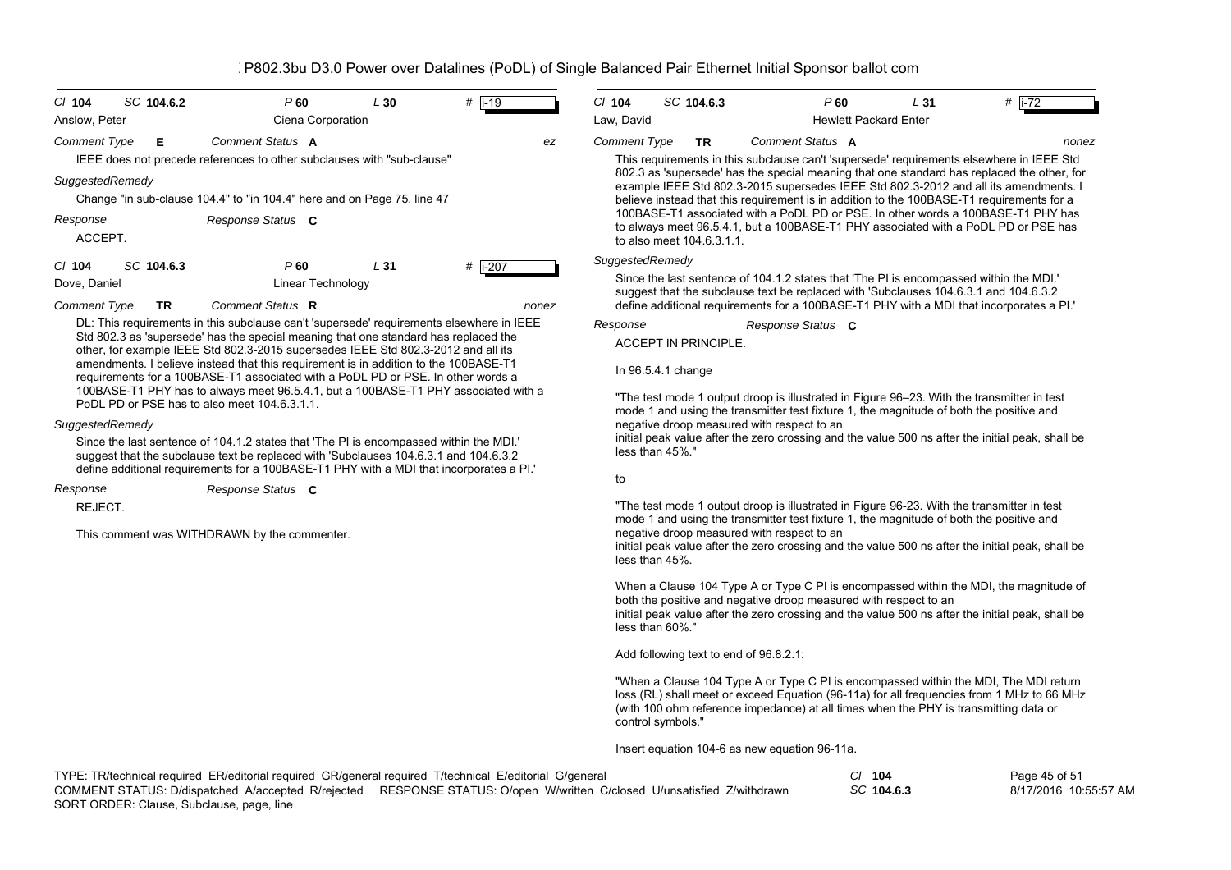| $CI$ 104<br>SC 104.6.2                                                                                                                                                                                                                                               | P 60              | L30      | $#$ i-19                    |                   | $Cl$ 104            | SC 104.6.3                             | P60                                                              |                              | L <sub>31</sub> | # $i - 72$                                                                                                                                                                                                                                                                      |
|----------------------------------------------------------------------------------------------------------------------------------------------------------------------------------------------------------------------------------------------------------------------|-------------------|----------|-----------------------------|-------------------|---------------------|----------------------------------------|------------------------------------------------------------------|------------------------------|-----------------|---------------------------------------------------------------------------------------------------------------------------------------------------------------------------------------------------------------------------------------------------------------------------------|
| Anslow, Peter                                                                                                                                                                                                                                                        | Ciena Corporation |          |                             |                   | Law, David          |                                        |                                                                  | <b>Hewlett Packard Enter</b> |                 |                                                                                                                                                                                                                                                                                 |
| Comment Type<br>Е<br>IEEE does not precede references to other subclauses with "sub-clause"                                                                                                                                                                          | Comment Status A  |          |                             | ez                | <b>Comment Type</b> | <b>TR</b>                              | Comment Status A                                                 |                              |                 | nonez<br>This requirements in this subclause can't 'supersede' requirements elsewhere in IEEE Std                                                                                                                                                                               |
| SuggestedRemedy<br>Change "in sub-clause 104.4" to "in 104.4" here and on Page 75, line 47                                                                                                                                                                           |                   |          |                             |                   |                     |                                        |                                                                  |                              |                 | 802.3 as 'supersede' has the special meaning that one standard has replaced the other, for<br>example IEEE Std 802.3-2015 supersedes IEEE Std 802.3-2012 and all its amendments. I<br>believe instead that this requirement is in addition to the 100BASE-T1 requirements for a |
| Response<br>ACCEPT.                                                                                                                                                                                                                                                  | Response Status C |          |                             |                   |                     | to also meet 104.6.3.1.1.              |                                                                  |                              |                 | 100BASE-T1 associated with a PoDL PD or PSE. In other words a 100BASE-T1 PHY has<br>to always meet 96.5.4.1, but a 100BASE-T1 PHY associated with a PoDL PD or PSE has                                                                                                          |
| $CI$ 104<br>SC 104.6.3                                                                                                                                                                                                                                               | P60               | L31      | # i-207                     |                   | SuggestedRemedy     |                                        |                                                                  |                              |                 |                                                                                                                                                                                                                                                                                 |
| Dove, Daniel                                                                                                                                                                                                                                                         | Linear Technology |          |                             |                   |                     |                                        |                                                                  |                              |                 | Since the last sentence of 104.1.2 states that 'The PI is encompassed within the MDI.'<br>suggest that the subclause text be replaced with 'Subclauses 104.6.3.1 and 104.6.3.2                                                                                                  |
| <b>Comment Type</b><br>TR                                                                                                                                                                                                                                            | Comment Status R  |          |                             | nonez             |                     |                                        |                                                                  |                              |                 | define additional requirements for a 100BASE-T1 PHY with a MDI that incorporates a PI.                                                                                                                                                                                          |
| DL: This requirements in this subclause can't 'supersede' requirements elsewhere in IEEE<br>Std 802.3 as 'supersede' has the special meaning that one standard has replaced the<br>other, for example IEEE Std 802.3-2015 supersedes IEEE Std 802.3-2012 and all its |                   | Response | <b>ACCEPT IN PRINCIPLE.</b> | Response Status C |                     |                                        |                                                                  |                              |                 |                                                                                                                                                                                                                                                                                 |
| amendments. I believe instead that this requirement is in addition to the 100BASE-T1<br>requirements for a 100BASE-T1 associated with a PoDL PD or PSE. In other words a                                                                                             |                   |          |                             |                   |                     | In 96.5.4.1 change                     |                                                                  |                              |                 |                                                                                                                                                                                                                                                                                 |
| 100BASE-T1 PHY has to always meet 96.5.4.1, but a 100BASE-T1 PHY associated with a<br>PoDL PD or PSE has to also meet 104.6.3.1.1.                                                                                                                                   |                   |          |                             |                   |                     |                                        |                                                                  |                              |                 | "The test mode 1 output droop is illustrated in Figure 96–23. With the transmitter in test<br>mode 1 and using the transmitter test fixture 1, the magnitude of both the positive and                                                                                           |
| SuggestedRemedy<br>Since the last sentence of 104.1.2 states that 'The PI is encompassed within the MDI.'<br>suggest that the subclause text be replaced with 'Subclauses 104.6.3.1 and 104.6.3.2                                                                    |                   |          |                             |                   |                     | less than 45%."                        | negative droop measured with respect to an                       |                              |                 | initial peak value after the zero crossing and the value 500 ns after the initial peak, shall be                                                                                                                                                                                |
| define additional requirements for a 100BASE-T1 PHY with a MDI that incorporates a PI.'<br>Response                                                                                                                                                                  | Response Status C |          |                             |                   | to                  |                                        |                                                                  |                              |                 |                                                                                                                                                                                                                                                                                 |
| REJECT.                                                                                                                                                                                                                                                              |                   |          |                             |                   |                     |                                        |                                                                  |                              |                 | "The test mode 1 output droop is illustrated in Figure 96-23. With the transmitter in test                                                                                                                                                                                      |
| This comment was WITHDRAWN by the commenter.                                                                                                                                                                                                                         |                   |          |                             |                   |                     | less than 45%.                         | negative droop measured with respect to an                       |                              |                 | mode 1 and using the transmitter test fixture 1, the magnitude of both the positive and<br>initial peak value after the zero crossing and the value 500 ns after the initial peak, shall be                                                                                     |
|                                                                                                                                                                                                                                                                      |                   |          |                             |                   |                     | less than 60%."                        | both the positive and negative droop measured with respect to an |                              |                 | When a Clause 104 Type A or Type C PI is encompassed within the MDI, the magnitude of<br>initial peak value after the zero crossing and the value 500 ns after the initial peak, shall be                                                                                       |
|                                                                                                                                                                                                                                                                      |                   |          |                             |                   |                     | Add following text to end of 96.8.2.1: |                                                                  |                              |                 |                                                                                                                                                                                                                                                                                 |
|                                                                                                                                                                                                                                                                      |                   |          |                             |                   |                     | control symbols."                      |                                                                  |                              |                 | "When a Clause 104 Type A or Type C PI is encompassed within the MDI, The MDI return<br>loss (RL) shall meet or exceed Equation (96-11a) for all frequencies from 1 MHz to 66 MHz<br>(with 100 ohm reference impedance) at all times when the PHY is transmitting data or       |
|                                                                                                                                                                                                                                                                      |                   |          |                             |                   |                     |                                        | Insert equation 104-6 as new equation 96-11a.                    |                              |                 |                                                                                                                                                                                                                                                                                 |
| TYPE: TR/technical required ER/editorial required GR/general required T/technical E/editorial G/general                                                                                                                                                              |                   |          |                             |                   |                     |                                        |                                                                  | $Cl$ 104                     |                 | Page 45 of 51                                                                                                                                                                                                                                                                   |

8/17/2016 10:55:57 AM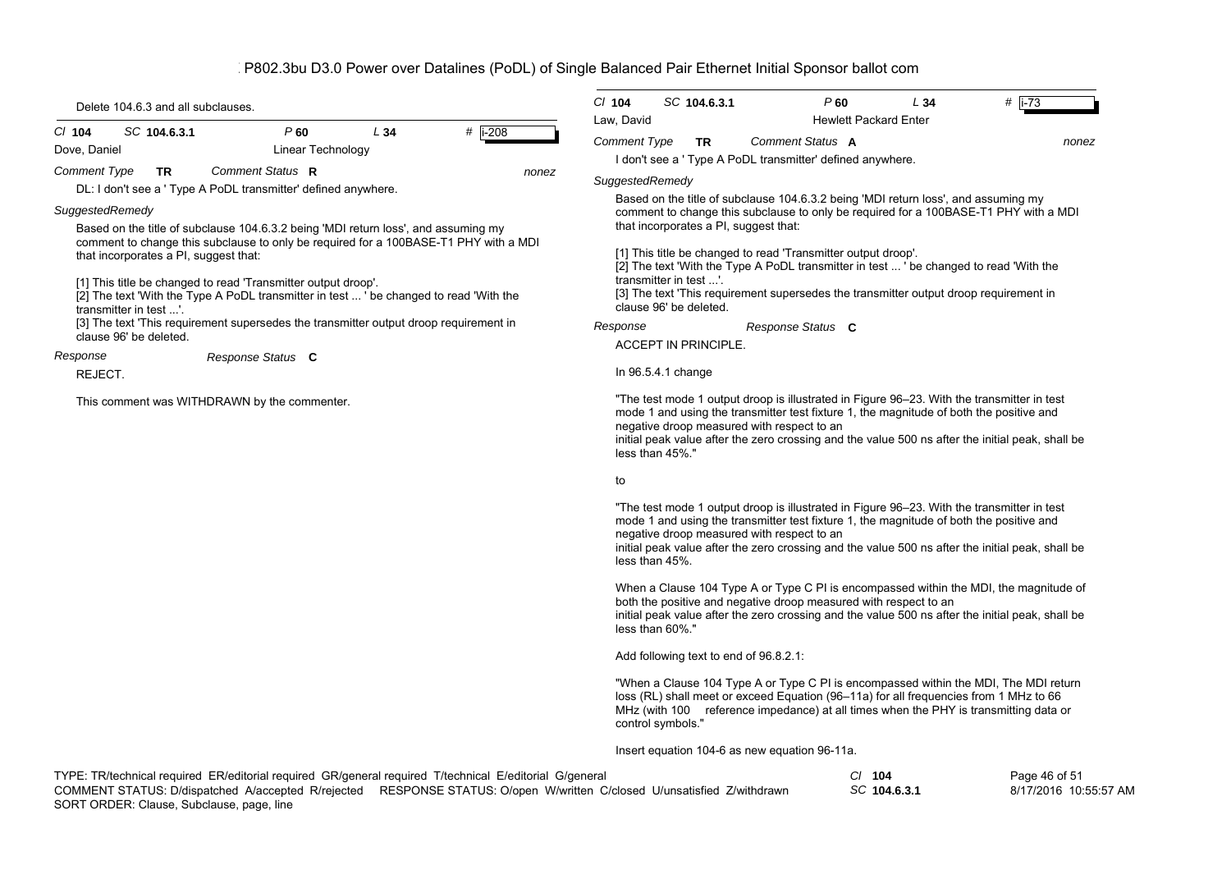| Delete 104.6.3 and all subclauses.                                                                                                                                                                                                                                         | # $\vert$ i-73<br>$CI$ 104<br>SC 104.6.3.1<br>$P$ 60<br>L34                                                                                                                                                                                                                                                                                                                    |  |  |  |  |  |  |
|----------------------------------------------------------------------------------------------------------------------------------------------------------------------------------------------------------------------------------------------------------------------------|--------------------------------------------------------------------------------------------------------------------------------------------------------------------------------------------------------------------------------------------------------------------------------------------------------------------------------------------------------------------------------|--|--|--|--|--|--|
| SC 104.6.3.1<br>P60<br>L34<br>$#$ i-208<br>$Cl$ 104<br>Dove, Daniel<br>Linear Technology                                                                                                                                                                                   | Law, David<br><b>Hewlett Packard Enter</b><br><b>Comment Status A</b><br><b>Comment Type</b><br>TR.<br>nonez                                                                                                                                                                                                                                                                   |  |  |  |  |  |  |
| <b>Comment Type</b><br><b>TR</b><br>Comment Status R<br>nonez                                                                                                                                                                                                              | I don't see a 'Type A PoDL transmitter' defined anywhere.                                                                                                                                                                                                                                                                                                                      |  |  |  |  |  |  |
| DL: I don't see a ' Type A PoDL transmitter' defined anywhere.                                                                                                                                                                                                             | SuggestedRemedy                                                                                                                                                                                                                                                                                                                                                                |  |  |  |  |  |  |
| SuggestedRemedy<br>Based on the title of subclause 104.6.3.2 being 'MDI return loss', and assuming my<br>comment to change this subclause to only be required for a 100BASE-T1 PHY with a MDI<br>that incorporates a PI, suggest that:                                     | Based on the title of subclause 104.6.3.2 being 'MDI return loss', and assuming my<br>comment to change this subclause to only be required for a 100BASE-T1 PHY with a MDI<br>that incorporates a PI, suggest that:<br>[1] This title be changed to read 'Transmitter output droop'.<br>[2] The text 'With the Type A PoDL transmitter in test  ' be changed to read 'With the |  |  |  |  |  |  |
| [1] This title be changed to read 'Transmitter output droop'.<br>[2] The text 'With the Type A PoDL transmitter in test  ' be changed to read 'With the<br>transmitter in test '.<br>[3] The text 'This requirement supersedes the transmitter output droop requirement in | transmitter in test '.<br>[3] The text 'This requirement supersedes the transmitter output droop requirement in<br>clause 96' be deleted.<br>Response<br>Response Status C                                                                                                                                                                                                     |  |  |  |  |  |  |
| clause 96' be deleted.                                                                                                                                                                                                                                                     | <b>ACCEPT IN PRINCIPLE.</b>                                                                                                                                                                                                                                                                                                                                                    |  |  |  |  |  |  |
| Response<br>Response Status C<br>REJECT.                                                                                                                                                                                                                                   | In 96.5.4.1 change                                                                                                                                                                                                                                                                                                                                                             |  |  |  |  |  |  |
| This comment was WITHDRAWN by the commenter.                                                                                                                                                                                                                               | "The test mode 1 output droop is illustrated in Figure 96–23. With the transmitter in test<br>mode 1 and using the transmitter test fixture 1, the magnitude of both the positive and<br>negative droop measured with respect to an<br>initial peak value after the zero crossing and the value 500 ns after the initial peak, shall be<br>less than 45%."                     |  |  |  |  |  |  |
|                                                                                                                                                                                                                                                                            | to                                                                                                                                                                                                                                                                                                                                                                             |  |  |  |  |  |  |
|                                                                                                                                                                                                                                                                            | "The test mode 1 output droop is illustrated in Figure 96-23. With the transmitter in test<br>mode 1 and using the transmitter test fixture 1, the magnitude of both the positive and<br>negative droop measured with respect to an<br>initial peak value after the zero crossing and the value 500 ns after the initial peak, shall be<br>less than 45%.                      |  |  |  |  |  |  |
|                                                                                                                                                                                                                                                                            | When a Clause 104 Type A or Type C PI is encompassed within the MDI, the magnitude of<br>both the positive and negative droop measured with respect to an<br>initial peak value after the zero crossing and the value 500 ns after the initial peak, shall be<br>less than 60%."                                                                                               |  |  |  |  |  |  |
|                                                                                                                                                                                                                                                                            | Add following text to end of 96.8.2.1:                                                                                                                                                                                                                                                                                                                                         |  |  |  |  |  |  |
|                                                                                                                                                                                                                                                                            | "When a Clause 104 Type A or Type C PI is encompassed within the MDI, The MDI return<br>loss (RL) shall meet or exceed Equation (96-11a) for all frequencies from 1 MHz to 66<br>MHz (with 100 reference impedance) at all times when the PHY is transmitting data or<br>control symbols."                                                                                     |  |  |  |  |  |  |
|                                                                                                                                                                                                                                                                            | Insert equation 104-6 as new equation 96-11a.                                                                                                                                                                                                                                                                                                                                  |  |  |  |  |  |  |
| TYPE: TR/technical required ER/editorial required GR/general required T/technical E/editorial G/general                                                                                                                                                                    | $CI$ 104<br>Page 46 of 51                                                                                                                                                                                                                                                                                                                                                      |  |  |  |  |  |  |

|                                           | ד-שו"                                                                                                                   | .            |                       |
|-------------------------------------------|-------------------------------------------------------------------------------------------------------------------------|--------------|-----------------------|
|                                           | COMMENT STATUS: D/dispatched A/accepted R/rejected RESPONSE STATUS: O/open W/written C/closed U/unsatisfied Z/withdrawn | SC 104.6.3.1 | 8/17/2016 10:55:57 AM |
| SORT ORDER: Clause, Subclause, page, line |                                                                                                                         |              |                       |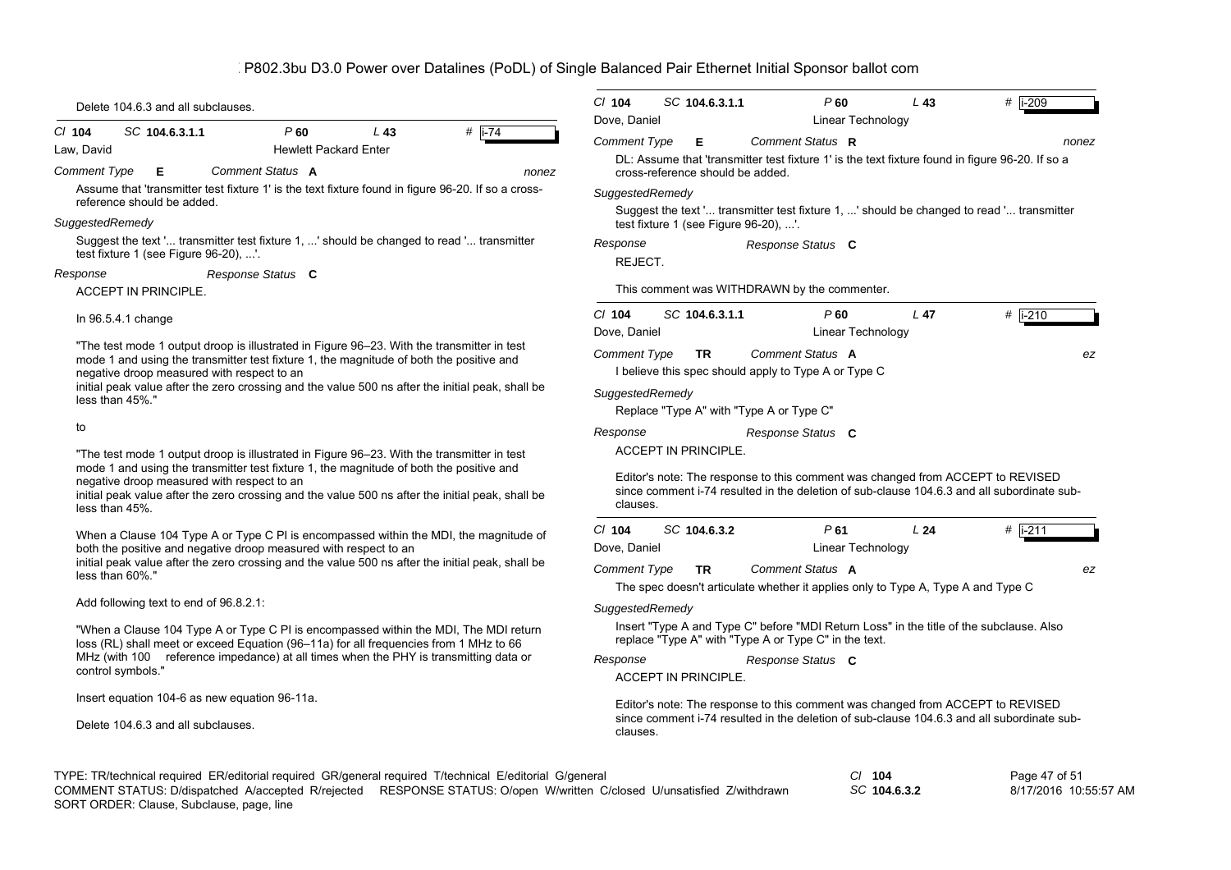| Delete 104.6.3 and all subclauses.                                                                                                                                                                                                                                                                                                      | $Cl$ 104<br>SC 104.6.3.1.1<br>P60<br>L <sub>43</sub><br># i-209<br>Dove, Daniel<br>Linear Technology                                                                                         |
|-----------------------------------------------------------------------------------------------------------------------------------------------------------------------------------------------------------------------------------------------------------------------------------------------------------------------------------------|----------------------------------------------------------------------------------------------------------------------------------------------------------------------------------------------|
| $#$ i-74<br>C/ 104<br>SC 104.6.3.1.1<br>$P$ 60<br>L43<br><b>Hewlett Packard Enter</b><br>Law, David<br>Comment Status A<br><b>Comment Type</b><br>Е<br>nonez                                                                                                                                                                            | <b>Comment Type</b><br>Е<br>Comment Status R<br>nonez<br>DL: Assume that 'transmitter test fixture 1' is the text fixture found in figure 96-20. If so a<br>cross-reference should be added. |
| Assume that 'transmitter test fixture 1' is the text fixture found in figure 96-20. If so a cross-<br>reference should be added.                                                                                                                                                                                                        | SuggestedRemedy<br>Suggest the text ' transmitter test fixture 1, ' should be changed to read ' transmitter                                                                                  |
| SuggestedRemedy                                                                                                                                                                                                                                                                                                                         | test fixture 1 (see Figure $96-20$ ), '.                                                                                                                                                     |
| Suggest the text ' transmitter test fixture 1, ' should be changed to read ' transmitter<br>test fixture 1 (see Figure 96-20), '.                                                                                                                                                                                                       | Response<br>Response Status C<br>REJECT.                                                                                                                                                     |
| Response<br>Response Status C                                                                                                                                                                                                                                                                                                           |                                                                                                                                                                                              |
| <b>ACCEPT IN PRINCIPLE.</b>                                                                                                                                                                                                                                                                                                             | This comment was WITHDRAWN by the commenter.                                                                                                                                                 |
| In $96.5.4.1$ change                                                                                                                                                                                                                                                                                                                    | $Cl$ 104<br>SC 104.6.3.1.1<br>$P$ 60<br>L <sub>47</sub><br># $\sqrt{1-210}$<br>Dove, Daniel<br>Linear Technology                                                                             |
| "The test mode 1 output droop is illustrated in Figure 96–23. With the transmitter in test<br>mode 1 and using the transmitter test fixture 1, the magnitude of both the positive and<br>negative droop measured with respect to an<br>initial peak value after the zero crossing and the value 500 ns after the initial peak, shall be | Comment Status A<br>Comment Type<br><b>TR</b><br>ez<br>I believe this spec should apply to Type A or Type C                                                                                  |
| less than 45%."                                                                                                                                                                                                                                                                                                                         | SuggestedRemedy<br>Replace "Type A" with "Type A or Type C"                                                                                                                                  |
| to<br>"The test mode 1 output droop is illustrated in Figure 96-23. With the transmitter in test                                                                                                                                                                                                                                        | Response<br>Response Status C<br>ACCEPT IN PRINCIPLE.                                                                                                                                        |
| mode 1 and using the transmitter test fixture 1, the magnitude of both the positive and<br>negative droop measured with respect to an<br>initial peak value after the zero crossing and the value 500 ns after the initial peak, shall be<br>less than 45%.                                                                             | Editor's note: The response to this comment was changed from ACCEPT to REVISED<br>since comment i-74 resulted in the deletion of sub-clause 104.6.3 and all subordinate sub-<br>clauses.     |
| When a Clause 104 Type A or Type C PI is encompassed within the MDI, the magnitude of<br>both the positive and negative droop measured with respect to an                                                                                                                                                                               | $Cl$ 104<br>SC 104.6.3.2<br>P61<br>L24<br>$#$ i-211<br>Dove, Daniel<br><b>Linear Technology</b>                                                                                              |
| initial peak value after the zero crossing and the value 500 ns after the initial peak, shall be<br>less than 60%."                                                                                                                                                                                                                     | Comment Status A<br><b>Comment Type</b><br><b>TR</b><br>ez<br>The spec doesn't articulate whether it applies only to Type A, Type A and Type C                                               |
| Add following text to end of 96.8.2.1:                                                                                                                                                                                                                                                                                                  | SuggestedRemedy                                                                                                                                                                              |
| "When a Clause 104 Type A or Type C PI is encompassed within the MDI, The MDI return<br>loss (RL) shall meet or exceed Equation (96-11a) for all frequencies from 1 MHz to 66                                                                                                                                                           | Insert "Type A and Type C" before "MDI Return Loss" in the title of the subclause. Also<br>replace "Type A" with "Type A or Type C" in the text.                                             |
| MHz (with 100 reference impedance) at all times when the PHY is transmitting data or<br>control symbols."                                                                                                                                                                                                                               | Response<br>Response Status C<br>ACCEPT IN PRINCIPLE.                                                                                                                                        |
| Insert equation 104-6 as new equation 96-11a.                                                                                                                                                                                                                                                                                           |                                                                                                                                                                                              |
| Delete 104.6.3 and all subclauses.                                                                                                                                                                                                                                                                                                      | Editor's note: The response to this comment was changed from ACCEPT to REVISED<br>since comment i-74 resulted in the deletion of sub-clause 104.6.3 and all subordinate sub-<br>clauses.     |
| TYPE: TR/technical required ER/editorial required GR/general required T/technical E/editorial G/general<br>COMMENT STATUS: D/dispatched A/accepted R/rejected RESPONSE STATUS: O/open W/written C/closed U/unsatisfied Z/withdrawn                                                                                                      | $CI$ 104<br>Page 47 of 51<br>SC 104.6.3.2<br>8/17/2016 10:55:57 AM                                                                                                                           |

*SC* **104.6.3.2** SORT ORDER: Clause, Subclause, page, line COMMENT STATUS: D/dispatched A/accepted R/rejected RESPONSE STATUS: O/open W/written C/closed U/unsatisfied Z/withdrawn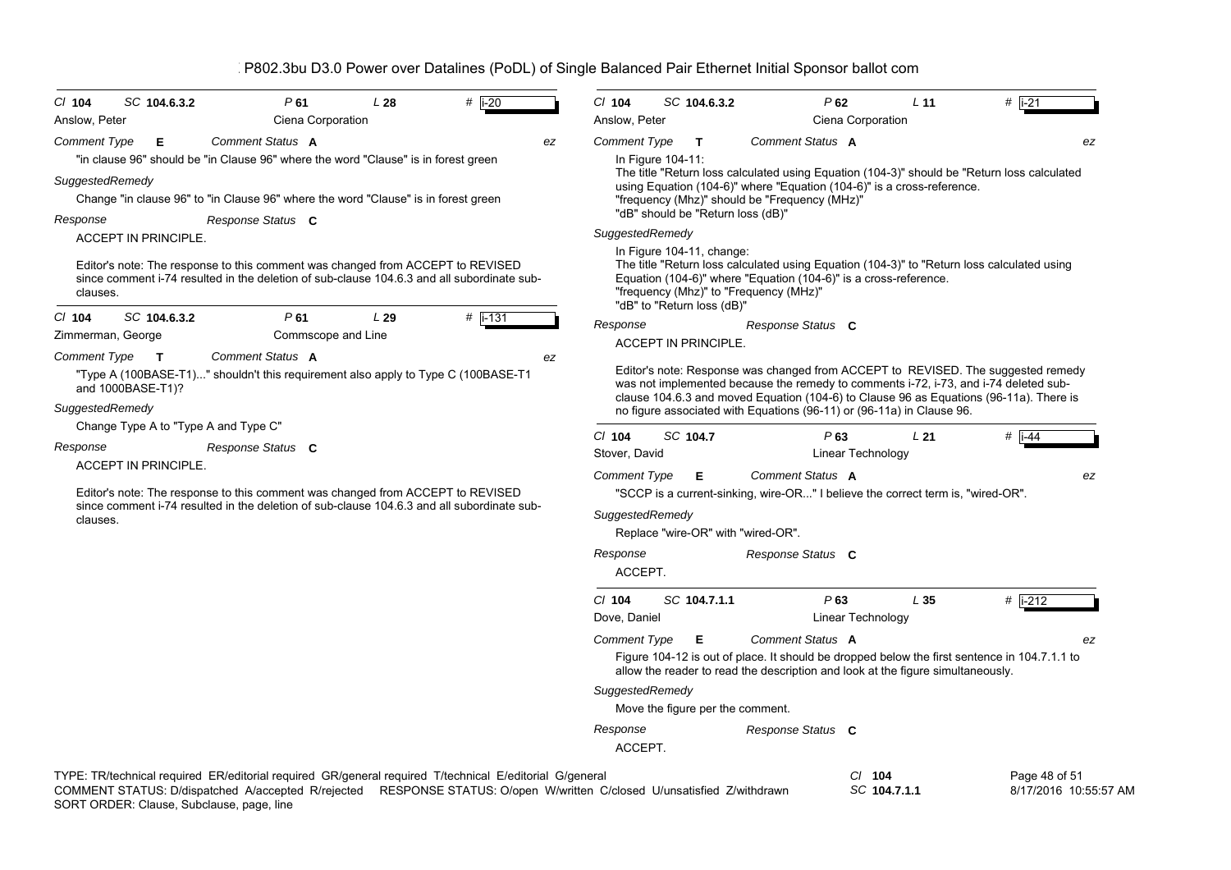| SC 104.6.3.2<br>$CI$ 104<br>Anslow, Peter                                                                                                                                                                                                                                       | P61<br>Ciena Corporation  | L28 | $#$ i-20    |    | $Cl$ 104<br>Anslow, Peter                                                                                                                                                                                                                                                        |  | SC 104.6.3.2                                            | P62                                                                                                                                                            | Ciena Corporation | L <sub>11</sub> | $#$ i-21                                                                                                                                                                                                                                                           |  |
|---------------------------------------------------------------------------------------------------------------------------------------------------------------------------------------------------------------------------------------------------------------------------------|---------------------------|-----|-------------|----|----------------------------------------------------------------------------------------------------------------------------------------------------------------------------------------------------------------------------------------------------------------------------------|--|---------------------------------------------------------|----------------------------------------------------------------------------------------------------------------------------------------------------------------|-------------------|-----------------|--------------------------------------------------------------------------------------------------------------------------------------------------------------------------------------------------------------------------------------------------------------------|--|
| <b>Comment Type</b><br>Е                                                                                                                                                                                                                                                        | Comment Status A          |     |             | ez | <b>Comment Type</b>                                                                                                                                                                                                                                                              |  | $\mathbf{T}$                                            | Comment Status A                                                                                                                                               |                   |                 | ez                                                                                                                                                                                                                                                                 |  |
| "in clause 96" should be "in Clause 96" where the word "Clause" is in forest green<br>SuggestedRemedy<br>Change "in clause 96" to "in Clause 96" where the word "Clause" is in forest green<br>Response                                                                         | Response Status C         |     |             |    | In Figure 104-11:<br>The title "Return loss calculated using Equation (104-3)" should be "Return loss calculated<br>using Equation (104-6)" where "Equation (104-6)" is a cross-reference.<br>"frequency (Mhz)" should be "Frequency (MHz)"<br>"dB" should be "Return loss (dB)" |  |                                                         |                                                                                                                                                                |                   |                 |                                                                                                                                                                                                                                                                    |  |
| <b>ACCEPT IN PRINCIPLE.</b><br>Editor's note: The response to this comment was changed from ACCEPT to REVISED<br>since comment i-74 resulted in the deletion of sub-clause 104.6.3 and all subordinate sub-<br>clauses.                                                         |                           |     |             |    | SuggestedRemedy                                                                                                                                                                                                                                                                  |  | In Figure 104-11, change:<br>"dB" to "Return loss (dB)" | Equation (104-6)" where "Equation (104-6)" is a cross-reference.<br>"frequency (Mhz)" to "Frequency (MHz)"                                                     |                   |                 | The title "Return loss calculated using Equation (104-3)" to "Return loss calculated using                                                                                                                                                                         |  |
| SC 104.6.3.2<br>$CI$ 104<br>Zimmerman, George                                                                                                                                                                                                                                   | P61<br>Commscope and Line | L29 | # $i - 131$ |    | Response                                                                                                                                                                                                                                                                         |  | <b>ACCEPT IN PRINCIPLE.</b>                             | Response Status C                                                                                                                                              |                   |                 |                                                                                                                                                                                                                                                                    |  |
| "Type A (100BASE-T1)" shouldn't this requirement also apply to Type C (100BASE-T1<br>and 1000BASE-T1)?<br>SuggestedRemedy                                                                                                                                                       |                           |     |             |    |                                                                                                                                                                                                                                                                                  |  |                                                         | no figure associated with Equations (96-11) or (96-11a) in Clause 96.                                                                                          |                   |                 | Editor's note: Response was changed from ACCEPT to REVISED. The suggested remedy<br>was not implemented because the remedy to comments i-72, i-73, and i-74 deleted sub-<br>clause 104.6.3 and moved Equation (104-6) to Clause 96 as Equations (96-11a). There is |  |
| Change Type A to "Type A and Type C"                                                                                                                                                                                                                                            |                           |     |             |    | $Cl$ 104                                                                                                                                                                                                                                                                         |  | SC 104.7                                                | P63                                                                                                                                                            |                   | L21             | $\#$   i-44                                                                                                                                                                                                                                                        |  |
| Response<br><b>ACCEPT IN PRINCIPLE.</b>                                                                                                                                                                                                                                         | Response Status C         |     |             |    | Stover, David                                                                                                                                                                                                                                                                    |  |                                                         |                                                                                                                                                                | Linear Technology |                 |                                                                                                                                                                                                                                                                    |  |
| Editor's note: The response to this comment was changed from ACCEPT to REVISED<br>since comment i-74 resulted in the deletion of sub-clause 104.6.3 and all subordinate sub-<br>clauses.                                                                                        |                           |     |             |    | Comment Type<br>SuggestedRemedy<br>Response<br>ACCEPT.                                                                                                                                                                                                                           |  | Е                                                       | Comment Status A<br>"SCCP is a current-sinking, wire-OR" I believe the correct term is, "wired-OR".<br>Replace "wire-OR" with "wired-OR".<br>Response Status C |                   |                 | ez                                                                                                                                                                                                                                                                 |  |
|                                                                                                                                                                                                                                                                                 |                           |     |             |    | $Cl$ 104<br>Dove, Daniel                                                                                                                                                                                                                                                         |  | SC 104.7.1.1                                            | P63                                                                                                                                                            | Linear Technology | L35             | $#$  i-212                                                                                                                                                                                                                                                         |  |
|                                                                                                                                                                                                                                                                                 |                           |     |             |    | Comment Type                                                                                                                                                                                                                                                                     |  | Е                                                       | Comment Status A<br>allow the reader to read the description and look at the figure simultaneously.                                                            |                   |                 | ez<br>Figure 104-12 is out of place. It should be dropped below the first sentence in 104.7.1.1 to                                                                                                                                                                 |  |
|                                                                                                                                                                                                                                                                                 |                           |     |             |    | SuggestedRemedy                                                                                                                                                                                                                                                                  |  |                                                         | Move the figure per the comment.                                                                                                                               |                   |                 |                                                                                                                                                                                                                                                                    |  |
|                                                                                                                                                                                                                                                                                 |                           |     |             |    | Response<br>ACCEPT.                                                                                                                                                                                                                                                              |  |                                                         | Response Status C                                                                                                                                              |                   |                 |                                                                                                                                                                                                                                                                    |  |
| TYPE: TR/technical required ER/editorial required GR/general required T/technical E/editorial G/general<br>COMMENT STATUS: D/dispatched A/accepted R/rejected RESPONSE STATUS: O/open W/written C/closed U/unsatisfied Z/withdrawn<br>SORT ORDER: Clause, Subclause, page, line |                           |     |             |    |                                                                                                                                                                                                                                                                                  |  |                                                         |                                                                                                                                                                | $CI$ 104          | SC 104.7.1.1    | Page 48 of 51<br>8/17/2016 10:55:57 AM                                                                                                                                                                                                                             |  |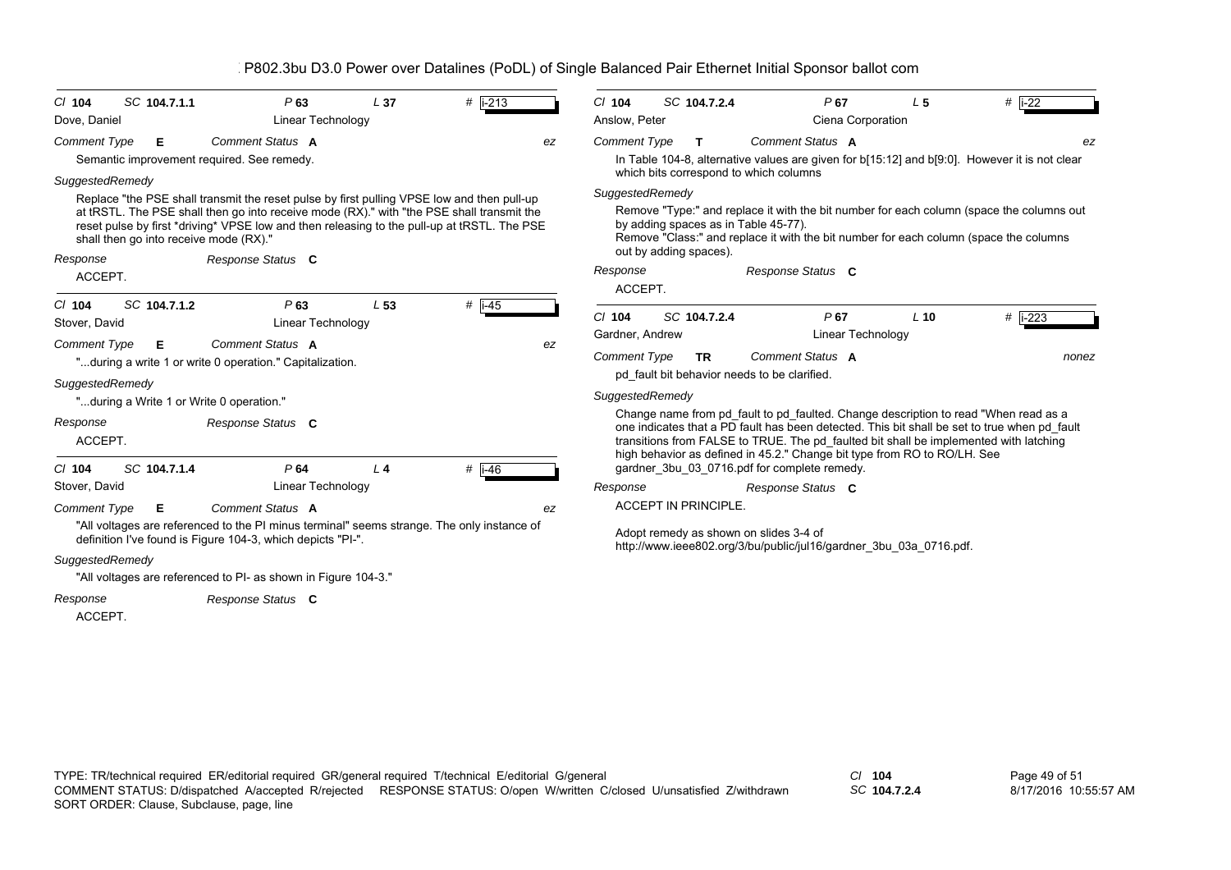| SC 104.7.1.1<br>$Cl$ 104                   | P63                                                                                                                                                                                                                                                                                    | L <sub>37</sub> | $#$ i-213           | C/104               | SC 104.7.2.4                                                   | P67                                                                                                                                                                                                                                                                                                                                                      | L <sub>5</sub> | $#$  i-22  |
|--------------------------------------------|----------------------------------------------------------------------------------------------------------------------------------------------------------------------------------------------------------------------------------------------------------------------------------------|-----------------|---------------------|---------------------|----------------------------------------------------------------|----------------------------------------------------------------------------------------------------------------------------------------------------------------------------------------------------------------------------------------------------------------------------------------------------------------------------------------------------------|----------------|------------|
| Dove, Daniel                               | Linear Technology                                                                                                                                                                                                                                                                      |                 |                     | Anslow, Peter       |                                                                | Ciena Corporation                                                                                                                                                                                                                                                                                                                                        |                |            |
| <b>Comment Type</b><br>E.                  | <b>Comment Status A</b>                                                                                                                                                                                                                                                                |                 | ez                  | <b>Comment Type</b> | T.                                                             | Comment Status A                                                                                                                                                                                                                                                                                                                                         |                | ez         |
| Semantic improvement required. See remedy. |                                                                                                                                                                                                                                                                                        |                 |                     |                     |                                                                | In Table 104-8, alternative values are given for b[15:12] and b[9:0]. However it is not clear                                                                                                                                                                                                                                                            |                |            |
| SuggestedRemedy                            |                                                                                                                                                                                                                                                                                        |                 |                     |                     | which bits correspond to which columns                         |                                                                                                                                                                                                                                                                                                                                                          |                |            |
| shall then go into receive mode (RX)."     | Replace "the PSE shall transmit the reset pulse by first pulling VPSE low and then pull-up<br>at tRSTL. The PSE shall then go into receive mode (RX)." with "the PSE shall transmit the<br>reset pulse by first *driving* VPSE low and then releasing to the pull-up at tRSTL. The PSE |                 |                     | SuggestedRemedy     | by adding spaces as in Table 45-77).<br>out by adding spaces). | Remove "Type:" and replace it with the bit number for each column (space the columns out<br>Remove "Class:" and replace it with the bit number for each column (space the columns                                                                                                                                                                        |                |            |
| Response                                   | Response Status C                                                                                                                                                                                                                                                                      |                 |                     | Response            |                                                                | Response Status C                                                                                                                                                                                                                                                                                                                                        |                |            |
| ACCEPT.                                    |                                                                                                                                                                                                                                                                                        |                 |                     | ACCEPT.             |                                                                |                                                                                                                                                                                                                                                                                                                                                          |                |            |
| SC 104.7.1.2<br>$Cl$ 104<br>Stover, David  | P63<br>Linear Technology                                                                                                                                                                                                                                                               | L <sub>53</sub> | # $\overline{1-45}$ | $Cl$ 104            | SC 104.7.2.4                                                   | P67                                                                                                                                                                                                                                                                                                                                                      | $L$ 10         | # $ i-223$ |
| <b>Comment Type</b><br>Е                   | Comment Status A                                                                                                                                                                                                                                                                       |                 | ez                  | Gardner, Andrew     |                                                                | <b>Linear Technology</b>                                                                                                                                                                                                                                                                                                                                 |                |            |
|                                            | "during a write 1 or write 0 operation." Capitalization.                                                                                                                                                                                                                               |                 |                     | <b>Comment Type</b> | TR.                                                            | Comment Status A                                                                                                                                                                                                                                                                                                                                         |                | nonez      |
| SuggestedRemedy                            |                                                                                                                                                                                                                                                                                        |                 |                     |                     |                                                                | pd fault bit behavior needs to be clarified.                                                                                                                                                                                                                                                                                                             |                |            |
| "during a Write 1 or Write 0 operation."   |                                                                                                                                                                                                                                                                                        |                 |                     | SuggestedRemedy     |                                                                |                                                                                                                                                                                                                                                                                                                                                          |                |            |
| Response<br>ACCEPT.                        | Response Status C                                                                                                                                                                                                                                                                      |                 |                     |                     |                                                                | Change name from pd fault to pd faulted. Change description to read "When read as a<br>one indicates that a PD fault has been detected. This bit shall be set to true when pd fault<br>transitions from FALSE to TRUE. The pd faulted bit shall be implemented with latching<br>high behavior as defined in 45.2." Change bit type from RO to RO/LH. See |                |            |
| SC 104.7.1.4<br>$CI$ 104                   | P64                                                                                                                                                                                                                                                                                    | $\perp$ 4       | $#$  i-46           |                     |                                                                | gardner 3bu 03 0716 pdf for complete remedy.                                                                                                                                                                                                                                                                                                             |                |            |
| Stover, David                              | Linear Technology                                                                                                                                                                                                                                                                      |                 |                     | Response            |                                                                | Response Status C                                                                                                                                                                                                                                                                                                                                        |                |            |
| <b>Comment Type</b><br>Е                   | Comment Status A                                                                                                                                                                                                                                                                       |                 | ez                  |                     | <b>ACCEPT IN PRINCIPLE.</b>                                    |                                                                                                                                                                                                                                                                                                                                                          |                |            |
|                                            | "All voltages are referenced to the PI minus terminal" seems strange. The only instance of<br>definition I've found is Figure 104-3, which depicts "PI-".                                                                                                                              |                 |                     |                     |                                                                | Adopt remedy as shown on slides 3-4 of<br>http://www.ieee802.org/3/bu/public/jul16/gardner 3bu 03a 0716.pdf.                                                                                                                                                                                                                                             |                |            |
| SuggestedRemedy                            | "All voltages are referenced to PI- as shown in Figure 104-3."                                                                                                                                                                                                                         |                 |                     |                     |                                                                |                                                                                                                                                                                                                                                                                                                                                          |                |            |
| Response<br>ACCEPT.                        | Response Status C                                                                                                                                                                                                                                                                      |                 |                     |                     |                                                                |                                                                                                                                                                                                                                                                                                                                                          |                |            |

*SC* **104.7.2.4**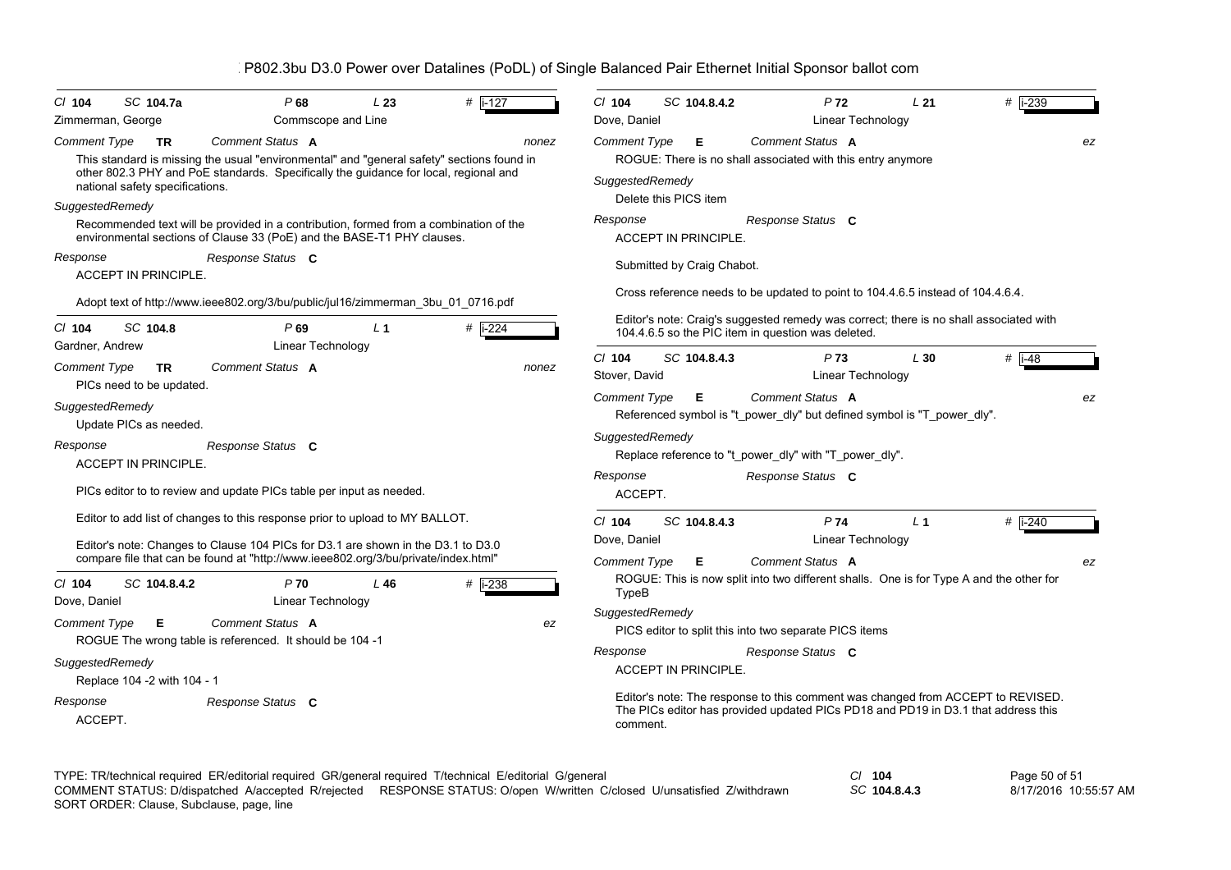| SC 104.7a<br>C/ 104<br>Zimmerman, George                                                                                                                                                                                                               | P68<br>Commscope and Line       | L23            | # $\sqrt{1-127}$ | $Cl$ 104<br>Dove, Daniel                                      | SC 104.8.4.2               | P <sub>72</sub><br><b>Linear Technology</b>                                                                                                                                       | L21            | # i-239                |
|--------------------------------------------------------------------------------------------------------------------------------------------------------------------------------------------------------------------------------------------------------|---------------------------------|----------------|------------------|---------------------------------------------------------------|----------------------------|-----------------------------------------------------------------------------------------------------------------------------------------------------------------------------------|----------------|------------------------|
| Comment Type<br><b>TR</b><br>This standard is missing the usual "environmental" and "general safety" sections found in<br>other 802.3 PHY and PoE standards. Specifically the guidance for local, regional and<br>national safety specifications.      | Comment Status A                |                | nonez            | Comment Type<br>SuggestedRemedy<br>Delete this PICS item      | Е                          | Comment Status A<br>ROGUE: There is no shall associated with this entry anymore                                                                                                   |                | ez                     |
| SuggestedRemedy<br>Recommended text will be provided in a contribution, formed from a combination of the<br>environmental sections of Clause 33 (PoE) and the BASE-T1 PHY clauses.                                                                     |                                 |                |                  | Response<br><b>ACCEPT IN PRINCIPLE.</b>                       |                            | Response Status C                                                                                                                                                                 |                |                        |
| Response<br><b>ACCEPT IN PRINCIPLE.</b>                                                                                                                                                                                                                | Response Status C               |                |                  |                                                               | Submitted by Craig Chabot. | Cross reference needs to be updated to point to 104.4.6.5 instead of 104.4.6.4.                                                                                                   |                |                        |
| Adopt text of http://www.ieee802.org/3/bu/public/jul16/zimmerman_3bu_01_0716.pdf<br>SC 104.8<br>$CI$ 104<br>Gardner, Andrew                                                                                                                            | P69<br>Linear Technology        | L <sub>1</sub> | $#$ i-224        |                                                               |                            | Editor's note: Craig's suggested remedy was correct; there is no shall associated with<br>104.4.6.5 so the PIC item in question was deleted.                                      |                |                        |
| <b>Comment Type</b><br><b>TR</b><br>PICs need to be updated.                                                                                                                                                                                           | Comment Status A                |                | nonez            | $Cl$ 104<br>Stover, David                                     | SC 104.8.4.3               | P <sub>73</sub><br><b>Linear Technology</b>                                                                                                                                       | L30            | # $i-48$               |
| SuggestedRemedy<br>Update PICs as needed.<br>Response<br>ACCEPT IN PRINCIPLE.<br>PICs editor to to review and update PICs table per input as needed.                                                                                                   | Response Status C               |                |                  | <b>Comment Type</b><br>SuggestedRemedy<br>Response<br>ACCEPT. | E                          | <b>Comment Status A</b><br>Referenced symbol is "t_power_dly" but defined symbol is "T_power_dly".<br>Replace reference to "t_power_dly" with "T_power_dly".<br>Response Status C |                | ez                     |
| Editor to add list of changes to this response prior to upload to MY BALLOT.<br>Editor's note: Changes to Clause 104 PICs for D3.1 are shown in the D3.1 to D3.0<br>compare file that can be found at "http://www.ieee802.org/3/bu/private/index.html" |                                 |                |                  | $Cl$ 104<br>Dove, Daniel<br><b>Comment Type</b>               | SC 104.8.4.3<br>Е          | P74<br><b>Linear Technology</b><br>Comment Status A                                                                                                                               | L <sub>1</sub> | # $\sqrt{1-240}$<br>ez |
| SC 104.8.4.2<br>$CI$ 104<br>Dove, Daniel                                                                                                                                                                                                               | P70<br><b>Linear Technology</b> | L46            | $#$ i-238        | TypeB<br>SuggestedRemedy                                      |                            | ROGUE: This is now split into two different shalls. One is for Type A and the other for                                                                                           |                |                        |
| <b>Comment Type</b><br>Е<br>ROGUE The wrong table is referenced. It should be 104 -1                                                                                                                                                                   | Comment Status A                |                | ez               | Response                                                      |                            | PICS editor to split this into two separate PICS items<br>Response Status C                                                                                                       |                |                        |
| SuggestedRemedy<br>Replace 104 -2 with 104 - 1<br>Response<br>ACCEPT.                                                                                                                                                                                  | Response Status C               |                |                  | <b>ACCEPT IN PRINCIPLE.</b><br>comment.                       |                            | Editor's note: The response to this comment was changed from ACCEPT to REVISED.<br>The PICs editor has provided updated PICs PD18 and PD19 in D3.1 that address this              |                |                        |

TYPE: TR/technical required ER/editorial required GR/general required T/technical E/editorial G/general *Cl* **104** SORT ORDER: Clause, Subclause, page, line COMMENT STATUS: D/dispatched A/accepted R/rejected RESPONSE STATUS: O/open W/written C/closed U/unsatisfied Z/withdrawn

*SC* **104.8.4.3**

Page 50 of 51 8/17/2016 10:55:57 AM